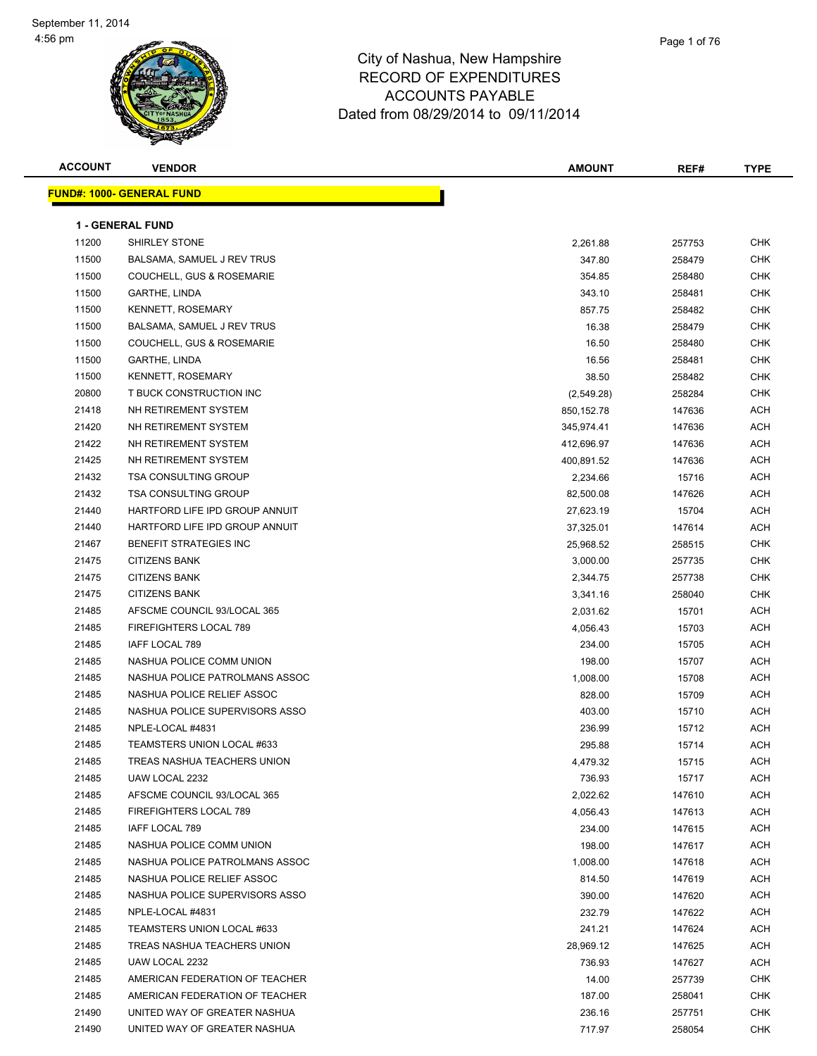| <b>ACCOUNT</b> | <b>VENDOR</b>                    | <b>AMOUNT</b> | REF#             | <b>TYPE</b> |
|----------------|----------------------------------|---------------|------------------|-------------|
|                | <b>FUND#: 1000- GENERAL FUND</b> |               |                  |             |
|                |                                  |               |                  |             |
|                | <b>1 - GENERAL FUND</b>          |               |                  |             |
| 11200          | <b>SHIRLEY STONE</b>             | 2,261.88      | 257753           | CHK         |
| 11500          | BALSAMA, SAMUEL J REV TRUS       | 347.80        | 258479           | CHK         |
| 11500          | COUCHELL, GUS & ROSEMARIE        | 354.85        | 258480           | CHK         |
| 11500          | GARTHE, LINDA                    | 343.10        | 258481           | CHK         |
| 11500          | KENNETT, ROSEMARY                | 857.75        | 258482           | <b>CHK</b>  |
| 11500          | BALSAMA, SAMUEL J REV TRUS       | 16.38         | 258479           | CHK         |
| 11500          | COUCHELL, GUS & ROSEMARIE        | 16.50         | 258480           | <b>CHK</b>  |
| 11500          | GARTHE, LINDA                    | 16.56         | 258481           | <b>CHK</b>  |
| 11500          | <b>KENNETT, ROSEMARY</b>         | 38.50         | 258482           | CHK         |
| 20800          | T BUCK CONSTRUCTION INC          | (2,549.28)    | 258284           | CHK         |
| 21418          | NH RETIREMENT SYSTEM             | 850,152.78    | 147636           | ACH         |
| 21420          | NH RETIREMENT SYSTEM             | 345,974.41    | 147636           | ACH         |
| 21422          | NH RETIREMENT SYSTEM             | 412,696.97    | 147636           | ACH         |
| 21425          | NH RETIREMENT SYSTEM             | 400,891.52    | 147636           | ACH         |
| 21432          | <b>TSA CONSULTING GROUP</b>      | 2,234.66      | 15716            | ACH         |
| 21432          | <b>TSA CONSULTING GROUP</b>      | 82,500.08     | 147626           | ACH         |
| 21440          | HARTFORD LIFE IPD GROUP ANNUIT   | 27,623.19     | 15704            | ACH         |
| 21440          | HARTFORD LIFE IPD GROUP ANNUIT   | 37,325.01     | 147614           | <b>ACH</b>  |
| 21467          | BENEFIT STRATEGIES INC           | 25,968.52     | 258515           | <b>CHK</b>  |
| 21475          | <b>CITIZENS BANK</b>             | 3,000.00      | 257735           | <b>CHK</b>  |
| 21475          | <b>CITIZENS BANK</b>             | 2,344.75      | 257738           | <b>CHK</b>  |
| 21475          | <b>CITIZENS BANK</b>             | 3,341.16      | 258040           | CHK         |
| 21485          | AFSCME COUNCIL 93/LOCAL 365      | 2,031.62      | 15701            | <b>ACH</b>  |
| 21485          | FIREFIGHTERS LOCAL 789           | 4,056.43      | 15703            | <b>ACH</b>  |
| 21485          | IAFF LOCAL 789                   | 234.00        | 15705            | ACH         |
| 21485          | NASHUA POLICE COMM UNION         | 198.00        | 15707            | <b>ACH</b>  |
| 21485          | NASHUA POLICE PATROLMANS ASSOC   | 1,008.00      | 15708            | <b>ACH</b>  |
| 21485          | NASHUA POLICE RELIEF ASSOC       | 828.00        | 15709            | <b>ACH</b>  |
| 21485          | NASHUA POLICE SUPERVISORS ASSO   | 403.00        | 15710            | ACH         |
| 21485          | NPLE-LOCAL #4831                 | 236.99        | 15712            | ACH         |
| 21485          | TEAMSTERS UNION LOCAL #633       | 295.88        | 15714            | ACH         |
| 21485          | TREAS NASHUA TEACHERS UNION      | 4,479.32      | 15715            | ACH         |
| 21485          | UAW LOCAL 2232                   | 736.93        | 15717            | <b>ACH</b>  |
| 21485          | AFSCME COUNCIL 93/LOCAL 365      | 2,022.62      | 147610           | <b>ACH</b>  |
| 21485          | FIREFIGHTERS LOCAL 789           | 4,056.43      | 147613           | ACH         |
| 21485          | IAFF LOCAL 789                   | 234.00        | 147615           | ACH         |
| 21485          | NASHUA POLICE COMM UNION         | 198.00        | 147617           | ACH         |
| 21485          | NASHUA POLICE PATROLMANS ASSOC   | 1,008.00      | 147618           | ACH         |
| 21485          | NASHUA POLICE RELIEF ASSOC       | 814.50        | 147619           | <b>ACH</b>  |
| 21485          | NASHUA POLICE SUPERVISORS ASSO   | 390.00        | 147620           | ACH         |
| 21485          | NPLE-LOCAL #4831                 | 232.79        | 147622           | <b>ACH</b>  |
| 21485          | TEAMSTERS UNION LOCAL #633       | 241.21        | 147624           | <b>ACH</b>  |
| 21485          | TREAS NASHUA TEACHERS UNION      | 28,969.12     | 147625           | ACH         |
| 21485          | UAW LOCAL 2232                   | 736.93        | 147627           | <b>ACH</b>  |
| 21485          | AMERICAN FEDERATION OF TEACHER   | 14.00         |                  | CHK         |
| 21485          | AMERICAN FEDERATION OF TEACHER   | 187.00        | 257739<br>258041 | CHK         |
| 21490          | UNITED WAY OF GREATER NASHUA     | 236.16        | 257751           | CHK         |
| 21490          | UNITED WAY OF GREATER NASHUA     | 717.97        | 258054           | CHK         |
|                |                                  |               |                  |             |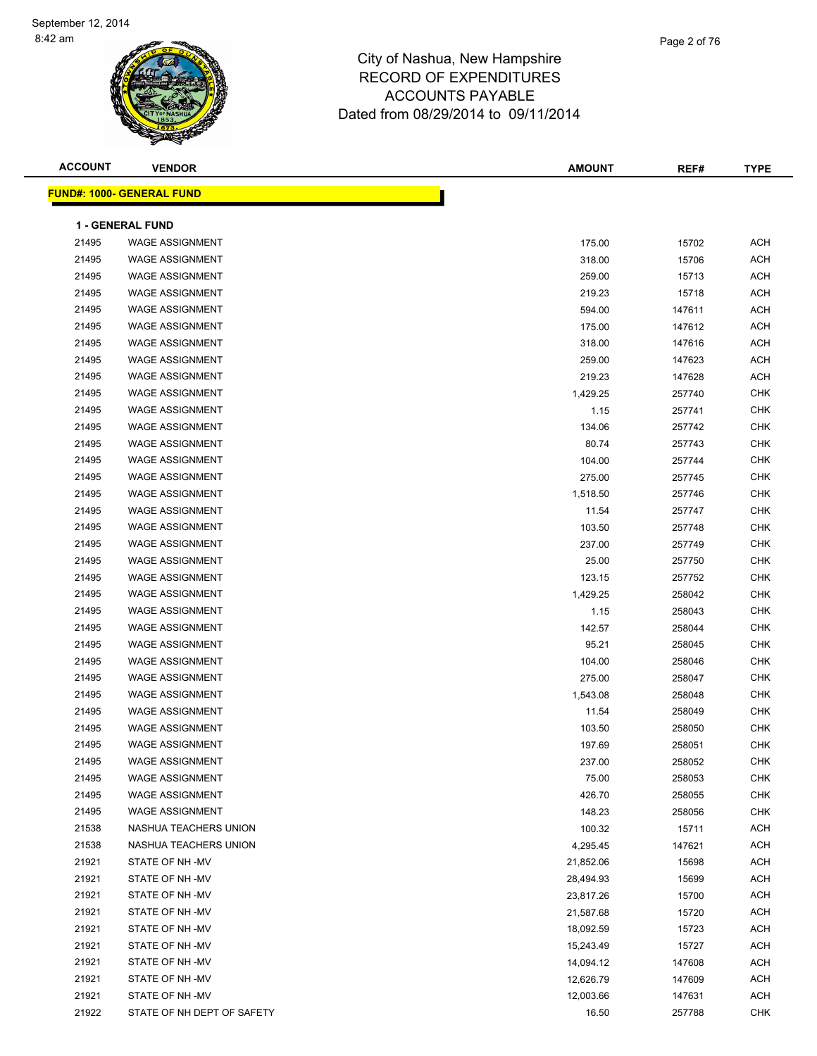| <b>ACCOUNT</b> | <b>VENDOR</b>                                    | <b>AMOUNT</b>    | REF#           | <b>TYPE</b>              |
|----------------|--------------------------------------------------|------------------|----------------|--------------------------|
|                | <u> FUND#: 1000- GENERAL FUND</u>                |                  |                |                          |
|                |                                                  |                  |                |                          |
|                | <b>1 - GENERAL FUND</b>                          |                  |                |                          |
| 21495          | <b>WAGE ASSIGNMENT</b>                           | 175.00           | 15702          | <b>ACH</b><br><b>ACH</b> |
| 21495<br>21495 | <b>WAGE ASSIGNMENT</b><br><b>WAGE ASSIGNMENT</b> | 318.00           | 15706          | <b>ACH</b>               |
| 21495          | <b>WAGE ASSIGNMENT</b>                           | 259.00           | 15713<br>15718 | <b>ACH</b>               |
| 21495          | <b>WAGE ASSIGNMENT</b>                           | 219.23<br>594.00 | 147611         | <b>ACH</b>               |
| 21495          | <b>WAGE ASSIGNMENT</b>                           | 175.00           | 147612         | <b>ACH</b>               |
| 21495          | <b>WAGE ASSIGNMENT</b>                           | 318.00           | 147616         | <b>ACH</b>               |
| 21495          | <b>WAGE ASSIGNMENT</b>                           | 259.00           | 147623         | <b>ACH</b>               |
| 21495          | <b>WAGE ASSIGNMENT</b>                           | 219.23           | 147628         | <b>ACH</b>               |
| 21495          | <b>WAGE ASSIGNMENT</b>                           | 1,429.25         | 257740         | <b>CHK</b>               |
| 21495          | <b>WAGE ASSIGNMENT</b>                           | 1.15             | 257741         | CHK                      |
| 21495          | <b>WAGE ASSIGNMENT</b>                           | 134.06           | 257742         | <b>CHK</b>               |
| 21495          | <b>WAGE ASSIGNMENT</b>                           | 80.74            | 257743         | <b>CHK</b>               |
| 21495          | <b>WAGE ASSIGNMENT</b>                           | 104.00           | 257744         | <b>CHK</b>               |
| 21495          | <b>WAGE ASSIGNMENT</b>                           | 275.00           | 257745         | <b>CHK</b>               |
| 21495          | <b>WAGE ASSIGNMENT</b>                           | 1,518.50         | 257746         | CHK                      |
| 21495          | <b>WAGE ASSIGNMENT</b>                           | 11.54            | 257747         | <b>CHK</b>               |
| 21495          | <b>WAGE ASSIGNMENT</b>                           | 103.50           | 257748         | <b>CHK</b>               |
| 21495          | <b>WAGE ASSIGNMENT</b>                           | 237.00           | 257749         | <b>CHK</b>               |
| 21495          | <b>WAGE ASSIGNMENT</b>                           | 25.00            | 257750         | <b>CHK</b>               |
| 21495          | <b>WAGE ASSIGNMENT</b>                           | 123.15           | 257752         | <b>CHK</b>               |
| 21495          | <b>WAGE ASSIGNMENT</b>                           | 1,429.25         | 258042         | <b>CHK</b>               |
| 21495          | <b>WAGE ASSIGNMENT</b>                           | 1.15             | 258043         | <b>CHK</b>               |
| 21495          | <b>WAGE ASSIGNMENT</b>                           | 142.57           | 258044         | <b>CHK</b>               |
| 21495          | <b>WAGE ASSIGNMENT</b>                           | 95.21            | 258045         | <b>CHK</b>               |
| 21495          | <b>WAGE ASSIGNMENT</b>                           | 104.00           | 258046         | <b>CHK</b>               |
| 21495          | <b>WAGE ASSIGNMENT</b>                           | 275.00           | 258047         | <b>CHK</b>               |
| 21495          | <b>WAGE ASSIGNMENT</b>                           | 1,543.08         | 258048         | <b>CHK</b>               |
| 21495          | <b>WAGE ASSIGNMENT</b>                           | 11.54            | 258049         | <b>CHK</b>               |
| 21495          | <b>WAGE ASSIGNMENT</b>                           | 103.50           | 258050         | <b>CHK</b>               |
| 21495          | <b>WAGE ASSIGNMENT</b>                           | 197.69           | 258051         | <b>CHK</b>               |
| 21495          | WAGE ASSIGNMENT                                  | 237.00           | 258052         | <b>CHK</b>               |
| 21495          | <b>WAGE ASSIGNMENT</b>                           | 75.00            | 258053         | <b>CHK</b>               |
| 21495          | WAGE ASSIGNMENT                                  | 426.70           | 258055         | <b>CHK</b>               |
| 21495          | <b>WAGE ASSIGNMENT</b>                           | 148.23           | 258056         | <b>CHK</b>               |
| 21538          | NASHUA TEACHERS UNION                            | 100.32           | 15711          | ACH                      |
| 21538          | NASHUA TEACHERS UNION                            | 4,295.45         | 147621         | ACH                      |
| 21921          | STATE OF NH-MV                                   | 21,852.06        | 15698          | ACH                      |
| 21921          | STATE OF NH-MV                                   | 28,494.93        | 15699          | <b>ACH</b>               |
| 21921          | STATE OF NH-MV                                   | 23,817.26        | 15700          | <b>ACH</b>               |
| 21921          | STATE OF NH-MV                                   | 21,587.68        | 15720          | <b>ACH</b>               |
| 21921          | STATE OF NH-MV                                   | 18,092.59        | 15723          | <b>ACH</b>               |
| 21921          | STATE OF NH-MV                                   | 15,243.49        | 15727          | <b>ACH</b>               |
| 21921          | STATE OF NH-MV                                   | 14,094.12        | 147608         | <b>ACH</b>               |
| 21921          | STATE OF NH-MV                                   | 12,626.79        | 147609         | <b>ACH</b>               |
| 21921          | STATE OF NH-MV                                   | 12,003.66        | 147631         | ACH                      |
| 21922          | STATE OF NH DEPT OF SAFETY                       | 16.50            | 257788         | <b>CHK</b>               |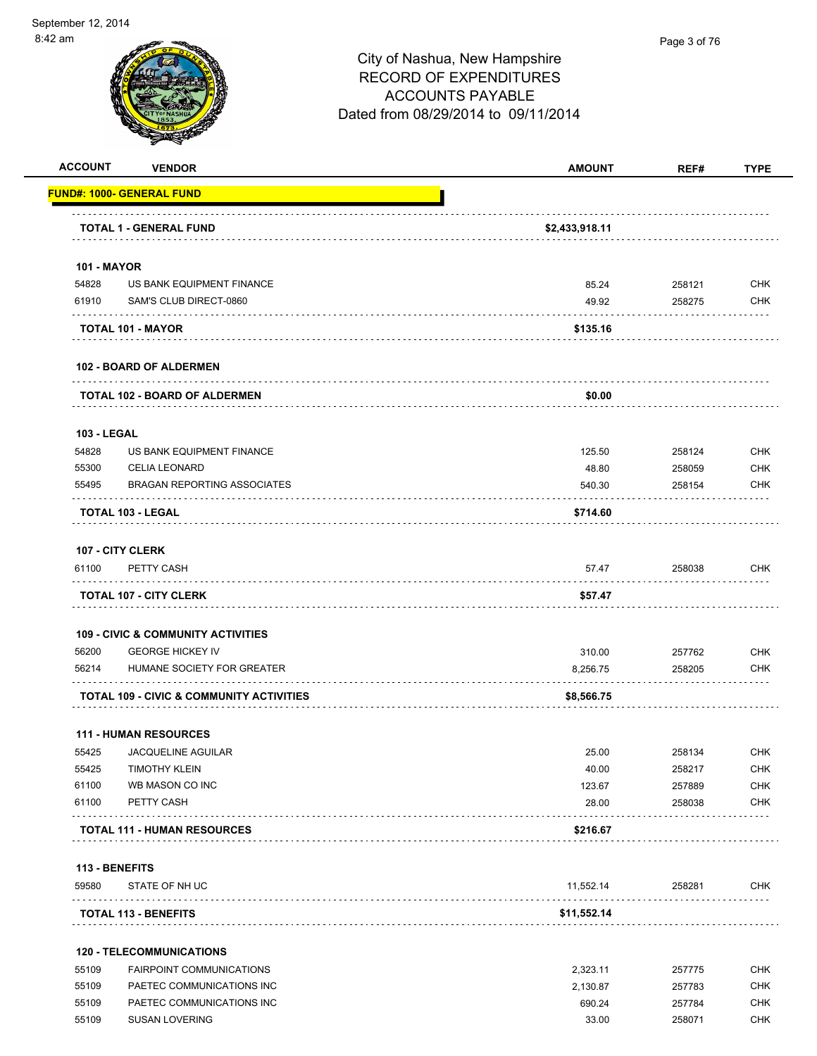

Page 3 of 76

| <b>ACCOUNT</b>     | <b>VENDOR</b>                                       | <b>AMOUNT</b>  | REF#   | <b>TYPE</b> |
|--------------------|-----------------------------------------------------|----------------|--------|-------------|
|                    | <b>FUND#: 1000- GENERAL FUND</b>                    |                |        |             |
|                    | TOTAL 1 - GENERAL FUND                              | \$2,433,918.11 |        |             |
| <b>101 - MAYOR</b> |                                                     |                |        |             |
| 54828              | US BANK EQUIPMENT FINANCE                           | 85.24          | 258121 | CHK         |
| 61910              | SAM'S CLUB DIRECT-0860                              | 49.92          | 258275 | <b>CHK</b>  |
|                    | TOTAL 101 - MAYOR                                   | \$135.16       |        |             |
|                    | <b>102 - BOARD OF ALDERMEN</b>                      |                |        |             |
|                    | <b>TOTAL 102 - BOARD OF ALDERMEN</b>                | \$0.00         |        |             |
| <b>103 - LEGAL</b> |                                                     |                |        |             |
| 54828              | US BANK EQUIPMENT FINANCE                           | 125.50         | 258124 | <b>CHK</b>  |
| 55300              | <b>CELIA LEONARD</b>                                | 48.80          | 258059 | CHK         |
| 55495              | <b>BRAGAN REPORTING ASSOCIATES</b>                  | 540.30         | 258154 | CHK         |
|                    | <b>TOTAL 103 - LEGAL</b>                            | \$714.60       |        |             |
|                    | 107 - CITY CLERK                                    |                |        |             |
| 61100              | PETTY CASH                                          | 57.47          | 258038 | <b>CHK</b>  |
|                    | <b>TOTAL 107 - CITY CLERK</b>                       | \$57.47        |        |             |
|                    | <b>109 - CIVIC &amp; COMMUNITY ACTIVITIES</b>       |                |        |             |
| 56200              | <b>GEORGE HICKEY IV</b>                             | 310.00         | 257762 | <b>CHK</b>  |
| 56214              | HUMANE SOCIETY FOR GREATER                          | 8,256.75       | 258205 | CHK         |
|                    | <b>TOTAL 109 - CIVIC &amp; COMMUNITY ACTIVITIES</b> | \$8,566.75     |        |             |
|                    | <b>111 - HUMAN RESOURCES</b>                        |                |        |             |
| 55425              | JACQUELINE AGUILAR                                  | 25.00          | 258134 | <b>CHK</b>  |
| 55425              | <b>TIMOTHY KLEIN</b>                                | 40.00          | 258217 | <b>CHK</b>  |
| 61100              | WB MASON CO INC                                     | 123.67         | 257889 | <b>CHK</b>  |
| 61100              | PETTY CASH                                          | 28.00          | 258038 | <b>CHK</b>  |
|                    | <b>TOTAL 111 - HUMAN RESOURCES</b>                  | \$216.67       |        |             |
| 113 - BENEFITS     |                                                     |                |        |             |
| 59580              | STATE OF NH UC                                      | 11,552.14      | 258281 | CHK         |
|                    | <b>TOTAL 113 - BENEFITS</b>                         | \$11,552.14    |        |             |
|                    | <b>120 - TELECOMMUNICATIONS</b>                     |                |        |             |
| 55109              | FAIRPOINT COMMUNICATIONS                            | 2,323.11       | 257775 | <b>CHK</b>  |
| 55109              | PAETEC COMMUNICATIONS INC                           | 2,130.87       | 257783 | CHK         |
| 55109              | PAETEC COMMUNICATIONS INC                           | 690.24         | 257784 | <b>CHK</b>  |

55109 SUSAN LOVERING 33.00 258071 CHK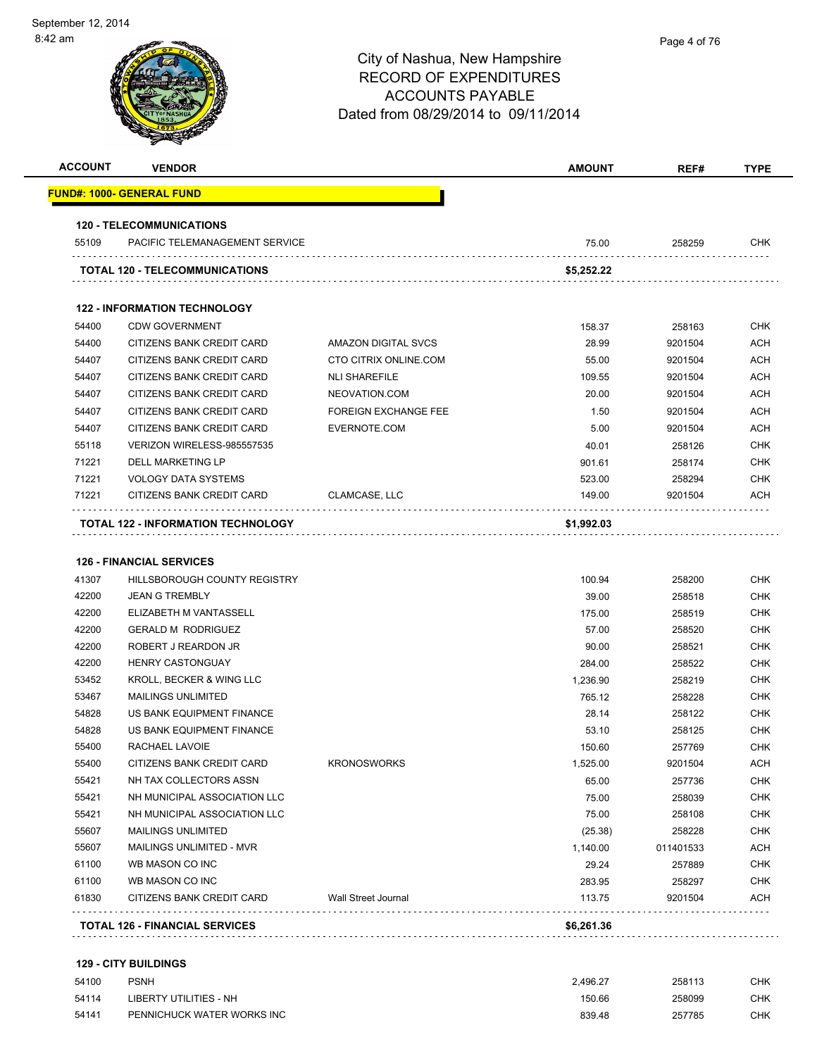| <b>ACCOUNT</b> | <b>VENDOR</b>                       |                             | <b>AMOUNT</b>    | REF#              | <b>TYPE</b> |
|----------------|-------------------------------------|-----------------------------|------------------|-------------------|-------------|
|                | <u> FUND#: 1000- GENERAL FUND</u>   |                             |                  |                   |             |
|                | <b>120 - TELECOMMUNICATIONS</b>     |                             |                  |                   |             |
| 55109          | PACIFIC TELEMANAGEMENT SERVICE      |                             | 75.00            | 258259            | CHK         |
|                | TOTAL 120 - TELECOMMUNICATIONS      |                             | \$5,252.22       |                   |             |
|                | <b>122 - INFORMATION TECHNOLOGY</b> |                             |                  |                   |             |
| 54400          | <b>CDW GOVERNMENT</b>               |                             | 158.37           | 258163            | CHK         |
| 54400          | CITIZENS BANK CREDIT CARD           | AMAZON DIGITAL SVCS         | 28.99            | 9201504           | <b>ACH</b>  |
| 54407          | CITIZENS BANK CREDIT CARD           | CTO CITRIX ONLINE.COM       | 55.00            | 9201504           | ACH         |
| 54407          | CITIZENS BANK CREDIT CARD           | <b>NLI SHAREFILE</b>        | 109.55           | 9201504           | ACH         |
| 54407          | CITIZENS BANK CREDIT CARD           | NEOVATION.COM               | 20.00            | 9201504           | <b>ACH</b>  |
| 54407          | CITIZENS BANK CREDIT CARD           | <b>FOREIGN EXCHANGE FEE</b> | 1.50             | 9201504           | <b>ACH</b>  |
| 54407          | CITIZENS BANK CREDIT CARD           | EVERNOTE.COM                | 5.00             | 9201504           | ACH         |
| 55118          | VERIZON WIRELESS-985557535          |                             | 40.01            | 258126            | CHK         |
| 71221          | DELL MARKETING LP                   |                             | 901.61           | 258174            | CHK         |
| 71221          | <b>VOLOGY DATA SYSTEMS</b>          |                             | 523.00           | 258294            | <b>CHK</b>  |
| 71221          | CITIZENS BANK CREDIT CARD           | CLAMCASE, LLC               | 149.00           | 9201504           | ACH         |
|                | TOTAL 122 - INFORMATION TECHNOLOGY  |                             | \$1,992.03       |                   |             |
| 41307          | HILLSBOROUGH COUNTY REGISTRY        |                             | 100.94           | 258200            | <b>CHK</b>  |
| 42200          | <b>JEAN G TREMBLY</b>               |                             | 39.00            | 258518            | <b>CHK</b>  |
| 42200          | ELIZABETH M VANTASSELL              |                             | 175.00           | 258519            | CHK         |
| 42200          | <b>GERALD M RODRIGUEZ</b>           |                             | 57.00            | 258520            | CHK         |
| 42200          | ROBERT J REARDON JR                 |                             | 90.00            | 258521            | CHK         |
| 42200          | <b>HENRY CASTONGUAY</b>             |                             | 284.00           | 258522            | CHK         |
| 53452          | KROLL, BECKER & WING LLC            |                             | 1,236.90         | 258219            | <b>CHK</b>  |
| 53467          | <b>MAILINGS UNLIMITED</b>           |                             | 765.12           | 258228            | CHK         |
| 54828          | US BANK EQUIPMENT FINANCE           |                             | 28.14            | 258122            | CHK         |
| 54828          | US BANK EQUIPMENT FINANCE           |                             | 53.10            | 258125            | <b>CHK</b>  |
| 55400          | RACHAEL LAVOIE                      |                             | 150.60           | 257769            | CHK         |
| 55400          | <b>CITIZENS BANK CREDIT CARD</b>    | <b>KRONOSWORKS</b>          | 1,525.00         | 9201504           | <b>ACH</b>  |
| 55421          | NH TAX COLLECTORS ASSN              |                             | 65.00            | 257736            | <b>CHK</b>  |
| 55421          | NH MUNICIPAL ASSOCIATION LLC        |                             | 75.00            | 258039            | CHK         |
| 55421          | NH MUNICIPAL ASSOCIATION LLC        |                             | 75.00            | 258108            | CHK         |
| 55607          | <b>MAILINGS UNLIMITED</b>           |                             | (25.38)          | 258228            | CHK         |
| 55607          | MAILINGS UNLIMITED - MVR            |                             | 1,140.00         | 011401533         | ACH         |
| 61100          | WB MASON CO INC                     |                             | 29.24            | 257889            | CHK         |
|                | WB MASON CO INC                     | <b>Wall Street Journal</b>  | 283.95<br>113.75 | 258297<br>9201504 | CHK<br>ACH  |
|                |                                     |                             |                  |                   |             |
| 61100<br>61830 | CITIZENS BANK CREDIT CARD<br>.      |                             | \$6,261.36       |                   |             |

| 54100 | PSNH                       | 2.496.27 | 258113 | CHK. |
|-------|----------------------------|----------|--------|------|
| 54114 | LIBERTY UTILITIES - NH     | 150.66   | 258099 | CHK. |
| 54141 | PENNICHUCK WATER WORKS INC | 839.48   | 257785 | CHK. |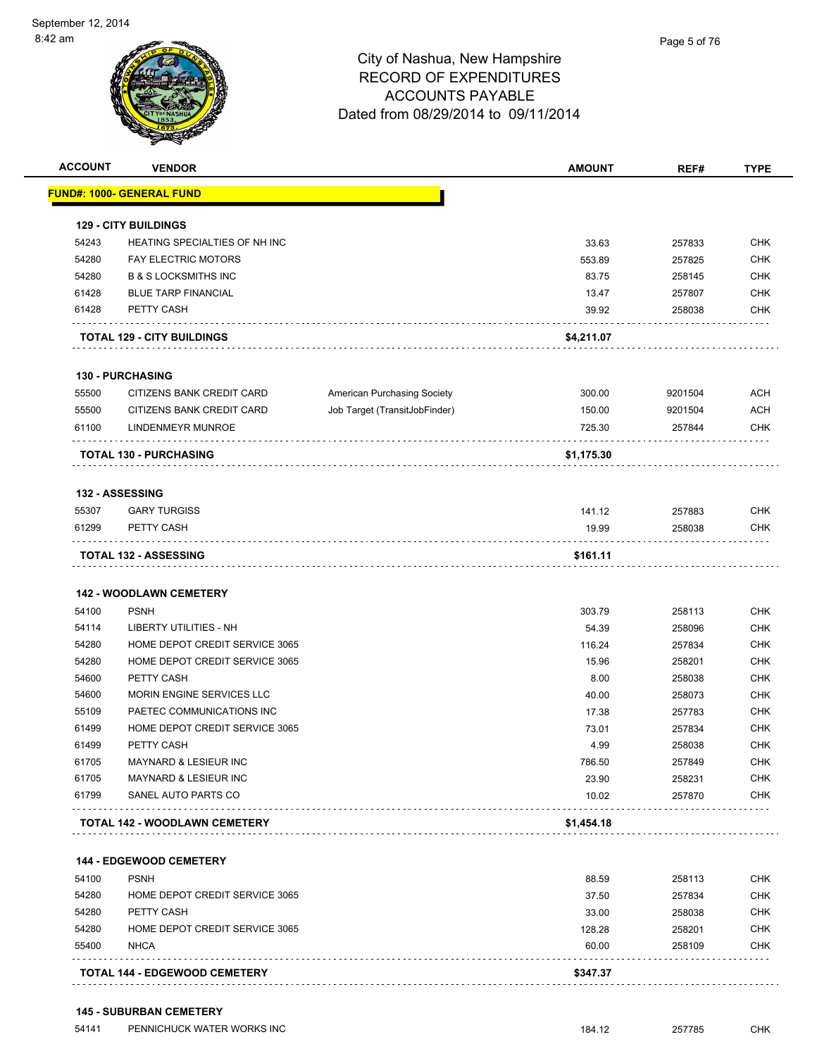| <b>ACCOUNT</b> | <b>VENDOR</b>                             |                               | <b>AMOUNT</b> | REF#    | <b>TYPE</b> |
|----------------|-------------------------------------------|-------------------------------|---------------|---------|-------------|
|                | <u> FUND#: 1000- GENERAL FUND</u>         |                               |               |         |             |
|                | <b>129 - CITY BUILDINGS</b>               |                               |               |         |             |
| 54243          | HEATING SPECIALTIES OF NH INC             |                               | 33.63         | 257833  | <b>CHK</b>  |
| 54280          | <b>FAY ELECTRIC MOTORS</b>                |                               | 553.89        | 257825  | <b>CHK</b>  |
| 54280          | <b>B &amp; S LOCKSMITHS INC</b>           |                               | 83.75         | 258145  | <b>CHK</b>  |
| 61428          | <b>BLUE TARP FINANCIAL</b>                |                               | 13.47         | 257807  | <b>CHK</b>  |
| 61428          | PETTY CASH                                |                               | 39.92         | 258038  | <b>CHK</b>  |
|                | <b>TOTAL 129 - CITY BUILDINGS</b>         |                               | \$4,211.07    |         |             |
|                | <b>130 - PURCHASING</b>                   |                               |               |         |             |
| 55500          | CITIZENS BANK CREDIT CARD                 | American Purchasing Society   | 300.00        | 9201504 | <b>ACH</b>  |
| 55500          | CITIZENS BANK CREDIT CARD                 | Job Target (TransitJobFinder) | 150.00        | 9201504 | <b>ACH</b>  |
| 61100          | LINDENMEYR MUNROE                         |                               | 725.30        | 257844  | <b>CHK</b>  |
|                | <b>TOTAL 130 - PURCHASING</b>             |                               | \$1,175.30    |         |             |
|                | 132 - ASSESSING                           |                               |               |         |             |
| 55307          | <b>GARY TURGISS</b>                       |                               | 141.12        | 257883  | <b>CHK</b>  |
| 61299          | PETTY CASH                                |                               | 19.99         | 258038  | <b>CHK</b>  |
|                | <b>TOTAL 132 - ASSESSING</b>              |                               | \$161.11      |         |             |
|                |                                           |                               |               |         |             |
|                | <b>142 - WOODLAWN CEMETERY</b>            |                               |               |         |             |
| 54100          | <b>PSNH</b>                               |                               | 303.79        | 258113  | <b>CHK</b>  |
| 54114          | LIBERTY UTILITIES - NH                    |                               | 54.39         | 258096  | <b>CHK</b>  |
| 54280          | HOME DEPOT CREDIT SERVICE 3065            |                               | 116.24        | 257834  | <b>CHK</b>  |
| 54280          | HOME DEPOT CREDIT SERVICE 3065            |                               | 15.96         | 258201  | <b>CHK</b>  |
| 54600          | PETTY CASH                                |                               | 8.00          | 258038  | <b>CHK</b>  |
| 54600          | MORIN ENGINE SERVICES LLC                 |                               | 40.00         | 258073  | <b>CHK</b>  |
| 55109          | PAETEC COMMUNICATIONS INC                 |                               | 17.38         | 257783  | <b>CHK</b>  |
| 61499          | HOME DEPOT CREDIT SERVICE 3065            |                               | 73.01         | 257834  | <b>CHK</b>  |
| 61499          | PETTY CASH                                |                               | 4.99          | 258038  | <b>CHK</b>  |
| 61705          | <b>MAYNARD &amp; LESIEUR INC</b>          |                               | 786.50        | 257849  | <b>CHK</b>  |
| 61705          | MAYNARD & LESIEUR INC                     |                               | 23.90         | 258231  | <b>CHK</b>  |
| 61799          | SANEL AUTO PARTS CO                       |                               | 10.02         | 257870  | <b>CHK</b>  |
|                | .<br><b>TOTAL 142 - WOODLAWN CEMETERY</b> |                               | \$1,454.18    |         |             |
|                | 144 - EDGEWOOD CEMETERY                   |                               |               |         |             |
| 54100          | <b>PSNH</b>                               |                               | 88.59         | 258113  | <b>CHK</b>  |
| 54280          | HOME DEPOT CREDIT SERVICE 3065            |                               | 37.50         | 257834  | <b>CHK</b>  |
| 54280          | PETTY CASH                                |                               | 33.00         | 258038  | <b>CHK</b>  |
| 54280          | HOME DEPOT CREDIT SERVICE 3065            |                               | 128.28        | 258201  | <b>CHK</b>  |
| 55400          | <b>NHCA</b>                               |                               | 60.00         | 258109  | <b>CHK</b>  |
|                |                                           |                               |               |         |             |
|                | <b>TOTAL 144 - EDGEWOOD CEMETERY</b>      |                               | \$347.37      |         |             |

#### **145 - SUBURBAN CEMETERY**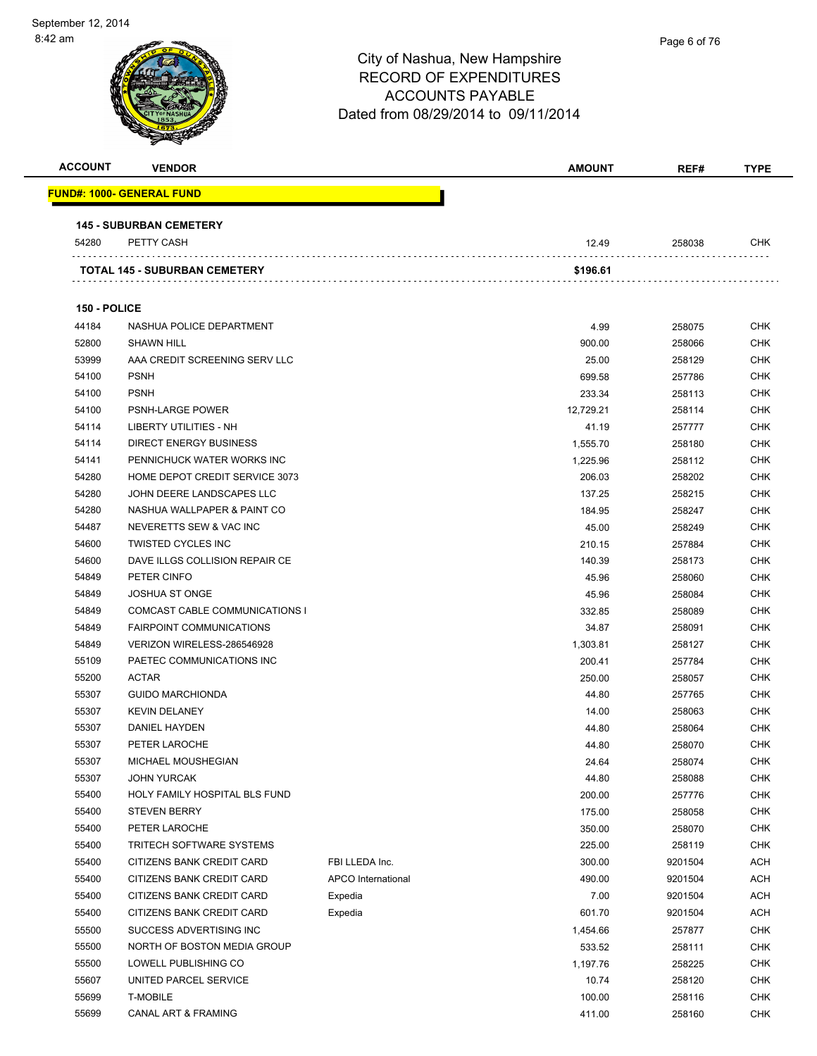

| <b>ACCOUNT</b> | <b>VENDOR</b>                                |                    | <b>AMOUNT</b>   | REF#             | <b>TYPE</b>              |
|----------------|----------------------------------------------|--------------------|-----------------|------------------|--------------------------|
|                | <u> FUND#: 1000- GENERAL FUND</u>            |                    |                 |                  |                          |
|                |                                              |                    |                 |                  |                          |
| 54280          | <b>145 - SUBURBAN CEMETERY</b><br>PETTY CASH |                    | 12.49           | 258038           | <b>CHK</b>               |
|                |                                              |                    |                 |                  |                          |
|                | TOTAL 145 - SUBURBAN CEMETERY                |                    | \$196.61        |                  |                          |
|                |                                              |                    |                 |                  |                          |
| 150 - POLICE   |                                              |                    |                 |                  |                          |
| 44184          | NASHUA POLICE DEPARTMENT                     |                    | 4.99            | 258075           | <b>CHK</b>               |
| 52800          | <b>SHAWN HILL</b>                            |                    | 900.00          | 258066           | <b>CHK</b>               |
| 53999          | AAA CREDIT SCREENING SERV LLC                |                    | 25.00           | 258129           | <b>CHK</b>               |
| 54100          | <b>PSNH</b>                                  |                    | 699.58          | 257786           | CHK                      |
| 54100          | <b>PSNH</b>                                  |                    | 233.34          | 258113           | <b>CHK</b>               |
| 54100          | PSNH-LARGE POWER                             |                    | 12,729.21       | 258114           | CHK                      |
| 54114          | LIBERTY UTILITIES - NH                       |                    | 41.19           | 257777           | <b>CHK</b>               |
| 54114          | <b>DIRECT ENERGY BUSINESS</b>                |                    | 1,555.70        | 258180           | <b>CHK</b>               |
| 54141          | PENNICHUCK WATER WORKS INC                   |                    | 1,225.96        | 258112           | CHK                      |
| 54280          | HOME DEPOT CREDIT SERVICE 3073               |                    | 206.03          | 258202           | CHK                      |
| 54280          | JOHN DEERE LANDSCAPES LLC                    |                    | 137.25          | 258215           | CHK                      |
| 54280          | NASHUA WALLPAPER & PAINT CO                  |                    | 184.95          | 258247           | <b>CHK</b>               |
| 54487          | NEVERETTS SEW & VAC INC                      |                    | 45.00           | 258249           | <b>CHK</b>               |
| 54600          | <b>TWISTED CYCLES INC</b>                    |                    | 210.15          | 257884           | <b>CHK</b>               |
| 54600          | DAVE ILLGS COLLISION REPAIR CE               |                    | 140.39          | 258173           | <b>CHK</b>               |
| 54849          | PETER CINFO<br><b>JOSHUA ST ONGE</b>         |                    | 45.96           | 258060           | <b>CHK</b>               |
| 54849<br>54849 | COMCAST CABLE COMMUNICATIONS I               |                    | 45.96<br>332.85 | 258084           | <b>CHK</b><br><b>CHK</b> |
| 54849          | <b>FAIRPOINT COMMUNICATIONS</b>              |                    | 34.87           | 258089           | <b>CHK</b>               |
| 54849          | VERIZON WIRELESS-286546928                   |                    | 1,303.81        | 258091<br>258127 | CHK                      |
| 55109          | PAETEC COMMUNICATIONS INC                    |                    | 200.41          | 257784           | <b>CHK</b>               |
| 55200          | <b>ACTAR</b>                                 |                    | 250.00          | 258057           | CHK                      |
| 55307          | <b>GUIDO MARCHIONDA</b>                      |                    | 44.80           | 257765           | CHK                      |
| 55307          | <b>KEVIN DELANEY</b>                         |                    | 14.00           | 258063           | CHK                      |
| 55307          | DANIEL HAYDEN                                |                    | 44.80           | 258064           | <b>CHK</b>               |
| 55307          | PETER LAROCHE                                |                    | 44.80           | 258070           | <b>CHK</b>               |
| 55307          | MICHAEL MOUSHEGIAN                           |                    | 24.64           | 258074           | <b>CHK</b>               |
| 55307          | <b>JOHN YURCAK</b>                           |                    | 44.80           | 258088           | <b>CHK</b>               |
| 55400          | HOLY FAMILY HOSPITAL BLS FUND                |                    | 200.00          | 257776           | <b>CHK</b>               |
| 55400          | <b>STEVEN BERRY</b>                          |                    | 175.00          | 258058           | <b>CHK</b>               |
| 55400          | PETER LAROCHE                                |                    | 350.00          | 258070           | <b>CHK</b>               |
| 55400          | <b>TRITECH SOFTWARE SYSTEMS</b>              |                    | 225.00          | 258119           | <b>CHK</b>               |
| 55400          | CITIZENS BANK CREDIT CARD                    | FBI LLEDA Inc.     | 300.00          | 9201504          | ACH                      |
| 55400          | CITIZENS BANK CREDIT CARD                    | APCO International | 490.00          | 9201504          | ACH                      |
| 55400          | CITIZENS BANK CREDIT CARD                    | Expedia            | 7.00            | 9201504          | <b>ACH</b>               |
| 55400          | CITIZENS BANK CREDIT CARD                    | Expedia            | 601.70          | 9201504          | <b>ACH</b>               |
| 55500          | SUCCESS ADVERTISING INC                      |                    | 1,454.66        | 257877           | <b>CHK</b>               |
| 55500          | NORTH OF BOSTON MEDIA GROUP                  |                    | 533.52          | 258111           | <b>CHK</b>               |
| 55500          | LOWELL PUBLISHING CO                         |                    | 1,197.76        | 258225           | CHK                      |
| 55607          | UNITED PARCEL SERVICE                        |                    | 10.74           | 258120           | <b>CHK</b>               |
| 55699          | <b>T-MOBILE</b>                              |                    | 100.00          | 258116           | <b>CHK</b>               |
| 55699          | CANAL ART & FRAMING                          |                    | 411.00          | 258160           | <b>CHK</b>               |
|                |                                              |                    |                 |                  |                          |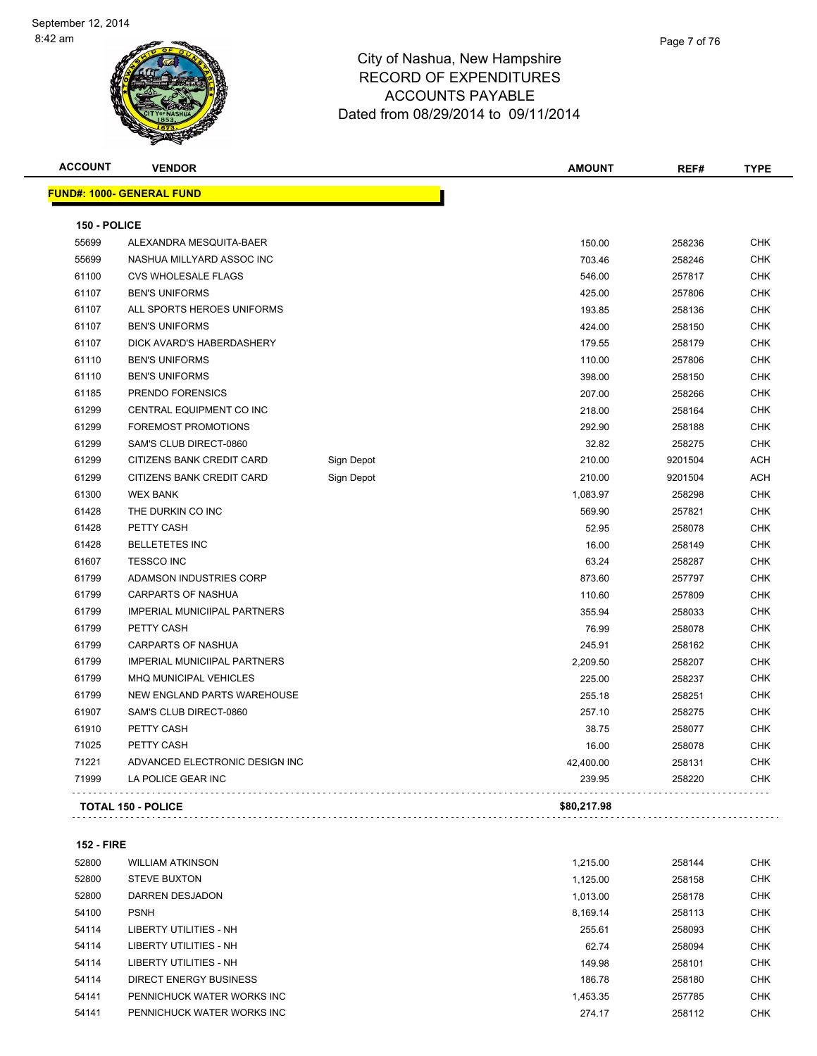| <b>ACCOUNT</b> | <b>VENDOR</b>                       |            | <b>AMOUNT</b> | REF#    | <b>TYPE</b> |
|----------------|-------------------------------------|------------|---------------|---------|-------------|
|                | <b>FUND#: 1000- GENERAL FUND</b>    |            |               |         |             |
| 150 - POLICE   |                                     |            |               |         |             |
| 55699          | ALEXANDRA MESQUITA-BAER             |            | 150.00        | 258236  | <b>CHK</b>  |
| 55699          | NASHUA MILLYARD ASSOC INC           |            | 703.46        | 258246  | <b>CHK</b>  |
| 61100          | <b>CVS WHOLESALE FLAGS</b>          |            | 546.00        | 257817  | <b>CHK</b>  |
| 61107          | <b>BEN'S UNIFORMS</b>               |            | 425.00        | 257806  | <b>CHK</b>  |
| 61107          | ALL SPORTS HEROES UNIFORMS          |            | 193.85        | 258136  | <b>CHK</b>  |
| 61107          | <b>BEN'S UNIFORMS</b>               |            | 424.00        | 258150  | <b>CHK</b>  |
| 61107          | DICK AVARD'S HABERDASHERY           |            | 179.55        | 258179  | <b>CHK</b>  |
| 61110          | <b>BEN'S UNIFORMS</b>               |            | 110.00        | 257806  | <b>CHK</b>  |
| 61110          | <b>BEN'S UNIFORMS</b>               |            | 398.00        | 258150  | <b>CHK</b>  |
| 61185          | PRENDO FORENSICS                    |            | 207.00        | 258266  | <b>CHK</b>  |
| 61299          | CENTRAL EQUIPMENT CO INC            |            | 218.00        | 258164  | <b>CHK</b>  |
| 61299          | FOREMOST PROMOTIONS                 |            | 292.90        | 258188  | <b>CHK</b>  |
| 61299          | SAM'S CLUB DIRECT-0860              |            | 32.82         | 258275  | <b>CHK</b>  |
| 61299          | CITIZENS BANK CREDIT CARD           | Sign Depot | 210.00        | 9201504 | <b>ACH</b>  |
| 61299          | CITIZENS BANK CREDIT CARD           | Sign Depot | 210.00        | 9201504 | <b>ACH</b>  |
| 61300          | <b>WEX BANK</b>                     |            | 1,083.97      | 258298  | <b>CHK</b>  |
| 61428          | THE DURKIN CO INC                   |            | 569.90        | 257821  | <b>CHK</b>  |
| 61428          | PETTY CASH                          |            | 52.95         | 258078  | <b>CHK</b>  |
| 61428          | <b>BELLETETES INC</b>               |            | 16.00         | 258149  | <b>CHK</b>  |
| 61607          | <b>TESSCO INC</b>                   |            | 63.24         | 258287  | <b>CHK</b>  |
| 61799          | ADAMSON INDUSTRIES CORP             |            | 873.60        | 257797  | <b>CHK</b>  |
| 61799          | <b>CARPARTS OF NASHUA</b>           |            | 110.60        | 257809  | <b>CHK</b>  |
| 61799          | <b>IMPERIAL MUNICIIPAL PARTNERS</b> |            | 355.94        | 258033  | <b>CHK</b>  |
| 61799          | PETTY CASH                          |            | 76.99         | 258078  | <b>CHK</b>  |
| 61799          | <b>CARPARTS OF NASHUA</b>           |            | 245.91        | 258162  | <b>CHK</b>  |
| 61799          | <b>IMPERIAL MUNICIIPAL PARTNERS</b> |            | 2,209.50      | 258207  | <b>CHK</b>  |
| 61799          | MHQ MUNICIPAL VEHICLES              |            | 225.00        | 258237  | <b>CHK</b>  |
| 61799          | NEW ENGLAND PARTS WAREHOUSE         |            | 255.18        | 258251  | <b>CHK</b>  |
| 61907          | SAM'S CLUB DIRECT-0860              |            | 257.10        | 258275  | <b>CHK</b>  |
| 61910          | PETTY CASH                          |            | 38.75         | 258077  | <b>CHK</b>  |
| 71025          | PETTY CASH                          |            | 16.00         | 258078  | <b>CHK</b>  |
| 71221          | ADVANCED ELECTRONIC DESIGN INC      |            | 42,400.00     | 258131  | <b>CHK</b>  |
| 71999          | LA POLICE GEAR INC                  |            | 239.95        | 258220  | <b>CHK</b>  |
|                |                                     |            |               |         |             |

|  | FIRE |
|--|------|
|--|------|

| 52800 | <b>WILLIAM ATKINSON</b>    | 1.215.00 | 258144 | <b>CHK</b> |
|-------|----------------------------|----------|--------|------------|
| 52800 | <b>STEVE BUXTON</b>        | 1.125.00 | 258158 | <b>CHK</b> |
| 52800 | DARREN DESJADON            | 1.013.00 | 258178 | <b>CHK</b> |
| 54100 | <b>PSNH</b>                | 8.169.14 | 258113 | <b>CHK</b> |
| 54114 | LIBERTY UTILITIES - NH     | 255.61   | 258093 | <b>CHK</b> |
| 54114 | LIBERTY UTILITIES - NH     | 62.74    | 258094 | <b>CHK</b> |
| 54114 | LIBERTY UTILITIES - NH     | 149.98   | 258101 | <b>CHK</b> |
| 54114 | DIRECT ENERGY BUSINESS     | 186.78   | 258180 | <b>CHK</b> |
| 54141 | PENNICHUCK WATER WORKS INC | 1.453.35 | 257785 | <b>CHK</b> |
| 54141 | PENNICHUCK WATER WORKS INC | 274.17   | 258112 | <b>CHK</b> |
|       |                            |          |        |            |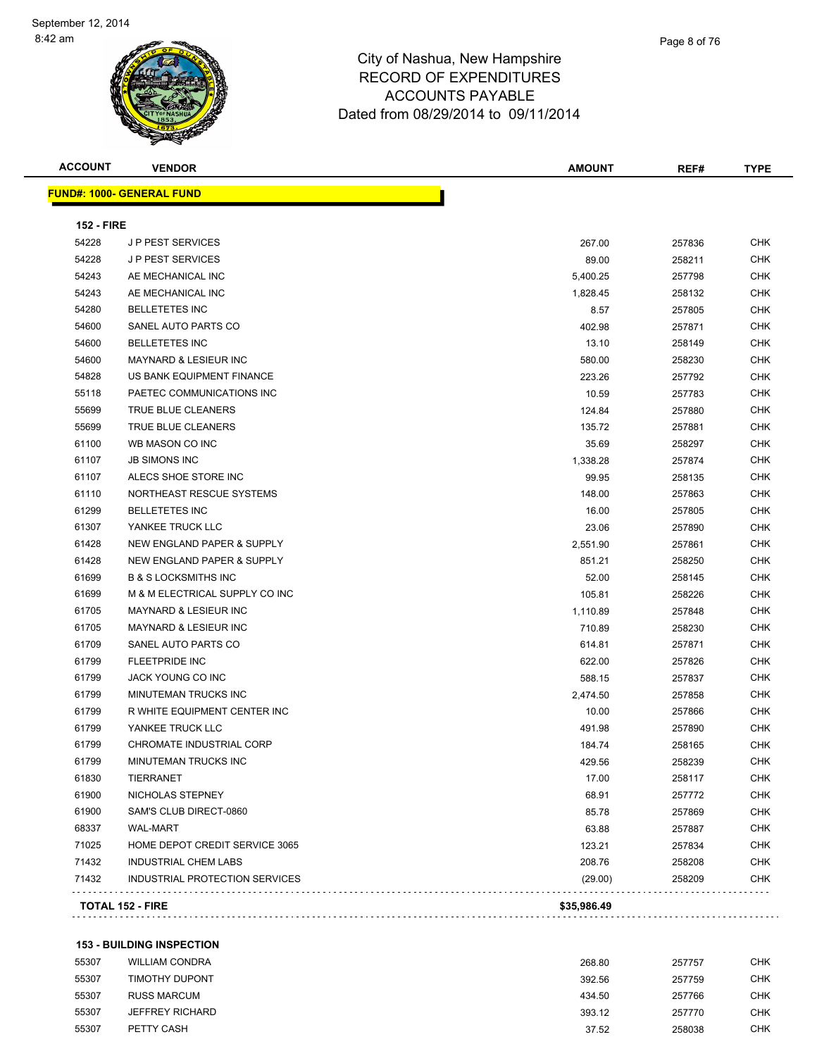**ACCOUNT VENDOR AMOUNT REF# TYPE FUND#: 1000- GENERAL FUND 152 - FIRE** J P PEST SERVICES 267.00 257836 CHK J P PEST SERVICES 89.00 258211 CHK AE MECHANICAL INC 5,400.25 257798 CHK AE MECHANICAL INC 1,828.45 258132 CHK BELLETETES INC 8.57 257805 CHK SANEL AUTO PARTS CO 402.98 257871 CHK BELLETETES INC 13.10 258149 CHK MAYNARD & LESIEUR INC 580.00 258230 CHK US BANK EQUIPMENT FINANCE 223.26 257792 CHK 55118 PAETEC COMMUNICATIONS INC **10.59** 257783 CHK TRUE BLUE CLEANERS 124.84 257880 CHK TRUE BLUE CLEANERS 135.72 257881 CHK WB MASON CO INC 35.69 258297 CHK JB SIMONS INC 1,338.28 257874 CHK ALECS SHOE STORE INC 99.95 258135 CHK NORTHEAST RESCUE SYSTEMS 148.00 257863 CHK BELLETETES INC 16.00 257805 CHK YANKEE TRUCK LLC 23.06 257890 CHK NEW ENGLAND PAPER & SUPPLY 2,551.90 257861 CHK NEW ENGLAND PAPER & SUPPLY 851.21 258250 CHK B & S LOCKSMITHS INC 52.00 258145 CHK M & M ELECTRICAL SUPPLY CO INC 105.81 258226 CHK MAYNARD & LESIEUR INC 1,110.89 257848 CHK MAYNARD & LESIEUR INC 710.89 258230 CHK et and the same of the set of the set of the set of the set of the set of the set of the set of the set of the set of the set of the set of the set of the set of the set of the set of the set of the set of the set of the s FLEETPRIDE INC 622.00 257826 CHK JACK YOUNG CO INC 588.15 257837 CHK MINUTEMAN TRUCKS INC 2,474.50 257858 CHK R WHITE EQUIPMENT CENTER INC 10.00 257866 CHK YANKEE TRUCK LLC 491.98 257890 CHK CHROMATE INDUSTRIAL CORP 184.74 258165 CHK MINUTEMAN TRUCKS INC 429.56 258239 CHK TIERRANET 17.00 258117 CHK NICHOLAS STEPNEY 68.91 257772 CHK SAM'S CLUB DIRECT-0860 85.78 257869 CHK WAL-MART 63.88 257887 CHK The State of the DEPOT CREDIT SERVICE 3065 123.21 257834 CHK INDUSTRIAL CHEM LABS 208.76 258208 CHK INDUSTRIAL PROTECTION SERVICES (29.00) 258209 CHK . . . . . . . . . . . . . . . . . **TOTAL 152 - FIRE \$35,986.49** 

#### **153 - BUILDING INSPECTION**

| 55307 | <b>WILLIAM CONDRA</b> | 268.80 | 257757 | CHK        |
|-------|-----------------------|--------|--------|------------|
| 55307 | TIMOTHY DUPONT        | 392.56 | 257759 | CHK        |
| 55307 | <b>RUSS MARCUM</b>    | 434.50 | 257766 | <b>CHK</b> |
| 55307 | JEFFREY RICHARD       | 393.12 | 257770 | <b>CHK</b> |
| 55307 | PETTY CASH            | 37.52  | 258038 | <b>CHK</b> |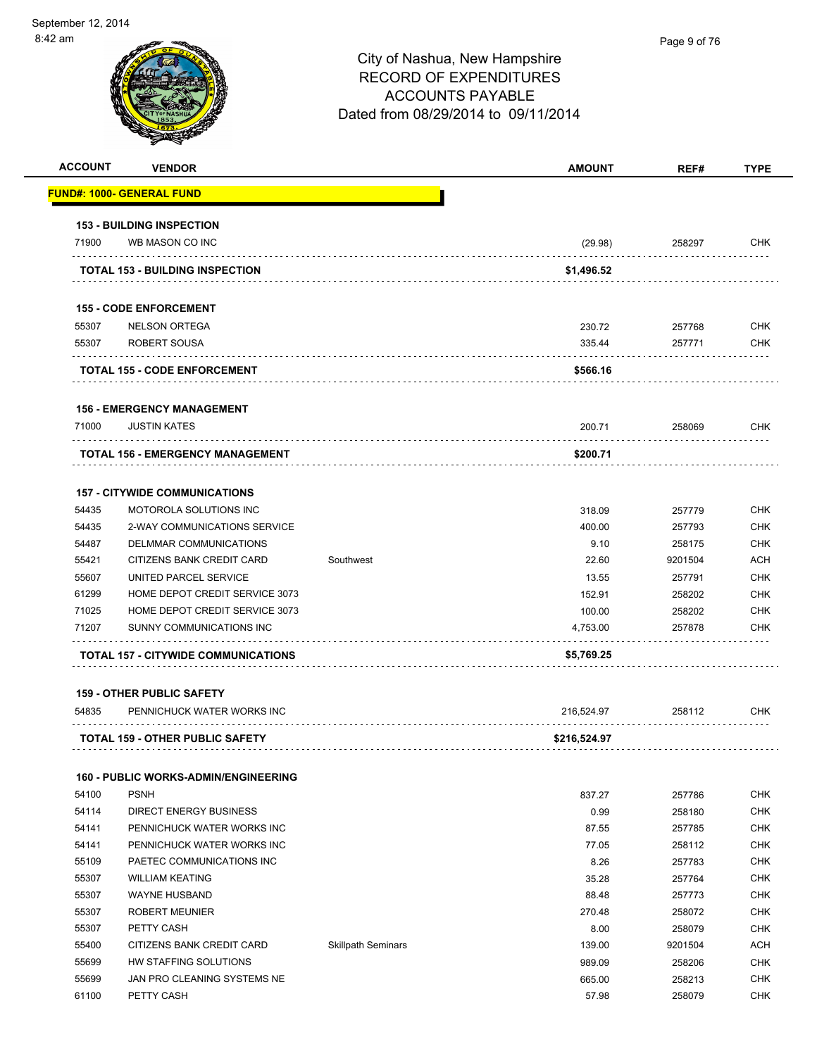| <b>ACCOUNT</b> | <b>VENDOR</b>                              |           | <b>AMOUNT</b> | REF#    | <b>TYPE</b> |
|----------------|--------------------------------------------|-----------|---------------|---------|-------------|
|                | <b>FUND#: 1000- GENERAL FUND</b>           |           |               |         |             |
|                | <b>153 - BUILDING INSPECTION</b>           |           |               |         |             |
| 71900          | WB MASON CO INC                            |           | (29.98)       | 258297  | <b>CHK</b>  |
|                | <b>TOTAL 153 - BUILDING INSPECTION</b>     |           | \$1,496.52    |         |             |
|                | <b>155 - CODE ENFORCEMENT</b>              |           |               |         |             |
| 55307          | <b>NELSON ORTEGA</b>                       |           | 230.72        | 257768  | <b>CHK</b>  |
| 55307          | ROBERT SOUSA                               |           | 335.44        | 257771  | <b>CHK</b>  |
|                | TOTAL 155 - CODE ENFORCEMENT               |           | \$566.16      |         |             |
|                | <b>156 - EMERGENCY MANAGEMENT</b>          |           |               |         |             |
| 71000          | <b>JUSTIN KATES</b>                        |           | 200.71        | 258069  | <b>CHK</b>  |
|                | .                                          |           |               |         |             |
|                | TOTAL 156 - EMERGENCY MANAGEMENT           |           | \$200.71      |         |             |
|                | <b>157 - CITYWIDE COMMUNICATIONS</b>       |           |               |         |             |
| 54435          | <b>MOTOROLA SOLUTIONS INC</b>              |           | 318.09        | 257779  | <b>CHK</b>  |
| 54435          | 2-WAY COMMUNICATIONS SERVICE               |           | 400.00        | 257793  | <b>CHK</b>  |
| 54487          | DELMMAR COMMUNICATIONS                     |           | 9.10          | 258175  | <b>CHK</b>  |
| 55421          | CITIZENS BANK CREDIT CARD                  | Southwest | 22.60         | 9201504 | <b>ACH</b>  |
| 55607          | UNITED PARCEL SERVICE                      |           | 13.55         | 257791  | <b>CHK</b>  |
| 61299          | HOME DEPOT CREDIT SERVICE 3073             |           | 152.91        | 258202  | <b>CHK</b>  |
| 71025          | HOME DEPOT CREDIT SERVICE 3073             |           | 100.00        | 258202  | <b>CHK</b>  |
| 71207          | SUNNY COMMUNICATIONS INC                   |           | 4,753.00      | 257878  | <b>CHK</b>  |
|                | <b>TOTAL 157 - CITYWIDE COMMUNICATIONS</b> |           | \$5,769.25    |         |             |

|       | <b>TOTAL 159 - OTHER PUBLIC SAFETY</b> | \$216,524.97 |        |     |
|-------|----------------------------------------|--------------|--------|-----|
|       |                                        |              |        |     |
| 54835 | PENNICHUCK WATER WORKS INC             | 216.524.97   | 258112 | снк |

#### **160 - PUBLIC WORKS-ADMIN/ENGINEERING**

| 54100 | <b>PSNH</b>                 |                           | 837.27 | 257786  | <b>CHK</b> |
|-------|-----------------------------|---------------------------|--------|---------|------------|
| 54114 | DIRECT ENERGY BUSINESS      |                           | 0.99   | 258180  | <b>CHK</b> |
| 54141 | PENNICHUCK WATER WORKS INC  |                           | 87.55  | 257785  | <b>CHK</b> |
| 54141 | PENNICHUCK WATER WORKS INC  |                           | 77.05  | 258112  | <b>CHK</b> |
| 55109 | PAETEC COMMUNICATIONS INC   |                           | 8.26   | 257783  | <b>CHK</b> |
| 55307 | <b>WILLIAM KEATING</b>      |                           | 35.28  | 257764  | <b>CHK</b> |
| 55307 | WAYNE HUSBAND               |                           | 88.48  | 257773  | <b>CHK</b> |
| 55307 | <b>ROBERT MEUNIER</b>       |                           | 270.48 | 258072  | <b>CHK</b> |
| 55307 | PETTY CASH                  |                           | 8.00   | 258079  | <b>CHK</b> |
| 55400 | CITIZENS BANK CREDIT CARD   | <b>Skillpath Seminars</b> | 139.00 | 9201504 | <b>ACH</b> |
| 55699 | HW STAFFING SOLUTIONS       |                           | 989.09 | 258206  | <b>CHK</b> |
| 55699 | JAN PRO CLEANING SYSTEMS NE |                           | 665.00 | 258213  | <b>CHK</b> |
| 61100 | PETTY CASH                  |                           | 57.98  | 258079  | <b>CHK</b> |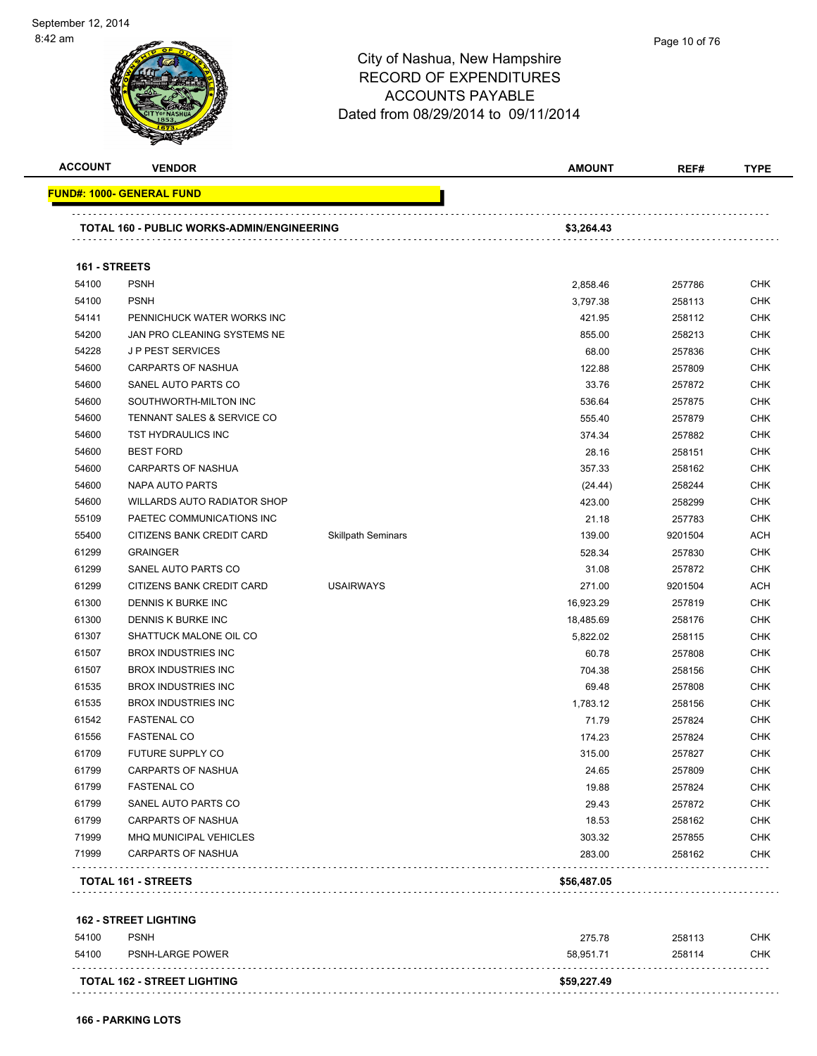

| <b>ACCOUNT</b> | <b>VENDOR</b>                                |                           | AMOUNT        | REF#    | <b>TYPE</b> |
|----------------|----------------------------------------------|---------------------------|---------------|---------|-------------|
|                | <u> FUND#: 1000- GENERAL FUND</u>            |                           |               |         |             |
|                | TOTAL 160 - PUBLIC WORKS-ADMIN/ENGINEERING   |                           | \$3,264.43    |         |             |
| 161 - STREETS  |                                              |                           |               |         |             |
| 54100          | <b>PSNH</b>                                  |                           | 2,858.46      | 257786  | <b>CHK</b>  |
| 54100          | <b>PSNH</b>                                  |                           | 3,797.38      | 258113  | <b>CHK</b>  |
| 54141          | PENNICHUCK WATER WORKS INC                   |                           | 421.95        | 258112  | <b>CHK</b>  |
| 54200          | JAN PRO CLEANING SYSTEMS NE                  |                           | 855.00        | 258213  | <b>CHK</b>  |
| 54228          | <b>JP PEST SERVICES</b>                      |                           | 68.00         | 257836  | <b>CHK</b>  |
| 54600          | CARPARTS OF NASHUA                           |                           | 122.88        | 257809  | <b>CHK</b>  |
| 54600          | SANEL AUTO PARTS CO                          |                           | 33.76         | 257872  | <b>CHK</b>  |
| 54600          | SOUTHWORTH-MILTON INC                        |                           | 536.64        | 257875  | <b>CHK</b>  |
| 54600          | TENNANT SALES & SERVICE CO                   |                           | 555.40        | 257879  | <b>CHK</b>  |
| 54600          | TST HYDRAULICS INC                           |                           | 374.34        | 257882  | <b>CHK</b>  |
| 54600          | <b>BEST FORD</b>                             |                           | 28.16         | 258151  | <b>CHK</b>  |
| 54600          | <b>CARPARTS OF NASHUA</b>                    |                           | 357.33        | 258162  | <b>CHK</b>  |
| 54600          | NAPA AUTO PARTS                              |                           | (24.44)       | 258244  | <b>CHK</b>  |
| 54600          | <b>WILLARDS AUTO RADIATOR SHOP</b>           |                           | 423.00        | 258299  | <b>CHK</b>  |
| 55109          | PAETEC COMMUNICATIONS INC                    |                           | 21.18         | 257783  | <b>CHK</b>  |
| 55400          | CITIZENS BANK CREDIT CARD                    | <b>Skillpath Seminars</b> | 139.00        | 9201504 | <b>ACH</b>  |
| 61299          | <b>GRAINGER</b>                              |                           | 528.34        | 257830  | <b>CHK</b>  |
| 61299          | SANEL AUTO PARTS CO                          |                           | 31.08         | 257872  | <b>CHK</b>  |
| 61299          | CITIZENS BANK CREDIT CARD                    | <b>USAIRWAYS</b>          | 271.00        | 9201504 | <b>ACH</b>  |
| 61300          | DENNIS K BURKE INC                           |                           | 16,923.29     | 257819  | <b>CHK</b>  |
| 61300          | DENNIS K BURKE INC                           |                           | 18,485.69     | 258176  | <b>CHK</b>  |
| 61307          | SHATTUCK MALONE OIL CO                       |                           | 5,822.02      | 258115  | <b>CHK</b>  |
| 61507          | <b>BROX INDUSTRIES INC</b>                   |                           | 60.78         | 257808  | <b>CHK</b>  |
| 61507          | <b>BROX INDUSTRIES INC</b>                   |                           | 704.38        | 258156  | <b>CHK</b>  |
| 61535          | <b>BROX INDUSTRIES INC</b>                   |                           | 69.48         | 257808  | <b>CHK</b>  |
| 61535          | <b>BROX INDUSTRIES INC</b>                   |                           | 1,783.12      | 258156  | <b>CHK</b>  |
| 61542          | <b>FASTENAL CO</b>                           |                           | 71.79         | 257824  | <b>CHK</b>  |
| 61556          | <b>FASTENAL CO</b>                           |                           | 174.23        | 257824  | <b>CHK</b>  |
| 61709          | FUTURE SUPPLY CO                             |                           | 315.00        | 257827  | CHK         |
| 61799          | CARPARTS OF NASHUA                           |                           | 24.65         | 257809  | <b>CHK</b>  |
| 61799          | <b>FASTENAL CO</b>                           |                           | 19.88         | 257824  | <b>CHK</b>  |
| 61799          | SANEL AUTO PARTS CO                          |                           | 29.43         | 257872  | <b>CHK</b>  |
| 61799          | <b>CARPARTS OF NASHUA</b>                    |                           | 18.53         | 258162  | <b>CHK</b>  |
| 71999          | MHQ MUNICIPAL VEHICLES                       |                           | 303.32        | 257855  | <b>CHK</b>  |
| 71999          | <b>CARPARTS OF NASHUA</b>                    |                           | 283.00        | 258162  | <b>CHK</b>  |
|                | TOTAL 161 - STREETS                          |                           | \$56,487.05   |         |             |
|                |                                              |                           |               |         |             |
| <b>54100</b>   | <b>162 - STREET LIGHTING</b><br><b>DONIH</b> |                           | <b>275.70</b> | 250112  | CUV         |

| 54100 | <b>PSNH</b>                        | 275.78      | 258113 | CHK        |
|-------|------------------------------------|-------------|--------|------------|
| 54100 | PSNH-LARGE POWER                   | 58.951.71   | 258114 | <b>CHK</b> |
|       | <b>TOTAL 162 - STREET LIGHTING</b> | \$59,227.49 |        |            |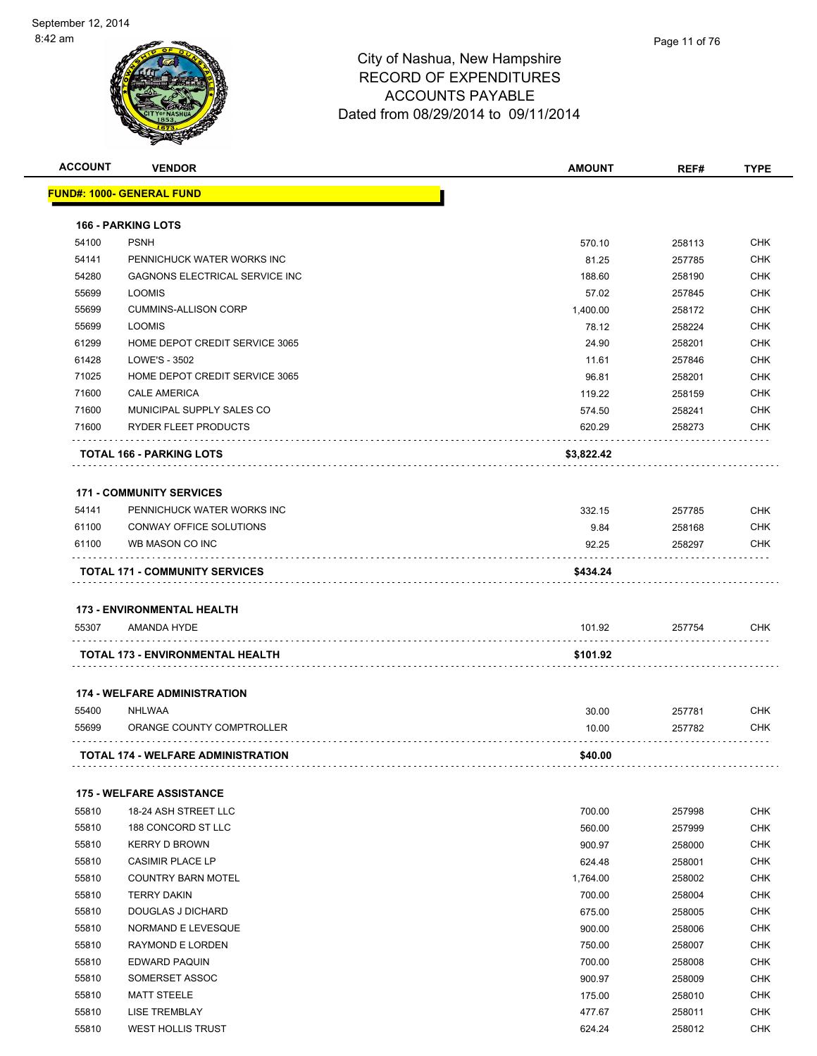

| <b>ACCOUNT</b> | <b>VENDOR</b>                                    | <b>AMOUNT</b> | REF#   | <b>TYPE</b> |
|----------------|--------------------------------------------------|---------------|--------|-------------|
|                | <u> FUND#: 1000- GENERAL FUND</u>                |               |        |             |
|                | <b>166 - PARKING LOTS</b>                        |               |        |             |
| 54100          | <b>PSNH</b>                                      | 570.10        | 258113 | <b>CHK</b>  |
| 54141          | PENNICHUCK WATER WORKS INC                       | 81.25         | 257785 | <b>CHK</b>  |
| 54280          | GAGNONS ELECTRICAL SERVICE INC                   | 188.60        | 258190 | <b>CHK</b>  |
| 55699          | <b>LOOMIS</b>                                    | 57.02         | 257845 | <b>CHK</b>  |
| 55699          | <b>CUMMINS-ALLISON CORP</b>                      | 1,400.00      | 258172 | <b>CHK</b>  |
| 55699          | <b>LOOMIS</b>                                    | 78.12         | 258224 | <b>CHK</b>  |
| 61299          | HOME DEPOT CREDIT SERVICE 3065                   | 24.90         | 258201 | <b>CHK</b>  |
| 61428          | LOWE'S - 3502                                    | 11.61         | 257846 | <b>CHK</b>  |
| 71025          | HOME DEPOT CREDIT SERVICE 3065                   | 96.81         | 258201 | <b>CHK</b>  |
| 71600          | <b>CALE AMERICA</b>                              | 119.22        | 258159 | <b>CHK</b>  |
| 71600          | MUNICIPAL SUPPLY SALES CO                        | 574.50        | 258241 | <b>CHK</b>  |
| 71600          | RYDER FLEET PRODUCTS                             | 620.29        | 258273 | <b>CHK</b>  |
|                | <b>TOTAL 166 - PARKING LOTS</b>                  | \$3,822.42    |        |             |
|                | <b>171 - COMMUNITY SERVICES</b>                  |               |        |             |
| 54141          | PENNICHUCK WATER WORKS INC                       | 332.15        | 257785 | <b>CHK</b>  |
| 61100          | CONWAY OFFICE SOLUTIONS                          | 9.84          | 258168 | <b>CHK</b>  |
| 61100          | WB MASON CO INC                                  | 92.25         | 258297 | <b>CHK</b>  |
|                | <b>TOTAL 171 - COMMUNITY SERVICES</b>            | \$434.24      |        |             |
|                |                                                  |               |        |             |
| 55307          | <b>173 - ENVIRONMENTAL HEALTH</b><br>AMANDA HYDE | 101.92        | 257754 | <b>CHK</b>  |
|                | TOTAL 173 - ENVIRONMENTAL HEALTH                 | \$101.92      |        |             |
|                | <b>174 - WELFARE ADMINISTRATION</b>              |               |        |             |
| 55400          | <b>NHLWAA</b>                                    | 30.00         | 257781 | <b>CHK</b>  |
| 55699          | ORANGE COUNTY COMPTROLLER                        | 10.00         | 257782 | <b>CHK</b>  |
|                | <b>TOTAL 174 - WELFARE ADMINISTRATION</b>        | \$40.00       |        |             |
|                |                                                  |               |        |             |
|                | <b>175 - WELFARE ASSISTANCE</b>                  |               |        |             |
| 55810          | 18-24 ASH STREET LLC                             | 700.00        | 257998 | <b>CHK</b>  |
| 55810          | 188 CONCORD ST LLC                               | 560.00        | 257999 | <b>CHK</b>  |
| 55810          | <b>KERRY D BROWN</b>                             | 900.97        | 258000 | <b>CHK</b>  |
| 55810          | CASIMIR PLACE LP                                 | 624.48        | 258001 | <b>CHK</b>  |
| 55810          | <b>COUNTRY BARN MOTEL</b>                        | 1,764.00      | 258002 | <b>CHK</b>  |
| 55810          | <b>TERRY DAKIN</b>                               | 700.00        | 258004 | <b>CHK</b>  |
| 55810          | <b>DOUGLAS J DICHARD</b>                         | 675.00        | 258005 | <b>CHK</b>  |
| 55810          | NORMAND E LEVESQUE                               | 900.00        | 258006 | <b>CHK</b>  |
| 55810          | RAYMOND E LORDEN                                 | 750.00        | 258007 | <b>CHK</b>  |
| 55810          | EDWARD PAQUIN                                    | 700.00        | 258008 | <b>CHK</b>  |
| 55810          | SOMERSET ASSOC                                   | 900.97        | 258009 | <b>CHK</b>  |
| 55810          | <b>MATT STEELE</b>                               | 175.00        | 258010 | <b>CHK</b>  |
| 55810          | <b>LISE TREMBLAY</b>                             | 477.67        | 258011 | <b>CHK</b>  |
| 55810          | <b>WEST HOLLIS TRUST</b>                         | 624.24        | 258012 | <b>CHK</b>  |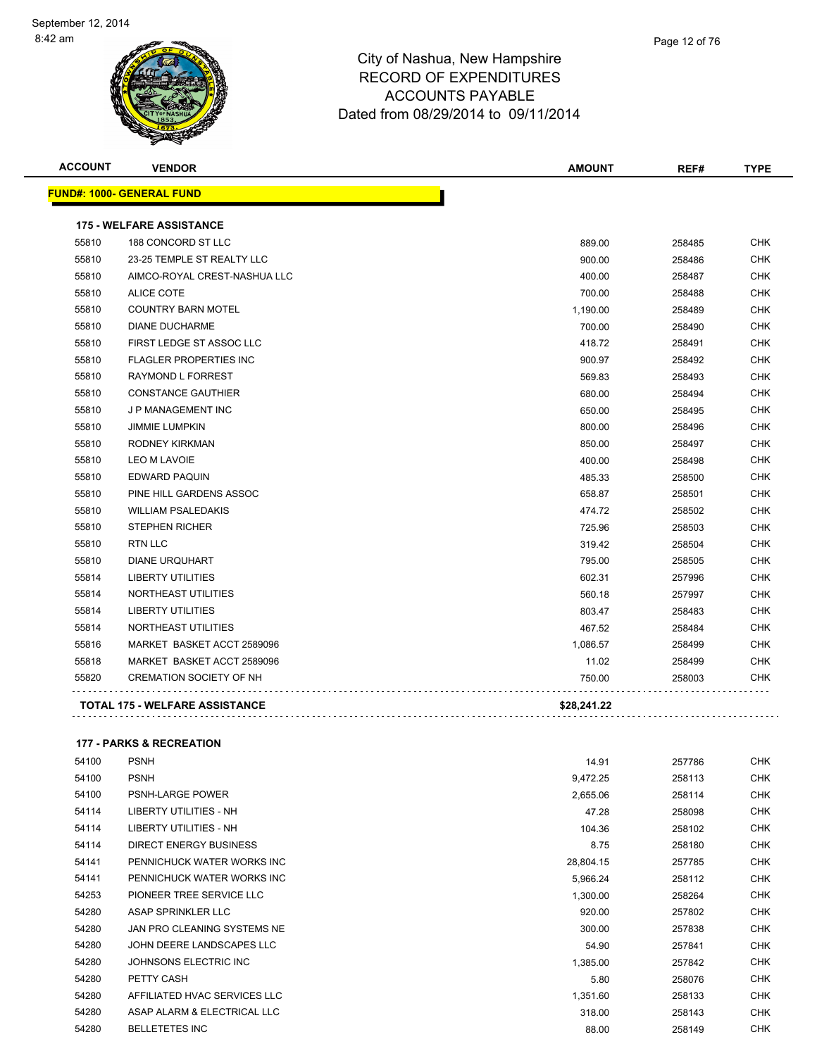

| <b>ACCOUNT</b> | <b>VENDOR</b>                         | <b>AMOUNT</b> | REF#   | <b>TYPE</b> |
|----------------|---------------------------------------|---------------|--------|-------------|
|                | <b>FUND#: 1000- GENERAL FUND</b>      |               |        |             |
|                | <b>175 - WELFARE ASSISTANCE</b>       |               |        |             |
| 55810          | 188 CONCORD ST LLC                    | 889.00        | 258485 | <b>CHK</b>  |
| 55810          | 23-25 TEMPLE ST REALTY LLC            | 900.00        | 258486 | CHK         |
| 55810          | AIMCO-ROYAL CREST-NASHUA LLC          | 400.00        | 258487 | <b>CHK</b>  |
| 55810          | <b>ALICE COTE</b>                     | 700.00        | 258488 | <b>CHK</b>  |
| 55810          | <b>COUNTRY BARN MOTEL</b>             | 1,190.00      | 258489 | <b>CHK</b>  |
| 55810          | <b>DIANE DUCHARME</b>                 | 700.00        | 258490 | CHK         |
| 55810          | FIRST LEDGE ST ASSOC LLC              | 418.72        | 258491 | <b>CHK</b>  |
| 55810          | <b>FLAGLER PROPERTIES INC</b>         | 900.97        | 258492 | <b>CHK</b>  |
| 55810          | RAYMOND L FORREST                     | 569.83        | 258493 | <b>CHK</b>  |
| 55810          | <b>CONSTANCE GAUTHIER</b>             | 680.00        | 258494 | CHK         |
| 55810          | J P MANAGEMENT INC                    | 650.00        | 258495 | <b>CHK</b>  |
| 55810          | <b>JIMMIE LUMPKIN</b>                 | 800.00        | 258496 | <b>CHK</b>  |
| 55810          | RODNEY KIRKMAN                        | 850.00        | 258497 | <b>CHK</b>  |
| 55810          | <b>LEO M LAVOIE</b>                   | 400.00        | 258498 | <b>CHK</b>  |
| 55810          | <b>EDWARD PAQUIN</b>                  | 485.33        | 258500 | <b>CHK</b>  |
| 55810          | PINE HILL GARDENS ASSOC               | 658.87        | 258501 | <b>CHK</b>  |
| 55810          | <b>WILLIAM PSALEDAKIS</b>             | 474.72        | 258502 | <b>CHK</b>  |
| 55810          | <b>STEPHEN RICHER</b>                 | 725.96        | 258503 | <b>CHK</b>  |
| 55810          | <b>RTN LLC</b>                        | 319.42        | 258504 | <b>CHK</b>  |
| 55810          | <b>DIANE URQUHART</b>                 | 795.00        | 258505 | <b>CHK</b>  |
| 55814          | <b>LIBERTY UTILITIES</b>              | 602.31        | 257996 | CHK         |
| 55814          | NORTHEAST UTILITIES                   | 560.18        | 257997 | <b>CHK</b>  |
| 55814          | <b>LIBERTY UTILITIES</b>              | 803.47        | 258483 | CHK         |
| 55814          | NORTHEAST UTILITIES                   | 467.52        | 258484 | CHK         |
| 55816          | MARKET BASKET ACCT 2589096            | 1,086.57      | 258499 | CHK         |
| 55818          | MARKET BASKET ACCT 2589096            | 11.02         | 258499 | <b>CHK</b>  |
| 55820          | <b>CREMATION SOCIETY OF NH</b>        | 750.00        | 258003 | <b>CHK</b>  |
|                | <b>TOTAL 175 - WELFARE ASSISTANCE</b> | \$28,241.22   |        |             |

#### **177 - PARKS & RECREATION**

| 54100 | <b>PSNH</b>                   | 14.91     | 257786 | <b>CHK</b> |
|-------|-------------------------------|-----------|--------|------------|
| 54100 | <b>PSNH</b>                   | 9,472.25  | 258113 | <b>CHK</b> |
| 54100 | <b>PSNH-LARGE POWER</b>       | 2,655.06  | 258114 | <b>CHK</b> |
| 54114 | LIBERTY UTILITIES - NH        | 47.28     | 258098 | <b>CHK</b> |
| 54114 | <b>LIBERTY UTILITIES - NH</b> | 104.36    | 258102 | <b>CHK</b> |
| 54114 | DIRECT ENERGY BUSINESS        | 8.75      | 258180 | <b>CHK</b> |
| 54141 | PENNICHUCK WATER WORKS INC    | 28,804.15 | 257785 | <b>CHK</b> |
| 54141 | PENNICHUCK WATER WORKS INC    | 5,966.24  | 258112 | <b>CHK</b> |
| 54253 | PIONEER TREE SERVICE LLC      | 1,300.00  | 258264 | <b>CHK</b> |
| 54280 | ASAP SPRINKLER LLC            | 920.00    | 257802 | <b>CHK</b> |
| 54280 | JAN PRO CLEANING SYSTEMS NE   | 300.00    | 257838 | <b>CHK</b> |
| 54280 | JOHN DEERE LANDSCAPES LLC     | 54.90     | 257841 | <b>CHK</b> |
| 54280 | JOHNSONS ELECTRIC INC         | 1,385.00  | 257842 | <b>CHK</b> |
| 54280 | PETTY CASH                    | 5.80      | 258076 | <b>CHK</b> |
| 54280 | AFFILIATED HVAC SERVICES LLC  | 1,351.60  | 258133 | <b>CHK</b> |
| 54280 | ASAP ALARM & ELECTRICAL LLC   | 318.00    | 258143 | <b>CHK</b> |
| 54280 | <b>BELLETETES INC</b>         | 88.00     | 258149 | <b>CHK</b> |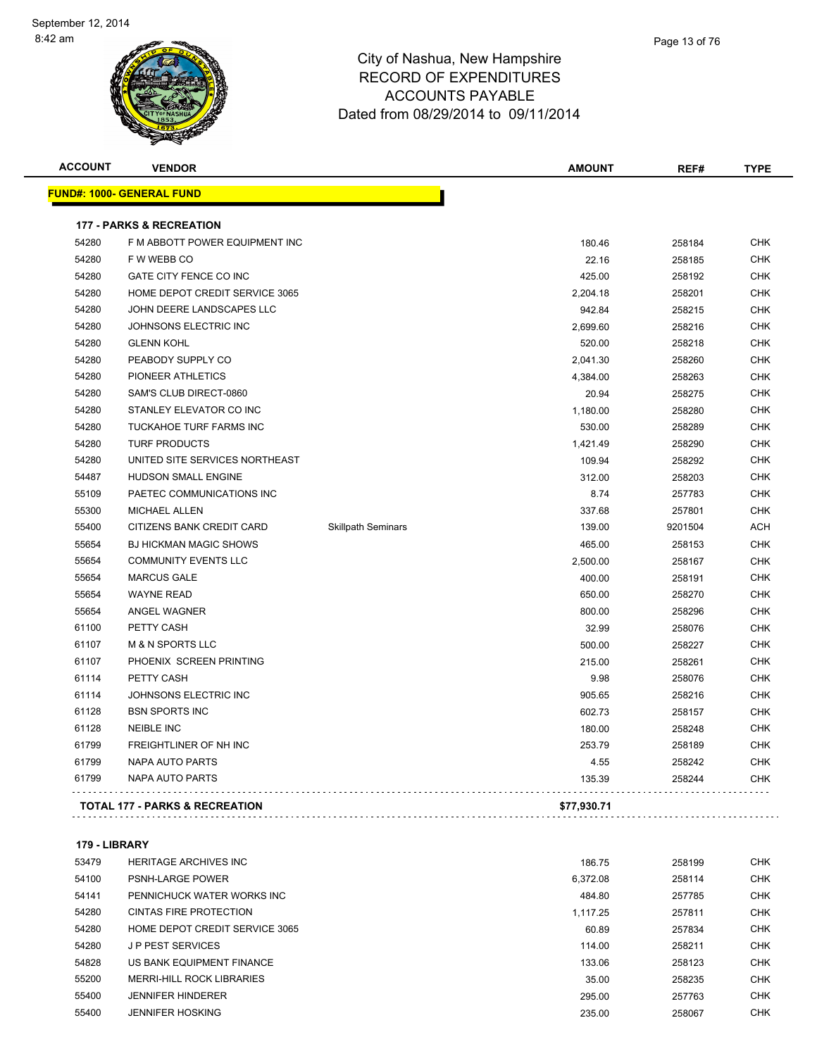

| <b>ACCOUNT</b> | <b>VENDOR</b>                             |                           | <b>AMOUNT</b> | REF#    | <b>TYPE</b> |
|----------------|-------------------------------------------|---------------------------|---------------|---------|-------------|
|                | <u> FUND#: 1000- GENERAL FUND</u>         |                           |               |         |             |
|                | <b>177 - PARKS &amp; RECREATION</b>       |                           |               |         |             |
| 54280          | F M ABBOTT POWER EQUIPMENT INC            |                           | 180.46        | 258184  | <b>CHK</b>  |
| 54280          | F W WEBB CO                               |                           | 22.16         | 258185  | <b>CHK</b>  |
| 54280          | GATE CITY FENCE CO INC                    |                           | 425.00        | 258192  | <b>CHK</b>  |
| 54280          | HOME DEPOT CREDIT SERVICE 3065            |                           | 2,204.18      | 258201  | <b>CHK</b>  |
| 54280          | JOHN DEERE LANDSCAPES LLC                 |                           | 942.84        | 258215  | <b>CHK</b>  |
| 54280          | JOHNSONS ELECTRIC INC                     |                           | 2,699.60      | 258216  | <b>CHK</b>  |
| 54280          | <b>GLENN KOHL</b>                         |                           | 520.00        | 258218  | <b>CHK</b>  |
| 54280          | PEABODY SUPPLY CO                         |                           | 2,041.30      | 258260  | <b>CHK</b>  |
| 54280          | PIONEER ATHLETICS                         |                           | 4,384.00      | 258263  | <b>CHK</b>  |
| 54280          | SAM'S CLUB DIRECT-0860                    |                           | 20.94         | 258275  | <b>CHK</b>  |
| 54280          | STANLEY ELEVATOR CO INC                   |                           | 1,180.00      | 258280  | <b>CHK</b>  |
| 54280          | TUCKAHOE TURF FARMS INC                   |                           | 530.00        | 258289  | <b>CHK</b>  |
| 54280          | <b>TURF PRODUCTS</b>                      |                           | 1,421.49      | 258290  | <b>CHK</b>  |
| 54280          | UNITED SITE SERVICES NORTHEAST            |                           | 109.94        | 258292  | <b>CHK</b>  |
| 54487          | HUDSON SMALL ENGINE                       |                           | 312.00        | 258203  | <b>CHK</b>  |
| 55109          | PAETEC COMMUNICATIONS INC                 |                           | 8.74          | 257783  | <b>CHK</b>  |
| 55300          | <b>MICHAEL ALLEN</b>                      |                           | 337.68        | 257801  | <b>CHK</b>  |
| 55400          | CITIZENS BANK CREDIT CARD                 | <b>Skillpath Seminars</b> | 139.00        | 9201504 | ACH         |
| 55654          | <b>BJ HICKMAN MAGIC SHOWS</b>             |                           | 465.00        | 258153  | <b>CHK</b>  |
| 55654          | <b>COMMUNITY EVENTS LLC</b>               |                           | 2,500.00      | 258167  | <b>CHK</b>  |
| 55654          | <b>MARCUS GALE</b>                        |                           | 400.00        | 258191  | <b>CHK</b>  |
| 55654          | <b>WAYNE READ</b>                         |                           | 650.00        | 258270  | <b>CHK</b>  |
| 55654          | ANGEL WAGNER                              |                           | 800.00        | 258296  | <b>CHK</b>  |
| 61100          | PETTY CASH                                |                           | 32.99         | 258076  | <b>CHK</b>  |
| 61107          | <b>M &amp; N SPORTS LLC</b>               |                           | 500.00        | 258227  | <b>CHK</b>  |
| 61107          | PHOENIX SCREEN PRINTING                   |                           | 215.00        | 258261  | <b>CHK</b>  |
| 61114          | PETTY CASH                                |                           | 9.98          | 258076  | <b>CHK</b>  |
| 61114          | JOHNSONS ELECTRIC INC                     |                           | 905.65        | 258216  | CHK         |
| 61128          | <b>BSN SPORTS INC</b>                     |                           | 602.73        | 258157  | <b>CHK</b>  |
| 61128          | <b>NEIBLE INC</b>                         |                           | 180.00        | 258248  | <b>CHK</b>  |
| 61799          | <b>FREIGHTLINER OF NH INC</b>             |                           | 253.79        | 258189  | <b>CHK</b>  |
| 61799          | NAPA AUTO PARTS                           |                           | 4.55          | 258242  | <b>CHK</b>  |
| 61799          | NAPA AUTO PARTS                           |                           | 135.39        | 258244  | CHK         |
|                | <b>TOTAL 177 - PARKS &amp; RECREATION</b> |                           | \$77,930.71   |         |             |

**179 - LIBRARY**

| 53479 | <b>HERITAGE ARCHIVES INC.</b>  | 186.75   | 258199 | <b>CHK</b> |
|-------|--------------------------------|----------|--------|------------|
| 54100 | <b>PSNH-LARGE POWER</b>        | 6.372.08 | 258114 | <b>CHK</b> |
| 54141 | PENNICHUCK WATER WORKS INC     | 484.80   | 257785 | <b>CHK</b> |
| 54280 | CINTAS FIRE PROTECTION         | 1.117.25 | 257811 | <b>CHK</b> |
| 54280 | HOME DEPOT CREDIT SERVICE 3065 | 60.89    | 257834 | <b>CHK</b> |
| 54280 | J P PEST SERVICES              | 114.00   | 258211 | <b>CHK</b> |
| 54828 | US BANK EQUIPMENT FINANCE      | 133.06   | 258123 | <b>CHK</b> |
| 55200 | MERRI-HILL ROCK LIBRARIES      | 35.00    | 258235 | <b>CHK</b> |
| 55400 | <b>JENNIFER HINDERER</b>       | 295.00   | 257763 | <b>CHK</b> |
| 55400 | <b>JENNIFER HOSKING</b>        | 235.00   | 258067 | <b>CHK</b> |
|       |                                |          |        |            |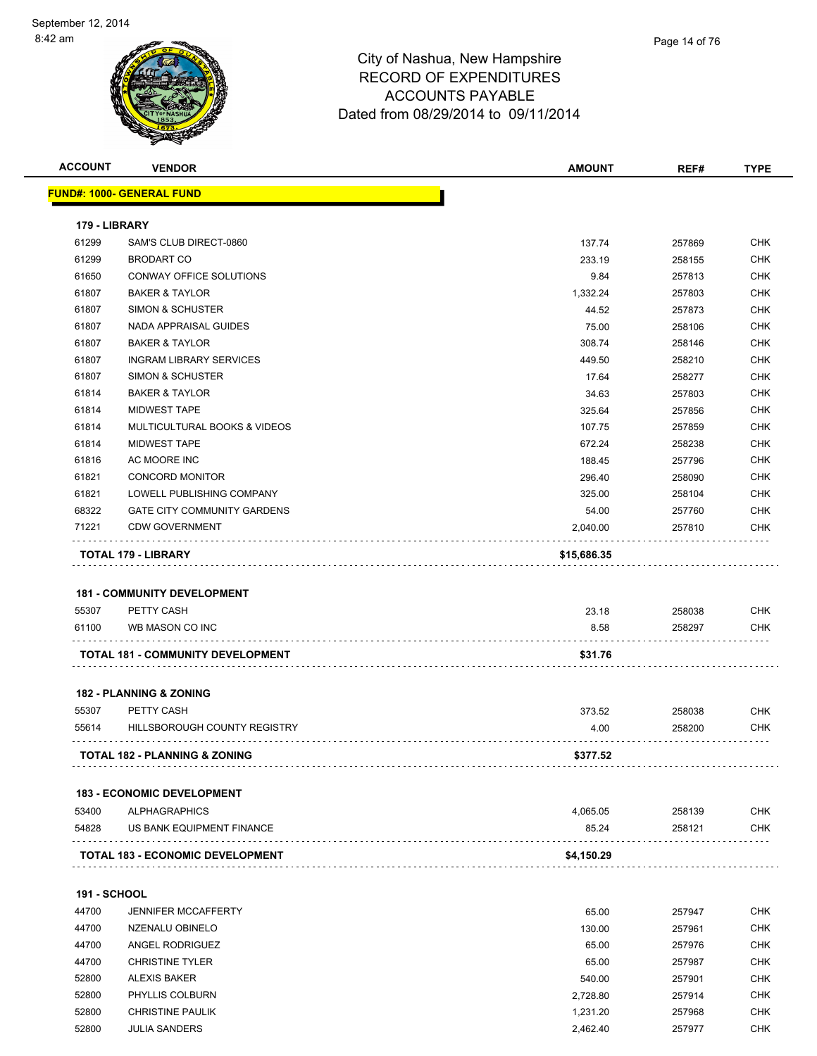

| <b>ACCOUNT</b>      | <b>VENDOR</b>                                             | <b>AMOUNT</b> | REF#   | <b>TYPE</b> |
|---------------------|-----------------------------------------------------------|---------------|--------|-------------|
|                     | <u> FUND#: 1000- GENERAL FUND</u>                         |               |        |             |
|                     |                                                           |               |        |             |
| 179 - LIBRARY       |                                                           |               |        |             |
| 61299               | SAM'S CLUB DIRECT-0860                                    | 137.74        | 257869 | CHK         |
| 61299               | <b>BRODART CO</b>                                         | 233.19        | 258155 | CHK         |
| 61650               | CONWAY OFFICE SOLUTIONS                                   | 9.84          | 257813 | CHK         |
| 61807               | <b>BAKER &amp; TAYLOR</b>                                 | 1,332.24      | 257803 | CHK         |
| 61807               | <b>SIMON &amp; SCHUSTER</b>                               | 44.52         | 257873 | <b>CHK</b>  |
| 61807               | NADA APPRAISAL GUIDES                                     | 75.00         | 258106 | CHK         |
| 61807               | <b>BAKER &amp; TAYLOR</b>                                 | 308.74        | 258146 | CHK         |
| 61807               | <b>INGRAM LIBRARY SERVICES</b>                            | 449.50        | 258210 | <b>CHK</b>  |
| 61807               | <b>SIMON &amp; SCHUSTER</b>                               | 17.64         | 258277 | CHK         |
| 61814               | <b>BAKER &amp; TAYLOR</b>                                 | 34.63         | 257803 | <b>CHK</b>  |
| 61814               | MIDWEST TAPE                                              | 325.64        | 257856 | <b>CHK</b>  |
| 61814               | <b>MULTICULTURAL BOOKS &amp; VIDEOS</b>                   | 107.75        | 257859 | CHK         |
| 61814               | <b>MIDWEST TAPE</b>                                       | 672.24        | 258238 | <b>CHK</b>  |
| 61816               | AC MOORE INC                                              | 188.45        | 257796 | CHK         |
| 61821               | <b>CONCORD MONITOR</b>                                    | 296.40        | 258090 | CHK         |
| 61821               | LOWELL PUBLISHING COMPANY                                 | 325.00        | 258104 | <b>CHK</b>  |
| 68322               | <b>GATE CITY COMMUNITY GARDENS</b>                        | 54.00         | 257760 | CHK         |
| 71221               | <b>CDW GOVERNMENT</b>                                     | 2,040.00      | 257810 | CHK         |
|                     | TOTAL 179 - LIBRARY                                       | \$15,686.35   |        |             |
|                     |                                                           |               |        |             |
|                     | <b>181 - COMMUNITY DEVELOPMENT</b>                        |               |        |             |
| 55307               | PETTY CASH                                                | 23.18         | 258038 | CHK         |
| 61100               | WB MASON CO INC                                           | 8.58          | 258297 | CHK         |
|                     | TOTAL 181 - COMMUNITY DEVELOPMENT                         | \$31.76       |        |             |
|                     |                                                           |               |        |             |
|                     | <b>182 - PLANNING &amp; ZONING</b>                        |               |        |             |
| 55307               | PETTY CASH                                                | 373.52        | 258038 | CHK         |
| 55614               | HILLSBOROUGH COUNTY REGISTRY                              | 4.00          | 258200 | <b>CHK</b>  |
|                     | <b>TOTAL 182 - PLANNING &amp; ZONING</b>                  | \$377.52      |        |             |
|                     |                                                           |               |        |             |
|                     | <b>183 - ECONOMIC DEVELOPMENT</b><br><b>ALPHAGRAPHICS</b> |               |        |             |
| 53400               |                                                           | 4,065.05      | 258139 | <b>CHK</b>  |
| 54828               | US BANK EQUIPMENT FINANCE                                 | 85.24         | 258121 | <b>CHK</b>  |
|                     | TOTAL 183 - ECONOMIC DEVELOPMENT                          | \$4,150.29    |        |             |
|                     |                                                           |               |        |             |
| <b>191 - SCHOOL</b> |                                                           |               |        |             |
| 44700               | <b>JENNIFER MCCAFFERTY</b>                                | 65.00         | 257947 | <b>CHK</b>  |
| 44700               | NZENALU OBINELO                                           | 130.00        | 257961 | <b>CHK</b>  |
| 44700               | ANGEL RODRIGUEZ                                           | 65.00         | 257976 | <b>CHK</b>  |
| 44700               | <b>CHRISTINE TYLER</b>                                    | 65.00         | 257987 | <b>CHK</b>  |
| 52800               | <b>ALEXIS BAKER</b>                                       | 540.00        | 257901 | <b>CHK</b>  |
| 52800               | PHYLLIS COLBURN                                           | 2,728.80      | 257914 | <b>CHK</b>  |

52800 CHRISTINE PAULIK **CHRISTINE PAULIK** 1,231.20 257968 CHK JULIA SANDERS 2,462.40 257977 CHK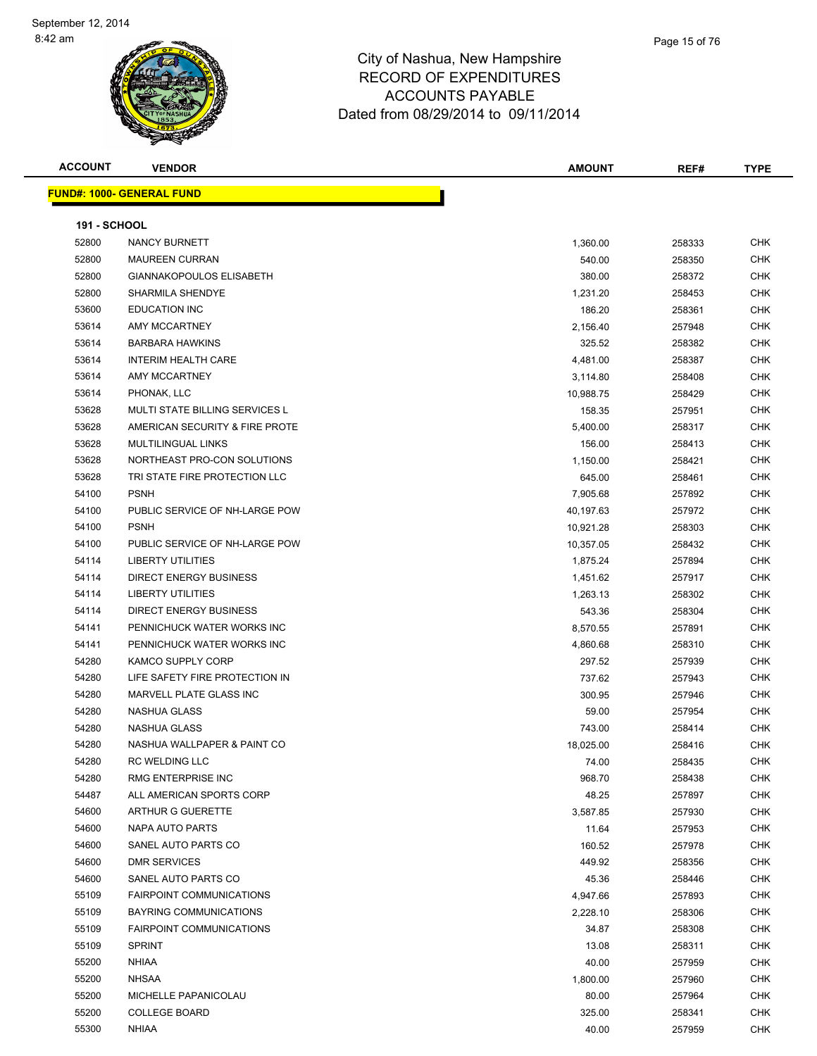| <b>ACCOUNT</b>      | <b>VENDOR</b>                    | <b>AMOUNT</b> | REF#   | <b>TYPE</b> |
|---------------------|----------------------------------|---------------|--------|-------------|
|                     | <b>FUND#: 1000- GENERAL FUND</b> |               |        |             |
|                     |                                  |               |        |             |
| <b>191 - SCHOOL</b> |                                  |               |        |             |
| 52800               | NANCY BURNETT                    | 1,360.00      | 258333 | CHK         |
| 52800               | <b>MAUREEN CURRAN</b>            | 540.00        | 258350 | CHK         |
| 52800               | <b>GIANNAKOPOULOS ELISABETH</b>  | 380.00        | 258372 | CHK         |
| 52800               | SHARMILA SHENDYE                 | 1,231.20      | 258453 | <b>CHK</b>  |
| 53600               | <b>EDUCATION INC</b>             | 186.20        | 258361 | <b>CHK</b>  |
| 53614               | AMY MCCARTNEY                    | 2,156.40      | 257948 | <b>CHK</b>  |
| 53614               | <b>BARBARA HAWKINS</b>           | 325.52        | 258382 | CHK         |
| 53614               | <b>INTERIM HEALTH CARE</b>       | 4,481.00      | 258387 | CHK         |
| 53614               | AMY MCCARTNEY                    | 3,114.80      | 258408 | CHK         |
| 53614               | PHONAK, LLC                      | 10,988.75     | 258429 | CHK         |
| 53628               | MULTI STATE BILLING SERVICES L   | 158.35        | 257951 | CHK         |
| 53628               | AMERICAN SECURITY & FIRE PROTE   | 5,400.00      | 258317 | CHK         |
| 53628               | <b>MULTILINGUAL LINKS</b>        | 156.00        | 258413 | CHK         |
| 53628               | NORTHEAST PRO-CON SOLUTIONS      | 1,150.00      | 258421 | CHK         |
| 53628               | TRI STATE FIRE PROTECTION LLC    | 645.00        | 258461 | CHK         |
| 54100               | <b>PSNH</b>                      | 7,905.68      | 257892 | <b>CHK</b>  |
| 54100               | PUBLIC SERVICE OF NH-LARGE POW   | 40,197.63     | 257972 | <b>CHK</b>  |
| 54100               | <b>PSNH</b>                      | 10,921.28     | 258303 | <b>CHK</b>  |
| 54100               | PUBLIC SERVICE OF NH-LARGE POW   | 10,357.05     | 258432 | <b>CHK</b>  |
| 54114               | <b>LIBERTY UTILITIES</b>         | 1,875.24      | 257894 | CHK         |
| 54114               | <b>DIRECT ENERGY BUSINESS</b>    | 1,451.62      | 257917 | CHK         |
| 54114               | <b>LIBERTY UTILITIES</b>         | 1,263.13      | 258302 | CHK         |
| 54114               | <b>DIRECT ENERGY BUSINESS</b>    | 543.36        | 258304 | CHK         |
| 54141               | PENNICHUCK WATER WORKS INC       | 8,570.55      | 257891 | CHK         |
| 54141               | PENNICHUCK WATER WORKS INC       | 4,860.68      | 258310 | CHK         |
| 54280               | KAMCO SUPPLY CORP                | 297.52        | 257939 | <b>CHK</b>  |
| 54280               | LIFE SAFETY FIRE PROTECTION IN   | 737.62        | 257943 | <b>CHK</b>  |
| 54280               | MARVELL PLATE GLASS INC          | 300.95        | 257946 | CHK         |
| 54280               | NASHUA GLASS                     | 59.00         | 257954 | CHK         |
| 54280               | NASHUA GLASS                     | 743.00        | 258414 | CHK         |
| 54280               | NASHUA WALLPAPER & PAINT CO      | 18,025.00     | 258416 | CHK         |
| 54280               | <b>RC WELDING LLC</b>            | 74.00         | 258435 | <b>CHK</b>  |
| 54280               | <b>RMG ENTERPRISE INC</b>        | 968.70        | 258438 | CHK         |
| 54487               | ALL AMERICAN SPORTS CORP         | 48.25         | 257897 | CHK         |
| 54600               | ARTHUR G GUERETTE                | 3,587.85      | 257930 | <b>CHK</b>  |
| 54600               | NAPA AUTO PARTS                  | 11.64         | 257953 | <b>CHK</b>  |
| 54600               | SANEL AUTO PARTS CO              | 160.52        | 257978 | <b>CHK</b>  |
| 54600               | <b>DMR SERVICES</b>              | 449.92        | 258356 | <b>CHK</b>  |
| 54600               | SANEL AUTO PARTS CO              | 45.36         | 258446 | CHK         |
| 55109               | <b>FAIRPOINT COMMUNICATIONS</b>  | 4,947.66      | 257893 | CHK         |
| 55109               | <b>BAYRING COMMUNICATIONS</b>    | 2,228.10      | 258306 | CHK         |
| 55109               | <b>FAIRPOINT COMMUNICATIONS</b>  | 34.87         | 258308 | <b>CHK</b>  |
| 55109               | <b>SPRINT</b>                    | 13.08         | 258311 | <b>CHK</b>  |
| 55200               | <b>NHIAA</b>                     | 40.00         | 257959 | CHK         |
| 55200               | <b>NHSAA</b>                     | 1,800.00      | 257960 | CHK         |
| 55200               | MICHELLE PAPANICOLAU             | 80.00         | 257964 | CHK         |
| 55200               | <b>COLLEGE BOARD</b>             | 325.00        | 258341 | CHK         |
| 55300               | <b>NHIAA</b>                     | 40.00         | 257959 | <b>CHK</b>  |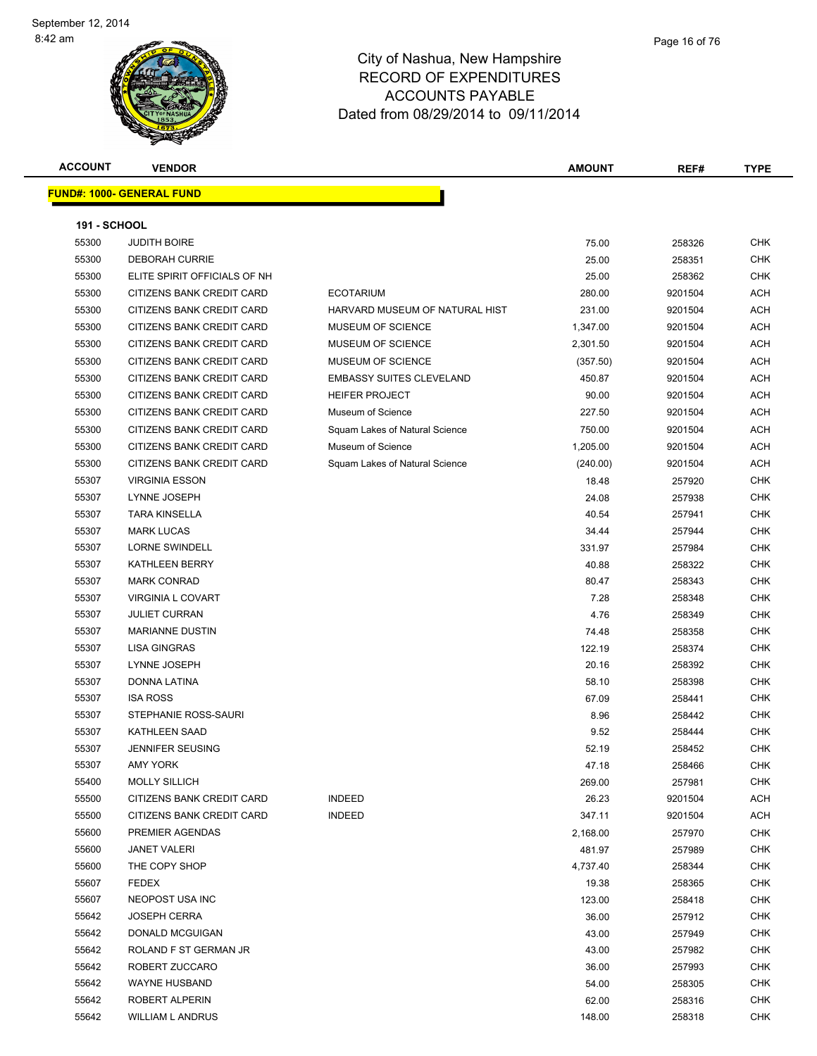| <b>ACCOUNT</b>      | <b>VENDOR</b>                    |                                 | <b>AMOUNT</b> | REF#    | <b>TYPE</b> |
|---------------------|----------------------------------|---------------------------------|---------------|---------|-------------|
|                     | <b>FUND#: 1000- GENERAL FUND</b> |                                 |               |         |             |
|                     |                                  |                                 |               |         |             |
| <b>191 - SCHOOL</b> |                                  |                                 |               |         |             |
| 55300               | <b>JUDITH BOIRE</b>              |                                 | 75.00         | 258326  | <b>CHK</b>  |
| 55300               | <b>DEBORAH CURRIE</b>            |                                 | 25.00         | 258351  | <b>CHK</b>  |
| 55300               | ELITE SPIRIT OFFICIALS OF NH     |                                 | 25.00         | 258362  | <b>CHK</b>  |
| 55300               | CITIZENS BANK CREDIT CARD        | <b>ECOTARIUM</b>                | 280.00        | 9201504 | ACH         |
| 55300               | CITIZENS BANK CREDIT CARD        | HARVARD MUSEUM OF NATURAL HIST  | 231.00        | 9201504 | ACH         |
| 55300               | CITIZENS BANK CREDIT CARD        | MUSEUM OF SCIENCE               | 1,347.00      | 9201504 | ACH         |
| 55300               | CITIZENS BANK CREDIT CARD        | MUSEUM OF SCIENCE               | 2,301.50      | 9201504 | ACH         |
| 55300               | CITIZENS BANK CREDIT CARD        | MUSEUM OF SCIENCE               | (357.50)      | 9201504 | ACH         |
| 55300               | CITIZENS BANK CREDIT CARD        | <b>EMBASSY SUITES CLEVELAND</b> | 450.87        | 9201504 | ACH         |
| 55300               | CITIZENS BANK CREDIT CARD        | <b>HEIFER PROJECT</b>           | 90.00         | 9201504 | ACH         |
| 55300               | CITIZENS BANK CREDIT CARD        | Museum of Science               | 227.50        | 9201504 | ACH         |
| 55300               | CITIZENS BANK CREDIT CARD        | Squam Lakes of Natural Science  | 750.00        | 9201504 | ACH         |
| 55300               | CITIZENS BANK CREDIT CARD        | Museum of Science               | 1,205.00      | 9201504 | ACH         |
| 55300               | CITIZENS BANK CREDIT CARD        | Squam Lakes of Natural Science  | (240.00)      | 9201504 | ACH         |
| 55307               | <b>VIRGINIA ESSON</b>            |                                 | 18.48         | 257920  | <b>CHK</b>  |
| 55307               | LYNNE JOSEPH                     |                                 | 24.08         | 257938  | CHK         |
| 55307               | <b>TARA KINSELLA</b>             |                                 | 40.54         | 257941  | <b>CHK</b>  |
| 55307               | <b>MARK LUCAS</b>                |                                 | 34.44         | 257944  | <b>CHK</b>  |
| 55307               | <b>LORNE SWINDELL</b>            |                                 | 331.97        | 257984  | <b>CHK</b>  |
| 55307               | <b>KATHLEEN BERRY</b>            |                                 | 40.88         | 258322  | <b>CHK</b>  |
| 55307               | <b>MARK CONRAD</b>               |                                 | 80.47         | 258343  | <b>CHK</b>  |
| 55307               | <b>VIRGINIA L COVART</b>         |                                 | 7.28          | 258348  | <b>CHK</b>  |
| 55307               | <b>JULIET CURRAN</b>             |                                 | 4.76          | 258349  | <b>CHK</b>  |
| 55307               | <b>MARIANNE DUSTIN</b>           |                                 | 74.48         | 258358  | <b>CHK</b>  |
| 55307               | <b>LISA GINGRAS</b>              |                                 | 122.19        | 258374  | <b>CHK</b>  |
| 55307               | LYNNE JOSEPH                     |                                 | 20.16         | 258392  | <b>CHK</b>  |
| 55307               | DONNA LATINA                     |                                 | 58.10         | 258398  | CHK         |
| 55307               | <b>ISA ROSS</b>                  |                                 | 67.09         | 258441  | <b>CHK</b>  |
| 55307               | STEPHANIE ROSS-SAURI             |                                 | 8.96          | 258442  | <b>CHK</b>  |
| 55307               | <b>KATHLEEN SAAD</b>             |                                 | 9.52          | 258444  | <b>CHK</b>  |
| 55307               | JENNIFER SEUSING                 |                                 | 52.19         | 258452  | <b>CHK</b>  |
| 55307               | AMY YORK                         |                                 | 47.18         | 258466  | <b>CHK</b>  |
| 55400               | <b>MOLLY SILLICH</b>             |                                 | 269.00        | 257981  | <b>CHK</b>  |
| 55500               | CITIZENS BANK CREDIT CARD        | <b>INDEED</b>                   | 26.23         | 9201504 | ACH         |
| 55500               | CITIZENS BANK CREDIT CARD        | <b>INDEED</b>                   | 347.11        | 9201504 | ACH         |
| 55600               | PREMIER AGENDAS                  |                                 | 2,168.00      | 257970  | CHK         |
| 55600               | <b>JANET VALERI</b>              |                                 | 481.97        | 257989  | CHK         |
| 55600               | THE COPY SHOP                    |                                 | 4,737.40      | 258344  | <b>CHK</b>  |
| 55607               | <b>FEDEX</b>                     |                                 | 19.38         | 258365  | CHK         |
| 55607               | NEOPOST USA INC                  |                                 | 123.00        | 258418  | <b>CHK</b>  |
| 55642               | <b>JOSEPH CERRA</b>              |                                 | 36.00         | 257912  | <b>CHK</b>  |
| 55642               | DONALD MCGUIGAN                  |                                 | 43.00         | 257949  | <b>CHK</b>  |
| 55642               | ROLAND F ST GERMAN JR            |                                 | 43.00         | 257982  | <b>CHK</b>  |
| 55642               | ROBERT ZUCCARO                   |                                 | 36.00         | 257993  | <b>CHK</b>  |
| 55642               | WAYNE HUSBAND                    |                                 | 54.00         | 258305  | <b>CHK</b>  |
| 55642               | ROBERT ALPERIN                   |                                 | 62.00         | 258316  | <b>CHK</b>  |
| 55642               | WILLIAM L ANDRUS                 |                                 | 148.00        | 258318  | <b>CHK</b>  |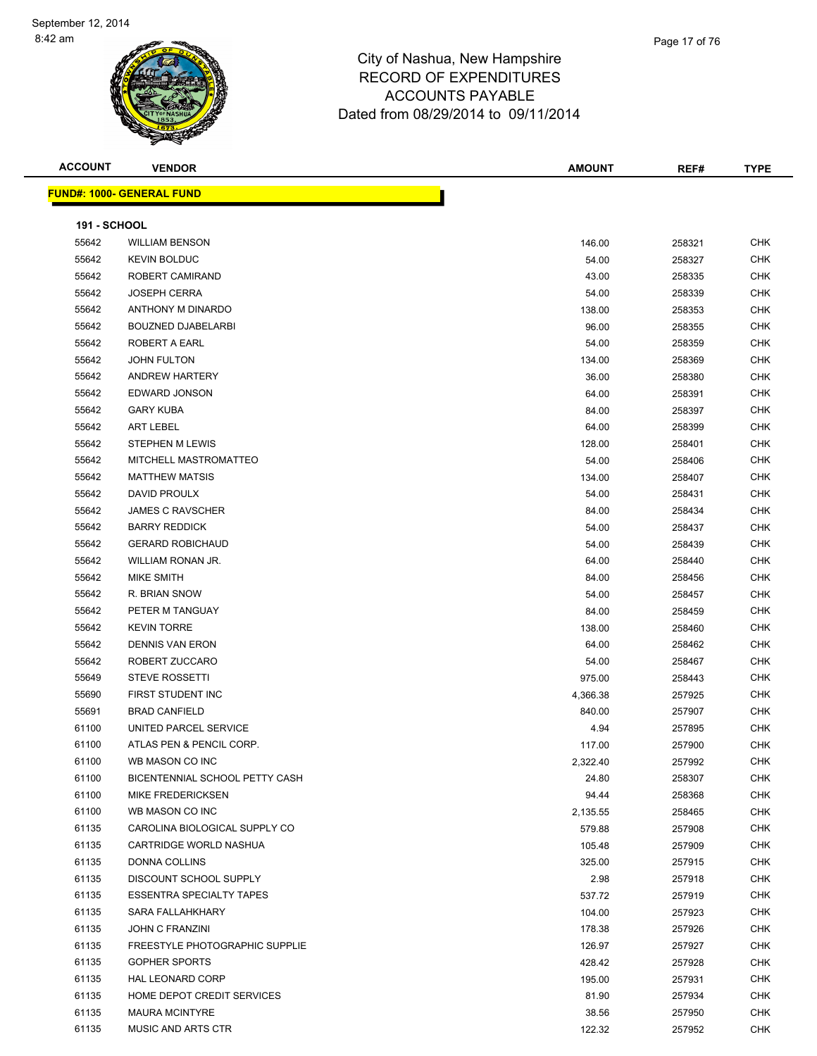| <b>ACCOUNT</b>      | <b>VENDOR</b>                    | <b>AMOUNT</b> | REF#   | <b>TYPE</b> |
|---------------------|----------------------------------|---------------|--------|-------------|
|                     | <b>FUND#: 1000- GENERAL FUND</b> |               |        |             |
|                     |                                  |               |        |             |
| <b>191 - SCHOOL</b> |                                  |               |        |             |
| 55642               | <b>WILLIAM BENSON</b>            | 146.00        | 258321 | <b>CHK</b>  |
| 55642               | <b>KEVIN BOLDUC</b>              | 54.00         | 258327 | <b>CHK</b>  |
| 55642               | ROBERT CAMIRAND                  | 43.00         | 258335 | CHK         |
| 55642               | <b>JOSEPH CERRA</b>              | 54.00         | 258339 | CHK         |
| 55642               | ANTHONY M DINARDO                | 138.00        | 258353 | CHK         |
| 55642               | <b>BOUZNED DJABELARBI</b>        | 96.00         | 258355 | <b>CHK</b>  |
| 55642               | ROBERT A EARL                    | 54.00         | 258359 | CHK         |
| 55642               | JOHN FULTON                      | 134.00        | 258369 | CHK         |
| 55642               | <b>ANDREW HARTERY</b>            | 36.00         | 258380 | CHK         |
| 55642               | EDWARD JONSON                    | 64.00         | 258391 | CHK         |
| 55642               | <b>GARY KUBA</b>                 | 84.00         | 258397 | <b>CHK</b>  |
| 55642               | <b>ART LEBEL</b>                 | 64.00         | 258399 | CHK         |
| 55642               | STEPHEN M LEWIS                  | 128.00        | 258401 | CHK         |
| 55642               | MITCHELL MASTROMATTEO            | 54.00         | 258406 | CHK         |
| 55642               | <b>MATTHEW MATSIS</b>            | 134.00        | 258407 | CHK         |
| 55642               | <b>DAVID PROULX</b>              | 54.00         | 258431 | CHK         |
| 55642               | <b>JAMES C RAVSCHER</b>          | 84.00         | 258434 | CHK         |
| 55642               | <b>BARRY REDDICK</b>             | 54.00         | 258437 | CHK         |
| 55642               | <b>GERARD ROBICHAUD</b>          | 54.00         | 258439 | CHK         |
| 55642               | WILLIAM RONAN JR.                | 64.00         | 258440 | CHK         |
| 55642               | <b>MIKE SMITH</b>                | 84.00         | 258456 | CHK         |
| 55642               | R. BRIAN SNOW                    | 54.00         | 258457 | <b>CHK</b>  |
| 55642               | PETER M TANGUAY                  | 84.00         | 258459 | CHK         |
| 55642               | <b>KEVIN TORRE</b>               | 138.00        | 258460 | CHK         |
| 55642               | <b>DENNIS VAN ERON</b>           | 64.00         | 258462 | CHK         |
| 55642               | ROBERT ZUCCARO                   | 54.00         | 258467 | CHK         |
| 55649               | <b>STEVE ROSSETTI</b>            | 975.00        | 258443 | <b>CHK</b>  |
| 55690               | FIRST STUDENT INC                | 4,366.38      | 257925 | <b>CHK</b>  |
| 55691               | <b>BRAD CANFIELD</b>             | 840.00        | 257907 | CHK         |
| 61100               | UNITED PARCEL SERVICE            | 4.94          | 257895 | CHK         |
| 61100               | ATLAS PEN & PENCIL CORP.         | 117.00        | 257900 | CHK         |
| 61100               | WB MASON CO INC                  | 2,322.40      | 257992 | CHK         |
| 61100               | BICENTENNIAL SCHOOL PETTY CASH   | 24.80         | 258307 | <b>CHK</b>  |
| 61100               | <b>MIKE FREDERICKSEN</b>         | 94.44         | 258368 | <b>CHK</b>  |
| 61100               | WB MASON CO INC                  | 2,135.55      | 258465 | CHK         |
| 61135               | CAROLINA BIOLOGICAL SUPPLY CO    | 579.88        | 257908 | CHK         |
| 61135               | CARTRIDGE WORLD NASHUA           | 105.48        | 257909 | <b>CHK</b>  |
| 61135               | <b>DONNA COLLINS</b>             | 325.00        | 257915 | CHK         |
| 61135               | <b>DISCOUNT SCHOOL SUPPLY</b>    | 2.98          | 257918 | <b>CHK</b>  |
| 61135               | <b>ESSENTRA SPECIALTY TAPES</b>  | 537.72        | 257919 | <b>CHK</b>  |
| 61135               | SARA FALLAHKHARY                 | 104.00        | 257923 | CHK         |
| 61135               | <b>JOHN C FRANZINI</b>           | 178.38        | 257926 | <b>CHK</b>  |
| 61135               | FREESTYLE PHOTOGRAPHIC SUPPLIE   | 126.97        | 257927 | CHK         |
| 61135               | <b>GOPHER SPORTS</b>             | 428.42        | 257928 | CHK         |
| 61135               | HAL LEONARD CORP                 | 195.00        | 257931 | CHK         |
| 61135               | HOME DEPOT CREDIT SERVICES       | 81.90         | 257934 | CHK         |
| 61135               | <b>MAURA MCINTYRE</b>            | 38.56         | 257950 | CHK         |
| 61135               | MUSIC AND ARTS CTR               | 122.32        | 257952 | CHK         |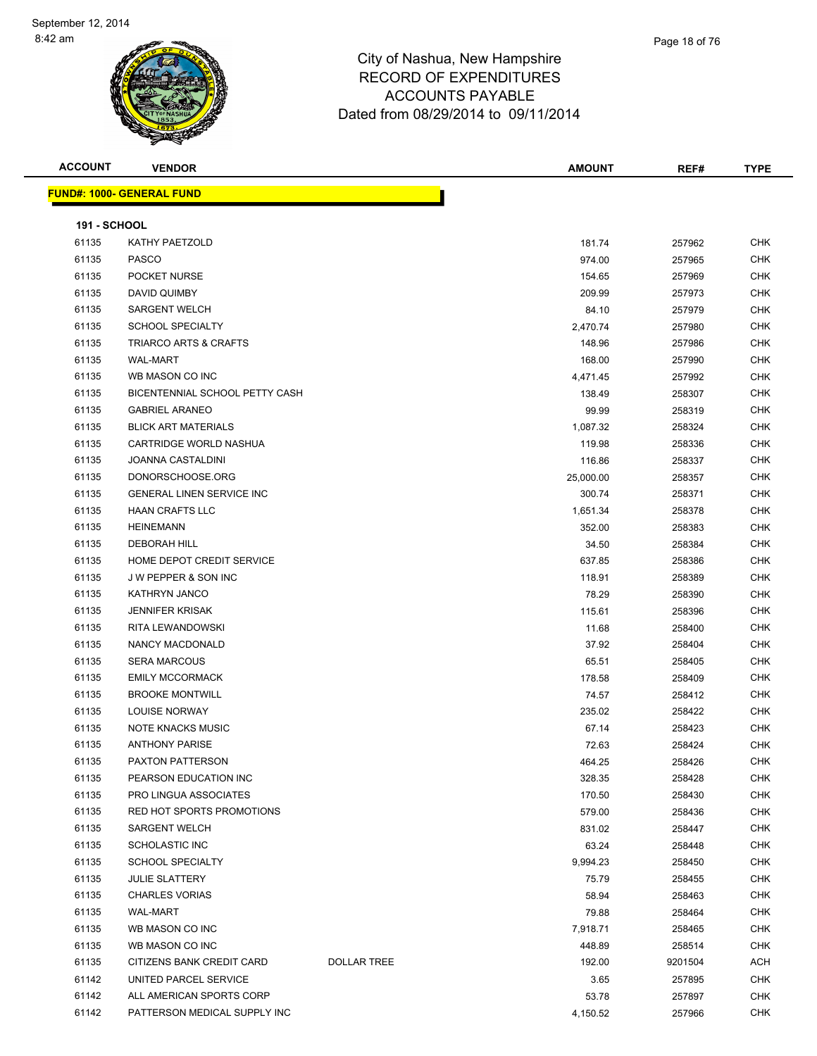| <b>ACCOUNT</b>      | <b>VENDOR</b>                     |                    | <b>AMOUNT</b> | REF#    | <b>TYPE</b> |
|---------------------|-----------------------------------|--------------------|---------------|---------|-------------|
|                     | <u> FUND#: 1000- GENERAL FUND</u> |                    |               |         |             |
|                     |                                   |                    |               |         |             |
| <b>191 - SCHOOL</b> |                                   |                    |               |         |             |
| 61135               | KATHY PAETZOLD                    |                    | 181.74        | 257962  | CHK         |
| 61135               | <b>PASCO</b>                      |                    | 974.00        | 257965  | CHK         |
| 61135               | POCKET NURSE                      |                    | 154.65        | 257969  | CHK         |
| 61135               | DAVID QUIMBY                      |                    | 209.99        | 257973  | <b>CHK</b>  |
| 61135               | <b>SARGENT WELCH</b>              |                    | 84.10         | 257979  | <b>CHK</b>  |
| 61135               | <b>SCHOOL SPECIALTY</b>           |                    | 2,470.74      | 257980  | <b>CHK</b>  |
| 61135               | TRIARCO ARTS & CRAFTS             |                    | 148.96        | 257986  | <b>CHK</b>  |
| 61135               | <b>WAL-MART</b>                   |                    | 168.00        | 257990  | <b>CHK</b>  |
| 61135               | WB MASON CO INC                   |                    | 4,471.45      | 257992  | <b>CHK</b>  |
| 61135               | BICENTENNIAL SCHOOL PETTY CASH    |                    | 138.49        | 258307  | <b>CHK</b>  |
| 61135               | <b>GABRIEL ARANEO</b>             |                    | 99.99         | 258319  | <b>CHK</b>  |
| 61135               | <b>BLICK ART MATERIALS</b>        |                    | 1,087.32      | 258324  | <b>CHK</b>  |
| 61135               | CARTRIDGE WORLD NASHUA            |                    | 119.98        | 258336  | <b>CHK</b>  |
| 61135               | <b>JOANNA CASTALDINI</b>          |                    | 116.86        | 258337  | CHK         |
| 61135               | DONORSCHOOSE.ORG                  |                    | 25,000.00     | 258357  | <b>CHK</b>  |
| 61135               | <b>GENERAL LINEN SERVICE INC</b>  |                    | 300.74        | 258371  | CHK         |
| 61135               | <b>HAAN CRAFTS LLC</b>            |                    | 1,651.34      | 258378  | <b>CHK</b>  |
| 61135               | <b>HEINEMANN</b>                  |                    | 352.00        | 258383  | <b>CHK</b>  |
| 61135               | <b>DEBORAH HILL</b>               |                    | 34.50         | 258384  | <b>CHK</b>  |
| 61135               | HOME DEPOT CREDIT SERVICE         |                    | 637.85        | 258386  | CHK         |
| 61135               | J W PEPPER & SON INC              |                    | 118.91        | 258389  | <b>CHK</b>  |
| 61135               | KATHRYN JANCO                     |                    | 78.29         | 258390  | <b>CHK</b>  |
| 61135               | <b>JENNIFER KRISAK</b>            |                    | 115.61        | 258396  | CHK         |
| 61135               | RITA LEWANDOWSKI                  |                    | 11.68         | 258400  | <b>CHK</b>  |
| 61135               | NANCY MACDONALD                   |                    | 37.92         | 258404  | CHK         |
| 61135               | <b>SERA MARCOUS</b>               |                    | 65.51         | 258405  | <b>CHK</b>  |
| 61135               | <b>EMILY MCCORMACK</b>            |                    | 178.58        | 258409  | <b>CHK</b>  |
| 61135               | <b>BROOKE MONTWILL</b>            |                    | 74.57         | 258412  | <b>CHK</b>  |
| 61135               | <b>LOUISE NORWAY</b>              |                    | 235.02        | 258422  | <b>CHK</b>  |
| 61135               | <b>NOTE KNACKS MUSIC</b>          |                    | 67.14         | 258423  | CHK         |
| 61135               | <b>ANTHONY PARISE</b>             |                    | 72.63         | 258424  | CHK         |
| 61135               | PAXTON PATTERSON                  |                    | 464.25        | 258426  | CHK         |
| 61135               | PEARSON EDUCATION INC             |                    | 328.35        | 258428  | <b>CHK</b>  |
| 61135               | PRO LINGUA ASSOCIATES             |                    | 170.50        | 258430  | <b>CHK</b>  |
| 61135               | RED HOT SPORTS PROMOTIONS         |                    | 579.00        | 258436  | <b>CHK</b>  |
| 61135               | <b>SARGENT WELCH</b>              |                    | 831.02        | 258447  | <b>CHK</b>  |
| 61135               | SCHOLASTIC INC                    |                    | 63.24         | 258448  | <b>CHK</b>  |
| 61135               | <b>SCHOOL SPECIALTY</b>           |                    | 9,994.23      | 258450  | <b>CHK</b>  |
| 61135               | <b>JULIE SLATTERY</b>             |                    | 75.79         | 258455  | <b>CHK</b>  |
| 61135               | <b>CHARLES VORIAS</b>             |                    | 58.94         | 258463  | <b>CHK</b>  |
| 61135               | <b>WAL-MART</b>                   |                    | 79.88         | 258464  | CHK         |
| 61135               | WB MASON CO INC                   |                    | 7,918.71      | 258465  | CHK         |
| 61135               | WB MASON CO INC                   |                    | 448.89        | 258514  | <b>CHK</b>  |
| 61135               | CITIZENS BANK CREDIT CARD         | <b>DOLLAR TREE</b> | 192.00        | 9201504 | ACH         |
| 61142               | UNITED PARCEL SERVICE             |                    | 3.65          | 257895  | CHK         |
| 61142               | ALL AMERICAN SPORTS CORP          |                    | 53.78         | 257897  | CHK         |
| 61142               | PATTERSON MEDICAL SUPPLY INC      |                    | 4,150.52      | 257966  | <b>CHK</b>  |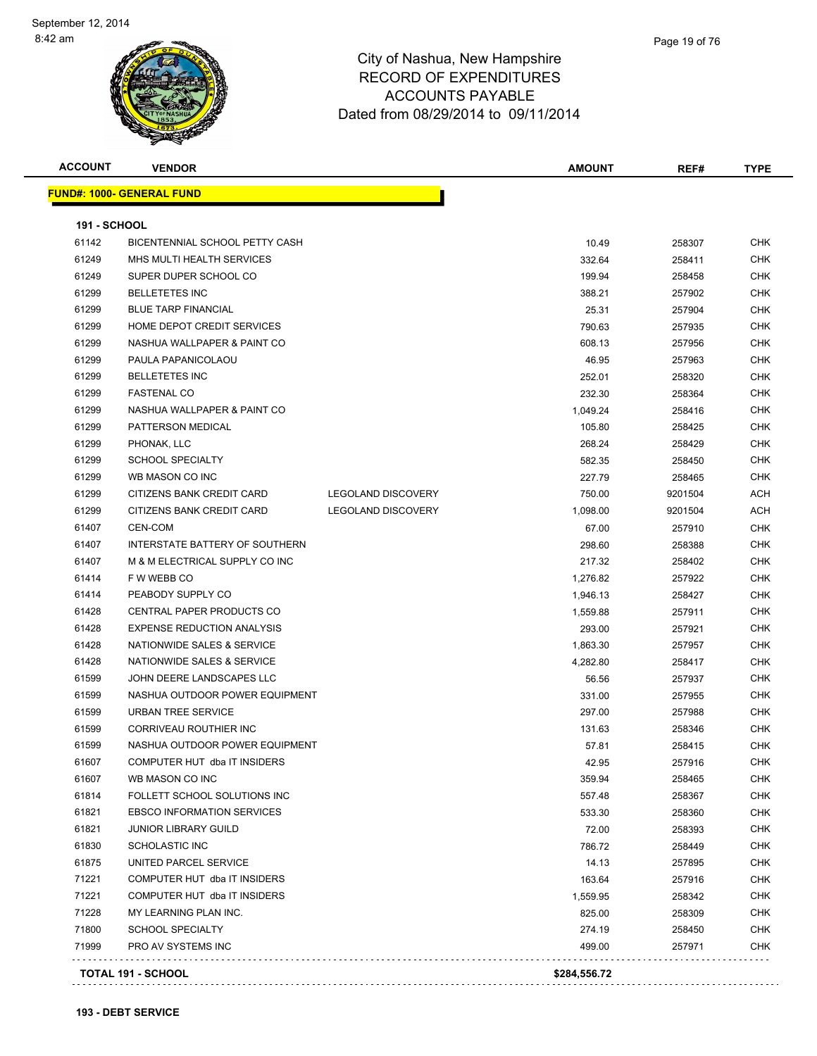

**ACCOUNT VENDOR AMOUNT REF# TYPE**

|   | Page 19 of 76 |  |
|---|---------------|--|
| э |               |  |
| ╮ |               |  |

| <b>191 - SCHOOL</b> |                                   |                           |          |         |            |
|---------------------|-----------------------------------|---------------------------|----------|---------|------------|
| 61142               | BICENTENNIAL SCHOOL PETTY CASH    |                           | 10.49    | 258307  | <b>CHK</b> |
| 61249               | MHS MULTI HEALTH SERVICES         |                           | 332.64   | 258411  | <b>CHK</b> |
| 61249               | SUPER DUPER SCHOOL CO             |                           | 199.94   | 258458  | <b>CHK</b> |
| 61299               | <b>BELLETETES INC</b>             |                           | 388.21   | 257902  | <b>CHK</b> |
| 61299               | <b>BLUE TARP FINANCIAL</b>        |                           | 25.31    | 257904  | <b>CHK</b> |
| 61299               | HOME DEPOT CREDIT SERVICES        |                           | 790.63   | 257935  | <b>CHK</b> |
| 61299               | NASHUA WALLPAPER & PAINT CO       |                           | 608.13   | 257956  | <b>CHK</b> |
| 61299               | PAULA PAPANICOLAOU                |                           | 46.95    | 257963  | <b>CHK</b> |
| 61299               | <b>BELLETETES INC</b>             |                           | 252.01   | 258320  | <b>CHK</b> |
| 61299               | <b>FASTENAL CO</b>                |                           | 232.30   | 258364  | <b>CHK</b> |
| 61299               | NASHUA WALLPAPER & PAINT CO       |                           | 1,049.24 | 258416  | <b>CHK</b> |
| 61299               | PATTERSON MEDICAL                 |                           | 105.80   | 258425  | <b>CHK</b> |
| 61299               | PHONAK, LLC                       |                           | 268.24   | 258429  | <b>CHK</b> |
| 61299               | <b>SCHOOL SPECIALTY</b>           |                           | 582.35   | 258450  | <b>CHK</b> |
| 61299               | WB MASON CO INC                   |                           | 227.79   | 258465  | <b>CHK</b> |
| 61299               | CITIZENS BANK CREDIT CARD         | <b>LEGOLAND DISCOVERY</b> | 750.00   | 9201504 | ACH        |
| 61299               | CITIZENS BANK CREDIT CARD         | <b>LEGOLAND DISCOVERY</b> | 1,098.00 | 9201504 | ACH        |
| 61407               | CEN-COM                           |                           | 67.00    | 257910  | <b>CHK</b> |
| 61407               | INTERSTATE BATTERY OF SOUTHERN    |                           | 298.60   | 258388  | <b>CHK</b> |
| 61407               | M & M ELECTRICAL SUPPLY CO INC    |                           | 217.32   | 258402  | <b>CHK</b> |
| 61414               | F W WEBB CO                       |                           | 1,276.82 | 257922  | <b>CHK</b> |
| 61414               | PEABODY SUPPLY CO                 |                           | 1,946.13 | 258427  | <b>CHK</b> |
| 61428               | CENTRAL PAPER PRODUCTS CO         |                           | 1,559.88 | 257911  | <b>CHK</b> |
| 61428               | <b>EXPENSE REDUCTION ANALYSIS</b> |                           | 293.00   | 257921  | <b>CHK</b> |
| 61428               | NATIONWIDE SALES & SERVICE        |                           | 1,863.30 | 257957  | <b>CHK</b> |
| 61428               | NATIONWIDE SALES & SERVICE        |                           | 4,282.80 | 258417  | <b>CHK</b> |
| 61599               | JOHN DEERE LANDSCAPES LLC         |                           | 56.56    | 257937  | <b>CHK</b> |
| 61599               | NASHUA OUTDOOR POWER EQUIPMENT    |                           | 331.00   | 257955  | <b>CHK</b> |
| 61599               | <b>URBAN TREE SERVICE</b>         |                           | 297.00   | 257988  | <b>CHK</b> |
| 61599               | CORRIVEAU ROUTHIER INC            |                           | 131.63   | 258346  | <b>CHK</b> |
| 61599               | NASHUA OUTDOOR POWER EQUIPMENT    |                           | 57.81    | 258415  | <b>CHK</b> |
| 61607               | COMPUTER HUT dba IT INSIDERS      |                           | 42.95    | 257916  | <b>CHK</b> |
| 61607               | WB MASON CO INC                   |                           | 359.94   | 258465  | <b>CHK</b> |
| 61814               | FOLLETT SCHOOL SOLUTIONS INC      |                           | 557.48   | 258367  | <b>CHK</b> |
| 61821               | <b>EBSCO INFORMATION SERVICES</b> |                           | 533.30   | 258360  | <b>CHK</b> |
| 61821               | <b>JUNIOR LIBRARY GUILD</b>       |                           | 72.00    | 258393  | <b>CHK</b> |
| 61830               | <b>SCHOLASTIC INC</b>             |                           | 786.72   | 258449  | <b>CHK</b> |
| 61875               | UNITED PARCEL SERVICE             |                           | 14.13    | 257895  | <b>CHK</b> |
| 71221               | COMPUTER HUT dba IT INSIDERS      |                           | 163.64   | 257916  | <b>CHK</b> |
| 71221               | COMPUTER HUT dba IT INSIDERS      |                           | 1,559.95 | 258342  | <b>CHK</b> |
| 71228               | MY LEARNING PLAN INC.             |                           | 825.00   | 258309  | <b>CHK</b> |
| 71800               | <b>SCHOOL SPECIALTY</b>           |                           | 274.19   | 258450  | <b>CHK</b> |

**TOTAL 191 - SCHOOL \$284,556.72** L.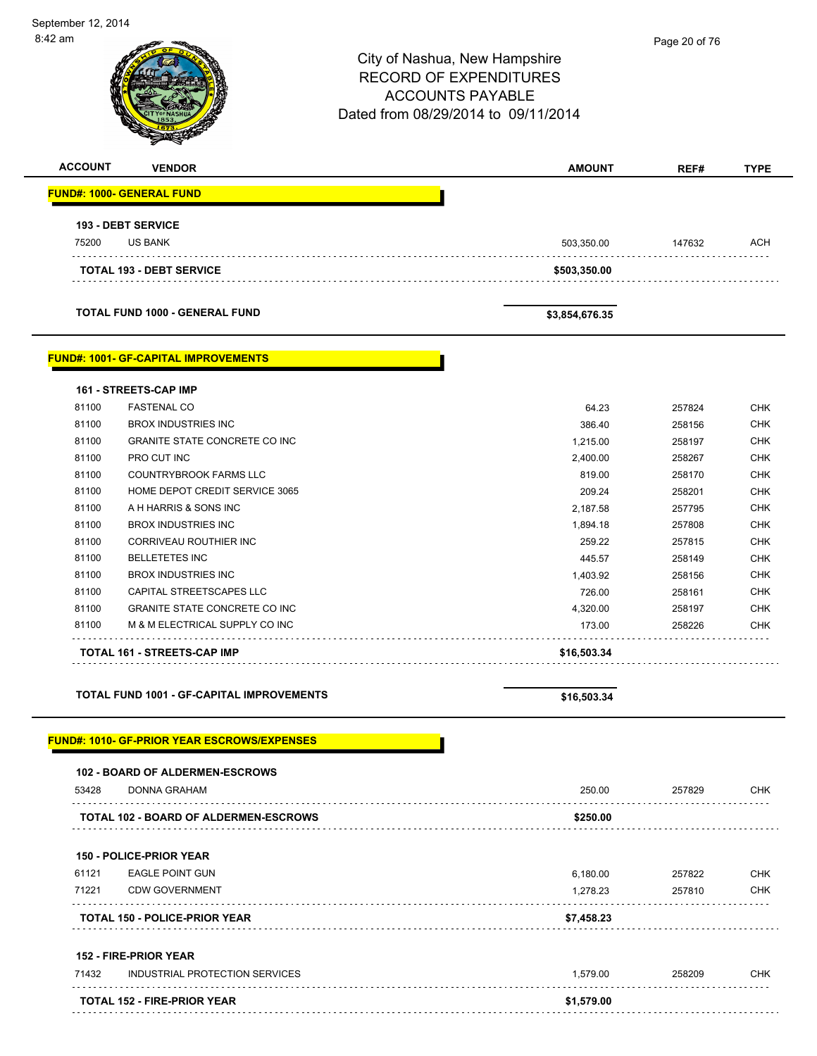| 8:42 am        |                                                    | City of Nashua, New Hampshire                                                                   | Page 20 of 76 |             |
|----------------|----------------------------------------------------|-------------------------------------------------------------------------------------------------|---------------|-------------|
|                |                                                    | <b>RECORD OF EXPENDITURES</b><br><b>ACCOUNTS PAYABLE</b><br>Dated from 08/29/2014 to 09/11/2014 |               |             |
|                |                                                    |                                                                                                 |               |             |
| <b>ACCOUNT</b> | <b>VENDOR</b>                                      | <b>AMOUNT</b>                                                                                   | REF#          | <b>TYPE</b> |
|                | <b>FUND#: 1000- GENERAL FUND</b>                   |                                                                                                 |               |             |
|                | 193 - DEBT SERVICE                                 |                                                                                                 |               |             |
| 75200          | <b>US BANK</b>                                     | 503,350.00                                                                                      | 147632        | ACH         |
|                | <b>TOTAL 193 - DEBT SERVICE</b>                    | \$503,350.00                                                                                    |               |             |
|                | <b>TOTAL FUND 1000 - GENERAL FUND</b>              | \$3,854,676.35                                                                                  |               |             |
|                | <b>FUND#: 1001- GF-CAPITAL IMPROVEMENTS</b>        |                                                                                                 |               |             |
|                | 161 - STREETS-CAP IMP                              |                                                                                                 |               |             |
| 81100          | <b>FASTENAL CO</b>                                 | 64.23                                                                                           | 257824        | <b>CHK</b>  |
| 81100          | <b>BROX INDUSTRIES INC</b>                         | 386.40                                                                                          | 258156        | <b>CHK</b>  |
| 81100          | GRANITE STATE CONCRETE CO INC                      | 1,215.00                                                                                        | 258197        | CHK         |
| 81100          | PRO CUT INC                                        | 2,400.00                                                                                        | 258267        | <b>CHK</b>  |
| 81100          | <b>COUNTRYBROOK FARMS LLC</b>                      | 819.00                                                                                          | 258170        | <b>CHK</b>  |
| 81100          | HOME DEPOT CREDIT SERVICE 3065                     | 209.24                                                                                          | 258201        | <b>CHK</b>  |
| 81100          | A H HARRIS & SONS INC                              | 2,187.58                                                                                        | 257795        | <b>CHK</b>  |
| 81100          | <b>BROX INDUSTRIES INC</b>                         | 1,894.18                                                                                        | 257808        | CHK         |
| 81100          | CORRIVEAU ROUTHIER INC                             | 259.22                                                                                          | 257815        | <b>CHK</b>  |
| 81100          | <b>BELLETETES INC</b>                              | 445.57                                                                                          | 258149        | <b>CHK</b>  |
| 81100          | <b>BROX INDUSTRIES INC</b>                         | 1,403.92                                                                                        | 258156        | <b>CHK</b>  |
| 81100          | CAPITAL STREETSCAPES LLC                           | 726.00                                                                                          | 258161        | <b>CHK</b>  |
| 81100          | <b>GRANITE STATE CONCRETE CO INC</b>               | 4,320.00                                                                                        | 258197        | <b>CHK</b>  |
| 81100          | M & M ELECTRICAL SUPPLY CO INC                     | 173.00                                                                                          | 258226        | <b>CHK</b>  |
|                | TOTAL 161 - STREETS-CAP IMP                        | \$16,503.34                                                                                     |               |             |
|                | <b>TOTAL FUND 1001 - GF-CAPITAL IMPROVEMENTS</b>   | \$16,503.34                                                                                     |               |             |
|                | <b>FUND#: 1010- GF-PRIOR YEAR ESCROWS/EXPENSES</b> |                                                                                                 |               |             |
|                | 102 - BOARD OF ALDERMEN-ESCROWS                    |                                                                                                 |               |             |
| 53428          | <b>DONNA GRAHAM</b>                                | 250.00                                                                                          | 257829        | <b>CHK</b>  |
|                | TOTAL 102 - BOARD OF ALDERMEN-ESCROWS              | \$250.00                                                                                        |               |             |
|                | <b>150 - POLICE-PRIOR YEAR</b>                     |                                                                                                 |               |             |
| 61121          | <b>EAGLE POINT GUN</b>                             | 6,180.00                                                                                        | 257822        | <b>CHK</b>  |
| 71221          | <b>CDW GOVERNMENT</b>                              | 1,278.23                                                                                        | 257810        | <b>CHK</b>  |
|                | <b>TOTAL 150 - POLICE-PRIOR YEAR</b>               | \$7,458.23                                                                                      |               |             |
|                | 152 - FIRE-PRIOR YEAR                              |                                                                                                 |               |             |
| 71432          | INDUSTRIAL PROTECTION SERVICES                     | 1,579.00                                                                                        | 258209        | <b>CHK</b>  |
|                |                                                    |                                                                                                 |               |             |
|                | <b>TOTAL 152 - FIRE-PRIOR YEAR</b>                 | \$1,579.00                                                                                      |               |             |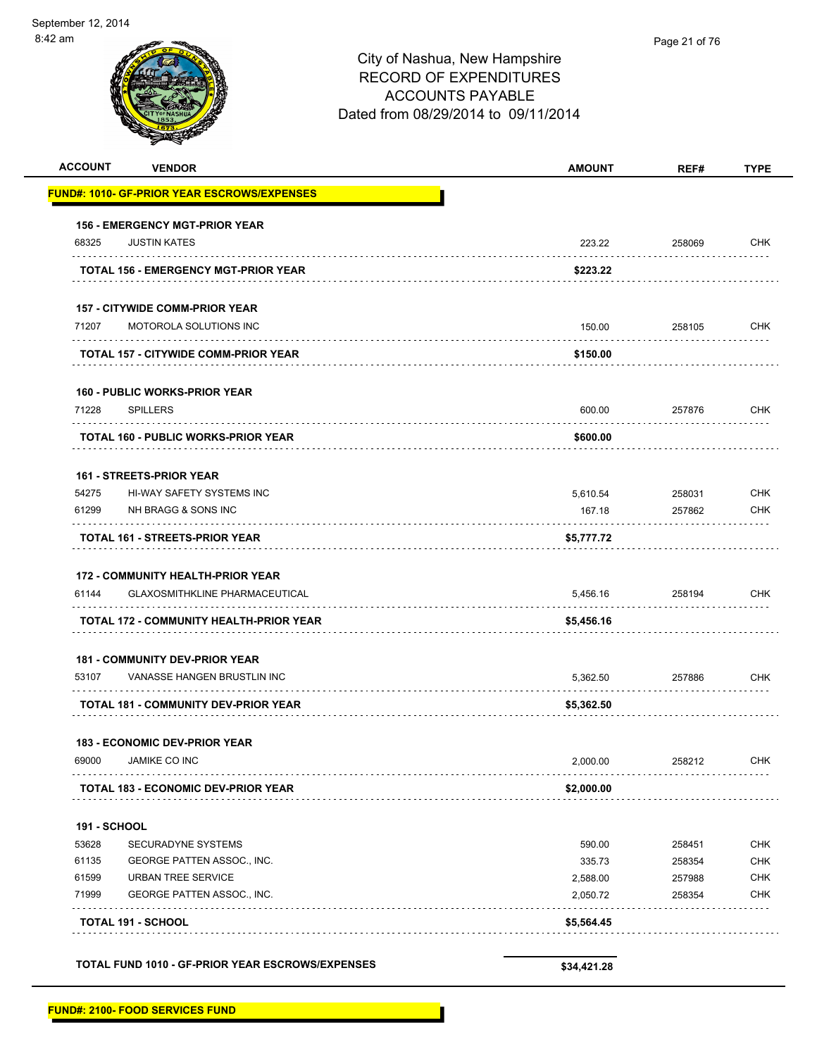| <b>ACCOUNT</b>            | <b>VENDOR</b>                                       | <b>AMOUNT</b> | REF#   | <b>TYPE</b>     |
|---------------------------|-----------------------------------------------------|---------------|--------|-----------------|
|                           | <u> FUND#: 1010- GF-PRIOR YEAR ESCROWS/EXPENSES</u> |               |        |                 |
|                           | <b>156 - EMERGENCY MGT-PRIOR YEAR</b>               |               |        |                 |
| 68325                     | <b>JUSTIN KATES</b>                                 | 223.22        | 258069 | <b>CHK</b>      |
|                           | TOTAL 156 - EMERGENCY MGT-PRIOR YEAR                | \$223.22      |        |                 |
|                           | <b>157 - CITYWIDE COMM-PRIOR YEAR</b>               |               |        |                 |
| 71207                     | MOTOROLA SOLUTIONS INC                              | 150.00        | 258105 | <b>CHK</b>      |
|                           | TOTAL 157 - CITYWIDE COMM-PRIOR YEAR                | \$150.00      |        |                 |
|                           | <b>160 - PUBLIC WORKS-PRIOR YEAR</b>                |               |        |                 |
| 71228                     | <b>SPILLERS</b>                                     | 600.00        | 257876 | <b>CHK</b><br>. |
|                           | <b>TOTAL 160 - PUBLIC WORKS-PRIOR YEAR</b>          | \$600.00      |        |                 |
|                           | <b>161 - STREETS-PRIOR YEAR</b>                     |               |        |                 |
| 54275                     | <b>HI-WAY SAFETY SYSTEMS INC</b>                    | 5,610.54      | 258031 | <b>CHK</b>      |
| 61299                     | NH BRAGG & SONS INC<br>.                            | 167.18        | 257862 | <b>CHK</b>      |
|                           | <b>TOTAL 161 - STREETS-PRIOR YEAR</b>               | \$5,777.72    |        |                 |
|                           | <b>172 - COMMUNITY HEALTH-PRIOR YEAR</b>            |               |        |                 |
| 61144                     | <b>GLAXOSMITHKLINE PHARMACEUTICAL</b>               | 5,456.16      | 258194 | <b>CHK</b>      |
|                           | TOTAL 172 - COMMUNITY HEALTH-PRIOR YEAR             | \$5,456.16    |        |                 |
|                           | <b>181 - COMMUNITY DEV-PRIOR YEAR</b>               |               |        |                 |
| 53107                     | VANASSE HANGEN BRUSTLIN INC                         | 5,362.50      | 257886 | <b>CHK</b>      |
|                           | TOTAL 181 - COMMUNITY DEV-PRIOR YEAR                | \$5,362.50    |        |                 |
|                           | <b>183 - ECONOMIC DEV-PRIOR YEAR</b>                |               |        |                 |
| 69000                     | <b>JAMIKE CO INC</b>                                | 2,000.00      | 258212 | <b>CHK</b>      |
|                           | <b>TOTAL 183 - ECONOMIC DEV-PRIOR YEAR</b>          | \$2,000.00    |        |                 |
| <b>191 - SCHOOL</b>       |                                                     |               |        |                 |
| 53628                     | SECURADYNE SYSTEMS                                  | 590.00        | 258451 | <b>CHK</b>      |
| 61135                     | GEORGE PATTEN ASSOC., INC.                          | 335.73        | 258354 | <b>CHK</b>      |
| 61599                     | URBAN TREE SERVICE                                  | 2,588.00      | 257988 | <b>CHK</b>      |
| 71999                     | GEORGE PATTEN ASSOC., INC.                          | 2,050.72      | 258354 | <b>CHK</b>      |
| <b>TOTAL 191 - SCHOOL</b> |                                                     | \$5,564.45    |        |                 |
|                           | TOTAL FUND 1010 - GF-PRIOR YEAR ESCROWS/EXPENSES    | \$34,421.28   |        |                 |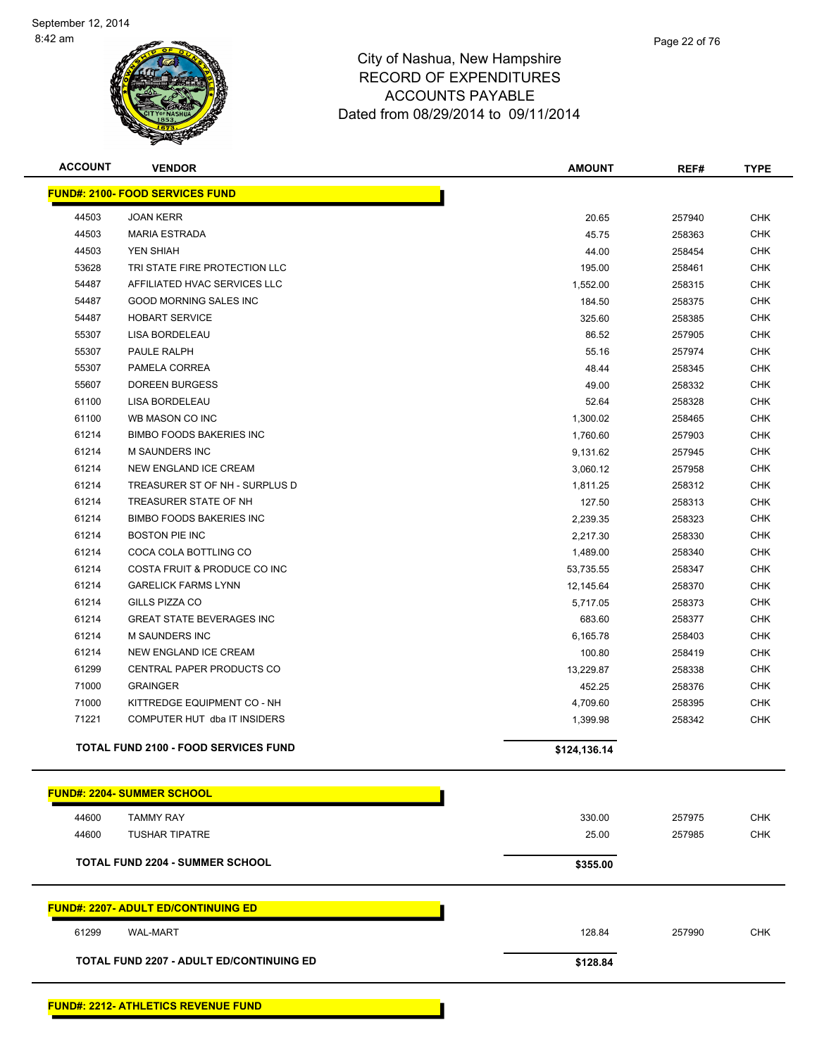

| <b>ACCOUNT</b> | <b>VENDOR</b>                                   | <b>AMOUNT</b> | REF#   | <b>TYPE</b> |
|----------------|-------------------------------------------------|---------------|--------|-------------|
|                | <b>FUND#: 2100- FOOD SERVICES FUND</b>          |               |        |             |
| 44503          | <b>JOAN KERR</b>                                | 20.65         | 257940 | <b>CHK</b>  |
| 44503          | <b>MARIA ESTRADA</b>                            | 45.75         | 258363 | <b>CHK</b>  |
| 44503          | YEN SHIAH                                       | 44.00         | 258454 | <b>CHK</b>  |
| 53628          | TRI STATE FIRE PROTECTION LLC                   | 195.00        | 258461 | <b>CHK</b>  |
| 54487          | AFFILIATED HVAC SERVICES LLC                    | 1,552.00      | 258315 | <b>CHK</b>  |
| 54487          | <b>GOOD MORNING SALES INC</b>                   | 184.50        | 258375 | <b>CHK</b>  |
| 54487          | <b>HOBART SERVICE</b>                           | 325.60        | 258385 | <b>CHK</b>  |
| 55307          | LISA BORDELEAU                                  | 86.52         | 257905 | <b>CHK</b>  |
| 55307          | PAULE RALPH                                     | 55.16         | 257974 | <b>CHK</b>  |
| 55307          | PAMELA CORREA                                   | 48.44         | 258345 | <b>CHK</b>  |
| 55607          | <b>DOREEN BURGESS</b>                           | 49.00         | 258332 | <b>CHK</b>  |
| 61100          | LISA BORDELEAU                                  | 52.64         | 258328 | <b>CHK</b>  |
| 61100          | WB MASON CO INC                                 | 1,300.02      | 258465 | <b>CHK</b>  |
| 61214          | <b>BIMBO FOODS BAKERIES INC</b>                 | 1,760.60      | 257903 | <b>CHK</b>  |
| 61214          | <b>M SAUNDERS INC</b>                           | 9,131.62      | 257945 | <b>CHK</b>  |
| 61214          | NEW ENGLAND ICE CREAM                           | 3,060.12      | 257958 | <b>CHK</b>  |
| 61214          | TREASURER ST OF NH - SURPLUS D                  | 1,811.25      | 258312 | <b>CHK</b>  |
| 61214          | TREASURER STATE OF NH                           | 127.50        | 258313 | <b>CHK</b>  |
| 61214          | <b>BIMBO FOODS BAKERIES INC</b>                 | 2,239.35      | 258323 | <b>CHK</b>  |
| 61214          | <b>BOSTON PIE INC</b>                           | 2,217.30      | 258330 | <b>CHK</b>  |
| 61214          | COCA COLA BOTTLING CO                           | 1,489.00      | 258340 | <b>CHK</b>  |
| 61214          | COSTA FRUIT & PRODUCE CO INC                    | 53,735.55     | 258347 | <b>CHK</b>  |
| 61214          | <b>GARELICK FARMS LYNN</b>                      | 12,145.64     | 258370 | <b>CHK</b>  |
| 61214          | GILLS PIZZA CO                                  | 5,717.05      | 258373 | <b>CHK</b>  |
| 61214          | <b>GREAT STATE BEVERAGES INC</b>                | 683.60        | 258377 | <b>CHK</b>  |
| 61214          | <b>M SAUNDERS INC</b>                           | 6,165.78      | 258403 | <b>CHK</b>  |
| 61214          | NEW ENGLAND ICE CREAM                           | 100.80        | 258419 | <b>CHK</b>  |
| 61299          | CENTRAL PAPER PRODUCTS CO                       | 13,229.87     | 258338 | <b>CHK</b>  |
| 71000          | <b>GRAINGER</b>                                 | 452.25        | 258376 | <b>CHK</b>  |
| 71000          | KITTREDGE EQUIPMENT CO - NH                     | 4,709.60      | 258395 | <b>CHK</b>  |
| 71221          | COMPUTER HUT dba IT INSIDERS                    | 1,399.98      | 258342 | <b>CHK</b>  |
|                | <b>TOTAL FUND 2100 - FOOD SERVICES FUND</b>     | \$124,136.14  |        |             |
|                | <u> FUND#: 2204- SUMMER SCHOOL</u>              |               |        |             |
| 44600          | <b>TAMMY RAY</b>                                | 330.00        | 257975 | <b>CHK</b>  |
| 44600          | <b>TUSHAR TIPATRE</b>                           | 25.00         | 257985 | <b>CHK</b>  |
|                |                                                 |               |        |             |
|                | <b>TOTAL FUND 2204 - SUMMER SCHOOL</b>          | \$355.00      |        |             |
|                | <u> FUND#: 2207- ADULT ED/CONTINUING ED</u>     |               |        |             |
| 61299          | <b>WAL-MART</b>                                 | 128.84        | 257990 | <b>CHK</b>  |
|                | <b>TOTAL FUND 2207 - ADULT ED/CONTINUING ED</b> | \$128.84      |        |             |
|                |                                                 |               |        |             |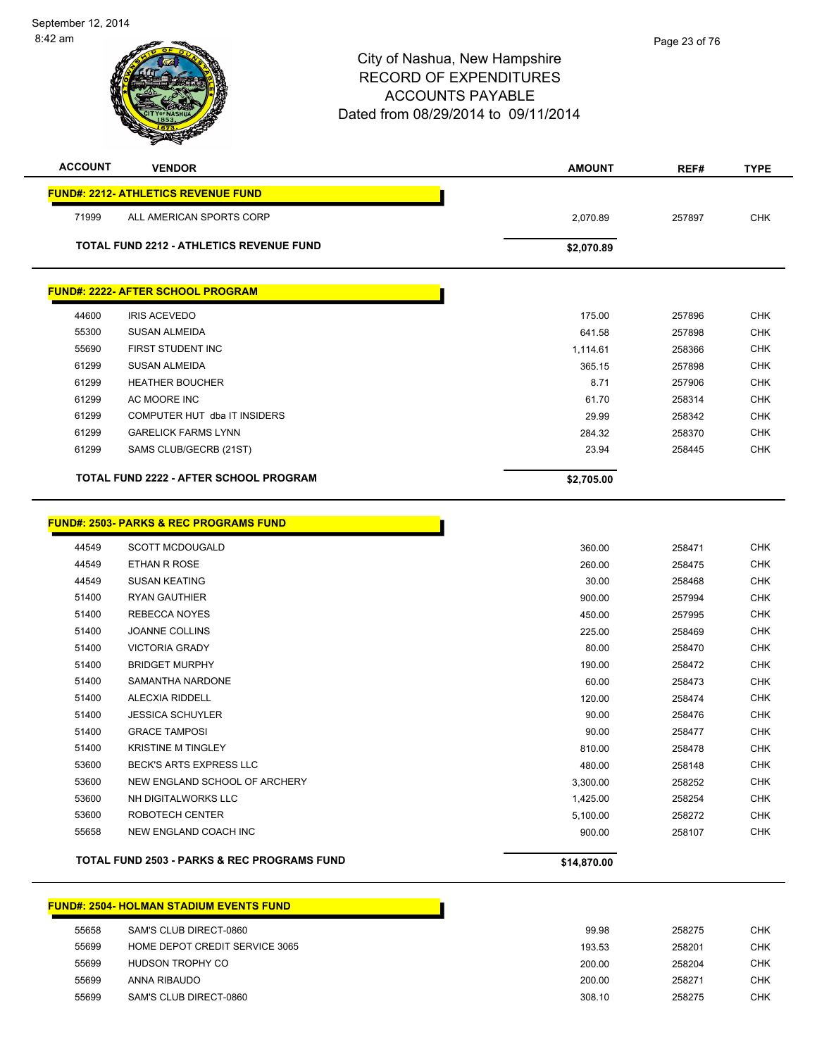# City of Nashua, New Hampshire RECORD OF EXPENDITURES ACCOUNTS PAYABLE Dated from 08/29/2014 to 09/11/2014 **ACCOUNT VENDOR AMOUNT REF# TYPE FUND#: 2212- ATHLETICS REVENUE FUND** ALL AMERICAN SPORTS CORP 2,070.89 257897 CHK

**TOTAL FUND 2212 - ATHLETICS REVENUE FUND \$2,070.89** 

# **FUND#: 2222- AFTER SCHOOL PROGRAM**

|       | <b>TOTAL FUND 2222 - AFTER SCHOOL PROGRAM</b> | \$2,705.00 |        |            |
|-------|-----------------------------------------------|------------|--------|------------|
| 61299 | SAMS CLUB/GECRB (21ST)                        | 23.94      | 258445 | <b>CHK</b> |
| 61299 | <b>GARELICK FARMS LYNN</b>                    | 284.32     | 258370 | <b>CHK</b> |
| 61299 | COMPUTER HUT dba IT INSIDERS                  | 29.99      | 258342 | <b>CHK</b> |
| 61299 | AC MOORE INC                                  | 61.70      | 258314 | <b>CHK</b> |
| 61299 | <b>HEATHER BOUCHER</b>                        | 8.71       | 257906 | <b>CHK</b> |
| 61299 | SUSAN ALMEIDA                                 | 365.15     | 257898 | <b>CHK</b> |
| 55690 | FIRST STUDENT INC                             | 1.114.61   | 258366 | <b>CHK</b> |
| 55300 | <b>SUSAN ALMEIDA</b>                          | 641.58     | 257898 | <b>CHK</b> |
| 44600 | <b>IRIS ACEVEDO</b>                           | 175.00     | 257896 | <b>CHK</b> |
|       |                                               |            |        |            |

#### **FUND#: 2503- PARKS & REC PROGRAMS FUND** SCOTT MCDOUGALD 360.00 258471 CHK ETHAN R ROSE 260.00 258475 CHK SUSAN KEATING 30.00 258468 CHK RYAN GAUTHIER 900.00 257994 CHK REBECCA NOYES 450.00 257995 CHK JOANNE COLLINS 225.00 258469 CHK VICTORIA GRADY 80.00 258470 CHK BRIDGET MURPHY 190.00 258472 CHK SAMANTHA NARDONE 60.00 258473 CHK ALECXIA RIDDELL 120.00 258474 CHK JESSICA SCHUYLER 90.00 258476 CHK GRACE TAMPOSI 90.00 258477 CHK KRISTINE M TINGLEY 810.00 258478 CHK BECK'S ARTS EXPRESS LLC 480.00 258148 CHK NEW ENGLAND SCHOOL OF ARCHERY 3,300.00 258252 CHK NH DIGITALWORKS LLC 1,425.00 258254 CHK ROBOTECH CENTER 5,100.00 258272 CHK NEW ENGLAND COACH INC 900.00 258107 CHK

## **TOTAL FUND 2503 - PARKS & REC PROGRAMS FUND \$14,870.00**

## **FUND#: 2504- HOLMAN STADIUM EVENTS FUND**

| 55658 | SAM'S CLUB DIRECT-0860         | 99.98  | 258275 | <b>CHK</b> |
|-------|--------------------------------|--------|--------|------------|
| 55699 | HOME DEPOT CREDIT SERVICE 3065 | 193.53 | 258201 | <b>CHK</b> |
| 55699 | HUDSON TROPHY CO               | 200.00 | 258204 | <b>CHK</b> |
| 55699 | ANNA RIBAUDO                   | 200.00 | 258271 | <b>CHK</b> |
| 55699 | SAM'S CLUB DIRECT-0860         | 308.10 | 258275 | CHK        |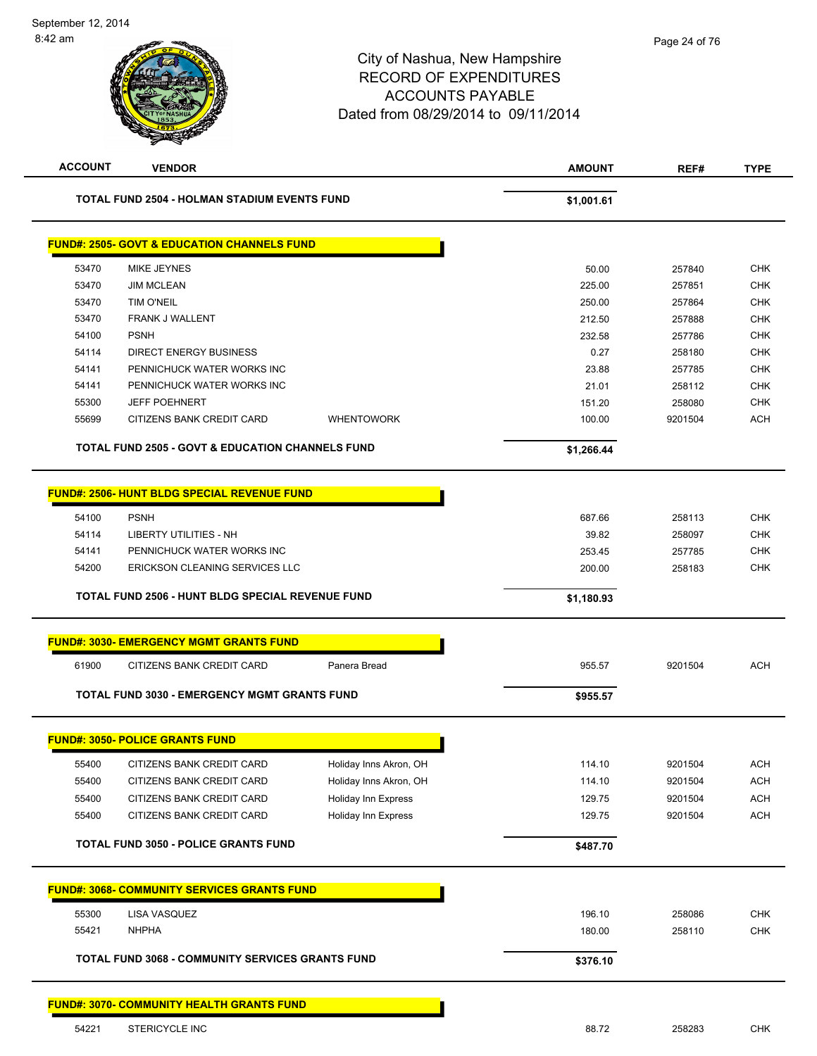# City of Nashua, New Hampshire RECORD OF EXPENDITURES ACCOUNTS PAYABLE Dated from 08/29/2014 to 09/11/2014 **ACCOUNT VENDOR AMOUNT REF# TYPE TOTAL FUND 2504 - HOLMAN STADIUM EVENTS FUND \$1,001.61 FUND#: 2505- GOVT & EDUCATION CHANNELS FUND** 53470 MIKE JEYNES 50.00 257840 CHK 53470 JIM MCLEAN 225.00 257851 CHK 53470 TIM O'NEIL 250.00 257864 CHK 53470 FRANK J WALLENT 212.50 257888 CHK 54100 PSNH 232.58 257786 CHK 54114 DIRECT ENERGY BUSINESS 0.27 258180 CHK 54141 PENNICHUCK WATER WORKS INC 23.88 257785 CHK 54141 PENNICHUCK WATER WORKS INC 21.01 258112 CHK

55699 CITIZENS BANK CREDIT CARD WHENTOWORK 100.00 100.00 9201504 ACH **TOTAL FUND 2505 - GOVT & EDUCATION CHANNELS FUND \$1,266.44** 

|       | <b>FUND#: 2506- HUNT BLDG SPECIAL REVENUE FUND</b>      |            |        |            |
|-------|---------------------------------------------------------|------------|--------|------------|
| 54100 | <b>PSNH</b>                                             | 687.66     | 258113 | <b>CHK</b> |
| 54114 | LIBERTY UTILITIES - NH                                  | 39.82      | 258097 | <b>CHK</b> |
| 54141 | PENNICHUCK WATER WORKS INC                              | 253.45     | 257785 | <b>CHK</b> |
| 54200 | ERICKSON CLEANING SERVICES LLC                          | 200.00     | 258183 | <b>CHK</b> |
|       | <b>TOTAL FUND 2506 - HUNT BLDG SPECIAL REVENUE FUND</b> | \$1.180.93 |        |            |

55300 JEFF POEHNERT 151.20 258080 CHK

|       | <b>FUND#: 3030- EMERGENCY MGMT GRANTS FUND</b>      |              |          |         |     |
|-------|-----------------------------------------------------|--------------|----------|---------|-----|
| 61900 | CITIZENS BANK CREDIT CARD                           | Panera Bread | 955.57   | 9201504 | ACH |
|       | <b>TOTAL FUND 3030 - EMERGENCY MGMT GRANTS FUND</b> |              | \$955.57 |         |     |

| 55400 | CITIZENS BANK CREDIT CARD | Holiday Inns Akron, OH     | 114.10 | 9201504 |  |
|-------|---------------------------|----------------------------|--------|---------|--|
| 55400 | CITIZENS BANK CREDIT CARD | Holiday Inns Akron, OH     | 114.10 | 9201504 |  |
| 55400 | CITIZENS BANK CREDIT CARD | <b>Holiday Inn Express</b> | 129.75 | 9201504 |  |
| 55400 | CITIZENS BANK CREDIT CARD | <b>Holiday Inn Express</b> | 129.75 | 9201504 |  |

|       | <b>FUND#: 3068- COMMUNITY SERVICES GRANTS FUND</b>      |          |        |     |
|-------|---------------------------------------------------------|----------|--------|-----|
| 55300 | LISA VASQUEZ                                            | 196.10   | 258086 | СНК |
| 55421 | <b>NHPHA</b>                                            | 180.00   | 258110 | СНК |
|       | <b>TOTAL FUND 3068 - COMMUNITY SERVICES GRANTS FUND</b> | \$376.10 |        |     |

#### **FUND#: 3070- COMMUNITY HEALTH GRANTS FUND**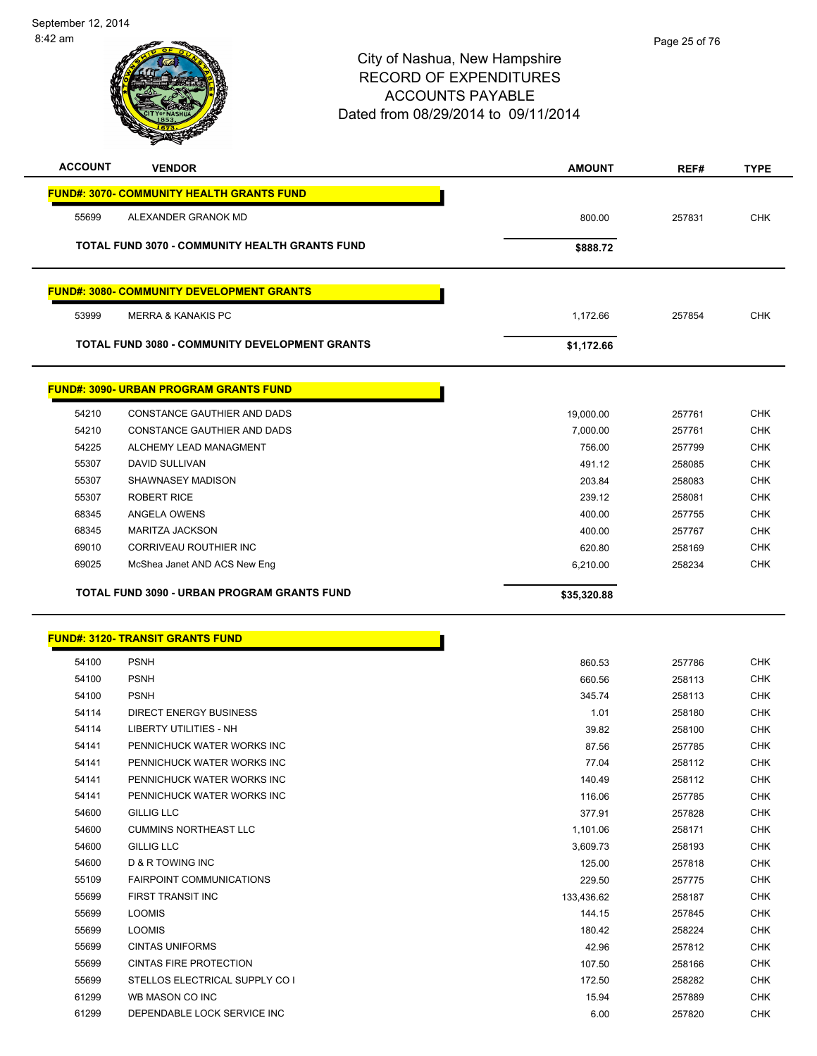| <b>ACCOUNT</b> | <b>VENDOR</b>                                         | <b>AMOUNT</b> | REF#   | <b>TYPE</b> |
|----------------|-------------------------------------------------------|---------------|--------|-------------|
|                | <b>FUND#: 3070- COMMUNITY HEALTH GRANTS FUND</b>      |               |        |             |
| 55699          | ALEXANDER GRANOK MD                                   | 800.00        | 257831 | <b>CHK</b>  |
|                | <b>TOTAL FUND 3070 - COMMUNITY HEALTH GRANTS FUND</b> | \$888.72      |        |             |
|                |                                                       |               |        |             |
|                | <b>FUND#: 3080- COMMUNITY DEVELOPMENT GRANTS</b>      |               |        |             |
| 53999          | <b>MERRA &amp; KANAKIS PC</b>                         | 1,172.66      | 257854 | <b>CHK</b>  |
|                | <b>TOTAL FUND 3080 - COMMUNITY DEVELOPMENT GRANTS</b> | \$1,172.66    |        |             |
|                | <u>FUND#: 3090- URBAN PROGRAM GRANTS FUND</u>         |               |        |             |
| 54210          | CONSTANCE GAUTHIER AND DADS                           | 19,000.00     | 257761 | <b>CHK</b>  |
| 54210          | CONSTANCE GAUTHIER AND DADS                           | 7,000.00      | 257761 | <b>CHK</b>  |
| 54225          | ALCHEMY LEAD MANAGMENT                                | 756.00        | 257799 | <b>CHK</b>  |
| 55307          | DAVID SULLIVAN                                        | 491.12        | 258085 | <b>CHK</b>  |
| 55307          | SHAWNASEY MADISON                                     | 203.84        | 258083 | <b>CHK</b>  |
| 55307          | <b>ROBERT RICE</b>                                    | 239.12        | 258081 | <b>CHK</b>  |
| 68345          | ANGELA OWENS                                          | 400.00        | 257755 | <b>CHK</b>  |
| 68345          | <b>MARITZA JACKSON</b>                                | 400.00        | 257767 | <b>CHK</b>  |
| 69010          | CORRIVEAU ROUTHIER INC                                | 620.80        | 258169 | <b>CHK</b>  |
| 69025          | McShea Janet AND ACS New Eng                          | 6,210.00      | 258234 | <b>CHK</b>  |
|                |                                                       |               |        |             |
|                | TOTAL FUND 3090 - URBAN PROGRAM GRANTS FUND           | \$35,320.88   |        |             |
|                | <b>FUND#: 3120- TRANSIT GRANTS FUND</b>               |               |        |             |
| 54100          | <b>PSNH</b>                                           | 860.53        | 257786 | <b>CHK</b>  |
| 54100          | <b>PSNH</b>                                           | 660.56        | 258113 | <b>CHK</b>  |
| 54100          | <b>PSNH</b>                                           | 345.74        | 258113 | <b>CHK</b>  |
| 54114          | DIRECT ENERGY BUSINESS                                | 1.01          | 258180 | <b>CHK</b>  |
| 54114          | <b>LIBERTY UTILITIES - NH</b>                         | 39.82         | 258100 | <b>CHK</b>  |
| 54141          | PENNICHUCK WATER WORKS INC                            | 87.56         | 257785 | <b>CHK</b>  |
| 54141          | PENNICHUCK WATER WORKS INC                            | 77.04         | 258112 | <b>CHK</b>  |
| 54141          | PENNICHUCK WATER WORKS INC                            | 140.49        | 258112 | <b>CHK</b>  |
| 54141          | PENNICHUCK WATER WORKS INC                            | 116.06        | 257785 | <b>CHK</b>  |
| 54600          | <b>GILLIG LLC</b>                                     | 377.91        | 257828 | <b>CHK</b>  |
| 54600          | <b>CUMMINS NORTHEAST LLC</b>                          | 1,101.06      | 258171 | <b>CHK</b>  |
| 54600          | <b>GILLIG LLC</b>                                     | 3,609.73      | 258193 | <b>CHK</b>  |
| 54600          | <b>D &amp; R TOWING INC</b>                           | 125.00        | 257818 | <b>CHK</b>  |
| 55109          | <b>FAIRPOINT COMMUNICATIONS</b>                       | 229.50        | 257775 | <b>CHK</b>  |
| 55699          | FIRST TRANSIT INC                                     | 133,436.62    | 258187 | <b>CHK</b>  |
| 55699          | <b>LOOMIS</b>                                         | 144.15        | 257845 | <b>CHK</b>  |
| 55699          | <b>LOOMIS</b>                                         | 180.42        | 258224 | <b>CHK</b>  |
| 55699          | <b>CINTAS UNIFORMS</b>                                | 42.96         | 257812 | <b>CHK</b>  |
| 55699          | <b>CINTAS FIRE PROTECTION</b>                         | 107.50        | 258166 | <b>CHK</b>  |
| 55699          | STELLOS ELECTRICAL SUPPLY CO I                        | 172.50        | 258282 | <b>CHK</b>  |
| 61299          | WB MASON CO INC                                       | 15.94         | 257889 | <b>CHK</b>  |
| 61299          | DEPENDABLE LOCK SERVICE INC                           | 6.00          | 257820 | <b>CHK</b>  |
|                |                                                       |               |        |             |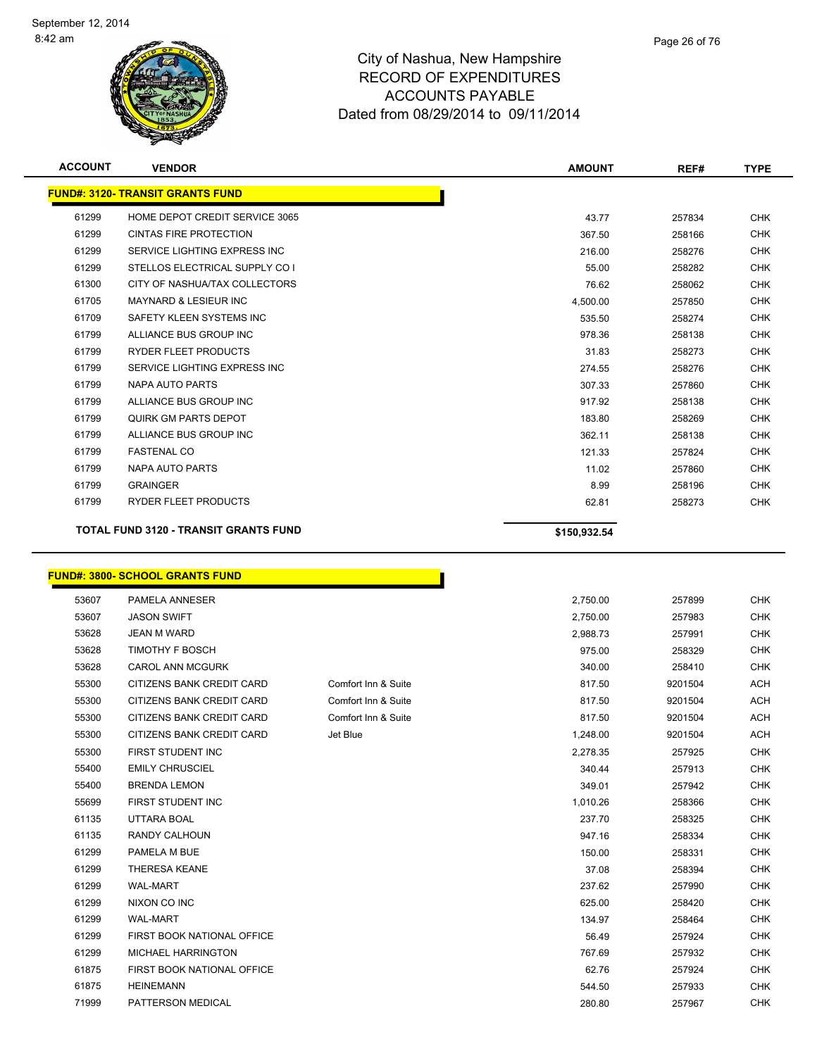

| <b>ACCOUNT</b> | <b>VENDOR</b>                                | <b>AMOUNT</b> | REF#   | <b>TYPE</b> |
|----------------|----------------------------------------------|---------------|--------|-------------|
|                | <b>FUND#: 3120- TRANSIT GRANTS FUND</b>      |               |        |             |
| 61299          | HOME DEPOT CREDIT SERVICE 3065               | 43.77         | 257834 | <b>CHK</b>  |
| 61299          | <b>CINTAS FIRE PROTECTION</b>                | 367.50        | 258166 | <b>CHK</b>  |
| 61299          | SERVICE LIGHTING EXPRESS INC                 | 216.00        | 258276 | <b>CHK</b>  |
| 61299          | STELLOS ELECTRICAL SUPPLY CO I               | 55.00         | 258282 | <b>CHK</b>  |
| 61300          | CITY OF NASHUA/TAX COLLECTORS                | 76.62         | 258062 | <b>CHK</b>  |
| 61705          | <b>MAYNARD &amp; LESIEUR INC</b>             | 4,500.00      | 257850 | <b>CHK</b>  |
| 61709          | SAFETY KLEEN SYSTEMS INC                     | 535.50        | 258274 | <b>CHK</b>  |
| 61799          | ALLIANCE BUS GROUP INC                       | 978.36        | 258138 | <b>CHK</b>  |
| 61799          | <b>RYDER FLEET PRODUCTS</b>                  | 31.83         | 258273 | <b>CHK</b>  |
| 61799          | SERVICE LIGHTING EXPRESS INC                 | 274.55        | 258276 | <b>CHK</b>  |
| 61799          | <b>NAPA AUTO PARTS</b>                       | 307.33        | 257860 | <b>CHK</b>  |
| 61799          | ALLIANCE BUS GROUP INC                       | 917.92        | 258138 | <b>CHK</b>  |
| 61799          | QUIRK GM PARTS DEPOT                         | 183.80        | 258269 | <b>CHK</b>  |
| 61799          | ALLIANCE BUS GROUP INC                       | 362.11        | 258138 | <b>CHK</b>  |
| 61799          | <b>FASTENAL CO</b>                           | 121.33        | 257824 | <b>CHK</b>  |
| 61799          | <b>NAPA AUTO PARTS</b>                       | 11.02         | 257860 | <b>CHK</b>  |
| 61799          | <b>GRAINGER</b>                              | 8.99          | 258196 | <b>CHK</b>  |
| 61799          | <b>RYDER FLEET PRODUCTS</b>                  | 62.81         | 258273 | <b>CHK</b>  |
|                | <b>TOTAL FUND 3120 - TRANSIT GRANTS FUND</b> | \$150,932.54  |        |             |

# **FUND#: 3800- SCHOOL GRANTS FUND**

| 53607 | PAMELA ANNESER             |                     | 2,750.00 |         |
|-------|----------------------------|---------------------|----------|---------|
| 53607 | <b>JASON SWIFT</b>         |                     | 2,750.00 |         |
| 53628 | <b>JEAN M WARD</b>         |                     | 2,988.73 | 257991  |
| 53628 | TIMOTHY F BOSCH            |                     | 975.00   | 258329  |
| 53628 | <b>CAROL ANN MCGURK</b>    |                     | 340.00   | 258410  |
| 55300 | CITIZENS BANK CREDIT CARD  | Comfort Inn & Suite | 817.50   | 9201504 |
| 55300 | CITIZENS BANK CREDIT CARD  | Comfort Inn & Suite | 817.50   | 9201504 |
| 55300 | CITIZENS BANK CREDIT CARD  | Comfort Inn & Suite | 817.50   | 9201504 |
| 55300 | CITIZENS BANK CREDIT CARD  | Jet Blue            | 1,248.00 | 9201504 |
| 55300 | FIRST STUDENT INC          |                     | 2,278.35 | 257925  |
| 55400 | <b>EMILY CHRUSCIEL</b>     |                     | 340.44   | 257913  |
| 55400 | <b>BRENDA LEMON</b>        |                     | 349.01   | 257942  |
| 55699 | FIRST STUDENT INC          |                     | 1,010.26 | 258366  |
| 61135 | UTTARA BOAL                |                     | 237.70   | 258325  |
| 61135 | RANDY CALHOUN              |                     | 947.16   | 258334  |
| 61299 | PAMELA M BUE               |                     | 150.00   | 258331  |
| 61299 | <b>THERESA KEANE</b>       |                     | 37.08    | 258394  |
| 61299 | <b>WAL-MART</b>            |                     | 237.62   | 257990  |
| 61299 | NIXON CO INC               |                     | 625.00   | 258420  |
| 61299 | <b>WAL-MART</b>            |                     | 134.97   | 258464  |
| 61299 | FIRST BOOK NATIONAL OFFICE |                     | 56.49    | 257924  |
| 61299 | <b>MICHAEL HARRINGTON</b>  |                     | 767.69   | 257932  |
| 61875 | FIRST BOOK NATIONAL OFFICE |                     | 62.76    | 257924  |
| 61875 | <b>HEINEMANN</b>           |                     | 544.50   | 257933  |
| 71999 | PATTERSON MEDICAL          |                     | 280.80   | 257967  |

n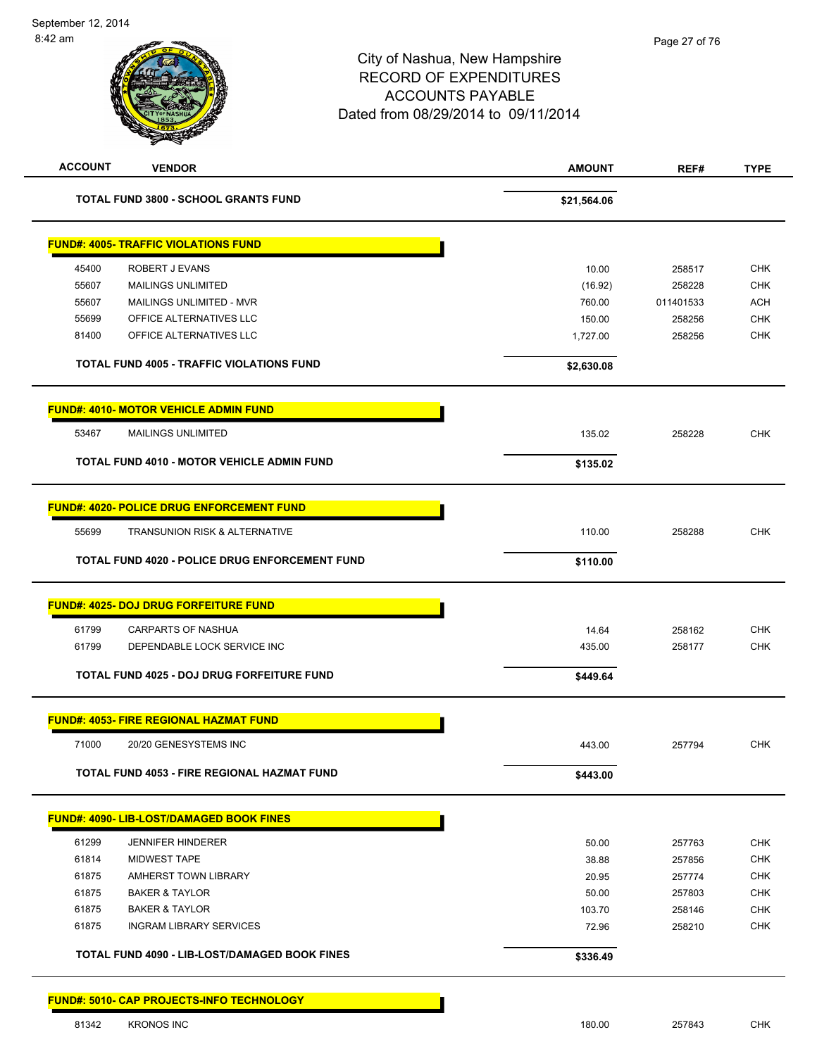| <b>ACCOUNT</b> | <b>VENDOR</b>                                     | <b>AMOUNT</b> | REF#      | <b>TYPE</b> |
|----------------|---------------------------------------------------|---------------|-----------|-------------|
|                | <b>TOTAL FUND 3800 - SCHOOL GRANTS FUND</b>       | \$21,564.06   |           |             |
|                | <b>FUND#: 4005- TRAFFIC VIOLATIONS FUND</b>       |               |           |             |
| 45400          | ROBERT J EVANS                                    | 10.00         | 258517    | <b>CHK</b>  |
| 55607          | <b>MAILINGS UNLIMITED</b>                         | (16.92)       | 258228    | <b>CHK</b>  |
| 55607          | MAILINGS UNLIMITED - MVR                          | 760.00        | 011401533 | <b>ACH</b>  |
| 55699          | OFFICE ALTERNATIVES LLC                           | 150.00        | 258256    | <b>CHK</b>  |
| 81400          | OFFICE ALTERNATIVES LLC                           | 1,727.00      | 258256    | <b>CHK</b>  |
|                | <b>TOTAL FUND 4005 - TRAFFIC VIOLATIONS FUND</b>  | \$2,630.08    |           |             |
|                | <b>FUND#: 4010- MOTOR VEHICLE ADMIN FUND</b>      |               |           |             |
| 53467          | <b>MAILINGS UNLIMITED</b>                         | 135.02        | 258228    | <b>CHK</b>  |
|                | <b>TOTAL FUND 4010 - MOTOR VEHICLE ADMIN FUND</b> | \$135.02      |           |             |
|                | <b>FUND#: 4020- POLICE DRUG ENFORCEMENT FUND</b>  |               |           |             |
| 55699          | <b>TRANSUNION RISK &amp; ALTERNATIVE</b>          | 110.00        | 258288    | <b>CHK</b>  |
|                | TOTAL FUND 4020 - POLICE DRUG ENFORCEMENT FUND    | \$110.00      |           |             |
|                | <u> FUND#: 4025- DOJ DRUG FORFEITURE FUND</u>     |               |           |             |
| 61799          | <b>CARPARTS OF NASHUA</b>                         | 14.64         | 258162    | <b>CHK</b>  |
| 61799          | DEPENDABLE LOCK SERVICE INC                       | 435.00        | 258177    | <b>CHK</b>  |
|                | <b>TOTAL FUND 4025 - DOJ DRUG FORFEITURE FUND</b> | \$449.64      |           |             |
|                | <u> FUND#: 4053- FIRE REGIONAL HAZMAT FUND</u>    |               |           |             |
| 71000          | 20/20 GENESYSTEMS INC                             | 443.00        | 257794    | <b>CHK</b>  |
|                | TOTAL FUND 4053 - FIRE REGIONAL HAZMAT FUND       | \$443.00      |           |             |
|                |                                                   |               |           |             |
|                | <b>FUND#: 4090- LIB-LOST/DAMAGED BOOK FINES</b>   |               |           |             |
| 61299          | <b>JENNIFER HINDERER</b>                          | 50.00         | 257763    | <b>CHK</b>  |
| 61814          | <b>MIDWEST TAPE</b>                               | 38.88         | 257856    | <b>CHK</b>  |
| 61875          | AMHERST TOWN LIBRARY                              | 20.95         | 257774    | <b>CHK</b>  |
| 61875          | <b>BAKER &amp; TAYLOR</b>                         | 50.00         | 257803    | <b>CHK</b>  |
| 61875          | <b>BAKER &amp; TAYLOR</b>                         | 103.70        | 258146    | <b>CHK</b>  |
| 61875          | <b>INGRAM LIBRARY SERVICES</b>                    | 72.96         | 258210    | <b>CHK</b>  |

81342 KRONOS INC 180.00 257843 CHK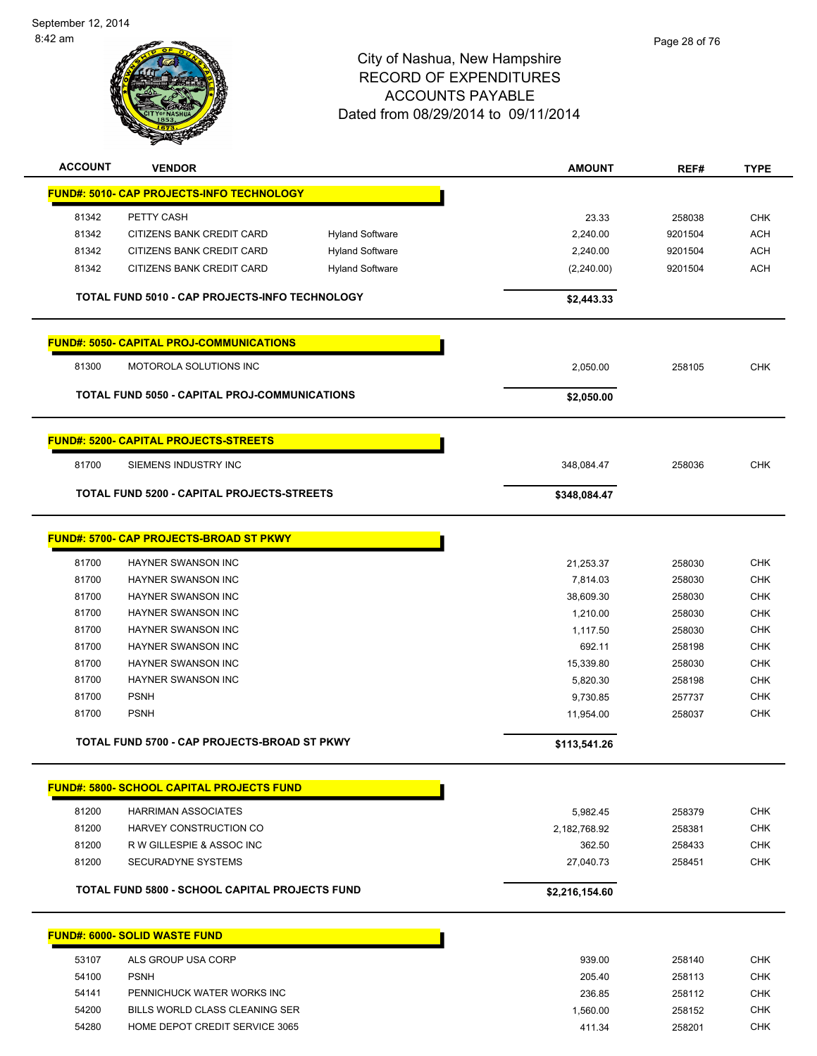

| <b>ACCOUNT</b> | <b>VENDOR</b>                                              |                        | <b>AMOUNT</b>  | REF#    | <b>TYPE</b> |
|----------------|------------------------------------------------------------|------------------------|----------------|---------|-------------|
|                | FUND#: 5010- CAP PROJECTS-INFO TECHNOLOGY                  |                        |                |         |             |
| 81342          | PETTY CASH                                                 |                        | 23.33          | 258038  | <b>CHK</b>  |
| 81342          | CITIZENS BANK CREDIT CARD                                  | <b>Hyland Software</b> | 2,240.00       | 9201504 | <b>ACH</b>  |
| 81342          | CITIZENS BANK CREDIT CARD                                  | <b>Hyland Software</b> | 2,240.00       | 9201504 | <b>ACH</b>  |
| 81342          | CITIZENS BANK CREDIT CARD                                  | <b>Hyland Software</b> | (2,240.00)     | 9201504 | <b>ACH</b>  |
|                |                                                            |                        |                |         |             |
|                | TOTAL FUND 5010 - CAP PROJECTS-INFO TECHNOLOGY             |                        | \$2,443.33     |         |             |
|                | <b>FUND#: 5050- CAPITAL PROJ-COMMUNICATIONS</b>            |                        |                |         |             |
| 81300          | MOTOROLA SOLUTIONS INC                                     |                        | 2,050.00       | 258105  | <b>CHK</b>  |
|                | TOTAL FUND 5050 - CAPITAL PROJ-COMMUNICATIONS              |                        | \$2,050.00     |         |             |
|                | <b>FUND#: 5200- CAPITAL PROJECTS-STREETS</b>               |                        |                |         |             |
| 81700          | SIEMENS INDUSTRY INC                                       |                        | 348,084.47     | 258036  | <b>CHK</b>  |
|                | <b>TOTAL FUND 5200 - CAPITAL PROJECTS-STREETS</b>          |                        | \$348,084.47   |         |             |
|                |                                                            |                        |                |         |             |
|                | FUND#: 5700- CAP PROJECTS-BROAD ST PKWY                    |                        |                |         |             |
| 81700          | HAYNER SWANSON INC                                         |                        | 21,253.37      | 258030  | <b>CHK</b>  |
| 81700          | HAYNER SWANSON INC                                         |                        | 7,814.03       | 258030  | <b>CHK</b>  |
| 81700          | HAYNER SWANSON INC                                         |                        | 38,609.30      | 258030  | CHK         |
| 81700          | HAYNER SWANSON INC                                         |                        | 1,210.00       | 258030  | <b>CHK</b>  |
| 81700          | HAYNER SWANSON INC                                         |                        | 1,117.50       | 258030  | <b>CHK</b>  |
| 81700          | HAYNER SWANSON INC                                         |                        | 692.11         | 258198  | CHK         |
| 81700          | HAYNER SWANSON INC                                         |                        | 15,339.80      | 258030  | <b>CHK</b>  |
| 81700          | HAYNER SWANSON INC                                         |                        | 5,820.30       | 258198  | <b>CHK</b>  |
| 81700          | <b>PSNH</b>                                                |                        | 9,730.85       | 257737  | <b>CHK</b>  |
| 81700          | <b>PSNH</b>                                                |                        | 11,954.00      | 258037  | <b>CHK</b>  |
|                | TOTAL FUND 5700 - CAP PROJECTS-BROAD ST PKWY               |                        | \$113,541.26   |         |             |
|                |                                                            |                        |                |         |             |
|                | <b>FUND#: 5800- SCHOOL CAPITAL PROJECTS FUND</b>           |                        |                |         |             |
| 81200          | <b>HARRIMAN ASSOCIATES</b>                                 |                        | 5,982.45       | 258379  | <b>CHK</b>  |
| 81200          | HARVEY CONSTRUCTION CO                                     |                        | 2,182,768.92   | 258381  | <b>CHK</b>  |
| 81200          | R W GILLESPIE & ASSOC INC                                  |                        | 362.50         | 258433  | <b>CHK</b>  |
| 81200          | SECURADYNE SYSTEMS                                         |                        | 27,040.73      | 258451  | <b>CHK</b>  |
|                | <b>TOTAL FUND 5800 - SCHOOL CAPITAL PROJECTS FUND</b>      |                        | \$2,216,154.60 |         |             |
|                |                                                            |                        |                |         |             |
|                | <b>FUND#: 6000- SOLID WASTE FUND</b><br>ALS GROUP USA CORP |                        | 939.00         |         | <b>CHK</b>  |
| 53107          |                                                            |                        |                | 258140  |             |
| 54100          | <b>PSNH</b>                                                |                        | 205.40         | 258113  | <b>CHK</b>  |
| 54141          | PENNICHUCK WATER WORKS INC                                 |                        | 236.85         | 258112  | <b>CHK</b>  |
| 54200          | BILLS WORLD CLASS CLEANING SER                             |                        | 1,560.00       | 258152  | <b>CHK</b>  |
| 54280          | HOME DEPOT CREDIT SERVICE 3065                             |                        | 411.34         | 258201  | <b>CHK</b>  |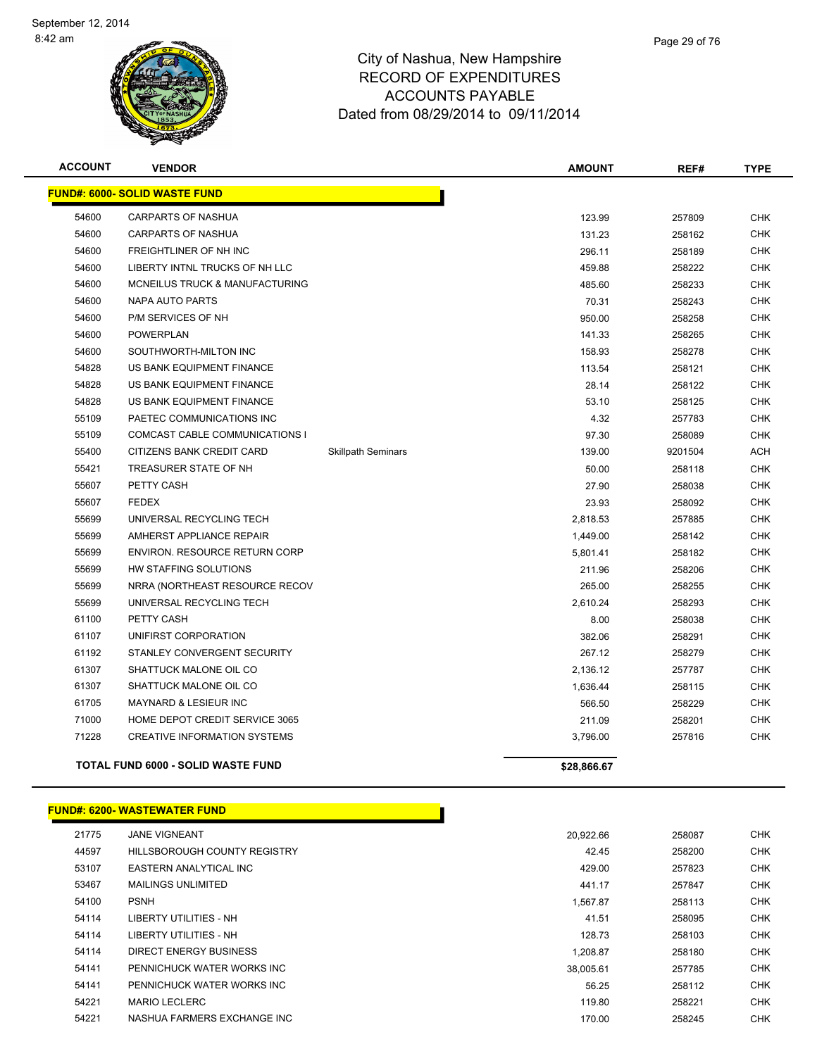

| <b>ACCOUNT</b> | <b>VENDOR</b>                             |                           | <b>AMOUNT</b> | REF#    | <b>TYPE</b> |
|----------------|-------------------------------------------|---------------------------|---------------|---------|-------------|
|                | <b>FUND#: 6000- SOLID WASTE FUND</b>      |                           |               |         |             |
| 54600          | <b>CARPARTS OF NASHUA</b>                 |                           | 123.99        | 257809  | <b>CHK</b>  |
| 54600          | <b>CARPARTS OF NASHUA</b>                 |                           | 131.23        | 258162  | <b>CHK</b>  |
| 54600          | <b>FREIGHTLINER OF NH INC</b>             |                           | 296.11        | 258189  | <b>CHK</b>  |
| 54600          | LIBERTY INTNL TRUCKS OF NH LLC            |                           | 459.88        | 258222  | <b>CHK</b>  |
| 54600          | MCNEILUS TRUCK & MANUFACTURING            |                           | 485.60        | 258233  | <b>CHK</b>  |
| 54600          | NAPA AUTO PARTS                           |                           | 70.31         | 258243  | CHK         |
| 54600          | P/M SERVICES OF NH                        |                           | 950.00        | 258258  | <b>CHK</b>  |
| 54600          | <b>POWERPLAN</b>                          |                           | 141.33        | 258265  | <b>CHK</b>  |
| 54600          | SOUTHWORTH-MILTON INC                     |                           | 158.93        | 258278  | <b>CHK</b>  |
| 54828          | US BANK EQUIPMENT FINANCE                 |                           | 113.54        | 258121  | <b>CHK</b>  |
| 54828          | US BANK EQUIPMENT FINANCE                 |                           | 28.14         | 258122  | <b>CHK</b>  |
| 54828          | US BANK EQUIPMENT FINANCE                 |                           | 53.10         | 258125  | <b>CHK</b>  |
| 55109          | PAETEC COMMUNICATIONS INC                 |                           | 4.32          | 257783  | <b>CHK</b>  |
| 55109          | COMCAST CABLE COMMUNICATIONS I            |                           | 97.30         | 258089  | CHK         |
| 55400          | CITIZENS BANK CREDIT CARD                 | <b>Skillpath Seminars</b> | 139.00        | 9201504 | <b>ACH</b>  |
| 55421          | TREASURER STATE OF NH                     |                           | 50.00         | 258118  | <b>CHK</b>  |
| 55607          | PETTY CASH                                |                           | 27.90         | 258038  | <b>CHK</b>  |
| 55607          | <b>FEDEX</b>                              |                           | 23.93         | 258092  | <b>CHK</b>  |
| 55699          | UNIVERSAL RECYCLING TECH                  |                           | 2,818.53      | 257885  | <b>CHK</b>  |
| 55699          | AMHERST APPLIANCE REPAIR                  |                           | 1,449.00      | 258142  | <b>CHK</b>  |
| 55699          | <b>ENVIRON. RESOURCE RETURN CORP</b>      |                           | 5,801.41      | 258182  | <b>CHK</b>  |
| 55699          | HW STAFFING SOLUTIONS                     |                           | 211.96        | 258206  | <b>CHK</b>  |
| 55699          | NRRA (NORTHEAST RESOURCE RECOV            |                           | 265.00        | 258255  | <b>CHK</b>  |
| 55699          | UNIVERSAL RECYCLING TECH                  |                           | 2,610.24      | 258293  | <b>CHK</b>  |
| 61100          | PETTY CASH                                |                           | 8.00          | 258038  | <b>CHK</b>  |
| 61107          | UNIFIRST CORPORATION                      |                           | 382.06        | 258291  | <b>CHK</b>  |
| 61192          | STANLEY CONVERGENT SECURITY               |                           | 267.12        | 258279  | <b>CHK</b>  |
| 61307          | SHATTUCK MALONE OIL CO                    |                           | 2,136.12      | 257787  | <b>CHK</b>  |
| 61307          | SHATTUCK MALONE OIL CO                    |                           | 1,636.44      | 258115  | <b>CHK</b>  |
| 61705          | <b>MAYNARD &amp; LESIEUR INC</b>          |                           | 566.50        | 258229  | <b>CHK</b>  |
| 71000          | HOME DEPOT CREDIT SERVICE 3065            |                           | 211.09        | 258201  | <b>CHK</b>  |
| 71228          | <b>CREATIVE INFORMATION SYSTEMS</b>       |                           | 3,796.00      | 257816  | <b>CHK</b>  |
|                | <b>TOTAL FUND 6000 - SOLID WASTE FUND</b> |                           | \$28,866.67   |         |             |

#### **FUND#: 6200- WASTEWATER FUND**

| 21775 | <b>JANE VIGNEANT</b>         | 20.922.66 | 258087 | <b>CHK</b> |
|-------|------------------------------|-----------|--------|------------|
| 44597 | HILLSBOROUGH COUNTY REGISTRY | 42.45     | 258200 | <b>CHK</b> |
| 53107 | EASTERN ANALYTICAL INC       | 429.00    | 257823 | <b>CHK</b> |
| 53467 | <b>MAILINGS UNLIMITED</b>    | 441.17    | 257847 | <b>CHK</b> |
| 54100 | <b>PSNH</b>                  | 1.567.87  | 258113 | <b>CHK</b> |
| 54114 | LIBERTY UTILITIES - NH       | 41.51     | 258095 | <b>CHK</b> |
| 54114 | LIBERTY UTILITIES - NH       | 128.73    | 258103 | <b>CHK</b> |
| 54114 | DIRECT ENERGY BUSINESS       | 1.208.87  | 258180 | <b>CHK</b> |
| 54141 | PENNICHUCK WATER WORKS INC   | 38.005.61 | 257785 | <b>CHK</b> |
| 54141 | PENNICHUCK WATER WORKS INC   | 56.25     | 258112 | <b>CHK</b> |
| 54221 | <b>MARIO LECLERC</b>         | 119.80    | 258221 | <b>CHK</b> |
| 54221 | NASHUA FARMERS EXCHANGE INC  | 170.00    | 258245 | <b>CHK</b> |
|       |                              |           |        |            |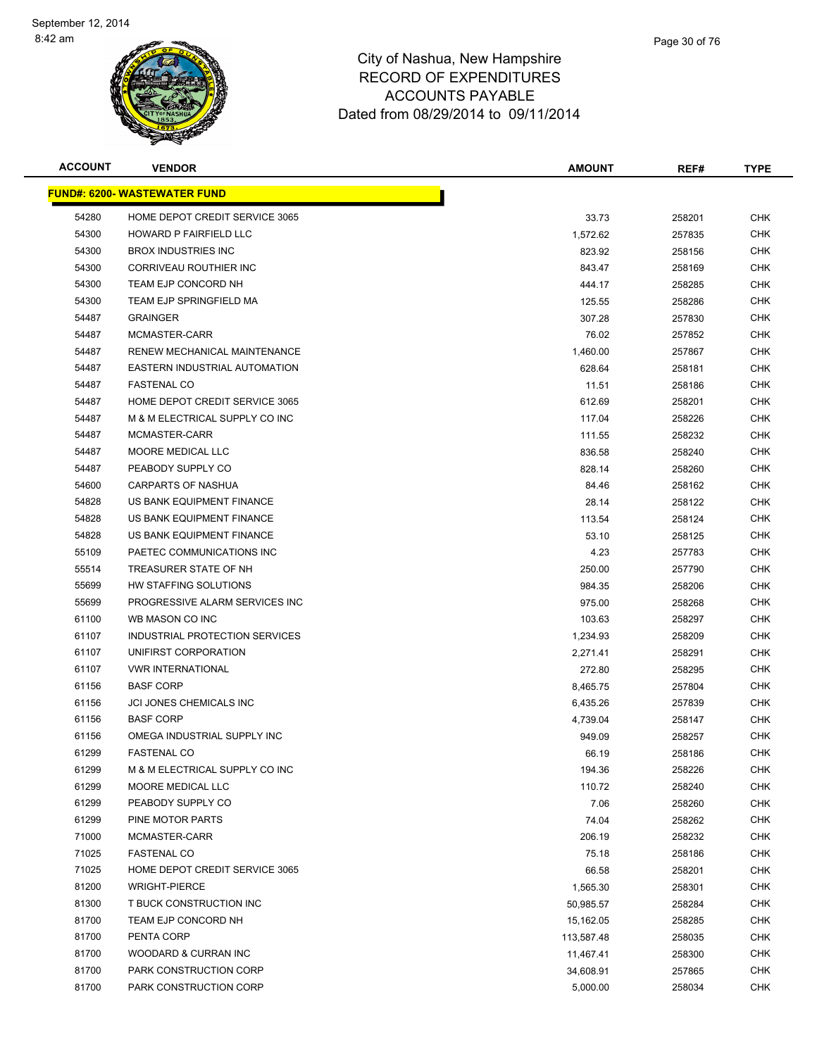

| <b>ACCOUNT</b> | <b>VENDOR</b>                        | <b>AMOUNT</b> | REF#   | <b>TYPE</b> |
|----------------|--------------------------------------|---------------|--------|-------------|
|                | <u> FUND#: 6200- WASTEWATER FUND</u> |               |        |             |
| 54280          | HOME DEPOT CREDIT SERVICE 3065       | 33.73         | 258201 | <b>CHK</b>  |
| 54300          | HOWARD P FAIRFIELD LLC               | 1,572.62      | 257835 | <b>CHK</b>  |
| 54300          | <b>BROX INDUSTRIES INC</b>           | 823.92        | 258156 | <b>CHK</b>  |
| 54300          | CORRIVEAU ROUTHIER INC               | 843.47        | 258169 | CHK         |
| 54300          | TEAM EJP CONCORD NH                  | 444.17        | 258285 | <b>CHK</b>  |
| 54300          | TEAM EJP SPRINGFIELD MA              | 125.55        | 258286 | <b>CHK</b>  |
| 54487          | <b>GRAINGER</b>                      | 307.28        | 257830 | CHK         |
| 54487          | MCMASTER-CARR                        | 76.02         | 257852 | <b>CHK</b>  |
| 54487          | RENEW MECHANICAL MAINTENANCE         | 1,460.00      | 257867 | CHK         |
| 54487          | EASTERN INDUSTRIAL AUTOMATION        | 628.64        | 258181 | CHK         |
| 54487          | <b>FASTENAL CO</b>                   | 11.51         | 258186 | CHK         |
| 54487          | HOME DEPOT CREDIT SERVICE 3065       | 612.69        | 258201 | CHK         |
| 54487          | M & M ELECTRICAL SUPPLY CO INC       | 117.04        | 258226 | CHK         |
| 54487          | MCMASTER-CARR                        | 111.55        | 258232 | <b>CHK</b>  |
| 54487          | MOORE MEDICAL LLC                    | 836.58        | 258240 | CHK         |
| 54487          | PEABODY SUPPLY CO                    | 828.14        | 258260 | <b>CHK</b>  |
| 54600          | <b>CARPARTS OF NASHUA</b>            | 84.46         | 258162 | <b>CHK</b>  |
| 54828          | US BANK EQUIPMENT FINANCE            | 28.14         | 258122 | CHK         |
| 54828          | US BANK EQUIPMENT FINANCE            | 113.54        | 258124 | <b>CHK</b>  |
| 54828          | US BANK EQUIPMENT FINANCE            | 53.10         | 258125 | CHK         |
| 55109          | PAETEC COMMUNICATIONS INC            | 4.23          | 257783 | <b>CHK</b>  |
| 55514          | TREASURER STATE OF NH                | 250.00        | 257790 | <b>CHK</b>  |
| 55699          | HW STAFFING SOLUTIONS                | 984.35        | 258206 | CHK         |
| 55699          | PROGRESSIVE ALARM SERVICES INC       | 975.00        | 258268 | CHK         |
| 61100          | WB MASON CO INC                      | 103.63        | 258297 | <b>CHK</b>  |
| 61107          | INDUSTRIAL PROTECTION SERVICES       | 1,234.93      | 258209 | <b>CHK</b>  |
| 61107          | UNIFIRST CORPORATION                 | 2,271.41      | 258291 | CHK         |
| 61107          | <b>VWR INTERNATIONAL</b>             | 272.80        | 258295 | <b>CHK</b>  |
| 61156          | <b>BASF CORP</b>                     | 8,465.75      | 257804 | CHK         |
| 61156          | JCI JONES CHEMICALS INC              | 6,435.26      | 257839 | <b>CHK</b>  |
| 61156          | <b>BASF CORP</b>                     | 4,739.04      | 258147 | CHK         |
| 61156          | OMEGA INDUSTRIAL SUPPLY INC          | 949.09        | 258257 | CHK         |
| 61299          | <b>FASTENAL CO</b>                   | 66.19         | 258186 | <b>CHK</b>  |
| 61299          | M & M ELECTRICAL SUPPLY CO INC       | 194.36        | 258226 | <b>CHK</b>  |
| 61299          | MOORE MEDICAL LLC                    | 110.72        | 258240 | <b>CHK</b>  |
| 61299          | PEABODY SUPPLY CO                    | 7.06          | 258260 | <b>CHK</b>  |
| 61299          | PINE MOTOR PARTS                     | 74.04         | 258262 | <b>CHK</b>  |
| 71000          | MCMASTER-CARR                        | 206.19        | 258232 | <b>CHK</b>  |
| 71025          | <b>FASTENAL CO</b>                   | 75.18         | 258186 | <b>CHK</b>  |
| 71025          | HOME DEPOT CREDIT SERVICE 3065       | 66.58         | 258201 | <b>CHK</b>  |
| 81200          | <b>WRIGHT-PIERCE</b>                 | 1,565.30      | 258301 | <b>CHK</b>  |
| 81300          | T BUCK CONSTRUCTION INC              | 50,985.57     | 258284 | <b>CHK</b>  |
| 81700          | TEAM EJP CONCORD NH                  | 15,162.05     | 258285 | <b>CHK</b>  |
| 81700          | PENTA CORP                           | 113,587.48    | 258035 | <b>CHK</b>  |
| 81700          | WOODARD & CURRAN INC                 | 11,467.41     | 258300 | <b>CHK</b>  |
| 81700          | PARK CONSTRUCTION CORP               | 34,608.91     | 257865 | CHK         |
| 81700          | PARK CONSTRUCTION CORP               | 5,000.00      | 258034 | <b>CHK</b>  |
|                |                                      |               |        |             |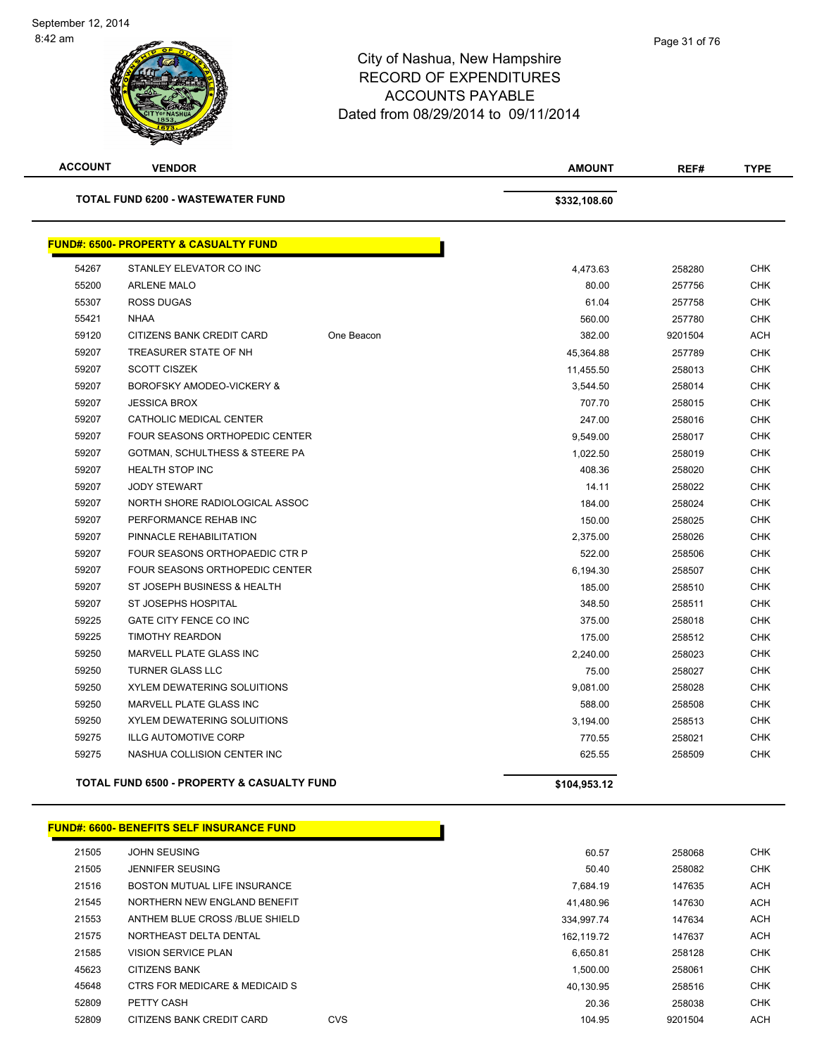| <b>ACCOUNT</b> | <b>VENDOR</b>                                         |            | <b>AMOUNT</b> | REF#    | <b>TYPE</b> |
|----------------|-------------------------------------------------------|------------|---------------|---------|-------------|
|                | TOTAL FUND 6200 - WASTEWATER FUND                     |            | \$332,108.60  |         |             |
|                | <b>FUND#: 6500- PROPERTY &amp; CASUALTY FUND</b>      |            |               |         |             |
| 54267          | STANLEY ELEVATOR CO INC                               |            | 4,473.63      | 258280  | <b>CHK</b>  |
| 55200          | <b>ARLENE MALO</b>                                    |            | 80.00         | 257756  | <b>CHK</b>  |
| 55307          | <b>ROSS DUGAS</b>                                     |            | 61.04         | 257758  | <b>CHK</b>  |
| 55421          | <b>NHAA</b>                                           |            | 560.00        | 257780  | <b>CHK</b>  |
| 59120          | CITIZENS BANK CREDIT CARD                             | One Beacon | 382.00        | 9201504 | <b>ACH</b>  |
| 59207          | TREASURER STATE OF NH                                 |            | 45,364.88     | 257789  | <b>CHK</b>  |
| 59207          | <b>SCOTT CISZEK</b>                                   |            | 11,455.50     | 258013  | <b>CHK</b>  |
| 59207          | BOROFSKY AMODEO-VICKERY &                             |            | 3,544.50      | 258014  | <b>CHK</b>  |
| 59207          | <b>JESSICA BROX</b>                                   |            | 707.70        | 258015  | <b>CHK</b>  |
| 59207          | CATHOLIC MEDICAL CENTER                               |            | 247.00        | 258016  | <b>CHK</b>  |
| 59207          | <b>FOUR SEASONS ORTHOPEDIC CENTER</b>                 |            | 9,549.00      | 258017  | <b>CHK</b>  |
| 59207          | GOTMAN, SCHULTHESS & STEERE PA                        |            | 1,022.50      | 258019  | <b>CHK</b>  |
| 59207          | <b>HEALTH STOP INC</b>                                |            | 408.36        | 258020  | <b>CHK</b>  |
| 59207          | <b>JODY STEWART</b>                                   |            | 14.11         | 258022  | <b>CHK</b>  |
| 59207          | NORTH SHORE RADIOLOGICAL ASSOC                        |            | 184.00        | 258024  | <b>CHK</b>  |
| 59207          | PERFORMANCE REHAB INC                                 |            | 150.00        | 258025  | <b>CHK</b>  |
| 59207          | PINNACLE REHABILITATION                               |            | 2,375.00      | 258026  | <b>CHK</b>  |
| 59207          | FOUR SEASONS ORTHOPAEDIC CTR P                        |            | 522.00        | 258506  | <b>CHK</b>  |
| 59207          | <b>FOUR SEASONS ORTHOPEDIC CENTER</b>                 |            | 6,194.30      | 258507  | <b>CHK</b>  |
| 59207          | ST JOSEPH BUSINESS & HEALTH                           |            | 185.00        | 258510  | <b>CHK</b>  |
| 59207          | ST JOSEPHS HOSPITAL                                   |            | 348.50        | 258511  | <b>CHK</b>  |
| 59225          | GATE CITY FENCE CO INC                                |            | 375.00        | 258018  | <b>CHK</b>  |
| 59225          | <b>TIMOTHY REARDON</b>                                |            | 175.00        | 258512  | <b>CHK</b>  |
| 59250          | MARVELL PLATE GLASS INC                               |            | 2,240.00      | 258023  | <b>CHK</b>  |
| 59250          | <b>TURNER GLASS LLC</b>                               |            | 75.00         | 258027  | <b>CHK</b>  |
| 59250          | <b>XYLEM DEWATERING SOLUITIONS</b>                    |            | 9,081.00      | 258028  | <b>CHK</b>  |
| 59250          | MARVELL PLATE GLASS INC                               |            | 588.00        | 258508  | <b>CHK</b>  |
| 59250          | XYLEM DEWATERING SOLUITIONS                           |            | 3,194.00      | 258513  | <b>CHK</b>  |
| 59275          | <b>ILLG AUTOMOTIVE CORP</b>                           |            | 770.55        | 258021  | <b>CHK</b>  |
| 59275          | NASHUA COLLISION CENTER INC                           |            | 625.55        | 258509  | <b>CHK</b>  |
|                | <b>TOTAL FUND 6500 - PROPERTY &amp; CASUALTY FUND</b> |            | \$104.953.12  |         |             |

|       | <b>FUND#: 6600- BENEFITS SELF INSURANCE FUND</b> |            |            |         |            |
|-------|--------------------------------------------------|------------|------------|---------|------------|
| 21505 | <b>JOHN SEUSING</b>                              |            | 60.57      | 258068  | <b>CHK</b> |
| 21505 | JENNIFER SEUSING                                 |            | 50.40      | 258082  | <b>CHK</b> |
| 21516 | BOSTON MUTUAL LIFE INSURANCE                     |            | 7.684.19   | 147635  | ACH        |
| 21545 | NORTHERN NEW ENGLAND BENEFIT                     |            | 41,480.96  | 147630  | ACH        |
| 21553 | ANTHEM BLUE CROSS /BLUE SHIELD                   |            | 334,997.74 | 147634  | ACH        |
| 21575 | NORTHEAST DELTA DENTAL                           |            | 162,119.72 | 147637  | ACH        |
| 21585 | <b>VISION SERVICE PLAN</b>                       |            | 6,650.81   | 258128  | <b>CHK</b> |
| 45623 | <b>CITIZENS BANK</b>                             |            | 1,500.00   | 258061  | <b>CHK</b> |
| 45648 | CTRS FOR MEDICARE & MEDICAID S                   |            | 40,130.95  | 258516  | <b>CHK</b> |
| 52809 | PETTY CASH                                       |            | 20.36      | 258038  | <b>CHK</b> |
| 52809 | CITIZENS BANK CREDIT CARD                        | <b>CVS</b> | 104.95     | 9201504 | ACH        |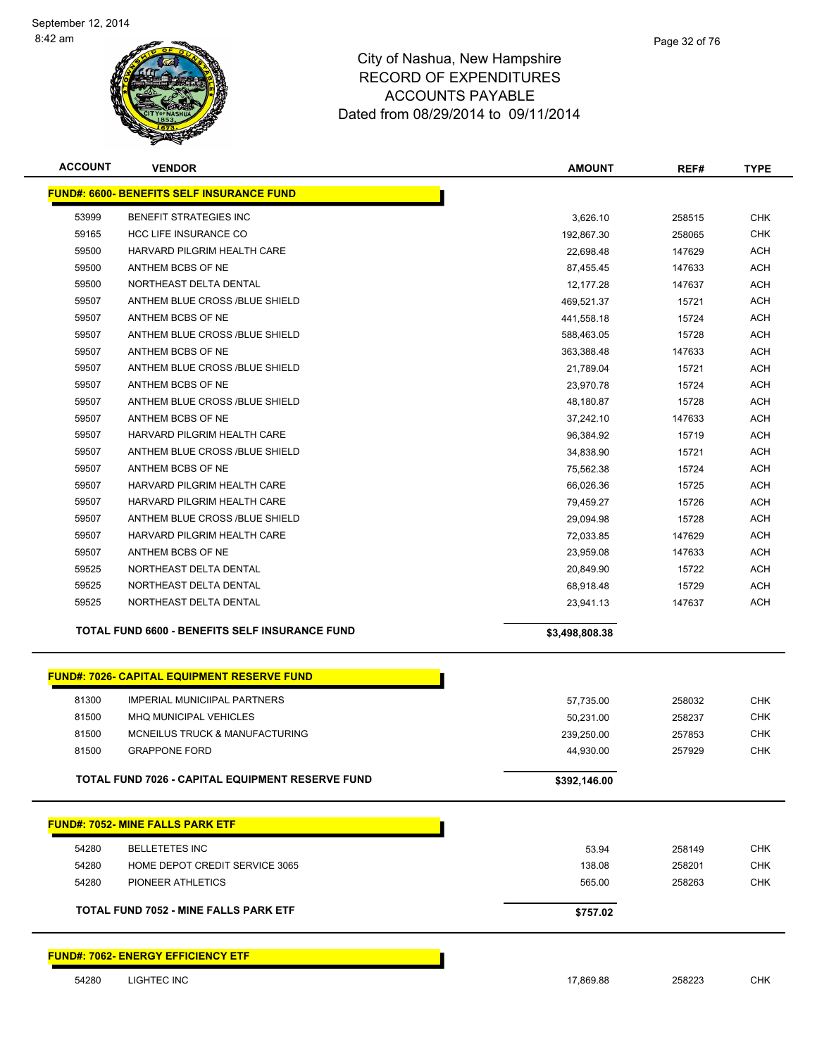

| <b>ACCOUNT</b> | <b>VENDOR</b>                                      | <b>AMOUNT</b>           | REF#             | <b>TYPE</b> |
|----------------|----------------------------------------------------|-------------------------|------------------|-------------|
|                | <b>FUND#: 6600- BENEFITS SELF INSURANCE FUND</b>   |                         |                  |             |
| 53999          | <b>BENEFIT STRATEGIES INC</b>                      | 3,626.10                | 258515           | <b>CHK</b>  |
| 59165          | <b>HCC LIFE INSURANCE CO</b>                       | 192,867.30              | 258065           | <b>CHK</b>  |
| 59500          | HARVARD PILGRIM HEALTH CARE                        | 22,698.48               | 147629           | <b>ACH</b>  |
| 59500          | ANTHEM BCBS OF NE                                  | 87,455.45               | 147633           | <b>ACH</b>  |
| 59500          | NORTHEAST DELTA DENTAL                             | 12,177.28               | 147637           | ACH         |
| 59507          | ANTHEM BLUE CROSS /BLUE SHIELD                     | 469,521.37              | 15721            | <b>ACH</b>  |
| 59507          | ANTHEM BCBS OF NE                                  | 441,558.18              | 15724            | ACH         |
| 59507          | ANTHEM BLUE CROSS /BLUE SHIELD                     | 588,463.05              | 15728            | ACH         |
| 59507          | ANTHEM BCBS OF NE                                  | 363,388.48              | 147633           | ACH         |
| 59507          | ANTHEM BLUE CROSS /BLUE SHIELD                     | 21,789.04               | 15721            | <b>ACH</b>  |
| 59507          | ANTHEM BCBS OF NE                                  | 23,970.78               | 15724            | ACH         |
| 59507          | ANTHEM BLUE CROSS /BLUE SHIELD                     | 48,180.87               | 15728            | ACH         |
| 59507          | ANTHEM BCBS OF NE                                  | 37,242.10               | 147633           | <b>ACH</b>  |
| 59507          | HARVARD PILGRIM HEALTH CARE                        | 96,384.92               | 15719            | <b>ACH</b>  |
| 59507          | ANTHEM BLUE CROSS /BLUE SHIELD                     | 34,838.90               | 15721            | <b>ACH</b>  |
| 59507          | ANTHEM BCBS OF NE                                  | 75,562.38               | 15724            | <b>ACH</b>  |
| 59507          | HARVARD PILGRIM HEALTH CARE                        | 66,026.36               | 15725            | <b>ACH</b>  |
| 59507          | HARVARD PILGRIM HEALTH CARE                        | 79,459.27               | 15726            | ACH         |
| 59507          | ANTHEM BLUE CROSS /BLUE SHIELD                     | 29,094.98               | 15728            | ACH         |
| 59507          | HARVARD PILGRIM HEALTH CARE                        | 72,033.85               | 147629           | <b>ACH</b>  |
| 59507          | ANTHEM BCBS OF NE                                  | 23,959.08               | 147633           | ACH         |
| 59525          | NORTHEAST DELTA DENTAL                             | 20,849.90               | 15722            | ACH         |
| 59525          | NORTHEAST DELTA DENTAL                             | 68,918.48               | 15729            | <b>ACH</b>  |
| 59525          | NORTHEAST DELTA DENTAL                             | 23,941.13               | 147637           | <b>ACH</b>  |
|                | TOTAL FUND 6600 - BENEFITS SELF INSURANCE FUND     | \$3,498,808.38          |                  |             |
|                | <b>FUND#: 7026- CAPITAL EQUIPMENT RESERVE FUND</b> |                         |                  |             |
|                | <b>IMPERIAL MUNICIIPAL PARTNERS</b>                |                         |                  | <b>CHK</b>  |
| 81300<br>81500 | MHQ MUNICIPAL VEHICLES                             | 57,735.00               | 258032           | <b>CHK</b>  |
| 81500          | MCNEILUS TRUCK & MANUFACTURING                     | 50,231.00               | 258237           | <b>CHK</b>  |
| 81500          | <b>GRAPPONE FORD</b>                               | 239,250.00<br>44,930.00 | 257853<br>257929 | <b>CHK</b>  |
|                |                                                    |                         |                  |             |
|                | TOTAL FUND 7026 - CAPITAL EQUIPMENT RESERVE FUND   | \$392,146.00            |                  |             |
|                | <b>FUND#: 7052- MINE FALLS PARK ETF</b>            |                         |                  |             |
| 54280          | <b>BELLETETES INC</b>                              | 53.94                   | 258149           | <b>CHK</b>  |
| 54280          | HOME DEPOT CREDIT SERVICE 3065                     | 138.08                  | 258201           | <b>CHK</b>  |
| 54280          | PIONEER ATHLETICS                                  | 565.00                  | 258263           | <b>CHK</b>  |
|                | <b>TOTAL FUND 7052 - MINE FALLS PARK ETF</b>       | \$757.02                |                  |             |
|                | <b>FUND#: 7062- ENERGY EFFICIENCY ETF</b>          |                         |                  |             |

LIGHTEC INC 17,869.88 258223 CHK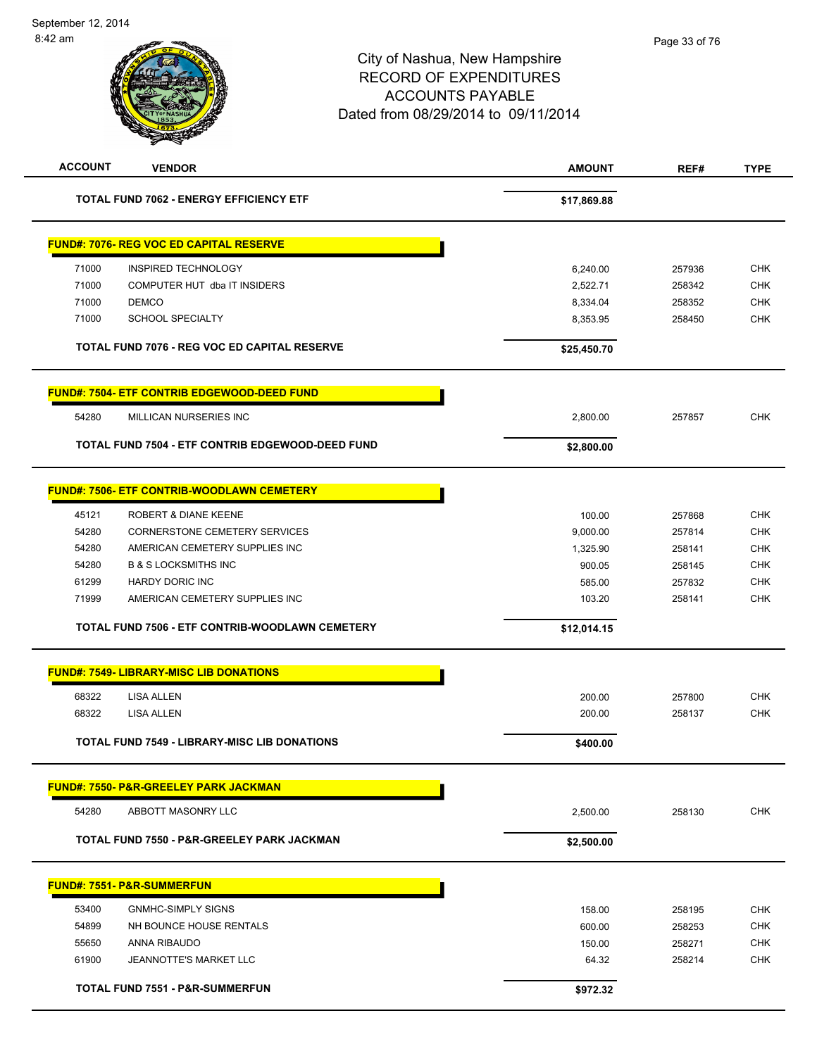

|       | <b>TOTAL FUND 7506 - ETF CONTRIB-WOODLAWN CEMETERY</b> | \$12,014.15 |        |     |
|-------|--------------------------------------------------------|-------------|--------|-----|
| 71999 | AMERICAN CEMETERY SUPPLIES INC                         | 103.20      | 258141 | CHK |
| 61299 | HARDY DORIC INC                                        | 585.00      | 257832 | CHK |
| 54280 | <b>B &amp; S LOCKSMITHS INC</b>                        | 900.05      | 258145 | CHK |
| 54280 | AMERICAN CEMETERY SUPPLIES INC                         | 1.325.90    | 258141 | CHK |

|       | <b>FUND#: 7549- LIBRARY-MISC LIB DONATIONS</b>      |          |        |            |
|-------|-----------------------------------------------------|----------|--------|------------|
| 68322 | LISA ALLEN                                          | 200.00   | 257800 | <b>CHK</b> |
| 68322 | LISA ALLEN                                          | 200.00   | 258137 | <b>CHK</b> |
|       | <b>TOTAL FUND 7549 - LIBRARY-MISC LIB DONATIONS</b> | \$400.00 |        |            |

**FUND#: 7550- P&R-GREELEY PARK JACKMAN**

54280 ABBOTT MASONRY LLC 2,500.00 258130 CHK

**TOTAL FUND 7550 - P&R-GREELEY PARK JACKMAN \$2,500.00** 

|       | <b>FUND#: 7551- P&amp;R-SUMMERFUN</b>      |          |        |            |
|-------|--------------------------------------------|----------|--------|------------|
| 53400 | <b>GNMHC-SIMPLY SIGNS</b>                  | 158.00   | 258195 | <b>CHK</b> |
| 54899 | NH BOUNCE HOUSE RENTALS                    | 600.00   | 258253 | <b>CHK</b> |
| 55650 | ANNA RIBAUDO                               | 150.00   | 258271 | <b>CHK</b> |
| 61900 | JEANNOTTE'S MARKET LLC                     | 64.32    | 258214 | <b>CHK</b> |
|       | <b>TOTAL FUND 7551 - P&amp;R-SUMMERFUN</b> | \$972.32 |        |            |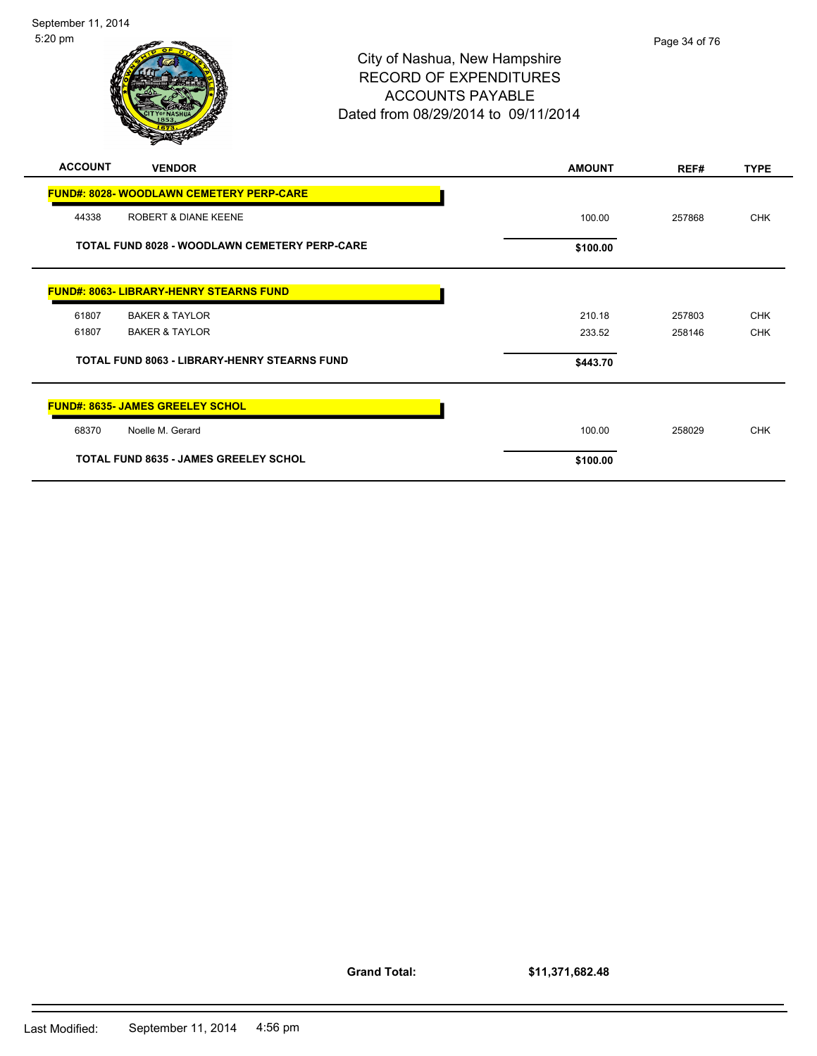

| <b>ACCOUNT</b><br><b>VENDOR</b>                      | <b>AMOUNT</b> | REF#   | <b>TYPE</b> |
|------------------------------------------------------|---------------|--------|-------------|
| <b>FUND#: 8028- WOODLAWN CEMETERY PERP-CARE</b>      |               |        |             |
| 44338<br>ROBERT & DIANE KEENE                        | 100.00        | 257868 | <b>CHK</b>  |
| <b>TOTAL FUND 8028 - WOODLAWN CEMETERY PERP-CARE</b> | \$100.00      |        |             |
| <b>FUND#: 8063- LIBRARY-HENRY STEARNS FUND</b>       |               |        |             |
| 61807<br><b>BAKER &amp; TAYLOR</b>                   | 210.18        | 257803 | <b>CHK</b>  |
| 61807<br><b>BAKER &amp; TAYLOR</b>                   | 233.52        | 258146 | <b>CHK</b>  |
| <b>TOTAL FUND 8063 - LIBRARY-HENRY STEARNS FUND</b>  | \$443.70      |        |             |
| <b>FUND#: 8635- JAMES GREELEY SCHOL</b>              |               |        |             |
| Noelle M. Gerard<br>68370                            | 100.00        | 258029 | <b>CHK</b>  |
| <b>TOTAL FUND 8635 - JAMES GREELEY SCHOL</b>         | \$100.00      |        |             |

**Grand Total:**

**\$11,371,682.48**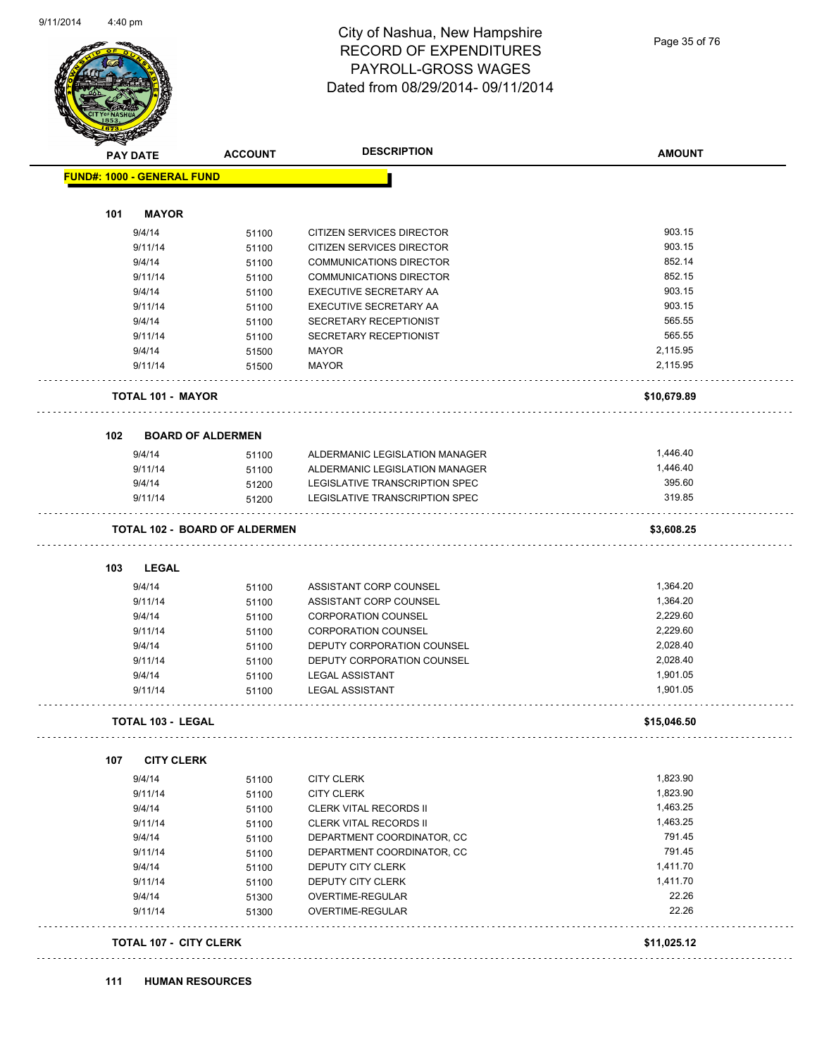

#### City of Nashua, New Hampshire RECORD OF EXPENDITURES PAYROLL-GROSS WAGES Dated from 08/29/2014- 09/11/2014

Page 35 of 76

| <b>PAY DATE</b>                      | <b>ACCOUNT</b> | <b>DESCRIPTION</b>               | <b>AMOUNT</b> |
|--------------------------------------|----------------|----------------------------------|---------------|
| <b>FUND#: 1000 - GENERAL FUND</b>    |                |                                  |               |
| 101<br><b>MAYOR</b>                  |                |                                  |               |
| 9/4/14                               | 51100          | <b>CITIZEN SERVICES DIRECTOR</b> | 903.15        |
| 9/11/14                              | 51100          | CITIZEN SERVICES DIRECTOR        | 903.15        |
| 9/4/14                               | 51100          | <b>COMMUNICATIONS DIRECTOR</b>   | 852.14        |
| 9/11/14                              | 51100          | <b>COMMUNICATIONS DIRECTOR</b>   | 852.15        |
| 9/4/14                               | 51100          | EXECUTIVE SECRETARY AA           | 903.15        |
| 9/11/14                              | 51100          | EXECUTIVE SECRETARY AA           | 903.15        |
| 9/4/14                               | 51100          | SECRETARY RECEPTIONIST           | 565.55        |
| 9/11/14                              | 51100          | SECRETARY RECEPTIONIST           | 565.55        |
| 9/4/14                               | 51500          | <b>MAYOR</b>                     | 2,115.95      |
| 9/11/14                              | 51500          | <b>MAYOR</b>                     | 2,115.95      |
|                                      |                |                                  |               |
| <b>TOTAL 101 - MAYOR</b>             |                |                                  | \$10,679.89   |
| 102<br><b>BOARD OF ALDERMEN</b>      |                |                                  |               |
| 9/4/14                               | 51100          | ALDERMANIC LEGISLATION MANAGER   | 1,446.40      |
| 9/11/14                              | 51100          | ALDERMANIC LEGISLATION MANAGER   | 1,446.40      |
| 9/4/14                               | 51200          | LEGISLATIVE TRANSCRIPTION SPEC   | 395.60        |
| 9/11/14                              | 51200          | LEGISLATIVE TRANSCRIPTION SPEC   | 319.85        |
| <b>TOTAL 102 - BOARD OF ALDERMEN</b> |                |                                  | \$3,608.25    |
| 103<br><b>LEGAL</b>                  |                |                                  |               |
| 9/4/14                               | 51100          | ASSISTANT CORP COUNSEL           | 1,364.20      |
| 9/11/14                              | 51100          | ASSISTANT CORP COUNSEL           | 1,364.20      |
| 9/4/14                               | 51100          | <b>CORPORATION COUNSEL</b>       | 2,229.60      |
| 9/11/14                              | 51100          | <b>CORPORATION COUNSEL</b>       | 2,229.60      |
| 9/4/14                               | 51100          | DEPUTY CORPORATION COUNSEL       | 2,028.40      |
| 9/11/14                              | 51100          | DEPUTY CORPORATION COUNSEL       | 2,028.40      |
| 9/4/14                               | 51100          | <b>LEGAL ASSISTANT</b>           | 1,901.05      |
| 9/11/14                              | 51100          | <b>LEGAL ASSISTANT</b>           | 1,901.05      |
| <b>TOTAL 103 - LEGAL</b>             |                |                                  | \$15,046.50   |
| 107<br><b>CITY CLERK</b>             |                |                                  |               |
| 9/4/14                               | 51100          | <b>CITY CLERK</b>                | 1,823.90      |
| 9/11/14                              | 51100          | <b>CITY CLERK</b>                | 1,823.90      |
| 9/4/14                               | 51100          | <b>CLERK VITAL RECORDS II</b>    | 1,463.25      |
| 9/11/14                              | 51100          | <b>CLERK VITAL RECORDS II</b>    | 1,463.25      |
| 9/4/14                               | 51100          | DEPARTMENT COORDINATOR, CC       | 791.45        |
| 9/11/14                              | 51100          | DEPARTMENT COORDINATOR, CC       | 791.45        |
| 9/4/14                               | 51100          | DEPUTY CITY CLERK                | 1,411.70      |
| 9/11/14                              | 51100          | DEPUTY CITY CLERK                | 1,411.70      |
| 9/4/14                               | 51300          | OVERTIME-REGULAR                 | 22.26         |
| 9/11/14                              | 51300          | OVERTIME-REGULAR                 | 22.26         |
|                                      |                |                                  |               |

#### **111 HUMAN RESOURCES**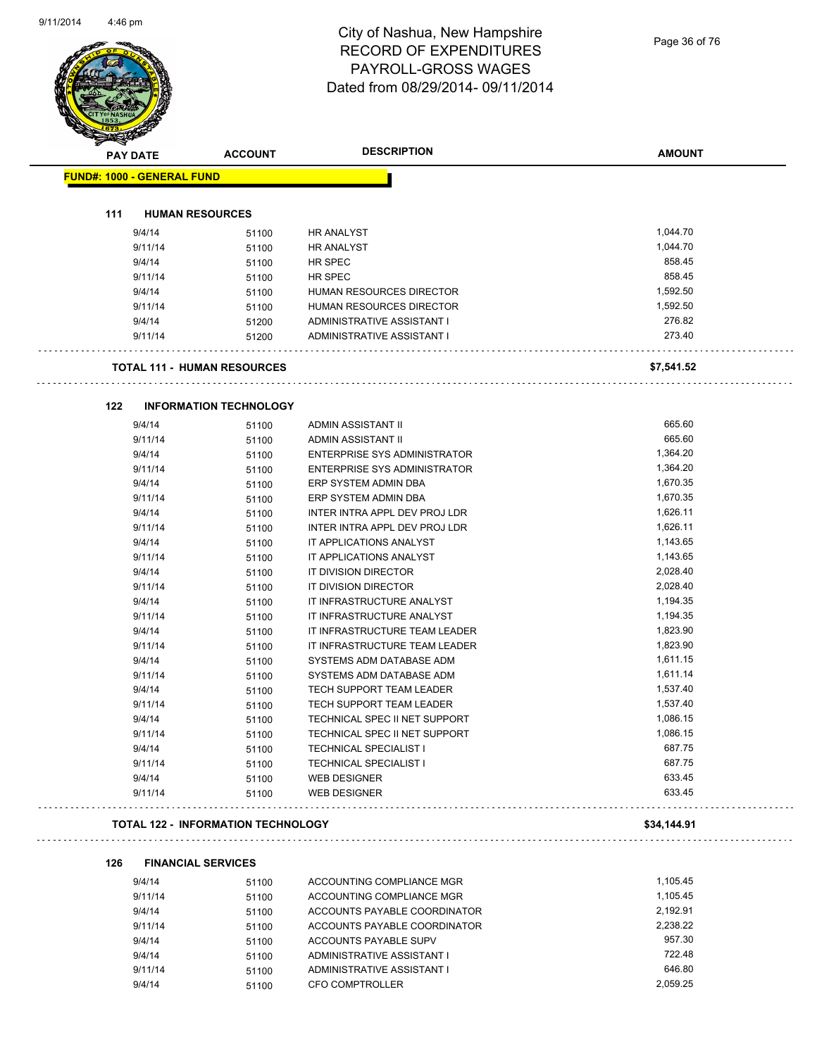#### City of Nashua, New Hampshire RECORD OF EXPENDITURES PAYROLL-GROSS WAGES Dated from 08/29/2014- 09/11/2014

Page 36 of 76

| <b>PAY DATE</b>                   | <b>ACCOUNT</b>                            | <b>DESCRIPTION</b>                  | <b>AMOUNT</b> |
|-----------------------------------|-------------------------------------------|-------------------------------------|---------------|
| <b>FUND#: 1000 - GENERAL FUND</b> |                                           |                                     |               |
|                                   |                                           |                                     |               |
| 111                               | <b>HUMAN RESOURCES</b>                    |                                     |               |
| 9/4/14                            | 51100                                     | HR ANALYST                          | 1,044.70      |
| 9/11/14                           | 51100                                     | HR ANALYST                          | 1,044.70      |
| 9/4/14                            | 51100                                     | HR SPEC                             | 858.45        |
| 9/11/14                           | 51100                                     | HR SPEC                             | 858.45        |
| 9/4/14                            | 51100                                     | HUMAN RESOURCES DIRECTOR            | 1,592.50      |
| 9/11/14                           | 51100                                     | HUMAN RESOURCES DIRECTOR            | 1,592.50      |
| 9/4/14                            | 51200                                     | ADMINISTRATIVE ASSISTANT I          | 276.82        |
| 9/11/14                           | 51200                                     | ADMINISTRATIVE ASSISTANT I          | 273.40        |
|                                   | <b>TOTAL 111 - HUMAN RESOURCES</b>        |                                     | \$7,541.52    |
| 122                               | <b>INFORMATION TECHNOLOGY</b>             |                                     |               |
| 9/4/14                            | 51100                                     | ADMIN ASSISTANT II                  | 665.60        |
| 9/11/14                           | 51100                                     | ADMIN ASSISTANT II                  | 665.60        |
| 9/4/14                            | 51100                                     | <b>ENTERPRISE SYS ADMINISTRATOR</b> | 1,364.20      |
| 9/11/14                           | 51100                                     | <b>ENTERPRISE SYS ADMINISTRATOR</b> | 1,364.20      |
| 9/4/14                            | 51100                                     | ERP SYSTEM ADMIN DBA                | 1,670.35      |
| 9/11/14                           | 51100                                     | ERP SYSTEM ADMIN DBA                | 1,670.35      |
| 9/4/14                            | 51100                                     | INTER INTRA APPL DEV PROJ LDR       | 1,626.11      |
| 9/11/14                           | 51100                                     | INTER INTRA APPL DEV PROJ LDR       | 1,626.11      |
| 9/4/14                            | 51100                                     | IT APPLICATIONS ANALYST             | 1,143.65      |
| 9/11/14                           | 51100                                     | IT APPLICATIONS ANALYST             | 1,143.65      |
| 9/4/14                            | 51100                                     | IT DIVISION DIRECTOR                | 2,028.40      |
| 9/11/14                           | 51100                                     | IT DIVISION DIRECTOR                | 2,028.40      |
| 9/4/14                            | 51100                                     | IT INFRASTRUCTURE ANALYST           | 1,194.35      |
| 9/11/14                           | 51100                                     | IT INFRASTRUCTURE ANALYST           | 1,194.35      |
| 9/4/14                            | 51100                                     | IT INFRASTRUCTURE TEAM LEADER       | 1,823.90      |
| 9/11/14                           | 51100                                     | IT INFRASTRUCTURE TEAM LEADER       | 1,823.90      |
| 9/4/14                            | 51100                                     | SYSTEMS ADM DATABASE ADM            | 1,611.15      |
| 9/11/14                           | 51100                                     | SYSTEMS ADM DATABASE ADM            | 1,611.14      |
| 9/4/14                            | 51100                                     | TECH SUPPORT TEAM LEADER            | 1,537.40      |
| 9/11/14                           | 51100                                     | TECH SUPPORT TEAM LEADER            | 1,537.40      |
| 9/4/14                            | 51100                                     | TECHNICAL SPEC II NET SUPPORT       | 1,086.15      |
| 9/11/14                           | 51100                                     | TECHNICAL SPEC II NET SUPPORT       | 1,086.15      |
| 9/4/14                            | 51100                                     | <b>TECHNICAL SPECIALIST I</b>       | 687.75        |
| 9/11/14                           | 51100                                     | <b>TECHNICAL SPECIALIST I</b>       | 687.75        |
| 9/4/14                            | 51100                                     | WEB DESIGNER                        | 633.45        |
| 9/11/14                           | 51100                                     | WEB DESIGNER                        | 633.45        |
|                                   | <b>TOTAL 122 - INFORMATION TECHNOLOGY</b> |                                     | \$34,144.91   |
| 126                               | <b>FINANCIAL SERVICES</b>                 |                                     |               |
| 9/4/14                            | 51100                                     | ACCOUNTING COMPLIANCE MGR           | 1,105.45      |
| 9/11/14                           | 51100                                     | ACCOUNTING COMPLIANCE MGR           | 1,105.45      |
| 9/4/14                            | 51100                                     | ACCOUNTS PAYABLE COORDINATOR        | 2,192.91      |
| 9/11/14                           | 51100                                     | ACCOUNTS PAYABLE COORDINATOR        | 2,238.22      |
| 9/4/14                            | 51100                                     | ACCOUNTS PAYABLE SUPV               | 957.30        |
| 9/4/14                            | 51100                                     | ADMINISTRATIVE ASSISTANT I          | 722.48        |
| 9/11/14                           | 51100                                     | ADMINISTRATIVE ASSISTANT I          | 646.80        |
|                                   |                                           |                                     |               |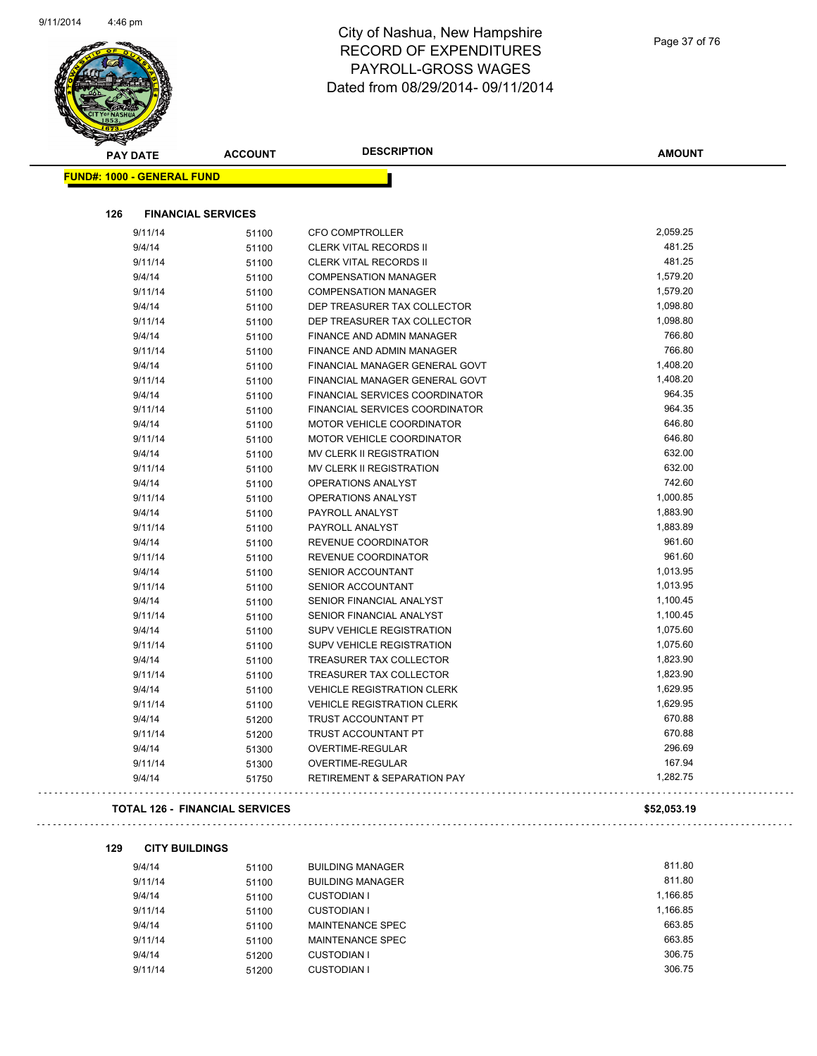

| T<br>B.<br><b>PAY DATE</b>        | <b>ACCOUNT</b>                        | <b>DESCRIPTION</b>                     | <b>AMOUNT</b> |
|-----------------------------------|---------------------------------------|----------------------------------------|---------------|
| <b>FUND#: 1000 - GENERAL FUND</b> |                                       |                                        |               |
|                                   |                                       |                                        |               |
| 126                               | <b>FINANCIAL SERVICES</b>             |                                        |               |
| 9/11/14                           | 51100                                 | <b>CFO COMPTROLLER</b>                 | 2,059.25      |
| 9/4/14                            | 51100                                 | <b>CLERK VITAL RECORDS II</b>          | 481.25        |
| 9/11/14                           | 51100                                 | <b>CLERK VITAL RECORDS II</b>          | 481.25        |
| 9/4/14                            | 51100                                 | <b>COMPENSATION MANAGER</b>            | 1,579.20      |
| 9/11/14                           | 51100                                 | <b>COMPENSATION MANAGER</b>            | 1,579.20      |
| 9/4/14                            | 51100                                 | DEP TREASURER TAX COLLECTOR            | 1,098.80      |
| 9/11/14                           | 51100                                 | DEP TREASURER TAX COLLECTOR            | 1,098.80      |
| 9/4/14                            | 51100                                 | FINANCE AND ADMIN MANAGER              | 766.80        |
| 9/11/14                           | 51100                                 | FINANCE AND ADMIN MANAGER              | 766.80        |
| 9/4/14                            | 51100                                 | FINANCIAL MANAGER GENERAL GOVT         | 1,408.20      |
| 9/11/14                           | 51100                                 | FINANCIAL MANAGER GENERAL GOVT         | 1,408.20      |
| 9/4/14                            | 51100                                 | FINANCIAL SERVICES COORDINATOR         | 964.35        |
| 9/11/14                           | 51100                                 | FINANCIAL SERVICES COORDINATOR         | 964.35        |
| 9/4/14                            | 51100                                 | <b>MOTOR VEHICLE COORDINATOR</b>       | 646.80        |
| 9/11/14                           | 51100                                 | MOTOR VEHICLE COORDINATOR              | 646.80        |
| 9/4/14                            | 51100                                 | MV CLERK II REGISTRATION               | 632.00        |
| 9/11/14                           | 51100                                 | MV CLERK II REGISTRATION               | 632.00        |
| 9/4/14                            | 51100                                 | <b>OPERATIONS ANALYST</b>              | 742.60        |
| 9/11/14                           | 51100                                 | OPERATIONS ANALYST                     | 1,000.85      |
| 9/4/14                            | 51100                                 | PAYROLL ANALYST                        | 1,883.90      |
| 9/11/14                           | 51100                                 | PAYROLL ANALYST                        | 1,883.89      |
| 9/4/14                            | 51100                                 | REVENUE COORDINATOR                    | 961.60        |
| 9/11/14                           | 51100                                 | REVENUE COORDINATOR                    | 961.60        |
| 9/4/14                            | 51100                                 | SENIOR ACCOUNTANT                      | 1,013.95      |
| 9/11/14                           | 51100                                 | SENIOR ACCOUNTANT                      | 1,013.95      |
| 9/4/14                            | 51100                                 | SENIOR FINANCIAL ANALYST               | 1,100.45      |
| 9/11/14                           | 51100                                 | SENIOR FINANCIAL ANALYST               | 1,100.45      |
| 9/4/14                            | 51100                                 | <b>SUPV VEHICLE REGISTRATION</b>       | 1,075.60      |
| 9/11/14                           | 51100                                 | <b>SUPV VEHICLE REGISTRATION</b>       | 1,075.60      |
| 9/4/14                            | 51100                                 | TREASURER TAX COLLECTOR                | 1,823.90      |
| 9/11/14                           | 51100                                 | TREASURER TAX COLLECTOR                | 1,823.90      |
| 9/4/14                            | 51100                                 | <b>VEHICLE REGISTRATION CLERK</b>      | 1,629.95      |
| 9/11/14                           | 51100                                 | <b>VEHICLE REGISTRATION CLERK</b>      | 1,629.95      |
| 9/4/14                            | 51200                                 | TRUST ACCOUNTANT PT                    | 670.88        |
| 9/11/14                           | 51200                                 | TRUST ACCOUNTANT PT                    | 670.88        |
| 9/4/14                            | 51300                                 | OVERTIME-REGULAR                       | 296.69        |
| 9/11/14                           | 51300                                 | OVERTIME-REGULAR                       | 167.94        |
| 9/4/14                            | 51750                                 | <b>RETIREMENT &amp; SEPARATION PAY</b> | 1,282.75      |
|                                   | <b>TOTAL 126 - FINANCIAL SERVICES</b> |                                        | \$52,053.19   |
| 129<br><b>CITY BUILDINGS</b>      |                                       |                                        |               |
| 9/4/14                            | 51100                                 | <b>BUILDING MANAGER</b>                | 811.80        |
| 9/11/14                           | 51100                                 | <b>BUILDING MANAGER</b>                | 811.80        |
| 9/4/14                            | 51100                                 | <b>CUSTODIAN I</b>                     | 1,166.85      |
| 9/11/14                           | 51100                                 | <b>CUSTODIAN I</b>                     | 1,166.85      |
| 9/4/14                            | 51100                                 | MAINTENANCE SPEC                       | 663.85        |
| 9/11/14                           | 51100                                 | MAINTENANCE SPEC                       | 663.85        |

9/4/14 51200 CUSTODIAN I 306.75

9/11/14 51200 CUSTODIAN I

Page 37 of 76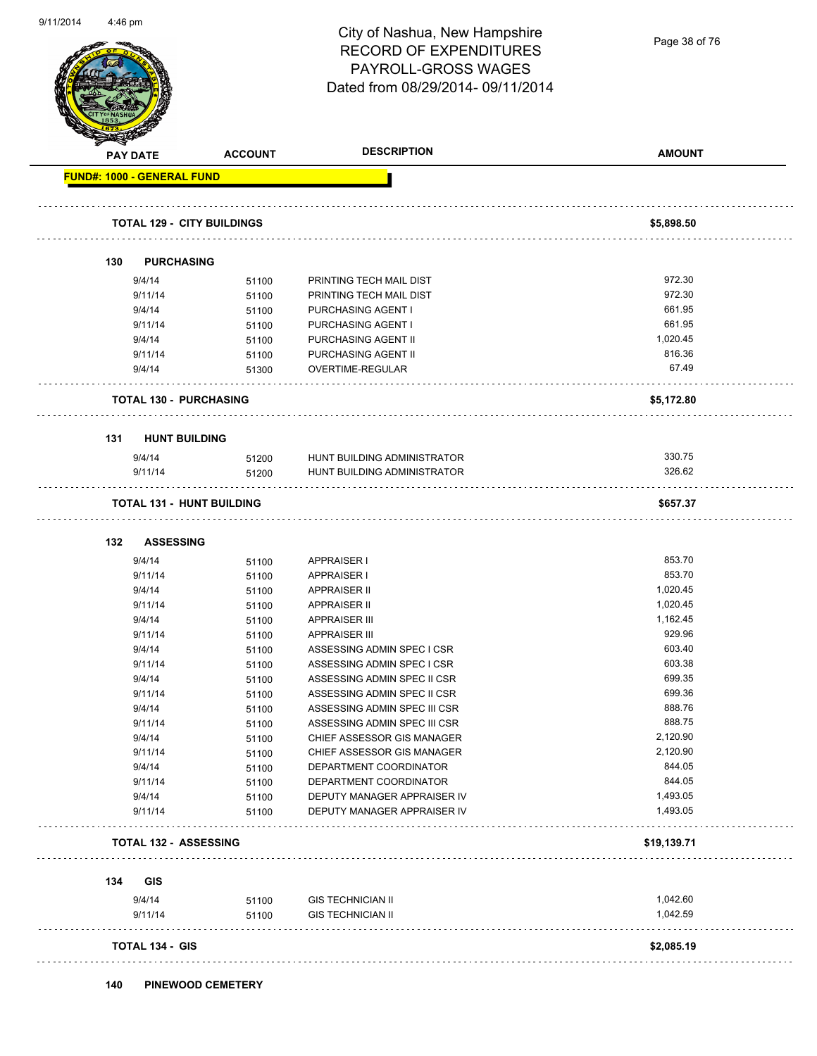Page 38 of 76

| <b>PAY DATE</b>                   | <b>ACCOUNT</b> | <b>DESCRIPTION</b>           | <b>AMOUNT</b> |
|-----------------------------------|----------------|------------------------------|---------------|
| <b>FUND#: 1000 - GENERAL FUND</b> |                |                              |               |
| <b>TOTAL 129 - CITY BUILDINGS</b> |                |                              | \$5,898.50    |
| <b>PURCHASING</b><br>130          |                |                              |               |
| 9/4/14                            | 51100          | PRINTING TECH MAIL DIST      | 972.30        |
| 9/11/14                           | 51100          | PRINTING TECH MAIL DIST      | 972.30        |
| 9/4/14                            | 51100          | PURCHASING AGENT I           | 661.95        |
| 9/11/14                           | 51100          | PURCHASING AGENT I           | 661.95        |
| 9/4/14                            | 51100          | PURCHASING AGENT II          | 1,020.45      |
| 9/11/14                           | 51100          | PURCHASING AGENT II          | 816.36        |
| 9/4/14                            | 51300          | OVERTIME-REGULAR             | 67.49         |
| <b>TOTAL 130 - PURCHASING</b>     |                |                              | \$5,172.80    |
| <b>HUNT BUILDING</b><br>131       |                |                              |               |
| 9/4/14                            | 51200          | HUNT BUILDING ADMINISTRATOR  | 330.75        |
| 9/11/14                           | 51200          | HUNT BUILDING ADMINISTRATOR  | 326.62        |
| <b>TOTAL 131 - HUNT BUILDING</b>  |                |                              | \$657.37      |
| <b>ASSESSING</b><br>132           |                |                              |               |
| 9/4/14                            | 51100          | APPRAISER I                  | 853.70        |
| 9/11/14                           | 51100          | <b>APPRAISER I</b>           | 853.70        |
| 9/4/14                            | 51100          | <b>APPRAISER II</b>          | 1,020.45      |
| 9/11/14                           | 51100          | APPRAISER II                 | 1,020.45      |
| 9/4/14                            | 51100          | <b>APPRAISER III</b>         | 1,162.45      |
| 9/11/14                           | 51100          | <b>APPRAISER III</b>         | 929.96        |
| 9/4/14                            | 51100          | ASSESSING ADMIN SPEC I CSR   | 603.40        |
| 9/11/14                           | 51100          | ASSESSING ADMIN SPEC I CSR   | 603.38        |
| 9/4/14                            | 51100          | ASSESSING ADMIN SPEC II CSR  | 699.35        |
| 9/11/14                           | 51100          | ASSESSING ADMIN SPEC II CSR  | 699.36        |
| 9/4/14                            | 51100          | ASSESSING ADMIN SPEC III CSR | 888.76        |
| 9/11/14                           | 51100          | ASSESSING ADMIN SPEC III CSR | 888.75        |
| 9/4/14                            | 51100          | CHIEF ASSESSOR GIS MANAGER   | 2,120.90      |
| 9/11/14                           | 51100          | CHIEF ASSESSOR GIS MANAGER   | 2,120.90      |
| 9/4/14                            | 51100          | DEPARTMENT COORDINATOR       | 844.05        |
| 9/11/14                           | 51100          | DEPARTMENT COORDINATOR       | 844.05        |
| 9/4/14                            | 51100          | DEPUTY MANAGER APPRAISER IV  | 1,493.05      |
| 9/11/14                           | 51100          | DEPUTY MANAGER APPRAISER IV  | 1,493.05      |
| <b>TOTAL 132 - ASSESSING</b>      |                |                              | \$19,139.71   |
| GIS<br>134                        |                |                              |               |
| 9/4/14                            | 51100          | <b>GIS TECHNICIAN II</b>     | 1,042.60      |
| 9/11/14                           | 51100          | <b>GIS TECHNICIAN II</b>     | 1,042.59      |
| <b>TOTAL 134 - GIS</b>            |                |                              | \$2,085.19    |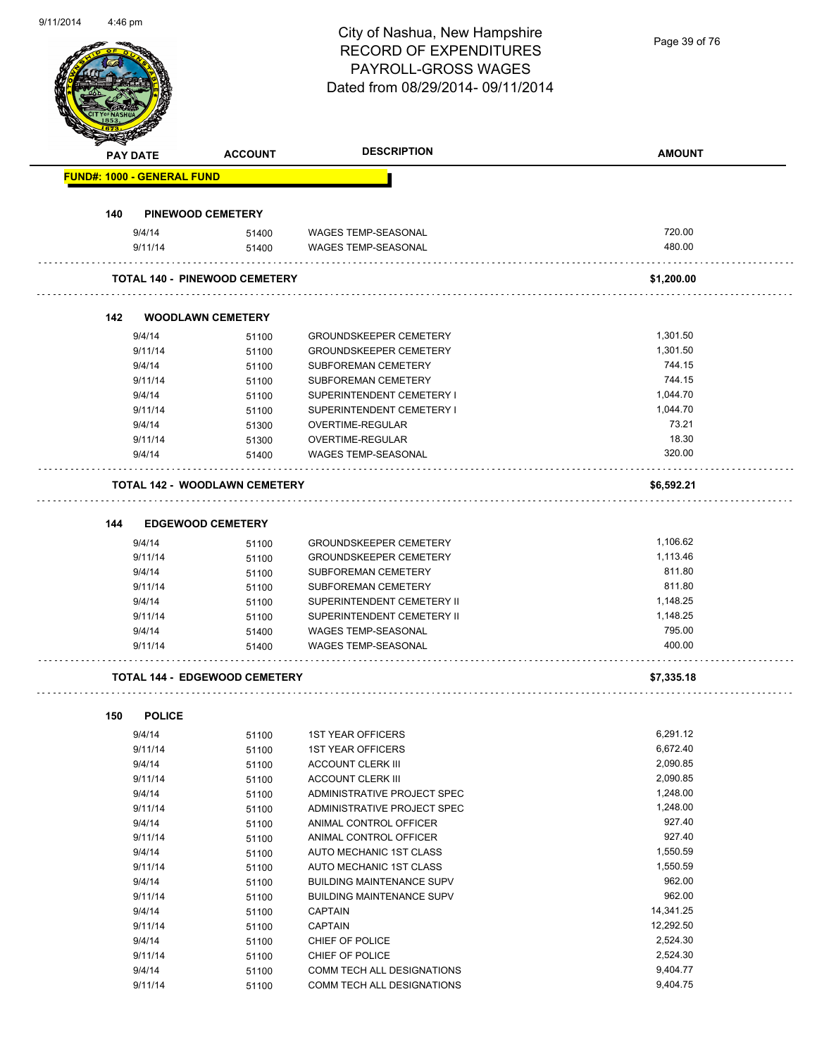Page 39 of 76

| <b>PAY DATE</b>                   | <b>ACCOUNT</b>                       | <b>DESCRIPTION</b>                                   | <b>AMOUNT</b> |
|-----------------------------------|--------------------------------------|------------------------------------------------------|---------------|
| <b>FUND#: 1000 - GENERAL FUND</b> |                                      |                                                      |               |
| 140                               | <b>PINEWOOD CEMETERY</b>             |                                                      |               |
| 9/4/14                            | 51400                                | WAGES TEMP-SEASONAL                                  | 720.00        |
| 9/11/14                           | 51400                                | <b>WAGES TEMP-SEASONAL</b>                           | 480.00        |
|                                   | <b>TOTAL 140 - PINEWOOD CEMETERY</b> |                                                      | \$1,200.00    |
| 142                               | <b>WOODLAWN CEMETERY</b>             |                                                      |               |
| 9/4/14                            | 51100                                | <b>GROUNDSKEEPER CEMETERY</b>                        | 1,301.50      |
| 9/11/14                           | 51100                                | <b>GROUNDSKEEPER CEMETERY</b>                        | 1,301.50      |
| 9/4/14                            | 51100                                | SUBFOREMAN CEMETERY                                  | 744.15        |
| 9/11/14                           | 51100                                | <b>SUBFOREMAN CEMETERY</b>                           | 744.15        |
| 9/4/14                            | 51100                                | SUPERINTENDENT CEMETERY I                            | 1,044.70      |
| 9/11/14                           | 51100                                | SUPERINTENDENT CEMETERY I                            | 1,044.70      |
| 9/4/14                            | 51300                                | OVERTIME-REGULAR                                     | 73.21         |
| 9/11/14                           | 51300                                | OVERTIME-REGULAR                                     | 18.30         |
| 9/4/14                            | 51400                                | <b>WAGES TEMP-SEASONAL</b>                           | 320.00        |
|                                   | <b>TOTAL 142 - WOODLAWN CEMETERY</b> |                                                      | \$6,592.21    |
| 144                               | <b>EDGEWOOD CEMETERY</b>             |                                                      |               |
| 9/4/14                            | 51100                                | <b>GROUNDSKEEPER CEMETERY</b>                        | 1,106.62      |
| 9/11/14                           | 51100                                | <b>GROUNDSKEEPER CEMETERY</b>                        | 1,113.46      |
| 9/4/14                            | 51100                                | <b>SUBFOREMAN CEMETERY</b>                           | 811.80        |
| 9/11/14                           | 51100                                | SUBFOREMAN CEMETERY                                  | 811.80        |
| 9/4/14                            | 51100                                | SUPERINTENDENT CEMETERY II                           | 1,148.25      |
| 9/11/14                           | 51100                                | SUPERINTENDENT CEMETERY II                           | 1,148.25      |
| 9/4/14                            | 51400                                | WAGES TEMP-SEASONAL                                  | 795.00        |
| 9/11/14                           | 51400                                | <b>WAGES TEMP-SEASONAL</b>                           | 400.00        |
|                                   | <b>TOTAL 144 - EDGEWOOD CEMETERY</b> |                                                      | \$7,335.18    |
|                                   |                                      |                                                      |               |
| 150<br><b>POLICE</b>              |                                      |                                                      | 6,291.12      |
| 9/4/14                            | 51100                                | <b>1ST YEAR OFFICERS</b>                             | 6,672.40      |
| 9/11/14<br>9/4/14                 | 51100                                | <b>1ST YEAR OFFICERS</b><br><b>ACCOUNT CLERK III</b> | 2,090.85      |
| 9/11/14                           | 51100<br>51100                       | <b>ACCOUNT CLERK III</b>                             | 2,090.85      |
| 9/4/14                            |                                      | ADMINISTRATIVE PROJECT SPEC                          | 1,248.00      |
| 9/11/14                           | 51100<br>51100                       | ADMINISTRATIVE PROJECT SPEC                          | 1,248.00      |
| 9/4/14                            |                                      | ANIMAL CONTROL OFFICER                               | 927.40        |
| 9/11/14                           | 51100<br>51100                       | ANIMAL CONTROL OFFICER                               | 927.40        |
| 9/4/14                            |                                      | AUTO MECHANIC 1ST CLASS                              | 1,550.59      |
| 9/11/14                           | 51100<br>51100                       | AUTO MECHANIC 1ST CLASS                              | 1,550.59      |
| 9/4/14                            | 51100                                | <b>BUILDING MAINTENANCE SUPV</b>                     | 962.00        |
| 9/11/14                           | 51100                                | <b>BUILDING MAINTENANCE SUPV</b>                     | 962.00        |
| 9/4/14                            | 51100                                | <b>CAPTAIN</b>                                       | 14,341.25     |
| 9/11/14                           | 51100                                | <b>CAPTAIN</b>                                       | 12,292.50     |
| 9/4/14                            | 51100                                | CHIEF OF POLICE                                      | 2,524.30      |
| 9/11/14                           | 51100                                | CHIEF OF POLICE                                      | 2,524.30      |
| 9/4/14                            | 51100                                | COMM TECH ALL DESIGNATIONS                           | 9,404.77      |
|                                   |                                      |                                                      |               |
| 9/11/14                           | 51100                                | COMM TECH ALL DESIGNATIONS                           | 9,404.75      |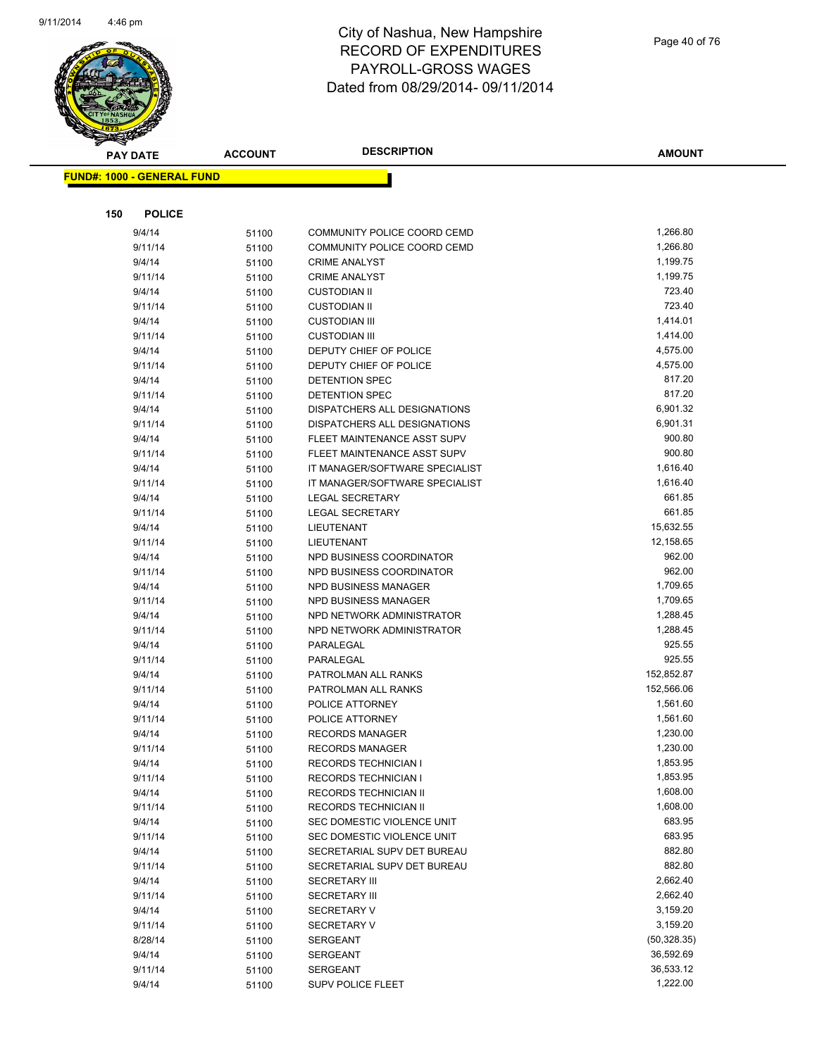

Page 40 of 76

|     | <b>PAY DATE</b>                   | <b>ACCOUNT</b> | <b>DESCRIPTION</b>                             | <b>AMOUNT</b>    |
|-----|-----------------------------------|----------------|------------------------------------------------|------------------|
|     | <b>FUND#: 1000 - GENERAL FUND</b> |                |                                                |                  |
|     |                                   |                |                                                |                  |
|     |                                   |                |                                                |                  |
| 150 | <b>POLICE</b>                     |                |                                                |                  |
|     | 9/4/14                            | 51100          | COMMUNITY POLICE COORD CEMD                    | 1,266.80         |
|     | 9/11/14                           | 51100          | COMMUNITY POLICE COORD CEMD                    | 1,266.80         |
|     | 9/4/14                            | 51100          | <b>CRIME ANALYST</b>                           | 1,199.75         |
|     | 9/11/14                           | 51100          | <b>CRIME ANALYST</b>                           | 1,199.75         |
|     | 9/4/14                            | 51100          | <b>CUSTODIAN II</b>                            | 723.40           |
|     | 9/11/14                           | 51100          | <b>CUSTODIAN II</b>                            | 723.40           |
|     | 9/4/14                            | 51100          | <b>CUSTODIAN III</b>                           | 1,414.01         |
|     | 9/11/14                           | 51100          | <b>CUSTODIAN III</b>                           | 1,414.00         |
|     | 9/4/14                            | 51100          | DEPUTY CHIEF OF POLICE                         | 4,575.00         |
|     | 9/11/14                           | 51100          | DEPUTY CHIEF OF POLICE                         | 4,575.00         |
|     | 9/4/14                            | 51100          | DETENTION SPEC                                 | 817.20<br>817.20 |
|     | 9/11/14                           | 51100          | DETENTION SPEC<br>DISPATCHERS ALL DESIGNATIONS | 6,901.32         |
|     | 9/4/14<br>9/11/14                 | 51100          | DISPATCHERS ALL DESIGNATIONS                   | 6,901.31         |
|     | 9/4/14                            | 51100          | FLEET MAINTENANCE ASST SUPV                    | 900.80           |
|     | 9/11/14                           | 51100          | FLEET MAINTENANCE ASST SUPV                    | 900.80           |
|     | 9/4/14                            | 51100          | IT MANAGER/SOFTWARE SPECIALIST                 | 1,616.40         |
|     | 9/11/14                           | 51100<br>51100 | IT MANAGER/SOFTWARE SPECIALIST                 | 1,616.40         |
|     | 9/4/14                            | 51100          | LEGAL SECRETARY                                | 661.85           |
|     | 9/11/14                           | 51100          | <b>LEGAL SECRETARY</b>                         | 661.85           |
|     | 9/4/14                            | 51100          | LIEUTENANT                                     | 15,632.55        |
|     | 9/11/14                           | 51100          | LIEUTENANT                                     | 12,158.65        |
|     | 9/4/14                            | 51100          | NPD BUSINESS COORDINATOR                       | 962.00           |
|     | 9/11/14                           | 51100          | NPD BUSINESS COORDINATOR                       | 962.00           |
|     | 9/4/14                            | 51100          | NPD BUSINESS MANAGER                           | 1,709.65         |
|     | 9/11/14                           | 51100          | NPD BUSINESS MANAGER                           | 1,709.65         |
|     | 9/4/14                            | 51100          | NPD NETWORK ADMINISTRATOR                      | 1,288.45         |
|     | 9/11/14                           | 51100          | NPD NETWORK ADMINISTRATOR                      | 1,288.45         |
|     | 9/4/14                            | 51100          | PARALEGAL                                      | 925.55           |
|     | 9/11/14                           | 51100          | PARALEGAL                                      | 925.55           |
|     | 9/4/14                            | 51100          | PATROLMAN ALL RANKS                            | 152,852.87       |
|     | 9/11/14                           | 51100          | PATROLMAN ALL RANKS                            | 152,566.06       |
|     | 9/4/14                            | 51100          | POLICE ATTORNEY                                | 1,561.60         |
|     | 9/11/14                           | 51100          | POLICE ATTORNEY                                | 1,561.60         |
|     | 9/4/14                            | 51100          | <b>RECORDS MANAGER</b>                         | 1,230.00         |
|     | 9/11/14                           | 51100          | <b>RECORDS MANAGER</b>                         | 1,230.00         |
|     | 9/4/14                            | 51100          | <b>RECORDS TECHNICIAN I</b>                    | 1,853.95         |
|     | 9/11/14                           | 51100          | <b>RECORDS TECHNICIAN I</b>                    | 1,853.95         |
|     | 9/4/14                            | 51100          | RECORDS TECHNICIAN II                          | 1,608.00         |
|     | 9/11/14                           | 51100          | RECORDS TECHNICIAN II                          | 1,608.00         |
|     | 9/4/14                            | 51100          | SEC DOMESTIC VIOLENCE UNIT                     | 683.95           |
|     | 9/11/14                           | 51100          | SEC DOMESTIC VIOLENCE UNIT                     | 683.95           |
|     | 9/4/14                            | 51100          | SECRETARIAL SUPV DET BUREAU                    | 882.80           |
|     | 9/11/14                           | 51100          | SECRETARIAL SUPV DET BUREAU                    | 882.80           |
|     | 9/4/14                            | 51100          | <b>SECRETARY III</b>                           | 2,662.40         |
|     | 9/11/14                           | 51100          | <b>SECRETARY III</b>                           | 2,662.40         |
|     | 9/4/14                            | 51100          | <b>SECRETARY V</b>                             | 3,159.20         |
|     | 9/11/14                           | 51100          | <b>SECRETARY V</b>                             | 3,159.20         |
|     | 8/28/14                           | 51100          | <b>SERGEANT</b>                                | (50, 328.35)     |
|     | 9/4/14                            | 51100          | <b>SERGEANT</b>                                | 36,592.69        |
|     | 9/11/14                           | 51100          | SERGEANT                                       | 36,533.12        |
|     | 9/4/14                            | 51100          | SUPV POLICE FLEET                              | 1,222.00         |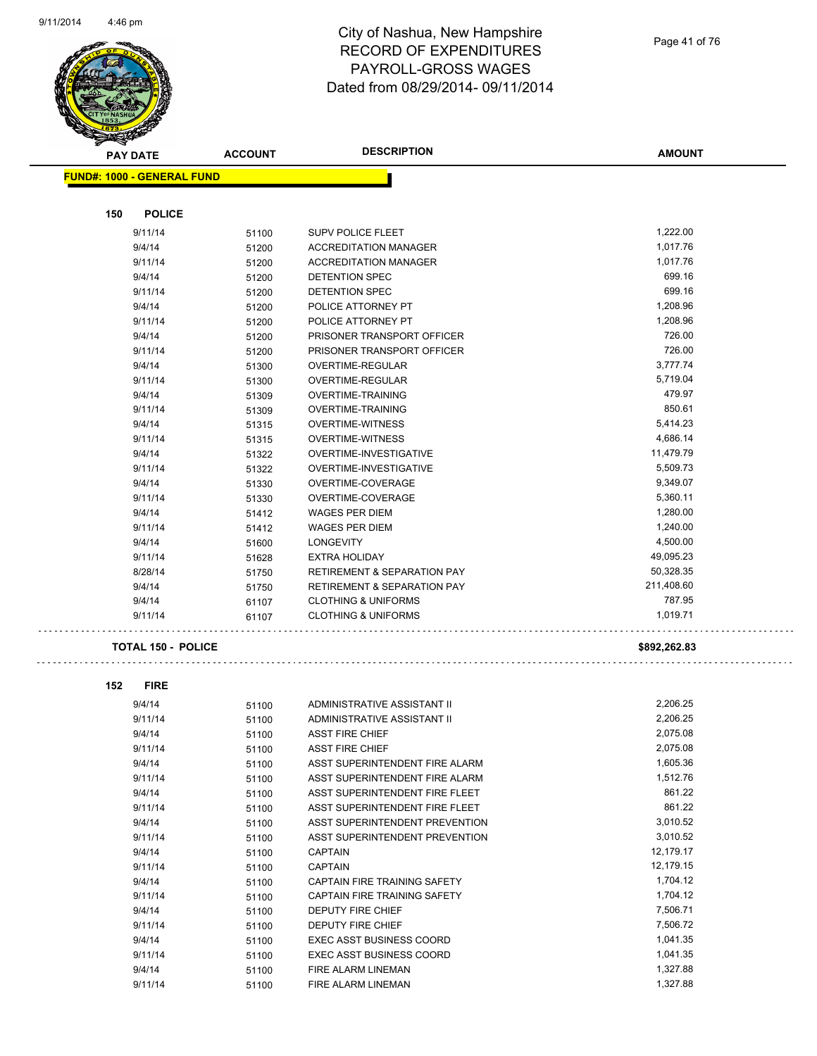

# City of Nashua, New Hampshire RECORD OF EXPENDITURES PAYROLL-GROSS WAGES Dated from 08/29/2014- 09/11/2014

**AMOUNT**

| <b>FUND#: 1000 - GENERAL FUND</b> |       |                                        |              |
|-----------------------------------|-------|----------------------------------------|--------------|
|                                   |       |                                        |              |
| <b>POLICE</b><br>150              |       |                                        |              |
| 9/11/14                           | 51100 | <b>SUPV POLICE FLEET</b>               | 1,222.00     |
| 9/4/14                            | 51200 | <b>ACCREDITATION MANAGER</b>           | 1,017.76     |
| 9/11/14                           | 51200 | <b>ACCREDITATION MANAGER</b>           | 1,017.76     |
| 9/4/14                            | 51200 | DETENTION SPEC                         | 699.16       |
| 9/11/14                           | 51200 | <b>DETENTION SPEC</b>                  | 699.16       |
| 9/4/14                            | 51200 | POLICE ATTORNEY PT                     | 1,208.96     |
| 9/11/14                           | 51200 | POLICE ATTORNEY PT                     | 1,208.96     |
| 9/4/14                            | 51200 | PRISONER TRANSPORT OFFICER             | 726.00       |
| 9/11/14                           | 51200 | PRISONER TRANSPORT OFFICER             | 726.00       |
| 9/4/14                            | 51300 | OVERTIME-REGULAR                       | 3,777.74     |
| 9/11/14                           | 51300 | OVERTIME-REGULAR                       | 5,719.04     |
| 9/4/14                            | 51309 | <b>OVERTIME-TRAINING</b>               | 479.97       |
| 9/11/14                           | 51309 | <b>OVERTIME-TRAINING</b>               | 850.61       |
| 9/4/14                            | 51315 | <b>OVERTIME-WITNESS</b>                | 5,414.23     |
| 9/11/14                           | 51315 | <b>OVERTIME-WITNESS</b>                | 4,686.14     |
| 9/4/14                            | 51322 | OVERTIME-INVESTIGATIVE                 | 11,479.79    |
| 9/11/14                           | 51322 | OVERTIME-INVESTIGATIVE                 | 5,509.73     |
| 9/4/14                            | 51330 | OVERTIME-COVERAGE                      | 9,349.07     |
| 9/11/14                           | 51330 | OVERTIME-COVERAGE                      | 5,360.11     |
| 9/4/14                            | 51412 | <b>WAGES PER DIEM</b>                  | 1,280.00     |
| 9/11/14                           | 51412 | <b>WAGES PER DIEM</b>                  | 1,240.00     |
| 9/4/14                            | 51600 | <b>LONGEVITY</b>                       | 4,500.00     |
| 9/11/14                           | 51628 | <b>EXTRA HOLIDAY</b>                   | 49,095.23    |
| 8/28/14                           | 51750 | <b>RETIREMENT &amp; SEPARATION PAY</b> | 50,328.35    |
| 9/4/14                            | 51750 | <b>RETIREMENT &amp; SEPARATION PAY</b> | 211,408.60   |
| 9/4/14                            | 61107 | <b>CLOTHING &amp; UNIFORMS</b>         | 787.95       |
| 9/11/14                           | 61107 | <b>CLOTHING &amp; UNIFORMS</b>         | 1,019.71     |
|                                   |       |                                        |              |
| <b>TOTAL 150 - POLICE</b>         |       |                                        | \$892,262.83 |
|                                   |       |                                        |              |
| 152<br><b>FIRE</b>                |       |                                        |              |
| 9/4/14                            | 51100 | ADMINISTRATIVE ASSISTANT II            | 2,206.25     |
| 9/11/14                           | 51100 | ADMINISTRATIVE ASSISTANT II            | 2,206.25     |
| 9/4/14                            | 51100 | <b>ASST FIRE CHIEF</b>                 | 2,075.08     |
| 9/11/14                           | 51100 | <b>ASST FIRE CHIEF</b>                 | 2,075.08     |
| 9/4/14                            | 51100 | ASST SUPERINTENDENT FIRE ALARM         | 1,605.36     |
| 9/11/14                           | 51100 | ASST SUPERINTENDENT FIRE ALARM         | 1,512.76     |
| 9/4/14                            | 51100 | ASST SUPERINTENDENT FIRE FLEET         | 861.22       |
| 9/11/14                           | 51100 | ASST SUPERINTENDENT FIRE FLEET         | 861.22       |
| 9/4/14                            | 51100 | ASST SUPERINTENDENT PREVENTION         | 3,010.52     |
| 9/11/14                           | 51100 | ASST SUPERINTENDENT PREVENTION         | 3,010.52     |
| 9/4/14                            | 51100 | <b>CAPTAIN</b>                         | 12,179.17    |
| 9/11/14                           | 51100 | <b>CAPTAIN</b>                         | 12,179.15    |
| 9/4/14                            | 51100 | CAPTAIN FIRE TRAINING SAFETY           | 1,704.12     |
| 9/11/14                           | 51100 | CAPTAIN FIRE TRAINING SAFETY           | 1,704.12     |
| 9/4/14                            | 51100 | DEPUTY FIRE CHIEF                      | 7,506.71     |
| 9/11/14                           | 51100 | DEPUTY FIRE CHIEF                      | 7,506.72     |
| 9/4/14                            | 51100 | <b>EXEC ASST BUSINESS COORD</b>        | 1,041.35     |
| 9/11/14                           | 51100 | <b>EXEC ASST BUSINESS COORD</b>        | 1,041.35     |
| 9/4/14                            | 51100 | FIRE ALARM LINEMAN                     | 1,327.88     |
| 9/11/14                           | 51100 | FIRE ALARM LINEMAN                     | 1,327.88     |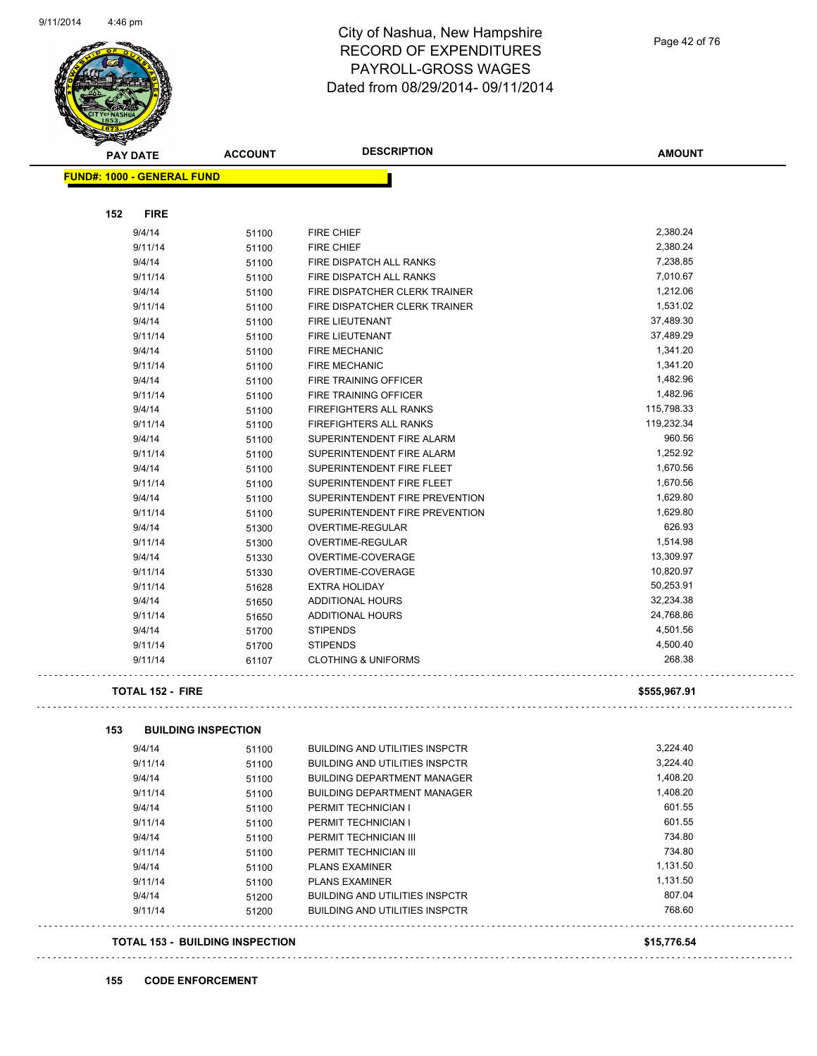

Page 42 of 76

| <b>PAY DATE</b>                   | <b>ACCOUNT</b> | <b>DESCRIPTION</b>                                               | <b>AMOUNT</b>        |
|-----------------------------------|----------------|------------------------------------------------------------------|----------------------|
| <b>FUND#: 1000 - GENERAL FUND</b> |                |                                                                  |                      |
|                                   |                |                                                                  |                      |
| 152<br><b>FIRE</b><br>9/4/14      | 51100          | <b>FIRE CHIEF</b>                                                | 2,380.24             |
| 9/11/14                           |                |                                                                  | 2,380.24             |
|                                   | 51100          | <b>FIRE CHIEF</b>                                                | 7,238.85             |
| 9/4/14<br>9/11/14                 | 51100          | FIRE DISPATCH ALL RANKS<br>FIRE DISPATCH ALL RANKS               | 7,010.67             |
|                                   | 51100          |                                                                  | 1,212.06             |
| 9/4/14                            | 51100          | FIRE DISPATCHER CLERK TRAINER                                    | 1,531.02             |
| 9/11/14                           | 51100          | FIRE DISPATCHER CLERK TRAINER<br><b>FIRE LIEUTENANT</b>          | 37,489.30            |
| 9/4/14<br>9/11/14                 | 51100          | <b>FIRE LIEUTENANT</b>                                           | 37,489.29            |
| 9/4/14                            | 51100          | <b>FIRE MECHANIC</b>                                             | 1,341.20             |
| 9/11/14                           | 51100          | <b>FIRE MECHANIC</b>                                             | 1,341.20             |
| 9/4/14                            | 51100          | <b>FIRE TRAINING OFFICER</b>                                     | 1,482.96             |
| 9/11/14                           | 51100          | FIRE TRAINING OFFICER                                            | 1,482.96             |
|                                   | 51100          |                                                                  | 115,798.33           |
| 9/4/14                            | 51100          | <b>FIREFIGHTERS ALL RANKS</b>                                    | 119,232.34           |
| 9/11/14                           | 51100          | <b>FIREFIGHTERS ALL RANKS</b>                                    |                      |
| 9/4/14                            | 51100          | SUPERINTENDENT FIRE ALARM                                        | 960.56<br>1,252.92   |
| 9/11/14                           | 51100          | SUPERINTENDENT FIRE ALARM<br>SUPERINTENDENT FIRE FLEET           |                      |
| 9/4/14                            | 51100          | SUPERINTENDENT FIRE FLEET                                        | 1,670.56<br>1,670.56 |
| 9/11/14                           | 51100          |                                                                  | 1,629.80             |
| 9/4/14<br>9/11/14                 | 51100          | SUPERINTENDENT FIRE PREVENTION<br>SUPERINTENDENT FIRE PREVENTION |                      |
|                                   | 51100          |                                                                  | 1,629.80<br>626.93   |
| 9/4/14                            | 51300          | OVERTIME-REGULAR                                                 |                      |
| 9/11/14                           | 51300          | OVERTIME-REGULAR                                                 | 1,514.98             |
| 9/4/14                            | 51330          | OVERTIME-COVERAGE                                                | 13,309.97            |
| 9/11/14                           | 51330          | OVERTIME-COVERAGE                                                | 10,820.97            |
| 9/11/14                           | 51628          | <b>EXTRA HOLIDAY</b>                                             | 50,253.91            |
| 9/4/14                            | 51650          | <b>ADDITIONAL HOURS</b>                                          | 32,234.38            |
| 9/11/14                           | 51650          | ADDITIONAL HOURS                                                 | 24,768.86            |
| 9/4/14                            | 51700          | <b>STIPENDS</b>                                                  | 4,501.56             |
| 9/11/14                           | 51700          | <b>STIPENDS</b><br><b>CLOTHING &amp; UNIFORMS</b>                | 4,500.40<br>268.38   |
| 9/11/14                           | 61107          |                                                                  |                      |
| <b>TOTAL 152 - FIRE</b>           |                |                                                                  | \$555,967.91         |
| 153<br><b>BUILDING INSPECTION</b> |                |                                                                  |                      |
| 9/4/14                            | 51100          | <b>BUILDING AND UTILITIES INSPCTR</b>                            | 3,224.40             |
| 9/11/14                           | 51100          | <b>BUILDING AND UTILITIES INSPCTR</b>                            | 3,224.40             |
| 9/4/14                            | 51100          | <b>BUILDING DEPARTMENT MANAGER</b>                               | 1,408.20             |
| 9/11/14                           | 51100          | <b>BUILDING DEPARTMENT MANAGER</b>                               | 1,408.20             |
| 9/4/14                            | 51100          | PERMIT TECHNICIAN I                                              | 601.55               |
| 9/11/14                           | 51100          | PERMIT TECHNICIAN I                                              | 601.55               |
| 9/4/14                            | 51100          | PERMIT TECHNICIAN III                                            | 734.80               |
| 9/11/14                           | 51100          | PERMIT TECHNICIAN III                                            | 734.80               |
| 9/4/14                            | 51100          | <b>PLANS EXAMINER</b>                                            | 1,131.50             |
| 9/11/14                           | 51100          | <b>PLANS EXAMINER</b>                                            | 1,131.50             |
| 9/4/14                            | 51200          | <b>BUILDING AND UTILITIES INSPCTR</b>                            | 807.04               |
| 9/11/14                           | 51200          | <b>BUILDING AND UTILITIES INSPCTR</b>                            | 768.60               |
|                                   |                |                                                                  |                      |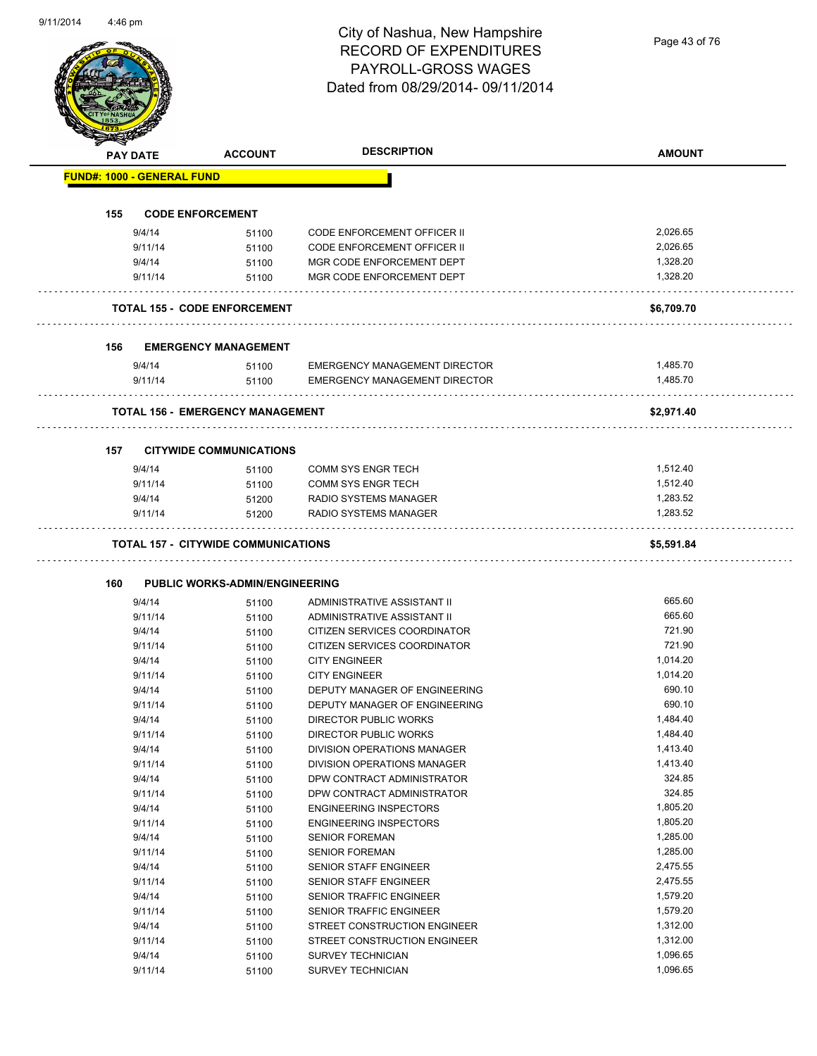Page 43 of 76

|     | <b>PAY DATE</b>                   | <b>ACCOUNT</b>                             | <b>DESCRIPTION</b>                                       | <b>AMOUNT</b>        |
|-----|-----------------------------------|--------------------------------------------|----------------------------------------------------------|----------------------|
|     | <b>FUND#: 1000 - GENERAL FUND</b> |                                            |                                                          |                      |
| 155 |                                   | <b>CODE ENFORCEMENT</b>                    |                                                          |                      |
|     | 9/4/14                            | 51100                                      | <b>CODE ENFORCEMENT OFFICER II</b>                       | 2,026.65             |
|     | 9/11/14                           | 51100                                      | <b>CODE ENFORCEMENT OFFICER II</b>                       | 2,026.65             |
|     | 9/4/14                            | 51100                                      | MGR CODE ENFORCEMENT DEPT                                | 1,328.20             |
|     | 9/11/14                           | 51100                                      | MGR CODE ENFORCEMENT DEPT                                | 1,328.20             |
|     |                                   | <b>TOTAL 155 - CODE ENFORCEMENT</b>        |                                                          | \$6,709.70           |
| 156 |                                   | <b>EMERGENCY MANAGEMENT</b>                |                                                          |                      |
|     | 9/4/14                            | 51100                                      | <b>EMERGENCY MANAGEMENT DIRECTOR</b>                     | 1,485.70             |
|     | 9/11/14                           | 51100                                      | <b>EMERGENCY MANAGEMENT DIRECTOR</b>                     | 1,485.70             |
|     |                                   | <b>TOTAL 156 - EMERGENCY MANAGEMENT</b>    |                                                          | \$2,971.40           |
|     |                                   |                                            |                                                          |                      |
| 157 |                                   | <b>CITYWIDE COMMUNICATIONS</b>             |                                                          |                      |
|     | 9/4/14                            | 51100                                      | <b>COMM SYS ENGR TECH</b>                                | 1,512.40             |
|     | 9/11/14                           | 51100                                      | <b>COMM SYS ENGR TECH</b>                                | 1,512.40             |
|     | 9/4/14                            | 51200                                      | RADIO SYSTEMS MANAGER                                    | 1,283.52             |
|     | 9/11/14                           | 51200                                      | RADIO SYSTEMS MANAGER                                    | 1,283.52             |
|     |                                   |                                            |                                                          |                      |
|     |                                   | <b>TOTAL 157 - CITYWIDE COMMUNICATIONS</b> |                                                          | \$5,591.84           |
|     |                                   | <b>PUBLIC WORKS-ADMIN/ENGINEERING</b>      |                                                          |                      |
| 160 | 9/4/14                            | 51100                                      | ADMINISTRATIVE ASSISTANT II                              | 665.60               |
|     | 9/11/14                           | 51100                                      | ADMINISTRATIVE ASSISTANT II                              | 665.60               |
|     | 9/4/14                            | 51100                                      | CITIZEN SERVICES COORDINATOR                             | 721.90               |
|     | 9/11/14                           | 51100                                      | CITIZEN SERVICES COORDINATOR                             | 721.90               |
|     | 9/4/14                            | 51100                                      | <b>CITY ENGINEER</b>                                     | 1,014.20             |
|     | 9/11/14                           | 51100                                      | <b>CITY ENGINEER</b>                                     | 1,014.20             |
|     | 9/4/14                            | 51100                                      | DEPUTY MANAGER OF ENGINEERING                            | 690.10               |
|     | 9/11/14                           | 51100                                      | DEPUTY MANAGER OF ENGINEERING                            | 690.10               |
|     | 9/4/14                            | 51100                                      | DIRECTOR PUBLIC WORKS                                    | 1,484.40             |
|     | 9/11/14                           | 51100                                      | <b>DIRECTOR PUBLIC WORKS</b>                             | 1,484.40             |
|     | 9/4/14                            | 51100                                      | DIVISION OPERATIONS MANAGER                              | 1,413.40             |
|     | 9/11/14                           | 51100                                      | DIVISION OPERATIONS MANAGER                              | 1,413.40             |
|     | 9/4/14                            | 51100                                      | DPW CONTRACT ADMINISTRATOR                               | 324.85               |
|     | 9/11/14                           | 51100                                      | DPW CONTRACT ADMINISTRATOR                               | 324.85               |
|     | 9/4/14                            | 51100                                      | <b>ENGINEERING INSPECTORS</b>                            | 1,805.20             |
|     | 9/11/14                           | 51100                                      | <b>ENGINEERING INSPECTORS</b>                            | 1,805.20             |
|     | 9/4/14                            | 51100                                      | SENIOR FOREMAN                                           | 1,285.00             |
|     | 9/11/14                           | 51100                                      | SENIOR FOREMAN                                           | 1,285.00             |
|     | 9/4/14                            | 51100                                      | SENIOR STAFF ENGINEER                                    | 2,475.55             |
|     | 9/11/14                           | 51100                                      | SENIOR STAFF ENGINEER                                    | 2,475.55             |
|     | 9/4/14                            | 51100                                      | SENIOR TRAFFIC ENGINEER                                  | 1,579.20             |
|     | 9/11/14                           | 51100                                      | SENIOR TRAFFIC ENGINEER                                  | 1,579.20             |
|     | 9/4/14                            | 51100                                      | STREET CONSTRUCTION ENGINEER                             | 1,312.00             |
|     | 9/11/14<br>9/4/14                 | 51100<br>51100                             | STREET CONSTRUCTION ENGINEER<br><b>SURVEY TECHNICIAN</b> | 1,312.00<br>1,096.65 |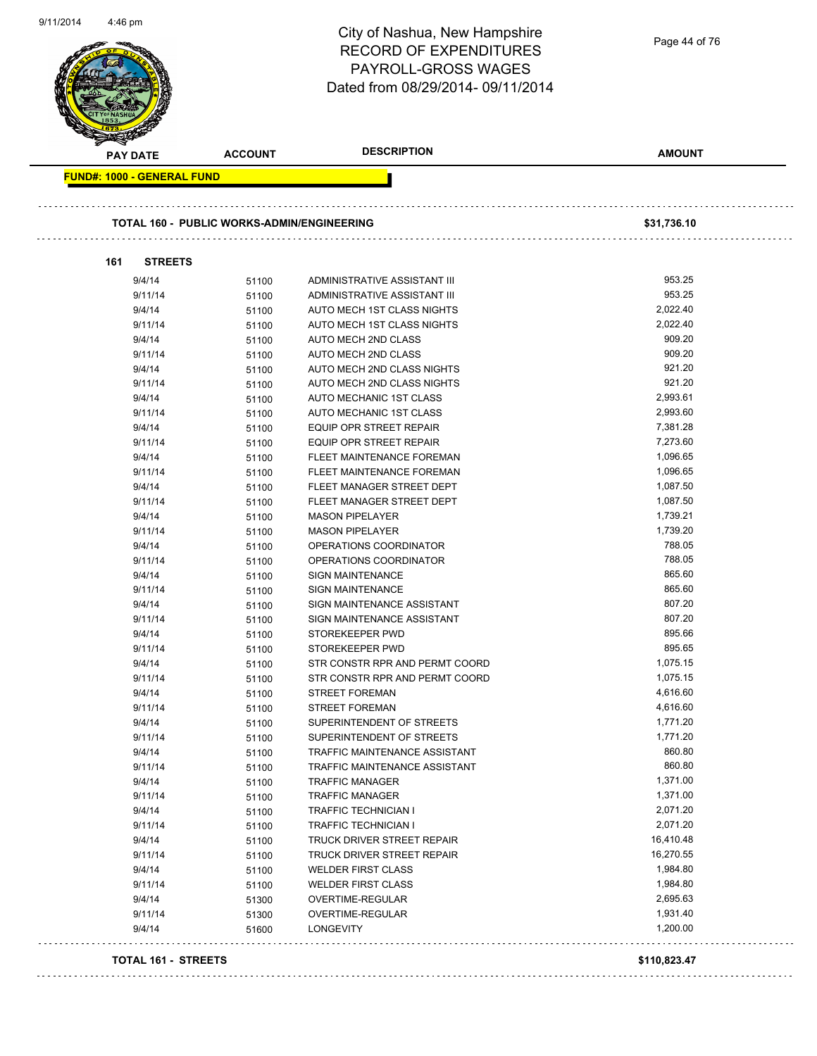|                                   |                                            | City of Nashua, New Hampshire<br><b>RECORD OF EXPENDITURES</b><br><b>PAYROLL-GROSS WAGES</b><br>Dated from 08/29/2014-09/11/2014 | Page 44 of 76    |
|-----------------------------------|--------------------------------------------|----------------------------------------------------------------------------------------------------------------------------------|------------------|
| PAY DATE                          | <b>ACCOUNT</b>                             | <b>DESCRIPTION</b>                                                                                                               | <b>AMOUNT</b>    |
| <b>FUND#: 1000 - GENERAL FUND</b> |                                            |                                                                                                                                  |                  |
|                                   | TOTAL 160 - PUBLIC WORKS-ADMIN/ENGINEERING |                                                                                                                                  | \$31,736.10      |
| 161<br><b>STREETS</b>             |                                            |                                                                                                                                  |                  |
| 9/4/14                            | 51100                                      | ADMINISTRATIVE ASSISTANT III                                                                                                     | 953.25           |
| 9/11/14                           | 51100                                      | ADMINISTRATIVE ASSISTANT III                                                                                                     | 953.25           |
| 9/4/14                            | 51100                                      | AUTO MECH 1ST CLASS NIGHTS                                                                                                       | 2,022.40         |
| 9/11/14                           | 51100                                      | AUTO MECH 1ST CLASS NIGHTS                                                                                                       | 2,022.40         |
| 9/4/14                            | 51100                                      | AUTO MECH 2ND CLASS                                                                                                              | 909.20           |
| 9/11/14                           | 51100                                      | AUTO MECH 2ND CLASS                                                                                                              | 909.20           |
| 9/4/14                            | 51100                                      | AUTO MECH 2ND CLASS NIGHTS                                                                                                       | 921.20           |
| 9/11/14                           | 51100                                      | AUTO MECH 2ND CLASS NIGHTS                                                                                                       | 921.20           |
| 9/4/14                            | 51100                                      | AUTO MECHANIC 1ST CLASS                                                                                                          | 2,993.61         |
| 9/11/14                           | 51100                                      | AUTO MECHANIC 1ST CLASS                                                                                                          | 2,993.60         |
| 9/4/14                            | 51100                                      | <b>EQUIP OPR STREET REPAIR</b>                                                                                                   | 7,381.28         |
| 9/11/14                           | 51100                                      | <b>EQUIP OPR STREET REPAIR</b>                                                                                                   | 7,273.60         |
| 9/4/14                            | 51100                                      | FLEET MAINTENANCE FOREMAN                                                                                                        | 1,096.65         |
| 9/11/14                           | 51100                                      | FLEET MAINTENANCE FOREMAN                                                                                                        | 1,096.65         |
| 9/4/14                            | 51100                                      | FLEET MANAGER STREET DEPT                                                                                                        | 1,087.50         |
| 9/11/14                           | 51100                                      | FLEET MANAGER STREET DEPT                                                                                                        | 1,087.50         |
| 9/4/14                            | 51100                                      | <b>MASON PIPELAYER</b>                                                                                                           | 1,739.21         |
| 9/11/14                           | 51100                                      | <b>MASON PIPELAYER</b>                                                                                                           | 1,739.20         |
| 9/4/14                            | 51100                                      | OPERATIONS COORDINATOR                                                                                                           | 788.05           |
| 9/11/14                           | 51100                                      | OPERATIONS COORDINATOR                                                                                                           | 788.05           |
| 9/4/14                            | 51100                                      | <b>SIGN MAINTENANCE</b>                                                                                                          | 865.60           |
| 9/11/14                           | 51100                                      | <b>SIGN MAINTENANCE</b>                                                                                                          | 865.60<br>807.20 |
| 9/4/14                            | 51100                                      | SIGN MAINTENANCE ASSISTANT                                                                                                       | 807.20           |
| 9/11/14<br>9/4/14                 | 51100                                      | SIGN MAINTENANCE ASSISTANT<br>STOREKEEPER PWD                                                                                    | 895.66           |
| 9/11/14                           | 51100                                      | STOREKEEPER PWD                                                                                                                  | 895.65           |
| 9/4/14                            | 51100<br>51100                             | STR CONSTR RPR AND PERMT COORD                                                                                                   | 1,075.15         |
| 9/11/14                           | 51100                                      | STR CONSTR RPR AND PERMT COORD                                                                                                   | 1,075.15         |
| 9/4/14                            | 51100                                      | <b>STREET FOREMAN</b>                                                                                                            | 4,616.60         |
| 9/11/14                           | 51100                                      | <b>STREET FOREMAN</b>                                                                                                            | 4,616.60         |
| 9/4/14                            | 51100                                      | SUPERINTENDENT OF STREETS                                                                                                        | 1,771.20         |
| 9/11/14                           | 51100                                      | SUPERINTENDENT OF STREETS                                                                                                        | 1,771.20         |
| 9/4/14                            | 51100                                      | TRAFFIC MAINTENANCE ASSISTANT                                                                                                    | 860.80           |
| 9/11/14                           | 51100                                      | TRAFFIC MAINTENANCE ASSISTANT                                                                                                    | 860.80           |
| 9/4/14                            | 51100                                      | <b>TRAFFIC MANAGER</b>                                                                                                           | 1,371.00         |
| 9/11/14                           | 51100                                      | <b>TRAFFIC MANAGER</b>                                                                                                           | 1,371.00         |
| 9/4/14                            | 51100                                      | <b>TRAFFIC TECHNICIAN I</b>                                                                                                      | 2,071.20         |
| 9/11/14                           | 51100                                      | TRAFFIC TECHNICIAN I                                                                                                             | 2,071.20         |
| 9/4/14                            | 51100                                      | TRUCK DRIVER STREET REPAIR                                                                                                       | 16,410.48        |
| 9/11/14                           | 51100                                      | TRUCK DRIVER STREET REPAIR                                                                                                       | 16,270.55        |
| 9/4/14                            | 51100                                      | <b>WELDER FIRST CLASS</b>                                                                                                        | 1,984.80         |
| 9/11/14                           | 51100                                      | <b>WELDER FIRST CLASS</b>                                                                                                        | 1,984.80         |
| 9/4/14                            | 51300                                      | OVERTIME-REGULAR                                                                                                                 | 2,695.63         |
| 9/11/14                           | 51300                                      | OVERTIME-REGULAR                                                                                                                 | 1,931.40         |
|                                   |                                            | LONGEVITY                                                                                                                        | 1,200.00         |
| 9/4/14                            | 51600                                      |                                                                                                                                  |                  |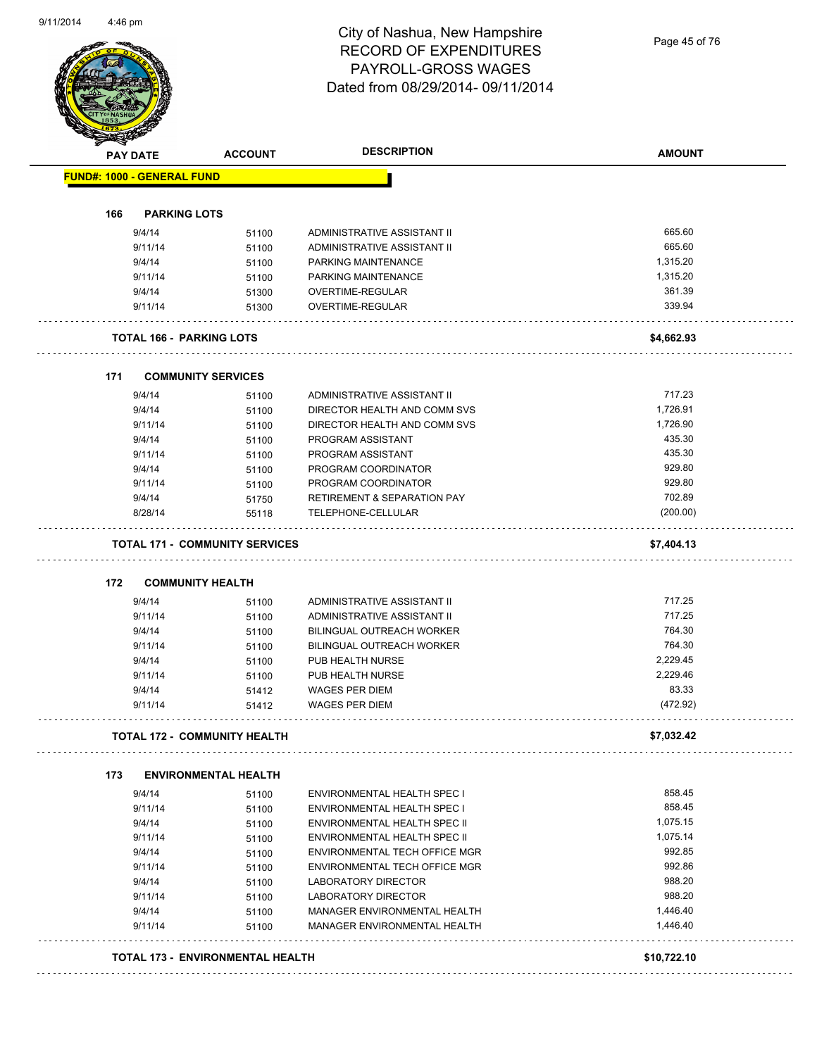Page 45 of 76

| <b>PAY DATE</b> |                                   | <b>ACCOUNT</b>                        | <b>DESCRIPTION</b>                                         | <b>AMOUNT</b> |
|-----------------|-----------------------------------|---------------------------------------|------------------------------------------------------------|---------------|
|                 | <b>FUND#: 1000 - GENERAL FUND</b> |                                       |                                                            |               |
| 166             | <b>PARKING LOTS</b>               |                                       |                                                            |               |
|                 |                                   |                                       |                                                            | 665.60        |
|                 | 9/4/14<br>9/11/14                 | 51100                                 | ADMINISTRATIVE ASSISTANT II<br>ADMINISTRATIVE ASSISTANT II | 665.60        |
|                 | 9/4/14                            | 51100                                 |                                                            | 1,315.20      |
|                 | 9/11/14                           | 51100                                 | PARKING MAINTENANCE<br>PARKING MAINTENANCE                 | 1,315.20      |
|                 | 9/4/14                            | 51100<br>51300                        | <b>OVERTIME-REGULAR</b>                                    | 361.39        |
|                 | 9/11/14                           | 51300                                 | OVERTIME-REGULAR                                           | 339.94        |
|                 |                                   | <b>TOTAL 166 - PARKING LOTS</b>       |                                                            | \$4,662.93    |
|                 |                                   |                                       |                                                            |               |
| 171             |                                   | <b>COMMUNITY SERVICES</b>             |                                                            |               |
|                 | 9/4/14                            | 51100                                 | ADMINISTRATIVE ASSISTANT II                                | 717.23        |
|                 | 9/4/14                            | 51100                                 | DIRECTOR HEALTH AND COMM SVS                               | 1,726.91      |
|                 | 9/11/14                           | 51100                                 | DIRECTOR HEALTH AND COMM SVS                               | 1,726.90      |
|                 | 9/4/14                            | 51100                                 | PROGRAM ASSISTANT                                          | 435.30        |
|                 | 9/11/14                           | 51100                                 | PROGRAM ASSISTANT                                          | 435.30        |
|                 | 9/4/14                            | 51100                                 | PROGRAM COORDINATOR                                        | 929.80        |
|                 | 9/11/14                           | 51100                                 | PROGRAM COORDINATOR                                        | 929.80        |
|                 | 9/4/14                            | 51750                                 | <b>RETIREMENT &amp; SEPARATION PAY</b>                     | 702.89        |
|                 | 8/28/14                           | 55118                                 | TELEPHONE-CELLULAR                                         | (200.00)      |
|                 |                                   | <b>TOTAL 171 - COMMUNITY SERVICES</b> |                                                            | \$7,404.13    |
| 172             |                                   | <b>COMMUNITY HEALTH</b>               |                                                            |               |
|                 | 9/4/14                            | 51100                                 | ADMINISTRATIVE ASSISTANT II                                | 717.25        |
|                 | 9/11/14                           | 51100                                 | ADMINISTRATIVE ASSISTANT II                                | 717.25        |
|                 | 9/4/14                            | 51100                                 | <b>BILINGUAL OUTREACH WORKER</b>                           | 764.30        |
|                 | 9/11/14                           | 51100                                 | BILINGUAL OUTREACH WORKER                                  | 764.30        |
|                 | 9/4/14                            | 51100                                 | PUB HEALTH NURSE                                           | 2,229.45      |
|                 | 9/11/14                           | 51100                                 | PUB HEALTH NURSE                                           | 2,229.46      |
|                 | 9/4/14                            | 51412                                 | <b>WAGES PER DIEM</b>                                      | 83.33         |
|                 | 9/11/14                           | 51412                                 | <b>WAGES PER DIEM</b>                                      | (472.92)      |
|                 |                                   | <b>TOTAL 172 - COMMUNITY HEALTH</b>   |                                                            | \$7,032.42    |
| 173             |                                   | <b>ENVIRONMENTAL HEALTH</b>           |                                                            |               |
|                 | 9/4/14                            | 51100                                 | ENVIRONMENTAL HEALTH SPEC I                                | 858.45        |
|                 | 9/11/14                           | 51100                                 | ENVIRONMENTAL HEALTH SPEC I                                | 858.45        |
|                 | 9/4/14                            | 51100                                 | ENVIRONMENTAL HEALTH SPEC II                               | 1,075.15      |
|                 | 9/11/14                           | 51100                                 | ENVIRONMENTAL HEALTH SPEC II                               | 1,075.14      |
|                 | 9/4/14                            | 51100                                 | ENVIRONMENTAL TECH OFFICE MGR                              | 992.85        |
|                 | 9/11/14                           | 51100                                 | ENVIRONMENTAL TECH OFFICE MGR                              | 992.86        |
|                 | 9/4/14                            | 51100                                 | LABORATORY DIRECTOR                                        | 988.20        |
|                 | 9/11/14                           | 51100                                 | LABORATORY DIRECTOR                                        | 988.20        |
|                 | 9/4/14                            | 51100                                 | MANAGER ENVIRONMENTAL HEALTH                               | 1,446.40      |
|                 | 9/11/14                           | 51100                                 | MANAGER ENVIRONMENTAL HEALTH                               | 1,446.40      |
|                 |                                   |                                       |                                                            |               |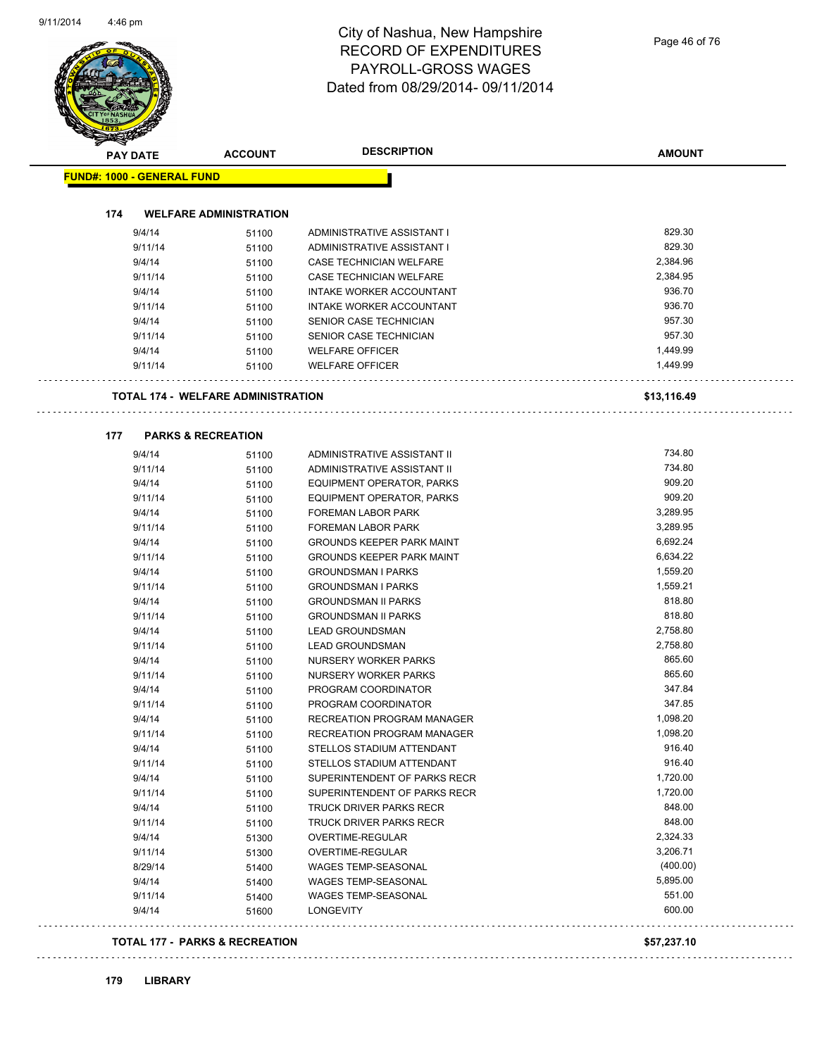| PAY DATE                          | <b>ACCOUNT</b>                            | <b>DESCRIPTION</b>               | <b>AMOUNT</b> |
|-----------------------------------|-------------------------------------------|----------------------------------|---------------|
| <b>FUND#: 1000 - GENERAL FUND</b> |                                           |                                  |               |
|                                   |                                           |                                  |               |
| 174                               | <b>WELFARE ADMINISTRATION</b>             |                                  |               |
| 9/4/14                            | 51100                                     | ADMINISTRATIVE ASSISTANT I       | 829.30        |
| 9/11/14                           | 51100                                     | ADMINISTRATIVE ASSISTANT I       | 829.30        |
| 9/4/14                            | 51100                                     | CASE TECHNICIAN WELFARE          | 2,384.96      |
| 9/11/14                           | 51100                                     | CASE TECHNICIAN WELFARE          | 2,384.95      |
| 9/4/14                            | 51100                                     | INTAKE WORKER ACCOUNTANT         | 936.70        |
| 9/11/14                           | 51100                                     | INTAKE WORKER ACCOUNTANT         | 936.70        |
| 9/4/14                            | 51100                                     | SENIOR CASE TECHNICIAN           | 957.30        |
| 9/11/14                           | 51100                                     | SENIOR CASE TECHNICIAN           | 957.30        |
| 9/4/14                            | 51100                                     | <b>WELFARE OFFICER</b>           | 1,449.99      |
| 9/11/14                           | 51100                                     | <b>WELFARE OFFICER</b>           | 1,449.99      |
|                                   | <b>TOTAL 174 - WELFARE ADMINISTRATION</b> |                                  | \$13,116.49   |
| 177                               | <b>PARKS &amp; RECREATION</b>             |                                  |               |
| 9/4/14                            | 51100                                     | ADMINISTRATIVE ASSISTANT II      | 734.80        |
| 9/11/14                           | 51100                                     | ADMINISTRATIVE ASSISTANT II      | 734.80        |
| 9/4/14                            | 51100                                     | EQUIPMENT OPERATOR, PARKS        | 909.20        |
| 9/11/14                           | 51100                                     | EQUIPMENT OPERATOR, PARKS        | 909.20        |
| 9/4/14                            | 51100                                     | FOREMAN LABOR PARK               | 3,289.95      |
| 9/11/14                           | 51100                                     | <b>FOREMAN LABOR PARK</b>        | 3,289.95      |
| 9/4/14                            | 51100                                     | <b>GROUNDS KEEPER PARK MAINT</b> | 6,692.24      |
| 9/11/14                           | 51100                                     | <b>GROUNDS KEEPER PARK MAINT</b> | 6,634.22      |
| 9/4/14                            | 51100                                     | <b>GROUNDSMAN I PARKS</b>        | 1,559.20      |
| 9/11/14                           | 51100                                     | <b>GROUNDSMAN I PARKS</b>        | 1,559.21      |
| 9/4/14                            | 51100                                     | <b>GROUNDSMAN II PARKS</b>       | 818.80        |
| 9/11/14                           | 51100                                     | <b>GROUNDSMAN II PARKS</b>       | 818.80        |
| 9/4/14                            | 51100                                     | <b>LEAD GROUNDSMAN</b>           | 2,758.80      |
| 9/11/14                           | 51100                                     | <b>LEAD GROUNDSMAN</b>           | 2,758.80      |
| 9/4/14                            | 51100                                     | NURSERY WORKER PARKS             | 865.60        |
| 9/11/14                           | 51100                                     | NURSERY WORKER PARKS             | 865.60        |
| 9/4/14                            | 51100                                     | PROGRAM COORDINATOR              | 347.84        |
| 9/11/14                           | 51100                                     | PROGRAM COORDINATOR              | 347.85        |
| 9/4/14                            | 51100                                     | RECREATION PROGRAM MANAGER       | 1,098.20      |
| 9/11/14                           | 51100                                     | RECREATION PROGRAM MANAGER       | 1,098.20      |
| 9/4/14                            | 51100                                     | STELLOS STADIUM ATTENDANT        | 916.40        |
| 9/11/14                           | 51100                                     | STELLOS STADIUM ATTENDANT        | 916.40        |
| 9/4/14                            | 51100                                     | SUPERINTENDENT OF PARKS RECR     | 1,720.00      |
| 9/11/14                           | 51100                                     | SUPERINTENDENT OF PARKS RECR     | 1,720.00      |
| 9/4/14                            | 51100                                     | TRUCK DRIVER PARKS RECR          | 848.00        |
| 9/11/14                           | 51100                                     | TRUCK DRIVER PARKS RECR          | 848.00        |
| 9/4/14                            | 51300                                     | OVERTIME-REGULAR                 | 2,324.33      |
| 9/11/14                           | 51300                                     | OVERTIME-REGULAR                 | 3,206.71      |
| 8/29/14                           | 51400                                     | WAGES TEMP-SEASONAL              | (400.00)      |
| 9/4/14                            | 51400                                     | WAGES TEMP-SEASONAL              | 5,895.00      |
| 9/11/14                           | 51400                                     | WAGES TEMP-SEASONAL              | 551.00        |
| 9/4/14                            | 51600                                     | <b>LONGEVITY</b>                 | 600.00        |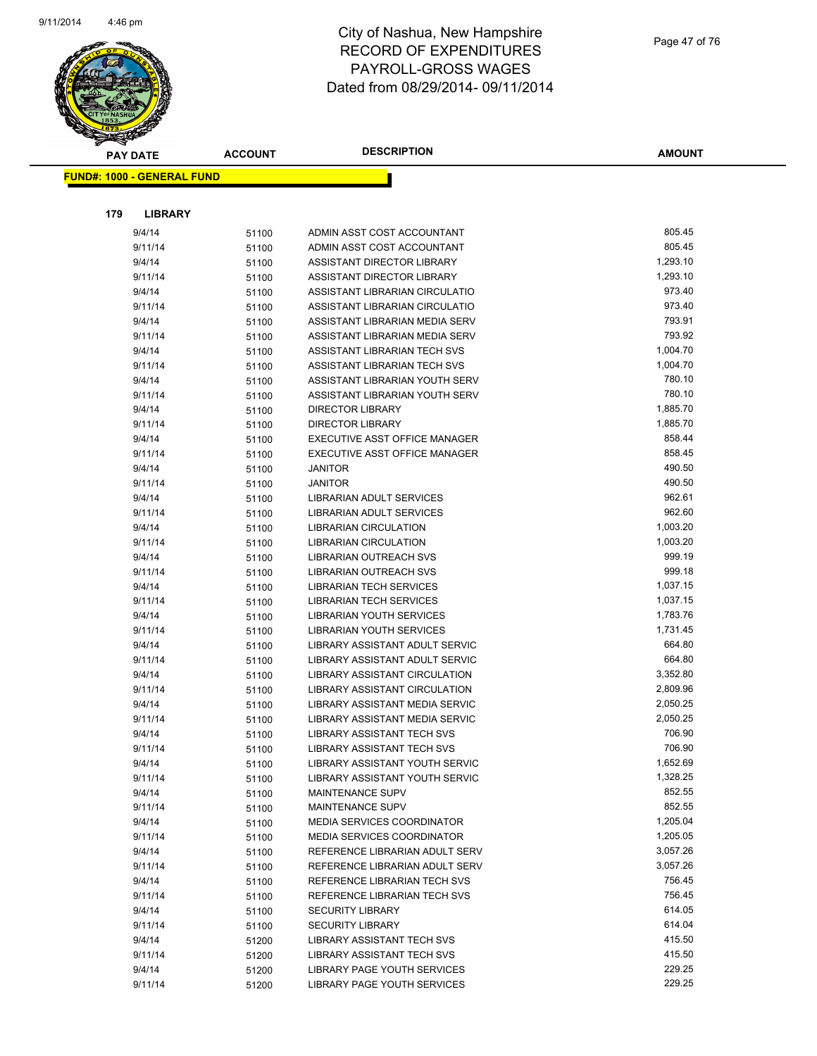

|     | <b>PAY DATE</b>                   | <b>ACCOUNT</b> | <b>DESCRIPTION</b>                                              | <b>AMOUNT</b>      |
|-----|-----------------------------------|----------------|-----------------------------------------------------------------|--------------------|
|     | <b>FUND#: 1000 - GENERAL FUND</b> |                |                                                                 |                    |
|     |                                   |                |                                                                 |                    |
|     |                                   |                |                                                                 |                    |
| 179 | <b>LIBRARY</b>                    |                |                                                                 |                    |
|     | 9/4/14                            | 51100          | ADMIN ASST COST ACCOUNTANT                                      | 805.45             |
|     | 9/11/14                           | 51100          | ADMIN ASST COST ACCOUNTANT                                      | 805.45             |
|     | 9/4/14                            | 51100          | ASSISTANT DIRECTOR LIBRARY                                      | 1,293.10           |
|     | 9/11/14                           | 51100          | ASSISTANT DIRECTOR LIBRARY                                      | 1,293.10           |
|     | 9/4/14                            | 51100          | ASSISTANT LIBRARIAN CIRCULATIO                                  | 973.40             |
|     | 9/11/14                           | 51100          | ASSISTANT LIBRARIAN CIRCULATIO                                  | 973.40             |
|     | 9/4/14                            | 51100          | ASSISTANT LIBRARIAN MEDIA SERV                                  | 793.91             |
|     | 9/11/14                           | 51100          | ASSISTANT LIBRARIAN MEDIA SERV                                  | 793.92             |
|     | 9/4/14                            | 51100          | ASSISTANT LIBRARIAN TECH SVS                                    | 1,004.70           |
|     | 9/11/14                           | 51100          | ASSISTANT LIBRARIAN TECH SVS                                    | 1,004.70           |
|     | 9/4/14                            | 51100          | ASSISTANT LIBRARIAN YOUTH SERV                                  | 780.10             |
|     | 9/11/14                           | 51100          | ASSISTANT LIBRARIAN YOUTH SERV                                  | 780.10             |
|     | 9/4/14                            | 51100          | <b>DIRECTOR LIBRARY</b>                                         | 1,885.70           |
|     | 9/11/14                           | 51100          | <b>DIRECTOR LIBRARY</b>                                         | 1,885.70           |
|     | 9/4/14                            | 51100          | EXECUTIVE ASST OFFICE MANAGER                                   | 858.44             |
|     | 9/11/14                           | 51100          | EXECUTIVE ASST OFFICE MANAGER                                   | 858.45             |
|     | 9/4/14                            | 51100          | <b>JANITOR</b>                                                  | 490.50             |
|     | 9/11/14                           | 51100          | <b>JANITOR</b>                                                  | 490.50             |
|     | 9/4/14                            | 51100          | LIBRARIAN ADULT SERVICES                                        | 962.61             |
|     | 9/11/14                           | 51100          | LIBRARIAN ADULT SERVICES                                        | 962.60             |
|     | 9/4/14                            | 51100          | <b>LIBRARIAN CIRCULATION</b>                                    | 1,003.20           |
|     | 9/11/14                           | 51100          | <b>LIBRARIAN CIRCULATION</b>                                    | 1,003.20           |
|     | 9/4/14                            | 51100          | LIBRARIAN OUTREACH SVS                                          | 999.19             |
|     | 9/11/14                           | 51100          | <b>LIBRARIAN OUTREACH SVS</b>                                   | 999.18             |
|     | 9/4/14                            | 51100          | <b>LIBRARIAN TECH SERVICES</b>                                  | 1,037.15           |
|     | 9/11/14                           | 51100          | <b>LIBRARIAN TECH SERVICES</b>                                  | 1,037.15           |
|     | 9/4/14                            | 51100          | LIBRARIAN YOUTH SERVICES                                        | 1,783.76           |
|     | 9/11/14                           | 51100          | LIBRARIAN YOUTH SERVICES                                        | 1,731.45<br>664.80 |
|     | 9/4/14                            | 51100          | LIBRARY ASSISTANT ADULT SERVIC                                  | 664.80             |
|     | 9/11/14                           | 51100          | LIBRARY ASSISTANT ADULT SERVIC                                  | 3,352.80           |
|     | 9/4/14                            | 51100          | LIBRARY ASSISTANT CIRCULATION                                   | 2,809.96           |
|     | 9/11/14<br>9/4/14                 | 51100          | LIBRARY ASSISTANT CIRCULATION<br>LIBRARY ASSISTANT MEDIA SERVIC | 2,050.25           |
|     | 9/11/14                           | 51100          | LIBRARY ASSISTANT MEDIA SERVIC                                  | 2,050.25           |
|     | 9/4/14                            | 51100          | <b>LIBRARY ASSISTANT TECH SVS</b>                               | 706.90             |
|     | 9/11/14                           | 51100          | LIBRARY ASSISTANT TECH SVS                                      | 706.90             |
|     | 9/4/14                            | 51100          | LIBRARY ASSISTANT YOUTH SERVIC                                  | 1,652.69           |
|     | 9/11/14                           | 51100          | LIBRARY ASSISTANT YOUTH SERVIC                                  | 1,328.25           |
|     | 9/4/14                            | 51100          | <b>MAINTENANCE SUPV</b>                                         | 852.55             |
|     | 9/11/14                           | 51100          | MAINTENANCE SUPV                                                | 852.55             |
|     | 9/4/14                            | 51100<br>51100 | <b>MEDIA SERVICES COORDINATOR</b>                               | 1,205.04           |
|     | 9/11/14                           |                | MEDIA SERVICES COORDINATOR                                      | 1,205.05           |
|     | 9/4/14                            | 51100<br>51100 | REFERENCE LIBRARIAN ADULT SERV                                  | 3,057.26           |
|     | 9/11/14                           | 51100          | REFERENCE LIBRARIAN ADULT SERV                                  | 3,057.26           |
|     | 9/4/14                            | 51100          | REFERENCE LIBRARIAN TECH SVS                                    | 756.45             |
|     | 9/11/14                           | 51100          | REFERENCE LIBRARIAN TECH SVS                                    | 756.45             |
|     | 9/4/14                            | 51100          | <b>SECURITY LIBRARY</b>                                         | 614.05             |
|     | 9/11/14                           | 51100          | <b>SECURITY LIBRARY</b>                                         | 614.04             |
|     | 9/4/14                            | 51200          | LIBRARY ASSISTANT TECH SVS                                      | 415.50             |
|     | 9/11/14                           | 51200          | LIBRARY ASSISTANT TECH SVS                                      | 415.50             |
|     | 9/4/14                            | 51200          | LIBRARY PAGE YOUTH SERVICES                                     | 229.25             |
|     | 9/11/14                           | 51200          | LIBRARY PAGE YOUTH SERVICES                                     | 229.25             |
|     |                                   |                |                                                                 |                    |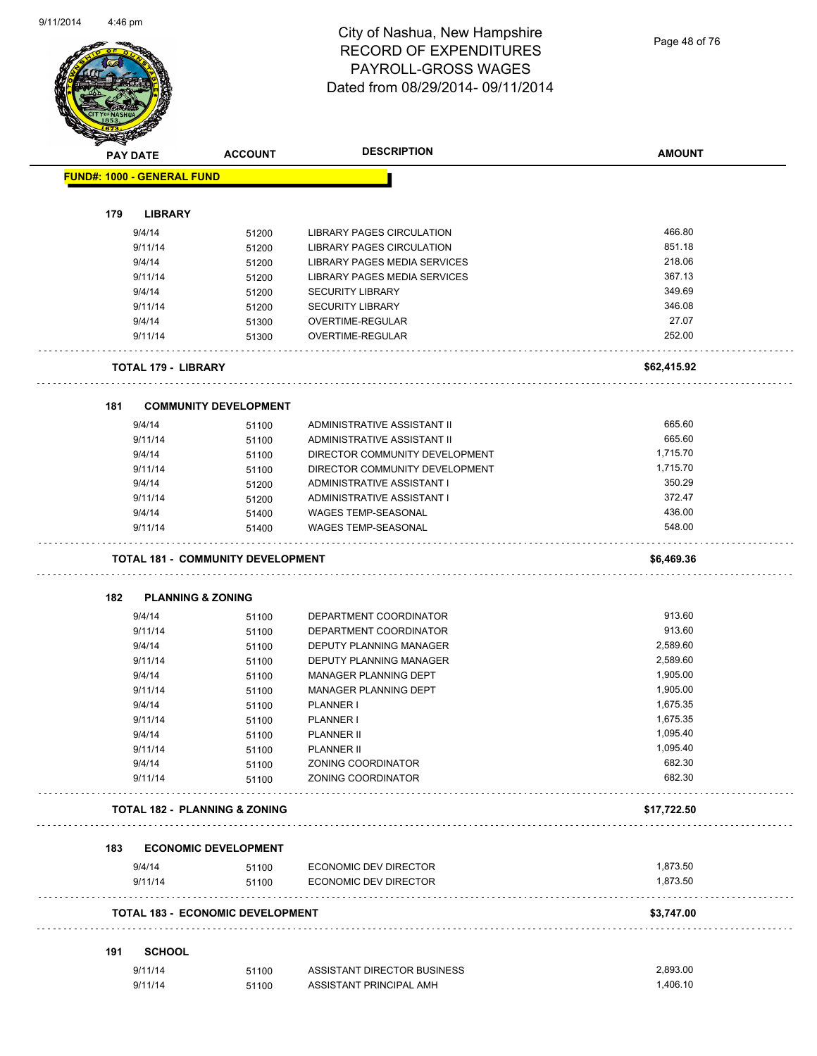Page 48 of 76

| <b>FUND#: 1000 - GENERAL FUND</b><br>179<br><b>LIBRARY</b><br>9/4/14<br>9/11/14 |                                          |                                                        |                      |
|---------------------------------------------------------------------------------|------------------------------------------|--------------------------------------------------------|----------------------|
|                                                                                 |                                          |                                                        |                      |
|                                                                                 |                                          |                                                        |                      |
|                                                                                 | 51200                                    | LIBRARY PAGES CIRCULATION                              | 466.80               |
|                                                                                 | 51200                                    | LIBRARY PAGES CIRCULATION                              | 851.18               |
| 9/4/14                                                                          | 51200                                    | LIBRARY PAGES MEDIA SERVICES                           | 218.06               |
| 9/11/14                                                                         | 51200                                    | LIBRARY PAGES MEDIA SERVICES                           | 367.13               |
| 9/4/14                                                                          |                                          | <b>SECURITY LIBRARY</b>                                | 349.69               |
| 9/11/14                                                                         | 51200                                    | <b>SECURITY LIBRARY</b>                                | 346.08               |
|                                                                                 | 51200                                    |                                                        | 27.07                |
| 9/4/14                                                                          | 51300                                    | OVERTIME-REGULAR                                       | 252.00               |
| 9/11/14                                                                         | 51300                                    | OVERTIME-REGULAR                                       |                      |
| TOTAL 179 - LIBRARY                                                             |                                          |                                                        | \$62,415.92          |
| 181                                                                             | <b>COMMUNITY DEVELOPMENT</b>             |                                                        |                      |
| 9/4/14                                                                          | 51100                                    | ADMINISTRATIVE ASSISTANT II                            | 665.60               |
| 9/11/14                                                                         | 51100                                    | ADMINISTRATIVE ASSISTANT II                            | 665.60               |
| 9/4/14                                                                          | 51100                                    | DIRECTOR COMMUNITY DEVELOPMENT                         | 1,715.70             |
| 9/11/14                                                                         | 51100                                    | DIRECTOR COMMUNITY DEVELOPMENT                         | 1,715.70             |
| 9/4/14                                                                          | 51200                                    | ADMINISTRATIVE ASSISTANT I                             | 350.29               |
| 9/11/14                                                                         | 51200                                    | ADMINISTRATIVE ASSISTANT I                             | 372.47               |
| 9/4/14                                                                          | 51400                                    | <b>WAGES TEMP-SEASONAL</b>                             | 436.00               |
| 9/11/14                                                                         | 51400                                    | <b>WAGES TEMP-SEASONAL</b>                             | 548.00               |
|                                                                                 | <b>TOTAL 181 - COMMUNITY DEVELOPMENT</b> |                                                        | \$6,469.36           |
| 182                                                                             | <b>PLANNING &amp; ZONING</b>             |                                                        |                      |
|                                                                                 |                                          |                                                        | 913.60               |
| 9/4/14                                                                          | 51100                                    | DEPARTMENT COORDINATOR                                 |                      |
| 9/11/14                                                                         | 51100                                    | DEPARTMENT COORDINATOR                                 | 913.60               |
| 9/4/14                                                                          | 51100                                    | DEPUTY PLANNING MANAGER                                | 2,589.60             |
| 9/11/14                                                                         | 51100                                    | DEPUTY PLANNING MANAGER                                | 2,589.60             |
| 9/4/14                                                                          | 51100                                    | MANAGER PLANNING DEPT                                  | 1,905.00             |
| 9/11/14                                                                         | 51100                                    | MANAGER PLANNING DEPT                                  | 1,905.00             |
| 9/4/14                                                                          | 51100                                    | PLANNER I                                              | 1,675.35             |
| 9/11/14                                                                         | 51100                                    | PLANNER I                                              | 1,675.35             |
| 9/4/14                                                                          | 51100                                    | <b>PLANNER II</b>                                      | 1,095.40             |
| 9/11/14                                                                         | 51100                                    | PLANNER II                                             | 1,095.40             |
| 9/4/14                                                                          | 51100                                    | ZONING COORDINATOR                                     | 682.30               |
| 9/11/14                                                                         | 51100                                    | ZONING COORDINATOR                                     | 682.30               |
|                                                                                 | <b>TOTAL 182 - PLANNING &amp; ZONING</b> |                                                        | \$17,722.50          |
| 183                                                                             | <b>ECONOMIC DEVELOPMENT</b>              |                                                        |                      |
| 9/4/14                                                                          | 51100                                    | ECONOMIC DEV DIRECTOR                                  | 1,873.50             |
| 9/11/14                                                                         | 51100                                    | <b>ECONOMIC DEV DIRECTOR</b>                           | 1,873.50             |
|                                                                                 | <b>TOTAL 183 - ECONOMIC DEVELOPMENT</b>  |                                                        | \$3,747.00           |
| 191<br><b>SCHOOL</b>                                                            |                                          |                                                        |                      |
|                                                                                 |                                          |                                                        |                      |
| 9/11/14<br>9/11/14                                                              | 51100<br>51100                           | ASSISTANT DIRECTOR BUSINESS<br>ASSISTANT PRINCIPAL AMH | 2,893.00<br>1,406.10 |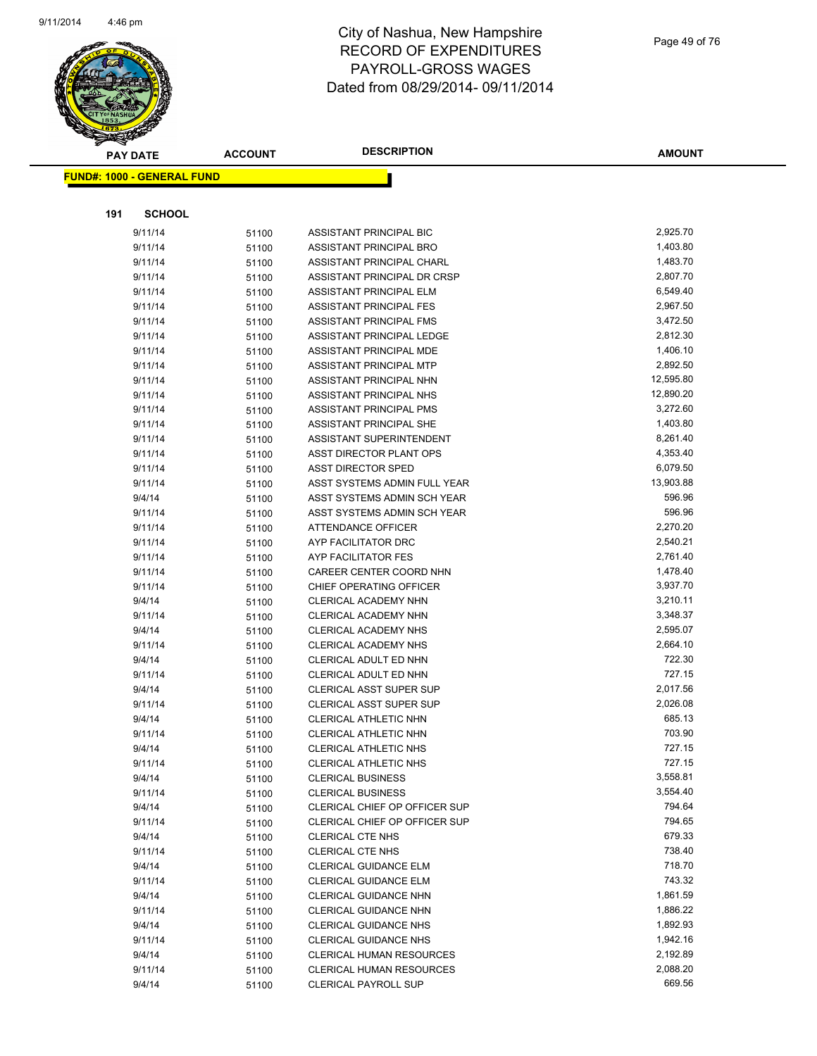

|     | <b>PAY DATE</b>                   | <b>ACCOUNT</b> | <b>DESCRIPTION</b>              | <b>AMOUNT</b> |
|-----|-----------------------------------|----------------|---------------------------------|---------------|
|     | <b>FUND#: 1000 - GENERAL FUND</b> |                |                                 |               |
|     |                                   |                |                                 |               |
|     |                                   |                |                                 |               |
| 191 | <b>SCHOOL</b>                     |                |                                 |               |
|     | 9/11/14                           | 51100          | ASSISTANT PRINCIPAL BIC         | 2,925.70      |
|     | 9/11/14                           | 51100          | ASSISTANT PRINCIPAL BRO         | 1,403.80      |
|     | 9/11/14                           | 51100          | ASSISTANT PRINCIPAL CHARL       | 1,483.70      |
|     | 9/11/14                           | 51100          | ASSISTANT PRINCIPAL DR CRSP     | 2,807.70      |
|     | 9/11/14                           | 51100          | ASSISTANT PRINCIPAL ELM         | 6,549.40      |
|     | 9/11/14                           | 51100          | ASSISTANT PRINCIPAL FES         | 2,967.50      |
|     | 9/11/14                           | 51100          | <b>ASSISTANT PRINCIPAL FMS</b>  | 3,472.50      |
|     | 9/11/14                           | 51100          | ASSISTANT PRINCIPAL LEDGE       | 2,812.30      |
|     | 9/11/14                           | 51100          | ASSISTANT PRINCIPAL MDE         | 1,406.10      |
|     | 9/11/14                           | 51100          | ASSISTANT PRINCIPAL MTP         | 2,892.50      |
|     | 9/11/14                           | 51100          | ASSISTANT PRINCIPAL NHN         | 12,595.80     |
|     | 9/11/14                           | 51100          | ASSISTANT PRINCIPAL NHS         | 12,890.20     |
|     | 9/11/14                           | 51100          | ASSISTANT PRINCIPAL PMS         | 3,272.60      |
|     | 9/11/14                           | 51100          | ASSISTANT PRINCIPAL SHE         | 1,403.80      |
|     | 9/11/14                           | 51100          | <b>ASSISTANT SUPERINTENDENT</b> | 8,261.40      |
|     | 9/11/14                           | 51100          | ASST DIRECTOR PLANT OPS         | 4,353.40      |
|     | 9/11/14                           | 51100          | <b>ASST DIRECTOR SPED</b>       | 6,079.50      |
|     | 9/11/14                           | 51100          | ASST SYSTEMS ADMIN FULL YEAR    | 13,903.88     |
|     | 9/4/14                            | 51100          | ASST SYSTEMS ADMIN SCH YEAR     | 596.96        |
|     | 9/11/14                           | 51100          | ASST SYSTEMS ADMIN SCH YEAR     | 596.96        |
|     | 9/11/14                           | 51100          | <b>ATTENDANCE OFFICER</b>       | 2,270.20      |
|     | 9/11/14                           | 51100          | AYP FACILITATOR DRC             | 2,540.21      |
|     | 9/11/14                           | 51100          | AYP FACILITATOR FES             | 2,761.40      |
|     | 9/11/14                           | 51100          | CAREER CENTER COORD NHN         | 1,478.40      |
|     | 9/11/14                           | 51100          | CHIEF OPERATING OFFICER         | 3,937.70      |
|     | 9/4/14                            | 51100          | CLERICAL ACADEMY NHN            | 3,210.11      |
|     | 9/11/14                           | 51100          | CLERICAL ACADEMY NHN            | 3,348.37      |
|     | 9/4/14                            | 51100          | CLERICAL ACADEMY NHS            | 2,595.07      |
|     | 9/11/14                           | 51100          | <b>CLERICAL ACADEMY NHS</b>     | 2,664.10      |
|     | 9/4/14                            | 51100          | CLERICAL ADULT ED NHN           | 722.30        |
|     | 9/11/14                           | 51100          | CLERICAL ADULT ED NHN           | 727.15        |
|     | 9/4/14                            | 51100          | <b>CLERICAL ASST SUPER SUP</b>  | 2,017.56      |
|     | 9/11/14                           | 51100          | <b>CLERICAL ASST SUPER SUP</b>  | 2,026.08      |
|     | 9/4/14                            | 51100          | CLERICAL ATHLETIC NHN           | 685.13        |
|     | 9/11/14                           | 51100          | <b>CLERICAL ATHLETIC NHN</b>    | 703.90        |
|     | 9/4/14                            | 51100          | <b>CLERICAL ATHLETIC NHS</b>    | 727.15        |
|     | 9/11/14                           | 51100          | CLERICAL ATHLETIC NHS           | 727.15        |
|     | 9/4/14                            | 51100          | <b>CLERICAL BUSINESS</b>        | 3,558.81      |
|     | 9/11/14                           | 51100          | <b>CLERICAL BUSINESS</b>        | 3,554.40      |
|     | 9/4/14                            | 51100          | CLERICAL CHIEF OP OFFICER SUP   | 794.64        |
|     | 9/11/14                           | 51100          | CLERICAL CHIEF OP OFFICER SUP   | 794.65        |
|     | 9/4/14                            | 51100          | <b>CLERICAL CTE NHS</b>         | 679.33        |
|     | 9/11/14                           | 51100          | CLERICAL CTE NHS                | 738.40        |
|     | 9/4/14                            | 51100          | <b>CLERICAL GUIDANCE ELM</b>    | 718.70        |
|     | 9/11/14                           | 51100          | CLERICAL GUIDANCE ELM           | 743.32        |
|     | 9/4/14                            | 51100          | <b>CLERICAL GUIDANCE NHN</b>    | 1,861.59      |
|     | 9/11/14                           | 51100          | <b>CLERICAL GUIDANCE NHN</b>    | 1,886.22      |
|     | 9/4/14                            | 51100          | CLERICAL GUIDANCE NHS           | 1,892.93      |
|     | 9/11/14                           | 51100          | <b>CLERICAL GUIDANCE NHS</b>    | 1,942.16      |
|     | 9/4/14                            | 51100          | <b>CLERICAL HUMAN RESOURCES</b> | 2,192.89      |
|     | 9/11/14                           | 51100          | <b>CLERICAL HUMAN RESOURCES</b> | 2,088.20      |
|     | 9/4/14                            | 51100          | <b>CLERICAL PAYROLL SUP</b>     | 669.56        |
|     |                                   |                |                                 |               |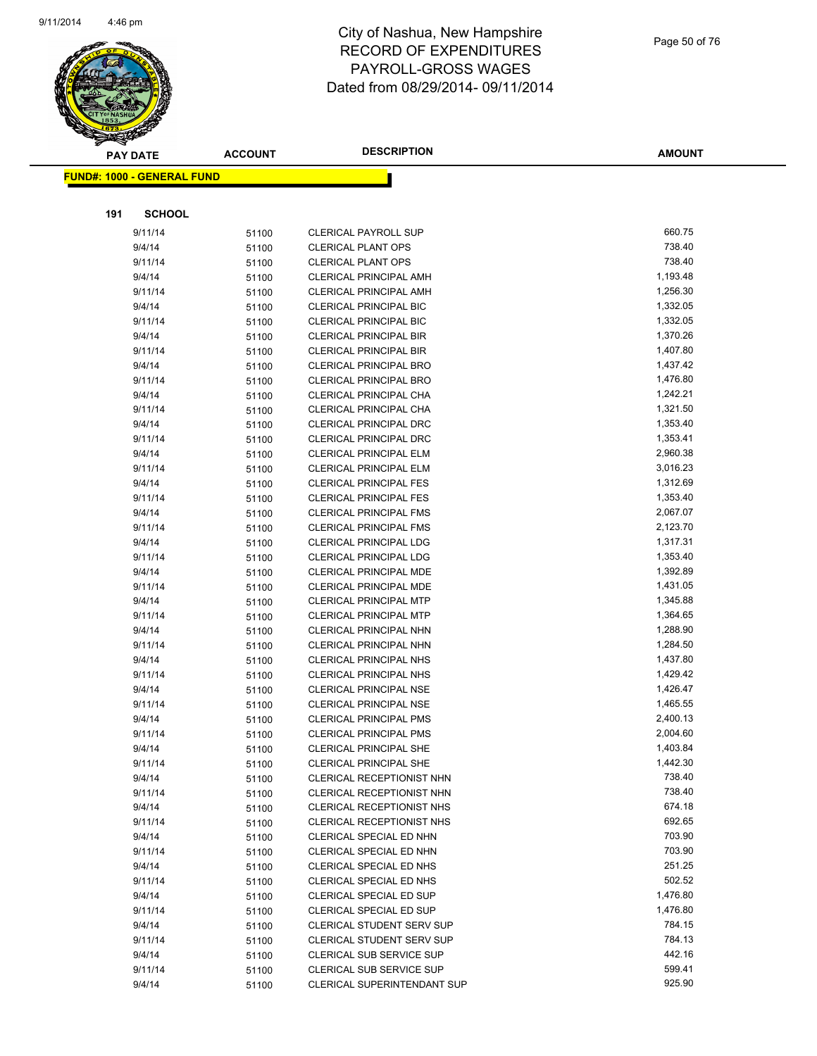

Page 50 of 76

|     | <b>PAY DATE</b>                   | <b>ACCOUNT</b> | <b>DESCRIPTION</b>                                             | <b>AMOUNT</b>        |
|-----|-----------------------------------|----------------|----------------------------------------------------------------|----------------------|
|     | <b>FUND#: 1000 - GENERAL FUND</b> |                |                                                                |                      |
|     |                                   |                |                                                                |                      |
|     |                                   |                |                                                                |                      |
| 191 | <b>SCHOOL</b>                     |                |                                                                |                      |
|     | 9/11/14                           | 51100          | <b>CLERICAL PAYROLL SUP</b>                                    | 660.75               |
|     | 9/4/14                            | 51100          | <b>CLERICAL PLANT OPS</b>                                      | 738.40               |
|     | 9/11/14                           | 51100          | <b>CLERICAL PLANT OPS</b>                                      | 738.40               |
|     | 9/4/14                            | 51100          | CLERICAL PRINCIPAL AMH                                         | 1,193.48             |
|     | 9/11/14                           | 51100          | <b>CLERICAL PRINCIPAL AMH</b>                                  | 1,256.30             |
|     | 9/4/14                            | 51100          | <b>CLERICAL PRINCIPAL BIC</b>                                  | 1,332.05             |
|     | 9/11/14                           | 51100          | <b>CLERICAL PRINCIPAL BIC</b>                                  | 1,332.05             |
|     | 9/4/14                            | 51100          | <b>CLERICAL PRINCIPAL BIR</b>                                  | 1,370.26             |
|     | 9/11/14                           | 51100          | <b>CLERICAL PRINCIPAL BIR</b>                                  | 1,407.80             |
|     | 9/4/14                            | 51100          | <b>CLERICAL PRINCIPAL BRO</b>                                  | 1,437.42             |
|     | 9/11/14                           | 51100          | <b>CLERICAL PRINCIPAL BRO</b>                                  | 1,476.80             |
|     | 9/4/14                            | 51100          | CLERICAL PRINCIPAL CHA                                         | 1,242.21             |
|     | 9/11/14                           | 51100          | CLERICAL PRINCIPAL CHA                                         | 1,321.50             |
|     | 9/4/14                            | 51100          | <b>CLERICAL PRINCIPAL DRC</b>                                  | 1,353.40             |
|     | 9/11/14                           | 51100          | <b>CLERICAL PRINCIPAL DRC</b>                                  | 1,353.41             |
|     | 9/4/14                            | 51100          | CLERICAL PRINCIPAL ELM                                         | 2,960.38             |
|     | 9/11/14                           | 51100          | <b>CLERICAL PRINCIPAL ELM</b>                                  | 3,016.23             |
|     | 9/4/14                            | 51100          | <b>CLERICAL PRINCIPAL FES</b>                                  | 1,312.69             |
|     | 9/11/14                           | 51100          | <b>CLERICAL PRINCIPAL FES</b>                                  | 1,353.40             |
|     | 9/4/14                            | 51100          | <b>CLERICAL PRINCIPAL FMS</b>                                  | 2,067.07             |
|     | 9/11/14                           | 51100          | <b>CLERICAL PRINCIPAL FMS</b>                                  | 2,123.70             |
|     | 9/4/14                            | 51100          | <b>CLERICAL PRINCIPAL LDG</b>                                  | 1,317.31             |
|     | 9/11/14                           | 51100          | CLERICAL PRINCIPAL LDG                                         | 1,353.40             |
|     | 9/4/14                            | 51100          | CLERICAL PRINCIPAL MDE                                         | 1,392.89             |
|     | 9/11/14                           | 51100          | CLERICAL PRINCIPAL MDE                                         | 1,431.05             |
|     | 9/4/14                            | 51100          | <b>CLERICAL PRINCIPAL MTP</b>                                  | 1,345.88             |
|     | 9/11/14                           | 51100          | <b>CLERICAL PRINCIPAL MTP</b>                                  | 1,364.65             |
|     | 9/4/14                            | 51100          | CLERICAL PRINCIPAL NHN                                         | 1,288.90             |
|     | 9/11/14                           | 51100          | CLERICAL PRINCIPAL NHN                                         | 1,284.50             |
|     | 9/4/14                            | 51100          | <b>CLERICAL PRINCIPAL NHS</b><br><b>CLERICAL PRINCIPAL NHS</b> | 1,437.80<br>1,429.42 |
|     | 9/11/14<br>9/4/14                 | 51100          | <b>CLERICAL PRINCIPAL NSE</b>                                  | 1,426.47             |
|     | 9/11/14                           | 51100          | <b>CLERICAL PRINCIPAL NSE</b>                                  | 1,465.55             |
|     | 9/4/14                            | 51100          | <b>CLERICAL PRINCIPAL PMS</b>                                  | 2,400.13             |
|     | 9/11/14                           | 51100          | <b>CLERICAL PRINCIPAL PMS</b>                                  | 2,004.60             |
|     | 9/4/14                            | 51100<br>51100 | <b>CLERICAL PRINCIPAL SHE</b>                                  | 1,403.84             |
|     | 9/11/14                           | 51100          | <b>CLERICAL PRINCIPAL SHE</b>                                  | 1,442.30             |
|     | 9/4/14                            | 51100          | CLERICAL RECEPTIONIST NHN                                      | 738.40               |
|     | 9/11/14                           | 51100          | CLERICAL RECEPTIONIST NHN                                      | 738.40               |
|     | 9/4/14                            | 51100          | CLERICAL RECEPTIONIST NHS                                      | 674.18               |
|     | 9/11/14                           | 51100          | CLERICAL RECEPTIONIST NHS                                      | 692.65               |
|     | 9/4/14                            | 51100          | CLERICAL SPECIAL ED NHN                                        | 703.90               |
|     | 9/11/14                           | 51100          | CLERICAL SPECIAL ED NHN                                        | 703.90               |
|     | 9/4/14                            | 51100          | CLERICAL SPECIAL ED NHS                                        | 251.25               |
|     | 9/11/14                           | 51100          | CLERICAL SPECIAL ED NHS                                        | 502.52               |
|     | 9/4/14                            | 51100          | CLERICAL SPECIAL ED SUP                                        | 1,476.80             |
|     | 9/11/14                           | 51100          | CLERICAL SPECIAL ED SUP                                        | 1,476.80             |
|     | 9/4/14                            | 51100          | <b>CLERICAL STUDENT SERV SUP</b>                               | 784.15               |
|     | 9/11/14                           | 51100          | <b>CLERICAL STUDENT SERV SUP</b>                               | 784.13               |
|     | 9/4/14                            | 51100          | CLERICAL SUB SERVICE SUP                                       | 442.16               |
|     | 9/11/14                           | 51100          | CLERICAL SUB SERVICE SUP                                       | 599.41               |
|     | 9/4/14                            | 51100          | <b>CLERICAL SUPERINTENDANT SUP</b>                             | 925.90               |
|     |                                   |                |                                                                |                      |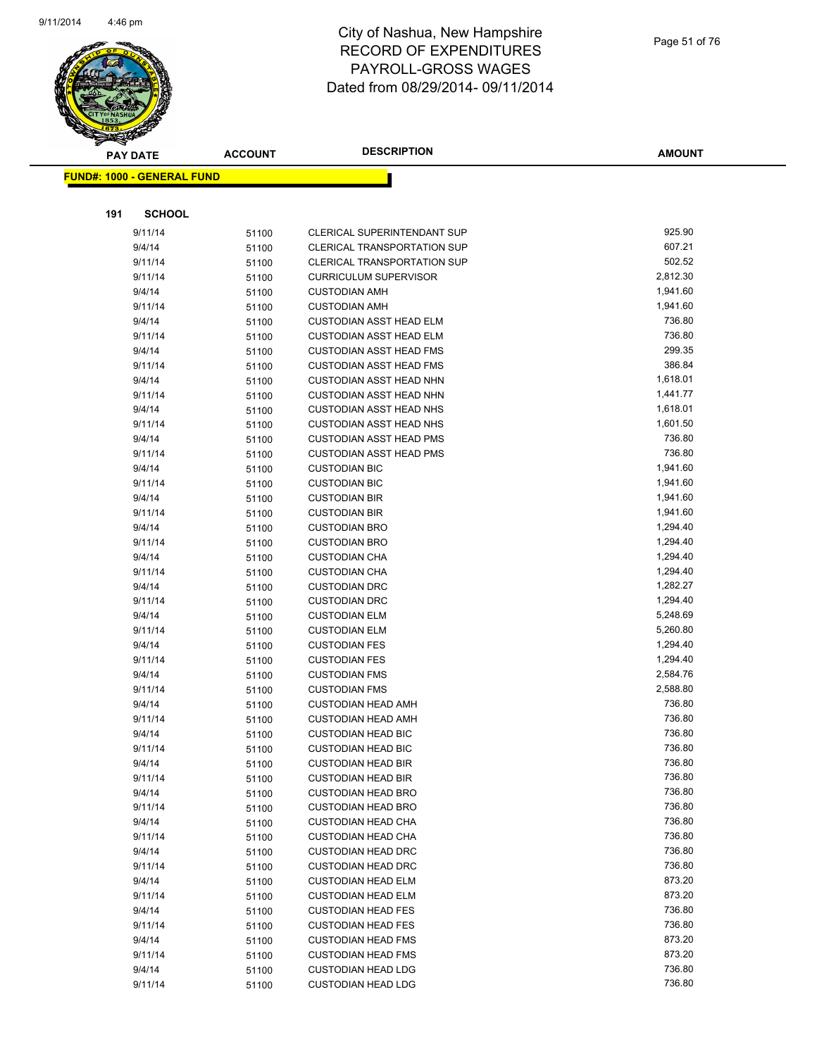

| <b>PAY DATE</b>                   | <b>ACCOUNT</b> | <b>DESCRIPTION</b>                                               | <b>AMOUNT</b>      |
|-----------------------------------|----------------|------------------------------------------------------------------|--------------------|
| <b>FUND#: 1000 - GENERAL FUND</b> |                |                                                                  |                    |
|                                   |                |                                                                  |                    |
|                                   |                |                                                                  |                    |
| 191<br><b>SCHOOL</b>              |                |                                                                  |                    |
| 9/11/14                           | 51100          | CLERICAL SUPERINTENDANT SUP                                      | 925.90             |
| 9/4/14                            | 51100          | <b>CLERICAL TRANSPORTATION SUP</b>                               | 607.21             |
| 9/11/14                           | 51100          | <b>CLERICAL TRANSPORTATION SUP</b>                               | 502.52             |
| 9/11/14                           | 51100          | <b>CURRICULUM SUPERVISOR</b>                                     | 2,812.30           |
| 9/4/14                            | 51100          | <b>CUSTODIAN AMH</b>                                             | 1,941.60           |
| 9/11/14                           | 51100          | <b>CUSTODIAN AMH</b>                                             | 1,941.60           |
| 9/4/14                            | 51100          | <b>CUSTODIAN ASST HEAD ELM</b>                                   | 736.80             |
| 9/11/14                           | 51100          | <b>CUSTODIAN ASST HEAD ELM</b>                                   | 736.80             |
| 9/4/14                            | 51100          | <b>CUSTODIAN ASST HEAD FMS</b>                                   | 299.35             |
| 9/11/14                           | 51100          | <b>CUSTODIAN ASST HEAD FMS</b>                                   | 386.84             |
| 9/4/14                            | 51100          | <b>CUSTODIAN ASST HEAD NHN</b>                                   | 1,618.01           |
| 9/11/14                           | 51100          | <b>CUSTODIAN ASST HEAD NHN</b>                                   | 1,441.77           |
| 9/4/14                            | 51100          | <b>CUSTODIAN ASST HEAD NHS</b>                                   | 1,618.01           |
| 9/11/14                           | 51100          | <b>CUSTODIAN ASST HEAD NHS</b>                                   | 1,601.50<br>736.80 |
| 9/4/14                            | 51100          | <b>CUSTODIAN ASST HEAD PMS</b><br><b>CUSTODIAN ASST HEAD PMS</b> | 736.80             |
| 9/11/14<br>9/4/14                 | 51100          | <b>CUSTODIAN BIC</b>                                             | 1,941.60           |
| 9/11/14                           | 51100          |                                                                  | 1,941.60           |
| 9/4/14                            | 51100          | <b>CUSTODIAN BIC</b><br><b>CUSTODIAN BIR</b>                     | 1,941.60           |
| 9/11/14                           | 51100          | <b>CUSTODIAN BIR</b>                                             | 1,941.60           |
| 9/4/14                            | 51100          | <b>CUSTODIAN BRO</b>                                             | 1,294.40           |
| 9/11/14                           | 51100<br>51100 | <b>CUSTODIAN BRO</b>                                             | 1,294.40           |
| 9/4/14                            | 51100          | <b>CUSTODIAN CHA</b>                                             | 1,294.40           |
| 9/11/14                           | 51100          | <b>CUSTODIAN CHA</b>                                             | 1,294.40           |
| 9/4/14                            | 51100          | <b>CUSTODIAN DRC</b>                                             | 1,282.27           |
| 9/11/14                           | 51100          | <b>CUSTODIAN DRC</b>                                             | 1,294.40           |
| 9/4/14                            | 51100          | <b>CUSTODIAN ELM</b>                                             | 5,248.69           |
| 9/11/14                           | 51100          | <b>CUSTODIAN ELM</b>                                             | 5,260.80           |
| 9/4/14                            | 51100          | <b>CUSTODIAN FES</b>                                             | 1,294.40           |
| 9/11/14                           | 51100          | <b>CUSTODIAN FES</b>                                             | 1,294.40           |
| 9/4/14                            | 51100          | <b>CUSTODIAN FMS</b>                                             | 2,584.76           |
| 9/11/14                           | 51100          | <b>CUSTODIAN FMS</b>                                             | 2,588.80           |
| 9/4/14                            | 51100          | <b>CUSTODIAN HEAD AMH</b>                                        | 736.80             |
| 9/11/14                           | 51100          | <b>CUSTODIAN HEAD AMH</b>                                        | 736.80             |
| 9/4/14                            | 51100          | <b>CUSTODIAN HEAD BIC</b>                                        | 736.80             |
| 9/11/14                           | 51100          | <b>CUSTODIAN HEAD BIC</b>                                        | 736.80             |
| 9/4/14                            | 51100          | <b>CUSTODIAN HEAD BIR</b>                                        | 736.80             |
| 9/11/14                           | 51100          | <b>CUSTODIAN HEAD BIR</b>                                        | 736.80             |
| 9/4/14                            | 51100          | <b>CUSTODIAN HEAD BRO</b>                                        | 736.80             |
| 9/11/14                           | 51100          | <b>CUSTODIAN HEAD BRO</b>                                        | 736.80             |
| 9/4/14                            | 51100          | <b>CUSTODIAN HEAD CHA</b>                                        | 736.80             |
| 9/11/14                           | 51100          | <b>CUSTODIAN HEAD CHA</b>                                        | 736.80             |
| 9/4/14                            | 51100          | <b>CUSTODIAN HEAD DRC</b>                                        | 736.80             |
| 9/11/14                           | 51100          | <b>CUSTODIAN HEAD DRC</b>                                        | 736.80             |
| 9/4/14                            | 51100          | <b>CUSTODIAN HEAD ELM</b>                                        | 873.20             |
| 9/11/14                           | 51100          | <b>CUSTODIAN HEAD ELM</b>                                        | 873.20             |
| 9/4/14                            | 51100          | <b>CUSTODIAN HEAD FES</b>                                        | 736.80             |
| 9/11/14                           | 51100          | <b>CUSTODIAN HEAD FES</b>                                        | 736.80             |
| 9/4/14                            | 51100          | <b>CUSTODIAN HEAD FMS</b>                                        | 873.20             |
| 9/11/14                           | 51100          | <b>CUSTODIAN HEAD FMS</b>                                        | 873.20             |
| 9/4/14                            | 51100          | <b>CUSTODIAN HEAD LDG</b>                                        | 736.80             |
| 9/11/14                           | 51100          | <b>CUSTODIAN HEAD LDG</b>                                        | 736.80             |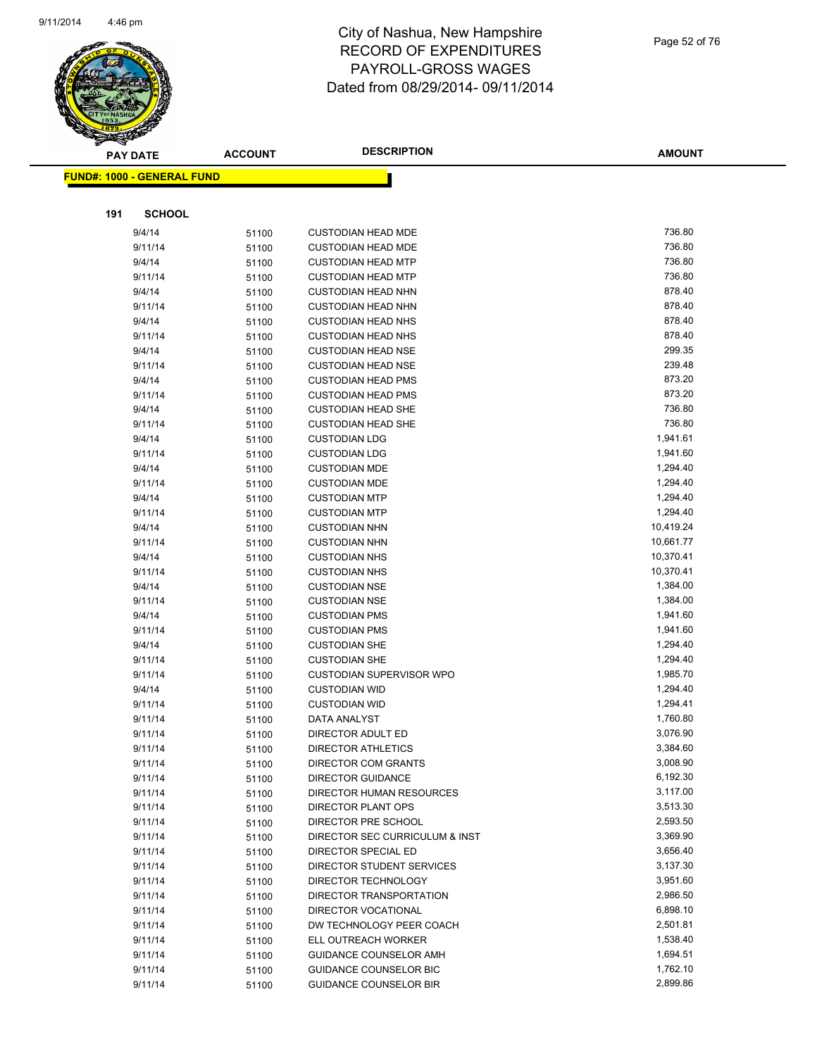

|     | <b>PAY DATE</b>                    | <b>ACCOUNT</b> | <b>DESCRIPTION</b>                           | <b>AMOUNT</b>        |
|-----|------------------------------------|----------------|----------------------------------------------|----------------------|
|     | <u> FUND#: 1000 - GENERAL FUND</u> |                |                                              |                      |
|     |                                    |                |                                              |                      |
|     |                                    |                |                                              |                      |
| 191 | <b>SCHOOL</b>                      |                |                                              |                      |
|     | 9/4/14                             | 51100          | <b>CUSTODIAN HEAD MDE</b>                    | 736.80               |
|     | 9/11/14                            | 51100          | <b>CUSTODIAN HEAD MDE</b>                    | 736.80               |
|     | 9/4/14                             | 51100          | <b>CUSTODIAN HEAD MTP</b>                    | 736.80               |
|     | 9/11/14                            | 51100          | <b>CUSTODIAN HEAD MTP</b>                    | 736.80               |
|     | 9/4/14                             | 51100          | <b>CUSTODIAN HEAD NHN</b>                    | 878.40               |
|     | 9/11/14                            | 51100          | <b>CUSTODIAN HEAD NHN</b>                    | 878.40               |
|     | 9/4/14                             | 51100          | <b>CUSTODIAN HEAD NHS</b>                    | 878.40               |
|     | 9/11/14                            | 51100          | <b>CUSTODIAN HEAD NHS</b>                    | 878.40               |
|     | 9/4/14                             | 51100          | <b>CUSTODIAN HEAD NSE</b>                    | 299.35               |
|     | 9/11/14                            | 51100          | <b>CUSTODIAN HEAD NSE</b>                    | 239.48               |
|     | 9/4/14                             | 51100          | <b>CUSTODIAN HEAD PMS</b>                    | 873.20               |
|     | 9/11/14                            | 51100          | <b>CUSTODIAN HEAD PMS</b>                    | 873.20               |
|     | 9/4/14                             | 51100          | <b>CUSTODIAN HEAD SHE</b>                    | 736.80               |
|     | 9/11/14                            | 51100          | <b>CUSTODIAN HEAD SHE</b>                    | 736.80               |
|     | 9/4/14                             | 51100          | <b>CUSTODIAN LDG</b>                         | 1,941.61             |
|     | 9/11/14                            | 51100          | <b>CUSTODIAN LDG</b>                         | 1,941.60             |
|     | 9/4/14                             | 51100          | <b>CUSTODIAN MDE</b>                         | 1,294.40<br>1,294.40 |
|     | 9/11/14<br>9/4/14                  | 51100          | <b>CUSTODIAN MDE</b>                         | 1,294.40             |
|     | 9/11/14                            | 51100          | <b>CUSTODIAN MTP</b><br><b>CUSTODIAN MTP</b> | 1,294.40             |
|     | 9/4/14                             | 51100          | <b>CUSTODIAN NHN</b>                         | 10,419.24            |
|     | 9/11/14                            | 51100          | <b>CUSTODIAN NHN</b>                         | 10,661.77            |
|     | 9/4/14                             | 51100<br>51100 | <b>CUSTODIAN NHS</b>                         | 10,370.41            |
|     | 9/11/14                            | 51100          | <b>CUSTODIAN NHS</b>                         | 10,370.41            |
|     | 9/4/14                             | 51100          | <b>CUSTODIAN NSE</b>                         | 1,384.00             |
|     | 9/11/14                            | 51100          | <b>CUSTODIAN NSE</b>                         | 1,384.00             |
|     | 9/4/14                             | 51100          | <b>CUSTODIAN PMS</b>                         | 1,941.60             |
|     | 9/11/14                            | 51100          | <b>CUSTODIAN PMS</b>                         | 1,941.60             |
|     | 9/4/14                             | 51100          | <b>CUSTODIAN SHE</b>                         | 1,294.40             |
|     | 9/11/14                            | 51100          | <b>CUSTODIAN SHE</b>                         | 1,294.40             |
|     | 9/11/14                            | 51100          | <b>CUSTODIAN SUPERVISOR WPO</b>              | 1,985.70             |
|     | 9/4/14                             | 51100          | <b>CUSTODIAN WID</b>                         | 1,294.40             |
|     | 9/11/14                            | 51100          | <b>CUSTODIAN WID</b>                         | 1,294.41             |
|     | 9/11/14                            | 51100          | DATA ANALYST                                 | 1,760.80             |
|     | 9/11/14                            | 51100          | DIRECTOR ADULT ED                            | 3,076.90             |
|     | 9/11/14                            | 51100          | DIRECTOR ATHLETICS                           | 3,384.60             |
|     | 9/11/14                            | 51100          | DIRECTOR COM GRANTS                          | 3,008.90             |
|     | 9/11/14                            | 51100          | DIRECTOR GUIDANCE                            | 6,192.30             |
|     | 9/11/14                            | 51100          | DIRECTOR HUMAN RESOURCES                     | 3,117.00             |
|     | 9/11/14                            | 51100          | <b>DIRECTOR PLANT OPS</b>                    | 3,513.30             |
|     | 9/11/14                            | 51100          | DIRECTOR PRE SCHOOL                          | 2,593.50             |
|     | 9/11/14                            | 51100          | DIRECTOR SEC CURRICULUM & INST               | 3,369.90             |
|     | 9/11/14                            | 51100          | DIRECTOR SPECIAL ED                          | 3,656.40             |
|     | 9/11/14                            | 51100          | DIRECTOR STUDENT SERVICES                    | 3,137.30             |
|     | 9/11/14                            | 51100          | DIRECTOR TECHNOLOGY                          | 3,951.60             |
|     | 9/11/14                            | 51100          | DIRECTOR TRANSPORTATION                      | 2,986.50             |
|     | 9/11/14                            | 51100          | DIRECTOR VOCATIONAL                          | 6,898.10             |
|     | 9/11/14                            | 51100          | DW TECHNOLOGY PEER COACH                     | 2,501.81             |
|     | 9/11/14                            | 51100          | ELL OUTREACH WORKER                          | 1,538.40             |
|     | 9/11/14                            | 51100          | GUIDANCE COUNSELOR AMH                       | 1,694.51             |
|     | 9/11/14                            | 51100          | GUIDANCE COUNSELOR BIC                       | 1,762.10             |
|     | 9/11/14                            | 51100          | <b>GUIDANCE COUNSELOR BIR</b>                | 2,899.86             |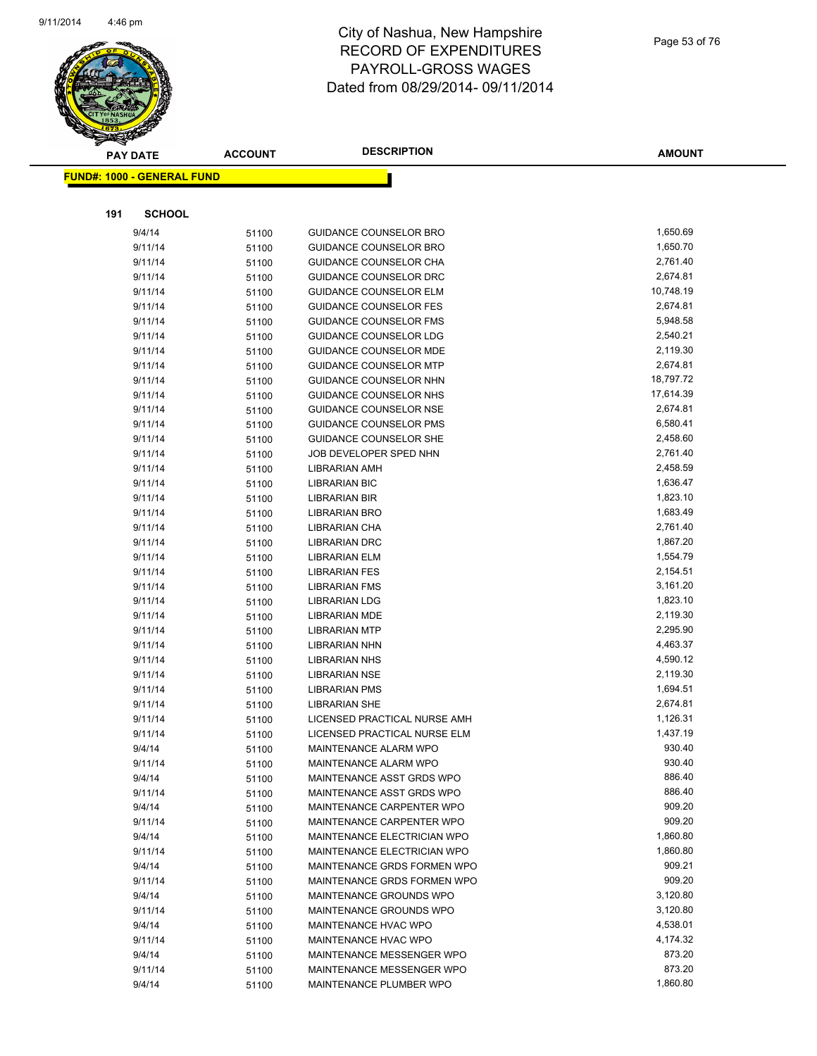

| <b>FUND#: 1000 - GENERAL FUND</b><br>191<br><b>SCHOOL</b><br>1,650.69<br>9/4/14<br><b>GUIDANCE COUNSELOR BRO</b><br>51100<br>1,650.70<br>9/11/14<br><b>GUIDANCE COUNSELOR BRO</b><br>51100<br>2,761.40<br><b>GUIDANCE COUNSELOR CHA</b><br>9/11/14<br>51100<br>2,674.81<br>9/11/14<br><b>GUIDANCE COUNSELOR DRC</b><br>51100<br>10,748.19<br>GUIDANCE COUNSELOR ELM<br>9/11/14<br>51100<br>2,674.81<br>9/11/14<br><b>GUIDANCE COUNSELOR FES</b><br>51100<br>5,948.58<br>9/11/14<br><b>GUIDANCE COUNSELOR FMS</b><br>51100<br>GUIDANCE COUNSELOR LDG<br>2,540.21<br>9/11/14<br>51100<br>2,119.30<br>9/11/14<br>GUIDANCE COUNSELOR MDE<br>51100<br>2,674.81<br>9/11/14<br><b>GUIDANCE COUNSELOR MTP</b><br>51100<br>18,797.72<br>9/11/14<br>GUIDANCE COUNSELOR NHN<br>51100<br>17,614.39<br>9/11/14<br>GUIDANCE COUNSELOR NHS<br>51100<br>2,674.81<br>9/11/14<br><b>GUIDANCE COUNSELOR NSE</b><br>51100<br>6,580.41<br>9/11/14<br><b>GUIDANCE COUNSELOR PMS</b><br>51100<br>2,458.60<br>9/11/14<br><b>GUIDANCE COUNSELOR SHE</b><br>51100<br>2,761.40<br>JOB DEVELOPER SPED NHN<br>9/11/14<br>51100<br>9/11/14<br>2,458.59<br><b>LIBRARIAN AMH</b><br>51100<br>1,636.47<br>9/11/14<br>LIBRARIAN BIC<br>51100<br>9/11/14<br>1,823.10<br>LIBRARIAN BIR<br>51100<br>1,683.49<br>9/11/14<br><b>LIBRARIAN BRO</b><br>51100<br>2,761.40<br>9/11/14<br>LIBRARIAN CHA<br>51100<br>1,867.20<br>9/11/14<br><b>LIBRARIAN DRC</b><br>51100<br>1,554.79<br>9/11/14<br>LIBRARIAN ELM<br>51100<br>2,154.51<br>9/11/14<br><b>LIBRARIAN FES</b><br>51100<br>3,161.20<br>9/11/14<br><b>LIBRARIAN FMS</b><br>51100<br>1,823.10<br>9/11/14<br><b>LIBRARIAN LDG</b><br>51100<br>2,119.30<br>9/11/14<br><b>LIBRARIAN MDE</b><br>51100<br>2,295.90<br>9/11/14<br><b>LIBRARIAN MTP</b><br>51100<br>4,463.37<br>9/11/14<br>LIBRARIAN NHN<br>51100<br>4,590.12<br>9/11/14<br><b>LIBRARIAN NHS</b><br>51100<br>2,119.30<br>9/11/14<br><b>LIBRARIAN NSE</b><br>51100<br>1,694.51<br>9/11/14<br><b>LIBRARIAN PMS</b><br>51100<br>2,674.81<br>9/11/14<br><b>LIBRARIAN SHE</b><br>51100<br>LICENSED PRACTICAL NURSE AMH<br>1,126.31<br>9/11/14<br>51100<br>1,437.19<br>9/11/14<br>LICENSED PRACTICAL NURSE ELM<br>51100<br>MAINTENANCE ALARM WPO<br>930.40<br>9/4/14<br>51100<br>930.40<br>9/11/14<br>MAINTENANCE ALARM WPO<br>51100<br>886.40<br>9/4/14<br>MAINTENANCE ASST GRDS WPO<br>51100<br>886.40<br>MAINTENANCE ASST GRDS WPO<br>9/11/14<br>51100<br>909.20<br>MAINTENANCE CARPENTER WPO<br>9/4/14<br>51100<br>909.20<br>9/11/14<br>MAINTENANCE CARPENTER WPO<br>51100<br>1,860.80<br>9/4/14<br>MAINTENANCE ELECTRICIAN WPO<br>51100<br>1,860.80<br>9/11/14<br>MAINTENANCE ELECTRICIAN WPO<br>51100<br>909.21<br>9/4/14<br>MAINTENANCE GRDS FORMEN WPO<br>51100<br>909.20<br>MAINTENANCE GRDS FORMEN WPO<br>9/11/14<br>51100<br>3,120.80<br>9/4/14<br>MAINTENANCE GROUNDS WPO<br>51100<br>MAINTENANCE GROUNDS WPO<br>3,120.80<br>9/11/14<br>51100<br>4,538.01<br>9/4/14<br>MAINTENANCE HVAC WPO<br>51100<br>4,174.32<br>9/11/14<br>MAINTENANCE HVAC WPO<br>51100<br>873.20<br>9/4/14<br>MAINTENANCE MESSENGER WPO<br>51100<br>873.20<br>9/11/14<br>MAINTENANCE MESSENGER WPO<br>51100<br>1,860.80<br>MAINTENANCE PLUMBER WPO<br>9/4/14<br>51100 |  | <b>PAY DATE</b> | <b>ACCOUNT</b> | <b>DESCRIPTION</b> | <b>AMOUNT</b> |
|------------------------------------------------------------------------------------------------------------------------------------------------------------------------------------------------------------------------------------------------------------------------------------------------------------------------------------------------------------------------------------------------------------------------------------------------------------------------------------------------------------------------------------------------------------------------------------------------------------------------------------------------------------------------------------------------------------------------------------------------------------------------------------------------------------------------------------------------------------------------------------------------------------------------------------------------------------------------------------------------------------------------------------------------------------------------------------------------------------------------------------------------------------------------------------------------------------------------------------------------------------------------------------------------------------------------------------------------------------------------------------------------------------------------------------------------------------------------------------------------------------------------------------------------------------------------------------------------------------------------------------------------------------------------------------------------------------------------------------------------------------------------------------------------------------------------------------------------------------------------------------------------------------------------------------------------------------------------------------------------------------------------------------------------------------------------------------------------------------------------------------------------------------------------------------------------------------------------------------------------------------------------------------------------------------------------------------------------------------------------------------------------------------------------------------------------------------------------------------------------------------------------------------------------------------------------------------------------------------------------------------------------------------------------------------------------------------------------------------------------------------------------------------------------------------------------------------------------------------------------------------------------------------------------------------------------------------------------------------------------------------------------------------------------------------------------------------------------------------------------------------------------------------------------------------------------------------------------|--|-----------------|----------------|--------------------|---------------|
|                                                                                                                                                                                                                                                                                                                                                                                                                                                                                                                                                                                                                                                                                                                                                                                                                                                                                                                                                                                                                                                                                                                                                                                                                                                                                                                                                                                                                                                                                                                                                                                                                                                                                                                                                                                                                                                                                                                                                                                                                                                                                                                                                                                                                                                                                                                                                                                                                                                                                                                                                                                                                                                                                                                                                                                                                                                                                                                                                                                                                                                                                                                                                                                                                        |  |                 |                |                    |               |
|                                                                                                                                                                                                                                                                                                                                                                                                                                                                                                                                                                                                                                                                                                                                                                                                                                                                                                                                                                                                                                                                                                                                                                                                                                                                                                                                                                                                                                                                                                                                                                                                                                                                                                                                                                                                                                                                                                                                                                                                                                                                                                                                                                                                                                                                                                                                                                                                                                                                                                                                                                                                                                                                                                                                                                                                                                                                                                                                                                                                                                                                                                                                                                                                                        |  |                 |                |                    |               |
|                                                                                                                                                                                                                                                                                                                                                                                                                                                                                                                                                                                                                                                                                                                                                                                                                                                                                                                                                                                                                                                                                                                                                                                                                                                                                                                                                                                                                                                                                                                                                                                                                                                                                                                                                                                                                                                                                                                                                                                                                                                                                                                                                                                                                                                                                                                                                                                                                                                                                                                                                                                                                                                                                                                                                                                                                                                                                                                                                                                                                                                                                                                                                                                                                        |  |                 |                |                    |               |
|                                                                                                                                                                                                                                                                                                                                                                                                                                                                                                                                                                                                                                                                                                                                                                                                                                                                                                                                                                                                                                                                                                                                                                                                                                                                                                                                                                                                                                                                                                                                                                                                                                                                                                                                                                                                                                                                                                                                                                                                                                                                                                                                                                                                                                                                                                                                                                                                                                                                                                                                                                                                                                                                                                                                                                                                                                                                                                                                                                                                                                                                                                                                                                                                                        |  |                 |                |                    |               |
|                                                                                                                                                                                                                                                                                                                                                                                                                                                                                                                                                                                                                                                                                                                                                                                                                                                                                                                                                                                                                                                                                                                                                                                                                                                                                                                                                                                                                                                                                                                                                                                                                                                                                                                                                                                                                                                                                                                                                                                                                                                                                                                                                                                                                                                                                                                                                                                                                                                                                                                                                                                                                                                                                                                                                                                                                                                                                                                                                                                                                                                                                                                                                                                                                        |  |                 |                |                    |               |
|                                                                                                                                                                                                                                                                                                                                                                                                                                                                                                                                                                                                                                                                                                                                                                                                                                                                                                                                                                                                                                                                                                                                                                                                                                                                                                                                                                                                                                                                                                                                                                                                                                                                                                                                                                                                                                                                                                                                                                                                                                                                                                                                                                                                                                                                                                                                                                                                                                                                                                                                                                                                                                                                                                                                                                                                                                                                                                                                                                                                                                                                                                                                                                                                                        |  |                 |                |                    |               |
|                                                                                                                                                                                                                                                                                                                                                                                                                                                                                                                                                                                                                                                                                                                                                                                                                                                                                                                                                                                                                                                                                                                                                                                                                                                                                                                                                                                                                                                                                                                                                                                                                                                                                                                                                                                                                                                                                                                                                                                                                                                                                                                                                                                                                                                                                                                                                                                                                                                                                                                                                                                                                                                                                                                                                                                                                                                                                                                                                                                                                                                                                                                                                                                                                        |  |                 |                |                    |               |
|                                                                                                                                                                                                                                                                                                                                                                                                                                                                                                                                                                                                                                                                                                                                                                                                                                                                                                                                                                                                                                                                                                                                                                                                                                                                                                                                                                                                                                                                                                                                                                                                                                                                                                                                                                                                                                                                                                                                                                                                                                                                                                                                                                                                                                                                                                                                                                                                                                                                                                                                                                                                                                                                                                                                                                                                                                                                                                                                                                                                                                                                                                                                                                                                                        |  |                 |                |                    |               |
|                                                                                                                                                                                                                                                                                                                                                                                                                                                                                                                                                                                                                                                                                                                                                                                                                                                                                                                                                                                                                                                                                                                                                                                                                                                                                                                                                                                                                                                                                                                                                                                                                                                                                                                                                                                                                                                                                                                                                                                                                                                                                                                                                                                                                                                                                                                                                                                                                                                                                                                                                                                                                                                                                                                                                                                                                                                                                                                                                                                                                                                                                                                                                                                                                        |  |                 |                |                    |               |
|                                                                                                                                                                                                                                                                                                                                                                                                                                                                                                                                                                                                                                                                                                                                                                                                                                                                                                                                                                                                                                                                                                                                                                                                                                                                                                                                                                                                                                                                                                                                                                                                                                                                                                                                                                                                                                                                                                                                                                                                                                                                                                                                                                                                                                                                                                                                                                                                                                                                                                                                                                                                                                                                                                                                                                                                                                                                                                                                                                                                                                                                                                                                                                                                                        |  |                 |                |                    |               |
|                                                                                                                                                                                                                                                                                                                                                                                                                                                                                                                                                                                                                                                                                                                                                                                                                                                                                                                                                                                                                                                                                                                                                                                                                                                                                                                                                                                                                                                                                                                                                                                                                                                                                                                                                                                                                                                                                                                                                                                                                                                                                                                                                                                                                                                                                                                                                                                                                                                                                                                                                                                                                                                                                                                                                                                                                                                                                                                                                                                                                                                                                                                                                                                                                        |  |                 |                |                    |               |
|                                                                                                                                                                                                                                                                                                                                                                                                                                                                                                                                                                                                                                                                                                                                                                                                                                                                                                                                                                                                                                                                                                                                                                                                                                                                                                                                                                                                                                                                                                                                                                                                                                                                                                                                                                                                                                                                                                                                                                                                                                                                                                                                                                                                                                                                                                                                                                                                                                                                                                                                                                                                                                                                                                                                                                                                                                                                                                                                                                                                                                                                                                                                                                                                                        |  |                 |                |                    |               |
|                                                                                                                                                                                                                                                                                                                                                                                                                                                                                                                                                                                                                                                                                                                                                                                                                                                                                                                                                                                                                                                                                                                                                                                                                                                                                                                                                                                                                                                                                                                                                                                                                                                                                                                                                                                                                                                                                                                                                                                                                                                                                                                                                                                                                                                                                                                                                                                                                                                                                                                                                                                                                                                                                                                                                                                                                                                                                                                                                                                                                                                                                                                                                                                                                        |  |                 |                |                    |               |
|                                                                                                                                                                                                                                                                                                                                                                                                                                                                                                                                                                                                                                                                                                                                                                                                                                                                                                                                                                                                                                                                                                                                                                                                                                                                                                                                                                                                                                                                                                                                                                                                                                                                                                                                                                                                                                                                                                                                                                                                                                                                                                                                                                                                                                                                                                                                                                                                                                                                                                                                                                                                                                                                                                                                                                                                                                                                                                                                                                                                                                                                                                                                                                                                                        |  |                 |                |                    |               |
|                                                                                                                                                                                                                                                                                                                                                                                                                                                                                                                                                                                                                                                                                                                                                                                                                                                                                                                                                                                                                                                                                                                                                                                                                                                                                                                                                                                                                                                                                                                                                                                                                                                                                                                                                                                                                                                                                                                                                                                                                                                                                                                                                                                                                                                                                                                                                                                                                                                                                                                                                                                                                                                                                                                                                                                                                                                                                                                                                                                                                                                                                                                                                                                                                        |  |                 |                |                    |               |
|                                                                                                                                                                                                                                                                                                                                                                                                                                                                                                                                                                                                                                                                                                                                                                                                                                                                                                                                                                                                                                                                                                                                                                                                                                                                                                                                                                                                                                                                                                                                                                                                                                                                                                                                                                                                                                                                                                                                                                                                                                                                                                                                                                                                                                                                                                                                                                                                                                                                                                                                                                                                                                                                                                                                                                                                                                                                                                                                                                                                                                                                                                                                                                                                                        |  |                 |                |                    |               |
|                                                                                                                                                                                                                                                                                                                                                                                                                                                                                                                                                                                                                                                                                                                                                                                                                                                                                                                                                                                                                                                                                                                                                                                                                                                                                                                                                                                                                                                                                                                                                                                                                                                                                                                                                                                                                                                                                                                                                                                                                                                                                                                                                                                                                                                                                                                                                                                                                                                                                                                                                                                                                                                                                                                                                                                                                                                                                                                                                                                                                                                                                                                                                                                                                        |  |                 |                |                    |               |
|                                                                                                                                                                                                                                                                                                                                                                                                                                                                                                                                                                                                                                                                                                                                                                                                                                                                                                                                                                                                                                                                                                                                                                                                                                                                                                                                                                                                                                                                                                                                                                                                                                                                                                                                                                                                                                                                                                                                                                                                                                                                                                                                                                                                                                                                                                                                                                                                                                                                                                                                                                                                                                                                                                                                                                                                                                                                                                                                                                                                                                                                                                                                                                                                                        |  |                 |                |                    |               |
|                                                                                                                                                                                                                                                                                                                                                                                                                                                                                                                                                                                                                                                                                                                                                                                                                                                                                                                                                                                                                                                                                                                                                                                                                                                                                                                                                                                                                                                                                                                                                                                                                                                                                                                                                                                                                                                                                                                                                                                                                                                                                                                                                                                                                                                                                                                                                                                                                                                                                                                                                                                                                                                                                                                                                                                                                                                                                                                                                                                                                                                                                                                                                                                                                        |  |                 |                |                    |               |
|                                                                                                                                                                                                                                                                                                                                                                                                                                                                                                                                                                                                                                                                                                                                                                                                                                                                                                                                                                                                                                                                                                                                                                                                                                                                                                                                                                                                                                                                                                                                                                                                                                                                                                                                                                                                                                                                                                                                                                                                                                                                                                                                                                                                                                                                                                                                                                                                                                                                                                                                                                                                                                                                                                                                                                                                                                                                                                                                                                                                                                                                                                                                                                                                                        |  |                 |                |                    |               |
|                                                                                                                                                                                                                                                                                                                                                                                                                                                                                                                                                                                                                                                                                                                                                                                                                                                                                                                                                                                                                                                                                                                                                                                                                                                                                                                                                                                                                                                                                                                                                                                                                                                                                                                                                                                                                                                                                                                                                                                                                                                                                                                                                                                                                                                                                                                                                                                                                                                                                                                                                                                                                                                                                                                                                                                                                                                                                                                                                                                                                                                                                                                                                                                                                        |  |                 |                |                    |               |
|                                                                                                                                                                                                                                                                                                                                                                                                                                                                                                                                                                                                                                                                                                                                                                                                                                                                                                                                                                                                                                                                                                                                                                                                                                                                                                                                                                                                                                                                                                                                                                                                                                                                                                                                                                                                                                                                                                                                                                                                                                                                                                                                                                                                                                                                                                                                                                                                                                                                                                                                                                                                                                                                                                                                                                                                                                                                                                                                                                                                                                                                                                                                                                                                                        |  |                 |                |                    |               |
|                                                                                                                                                                                                                                                                                                                                                                                                                                                                                                                                                                                                                                                                                                                                                                                                                                                                                                                                                                                                                                                                                                                                                                                                                                                                                                                                                                                                                                                                                                                                                                                                                                                                                                                                                                                                                                                                                                                                                                                                                                                                                                                                                                                                                                                                                                                                                                                                                                                                                                                                                                                                                                                                                                                                                                                                                                                                                                                                                                                                                                                                                                                                                                                                                        |  |                 |                |                    |               |
|                                                                                                                                                                                                                                                                                                                                                                                                                                                                                                                                                                                                                                                                                                                                                                                                                                                                                                                                                                                                                                                                                                                                                                                                                                                                                                                                                                                                                                                                                                                                                                                                                                                                                                                                                                                                                                                                                                                                                                                                                                                                                                                                                                                                                                                                                                                                                                                                                                                                                                                                                                                                                                                                                                                                                                                                                                                                                                                                                                                                                                                                                                                                                                                                                        |  |                 |                |                    |               |
|                                                                                                                                                                                                                                                                                                                                                                                                                                                                                                                                                                                                                                                                                                                                                                                                                                                                                                                                                                                                                                                                                                                                                                                                                                                                                                                                                                                                                                                                                                                                                                                                                                                                                                                                                                                                                                                                                                                                                                                                                                                                                                                                                                                                                                                                                                                                                                                                                                                                                                                                                                                                                                                                                                                                                                                                                                                                                                                                                                                                                                                                                                                                                                                                                        |  |                 |                |                    |               |
|                                                                                                                                                                                                                                                                                                                                                                                                                                                                                                                                                                                                                                                                                                                                                                                                                                                                                                                                                                                                                                                                                                                                                                                                                                                                                                                                                                                                                                                                                                                                                                                                                                                                                                                                                                                                                                                                                                                                                                                                                                                                                                                                                                                                                                                                                                                                                                                                                                                                                                                                                                                                                                                                                                                                                                                                                                                                                                                                                                                                                                                                                                                                                                                                                        |  |                 |                |                    |               |
|                                                                                                                                                                                                                                                                                                                                                                                                                                                                                                                                                                                                                                                                                                                                                                                                                                                                                                                                                                                                                                                                                                                                                                                                                                                                                                                                                                                                                                                                                                                                                                                                                                                                                                                                                                                                                                                                                                                                                                                                                                                                                                                                                                                                                                                                                                                                                                                                                                                                                                                                                                                                                                                                                                                                                                                                                                                                                                                                                                                                                                                                                                                                                                                                                        |  |                 |                |                    |               |
|                                                                                                                                                                                                                                                                                                                                                                                                                                                                                                                                                                                                                                                                                                                                                                                                                                                                                                                                                                                                                                                                                                                                                                                                                                                                                                                                                                                                                                                                                                                                                                                                                                                                                                                                                                                                                                                                                                                                                                                                                                                                                                                                                                                                                                                                                                                                                                                                                                                                                                                                                                                                                                                                                                                                                                                                                                                                                                                                                                                                                                                                                                                                                                                                                        |  |                 |                |                    |               |
|                                                                                                                                                                                                                                                                                                                                                                                                                                                                                                                                                                                                                                                                                                                                                                                                                                                                                                                                                                                                                                                                                                                                                                                                                                                                                                                                                                                                                                                                                                                                                                                                                                                                                                                                                                                                                                                                                                                                                                                                                                                                                                                                                                                                                                                                                                                                                                                                                                                                                                                                                                                                                                                                                                                                                                                                                                                                                                                                                                                                                                                                                                                                                                                                                        |  |                 |                |                    |               |
|                                                                                                                                                                                                                                                                                                                                                                                                                                                                                                                                                                                                                                                                                                                                                                                                                                                                                                                                                                                                                                                                                                                                                                                                                                                                                                                                                                                                                                                                                                                                                                                                                                                                                                                                                                                                                                                                                                                                                                                                                                                                                                                                                                                                                                                                                                                                                                                                                                                                                                                                                                                                                                                                                                                                                                                                                                                                                                                                                                                                                                                                                                                                                                                                                        |  |                 |                |                    |               |
|                                                                                                                                                                                                                                                                                                                                                                                                                                                                                                                                                                                                                                                                                                                                                                                                                                                                                                                                                                                                                                                                                                                                                                                                                                                                                                                                                                                                                                                                                                                                                                                                                                                                                                                                                                                                                                                                                                                                                                                                                                                                                                                                                                                                                                                                                                                                                                                                                                                                                                                                                                                                                                                                                                                                                                                                                                                                                                                                                                                                                                                                                                                                                                                                                        |  |                 |                |                    |               |
|                                                                                                                                                                                                                                                                                                                                                                                                                                                                                                                                                                                                                                                                                                                                                                                                                                                                                                                                                                                                                                                                                                                                                                                                                                                                                                                                                                                                                                                                                                                                                                                                                                                                                                                                                                                                                                                                                                                                                                                                                                                                                                                                                                                                                                                                                                                                                                                                                                                                                                                                                                                                                                                                                                                                                                                                                                                                                                                                                                                                                                                                                                                                                                                                                        |  |                 |                |                    |               |
|                                                                                                                                                                                                                                                                                                                                                                                                                                                                                                                                                                                                                                                                                                                                                                                                                                                                                                                                                                                                                                                                                                                                                                                                                                                                                                                                                                                                                                                                                                                                                                                                                                                                                                                                                                                                                                                                                                                                                                                                                                                                                                                                                                                                                                                                                                                                                                                                                                                                                                                                                                                                                                                                                                                                                                                                                                                                                                                                                                                                                                                                                                                                                                                                                        |  |                 |                |                    |               |
|                                                                                                                                                                                                                                                                                                                                                                                                                                                                                                                                                                                                                                                                                                                                                                                                                                                                                                                                                                                                                                                                                                                                                                                                                                                                                                                                                                                                                                                                                                                                                                                                                                                                                                                                                                                                                                                                                                                                                                                                                                                                                                                                                                                                                                                                                                                                                                                                                                                                                                                                                                                                                                                                                                                                                                                                                                                                                                                                                                                                                                                                                                                                                                                                                        |  |                 |                |                    |               |
|                                                                                                                                                                                                                                                                                                                                                                                                                                                                                                                                                                                                                                                                                                                                                                                                                                                                                                                                                                                                                                                                                                                                                                                                                                                                                                                                                                                                                                                                                                                                                                                                                                                                                                                                                                                                                                                                                                                                                                                                                                                                                                                                                                                                                                                                                                                                                                                                                                                                                                                                                                                                                                                                                                                                                                                                                                                                                                                                                                                                                                                                                                                                                                                                                        |  |                 |                |                    |               |
|                                                                                                                                                                                                                                                                                                                                                                                                                                                                                                                                                                                                                                                                                                                                                                                                                                                                                                                                                                                                                                                                                                                                                                                                                                                                                                                                                                                                                                                                                                                                                                                                                                                                                                                                                                                                                                                                                                                                                                                                                                                                                                                                                                                                                                                                                                                                                                                                                                                                                                                                                                                                                                                                                                                                                                                                                                                                                                                                                                                                                                                                                                                                                                                                                        |  |                 |                |                    |               |
|                                                                                                                                                                                                                                                                                                                                                                                                                                                                                                                                                                                                                                                                                                                                                                                                                                                                                                                                                                                                                                                                                                                                                                                                                                                                                                                                                                                                                                                                                                                                                                                                                                                                                                                                                                                                                                                                                                                                                                                                                                                                                                                                                                                                                                                                                                                                                                                                                                                                                                                                                                                                                                                                                                                                                                                                                                                                                                                                                                                                                                                                                                                                                                                                                        |  |                 |                |                    |               |
|                                                                                                                                                                                                                                                                                                                                                                                                                                                                                                                                                                                                                                                                                                                                                                                                                                                                                                                                                                                                                                                                                                                                                                                                                                                                                                                                                                                                                                                                                                                                                                                                                                                                                                                                                                                                                                                                                                                                                                                                                                                                                                                                                                                                                                                                                                                                                                                                                                                                                                                                                                                                                                                                                                                                                                                                                                                                                                                                                                                                                                                                                                                                                                                                                        |  |                 |                |                    |               |
|                                                                                                                                                                                                                                                                                                                                                                                                                                                                                                                                                                                                                                                                                                                                                                                                                                                                                                                                                                                                                                                                                                                                                                                                                                                                                                                                                                                                                                                                                                                                                                                                                                                                                                                                                                                                                                                                                                                                                                                                                                                                                                                                                                                                                                                                                                                                                                                                                                                                                                                                                                                                                                                                                                                                                                                                                                                                                                                                                                                                                                                                                                                                                                                                                        |  |                 |                |                    |               |
|                                                                                                                                                                                                                                                                                                                                                                                                                                                                                                                                                                                                                                                                                                                                                                                                                                                                                                                                                                                                                                                                                                                                                                                                                                                                                                                                                                                                                                                                                                                                                                                                                                                                                                                                                                                                                                                                                                                                                                                                                                                                                                                                                                                                                                                                                                                                                                                                                                                                                                                                                                                                                                                                                                                                                                                                                                                                                                                                                                                                                                                                                                                                                                                                                        |  |                 |                |                    |               |
|                                                                                                                                                                                                                                                                                                                                                                                                                                                                                                                                                                                                                                                                                                                                                                                                                                                                                                                                                                                                                                                                                                                                                                                                                                                                                                                                                                                                                                                                                                                                                                                                                                                                                                                                                                                                                                                                                                                                                                                                                                                                                                                                                                                                                                                                                                                                                                                                                                                                                                                                                                                                                                                                                                                                                                                                                                                                                                                                                                                                                                                                                                                                                                                                                        |  |                 |                |                    |               |
|                                                                                                                                                                                                                                                                                                                                                                                                                                                                                                                                                                                                                                                                                                                                                                                                                                                                                                                                                                                                                                                                                                                                                                                                                                                                                                                                                                                                                                                                                                                                                                                                                                                                                                                                                                                                                                                                                                                                                                                                                                                                                                                                                                                                                                                                                                                                                                                                                                                                                                                                                                                                                                                                                                                                                                                                                                                                                                                                                                                                                                                                                                                                                                                                                        |  |                 |                |                    |               |
|                                                                                                                                                                                                                                                                                                                                                                                                                                                                                                                                                                                                                                                                                                                                                                                                                                                                                                                                                                                                                                                                                                                                                                                                                                                                                                                                                                                                                                                                                                                                                                                                                                                                                                                                                                                                                                                                                                                                                                                                                                                                                                                                                                                                                                                                                                                                                                                                                                                                                                                                                                                                                                                                                                                                                                                                                                                                                                                                                                                                                                                                                                                                                                                                                        |  |                 |                |                    |               |
|                                                                                                                                                                                                                                                                                                                                                                                                                                                                                                                                                                                                                                                                                                                                                                                                                                                                                                                                                                                                                                                                                                                                                                                                                                                                                                                                                                                                                                                                                                                                                                                                                                                                                                                                                                                                                                                                                                                                                                                                                                                                                                                                                                                                                                                                                                                                                                                                                                                                                                                                                                                                                                                                                                                                                                                                                                                                                                                                                                                                                                                                                                                                                                                                                        |  |                 |                |                    |               |
|                                                                                                                                                                                                                                                                                                                                                                                                                                                                                                                                                                                                                                                                                                                                                                                                                                                                                                                                                                                                                                                                                                                                                                                                                                                                                                                                                                                                                                                                                                                                                                                                                                                                                                                                                                                                                                                                                                                                                                                                                                                                                                                                                                                                                                                                                                                                                                                                                                                                                                                                                                                                                                                                                                                                                                                                                                                                                                                                                                                                                                                                                                                                                                                                                        |  |                 |                |                    |               |
|                                                                                                                                                                                                                                                                                                                                                                                                                                                                                                                                                                                                                                                                                                                                                                                                                                                                                                                                                                                                                                                                                                                                                                                                                                                                                                                                                                                                                                                                                                                                                                                                                                                                                                                                                                                                                                                                                                                                                                                                                                                                                                                                                                                                                                                                                                                                                                                                                                                                                                                                                                                                                                                                                                                                                                                                                                                                                                                                                                                                                                                                                                                                                                                                                        |  |                 |                |                    |               |
|                                                                                                                                                                                                                                                                                                                                                                                                                                                                                                                                                                                                                                                                                                                                                                                                                                                                                                                                                                                                                                                                                                                                                                                                                                                                                                                                                                                                                                                                                                                                                                                                                                                                                                                                                                                                                                                                                                                                                                                                                                                                                                                                                                                                                                                                                                                                                                                                                                                                                                                                                                                                                                                                                                                                                                                                                                                                                                                                                                                                                                                                                                                                                                                                                        |  |                 |                |                    |               |
|                                                                                                                                                                                                                                                                                                                                                                                                                                                                                                                                                                                                                                                                                                                                                                                                                                                                                                                                                                                                                                                                                                                                                                                                                                                                                                                                                                                                                                                                                                                                                                                                                                                                                                                                                                                                                                                                                                                                                                                                                                                                                                                                                                                                                                                                                                                                                                                                                                                                                                                                                                                                                                                                                                                                                                                                                                                                                                                                                                                                                                                                                                                                                                                                                        |  |                 |                |                    |               |
|                                                                                                                                                                                                                                                                                                                                                                                                                                                                                                                                                                                                                                                                                                                                                                                                                                                                                                                                                                                                                                                                                                                                                                                                                                                                                                                                                                                                                                                                                                                                                                                                                                                                                                                                                                                                                                                                                                                                                                                                                                                                                                                                                                                                                                                                                                                                                                                                                                                                                                                                                                                                                                                                                                                                                                                                                                                                                                                                                                                                                                                                                                                                                                                                                        |  |                 |                |                    |               |
|                                                                                                                                                                                                                                                                                                                                                                                                                                                                                                                                                                                                                                                                                                                                                                                                                                                                                                                                                                                                                                                                                                                                                                                                                                                                                                                                                                                                                                                                                                                                                                                                                                                                                                                                                                                                                                                                                                                                                                                                                                                                                                                                                                                                                                                                                                                                                                                                                                                                                                                                                                                                                                                                                                                                                                                                                                                                                                                                                                                                                                                                                                                                                                                                                        |  |                 |                |                    |               |
|                                                                                                                                                                                                                                                                                                                                                                                                                                                                                                                                                                                                                                                                                                                                                                                                                                                                                                                                                                                                                                                                                                                                                                                                                                                                                                                                                                                                                                                                                                                                                                                                                                                                                                                                                                                                                                                                                                                                                                                                                                                                                                                                                                                                                                                                                                                                                                                                                                                                                                                                                                                                                                                                                                                                                                                                                                                                                                                                                                                                                                                                                                                                                                                                                        |  |                 |                |                    |               |
|                                                                                                                                                                                                                                                                                                                                                                                                                                                                                                                                                                                                                                                                                                                                                                                                                                                                                                                                                                                                                                                                                                                                                                                                                                                                                                                                                                                                                                                                                                                                                                                                                                                                                                                                                                                                                                                                                                                                                                                                                                                                                                                                                                                                                                                                                                                                                                                                                                                                                                                                                                                                                                                                                                                                                                                                                                                                                                                                                                                                                                                                                                                                                                                                                        |  |                 |                |                    |               |
|                                                                                                                                                                                                                                                                                                                                                                                                                                                                                                                                                                                                                                                                                                                                                                                                                                                                                                                                                                                                                                                                                                                                                                                                                                                                                                                                                                                                                                                                                                                                                                                                                                                                                                                                                                                                                                                                                                                                                                                                                                                                                                                                                                                                                                                                                                                                                                                                                                                                                                                                                                                                                                                                                                                                                                                                                                                                                                                                                                                                                                                                                                                                                                                                                        |  |                 |                |                    |               |
|                                                                                                                                                                                                                                                                                                                                                                                                                                                                                                                                                                                                                                                                                                                                                                                                                                                                                                                                                                                                                                                                                                                                                                                                                                                                                                                                                                                                                                                                                                                                                                                                                                                                                                                                                                                                                                                                                                                                                                                                                                                                                                                                                                                                                                                                                                                                                                                                                                                                                                                                                                                                                                                                                                                                                                                                                                                                                                                                                                                                                                                                                                                                                                                                                        |  |                 |                |                    |               |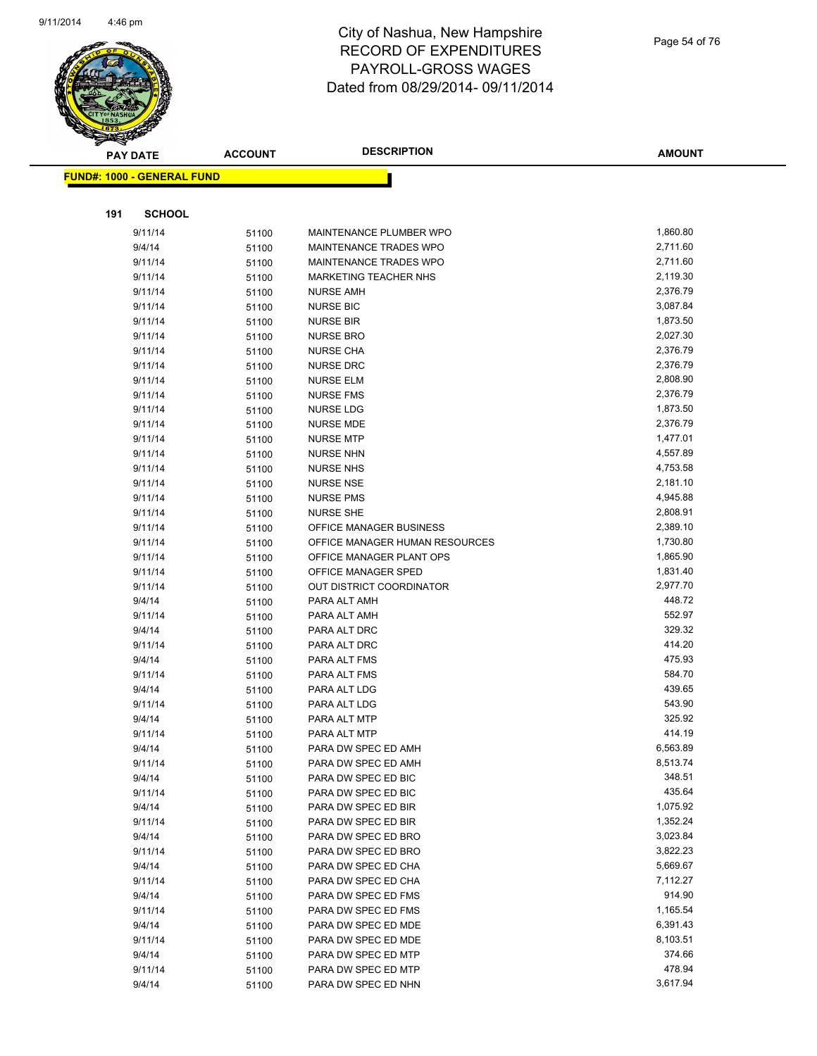

| <b>PAY DATE</b> |                                   | <b>ACCOUNT</b> | <b>DESCRIPTION</b>             | <b>AMOUNT</b>    |
|-----------------|-----------------------------------|----------------|--------------------------------|------------------|
|                 | <b>FUND#: 1000 - GENERAL FUND</b> |                |                                |                  |
|                 |                                   |                |                                |                  |
| 191             | <b>SCHOOL</b>                     |                |                                |                  |
|                 | 9/11/14                           | 51100          | MAINTENANCE PLUMBER WPO        | 1,860.80         |
|                 | 9/4/14                            | 51100          | MAINTENANCE TRADES WPO         | 2,711.60         |
|                 | 9/11/14                           | 51100          | MAINTENANCE TRADES WPO         | 2,711.60         |
|                 | 9/11/14                           | 51100          | MARKETING TEACHER NHS          | 2,119.30         |
|                 | 9/11/14                           | 51100          | <b>NURSE AMH</b>               | 2,376.79         |
|                 | 9/11/14                           | 51100          | <b>NURSE BIC</b>               | 3,087.84         |
|                 | 9/11/14                           | 51100          | <b>NURSE BIR</b>               | 1,873.50         |
|                 | 9/11/14                           | 51100          | <b>NURSE BRO</b>               | 2,027.30         |
|                 | 9/11/14                           | 51100          | <b>NURSE CHA</b>               | 2,376.79         |
|                 | 9/11/14                           | 51100          | <b>NURSE DRC</b>               | 2,376.79         |
|                 | 9/11/14                           | 51100          | <b>NURSE ELM</b>               | 2,808.90         |
|                 | 9/11/14                           | 51100          | <b>NURSE FMS</b>               | 2,376.79         |
|                 | 9/11/14                           | 51100          | <b>NURSE LDG</b>               | 1,873.50         |
|                 | 9/11/14                           | 51100          | <b>NURSE MDE</b>               | 2,376.79         |
|                 | 9/11/14                           | 51100          | <b>NURSE MTP</b>               | 1,477.01         |
|                 | 9/11/14                           | 51100          | <b>NURSE NHN</b>               | 4,557.89         |
|                 | 9/11/14                           | 51100          | <b>NURSE NHS</b>               | 4,753.58         |
|                 | 9/11/14                           | 51100          | <b>NURSE NSE</b>               | 2,181.10         |
|                 | 9/11/14                           | 51100          | <b>NURSE PMS</b>               | 4,945.88         |
|                 | 9/11/14                           | 51100          | <b>NURSE SHE</b>               | 2,808.91         |
|                 | 9/11/14                           | 51100          | OFFICE MANAGER BUSINESS        | 2,389.10         |
|                 | 9/11/14                           | 51100          | OFFICE MANAGER HUMAN RESOURCES | 1,730.80         |
|                 | 9/11/14                           | 51100          | OFFICE MANAGER PLANT OPS       | 1,865.90         |
|                 | 9/11/14                           | 51100          | OFFICE MANAGER SPED            | 1,831.40         |
|                 | 9/11/14                           | 51100          | OUT DISTRICT COORDINATOR       | 2,977.70         |
|                 | 9/4/14                            | 51100          | PARA ALT AMH                   | 448.72           |
|                 | 9/11/14                           | 51100          | PARA ALT AMH                   | 552.97           |
|                 | 9/4/14                            | 51100          | PARA ALT DRC                   | 329.32<br>414.20 |
|                 | 9/11/14<br>9/4/14                 | 51100          | PARA ALT DRC                   | 475.93           |
|                 | 9/11/14                           | 51100          | PARA ALT FMS<br>PARA ALT FMS   | 584.70           |
|                 | 9/4/14                            | 51100          | PARA ALT LDG                   | 439.65           |
|                 | 9/11/14                           | 51100<br>51100 | PARA ALT LDG                   | 543.90           |
|                 | 9/4/14                            | 51100          | PARA ALT MTP                   | 325.92           |
|                 | 9/11/14                           | 51100          | PARA ALT MTP                   | 414.19           |
|                 | 9/4/14                            | 51100          | PARA DW SPEC ED AMH            | 6,563.89         |
|                 | 9/11/14                           | 51100          | PARA DW SPEC ED AMH            | 8,513.74         |
|                 | 9/4/14                            | 51100          | PARA DW SPEC ED BIC            | 348.51           |
|                 | 9/11/14                           | 51100          | PARA DW SPEC ED BIC            | 435.64           |
|                 | 9/4/14                            | 51100          | PARA DW SPEC ED BIR            | 1,075.92         |
|                 | 9/11/14                           | 51100          | PARA DW SPEC ED BIR            | 1,352.24         |
|                 | 9/4/14                            | 51100          | PARA DW SPEC ED BRO            | 3,023.84         |
|                 | 9/11/14                           | 51100          | PARA DW SPEC ED BRO            | 3,822.23         |
|                 | 9/4/14                            | 51100          | PARA DW SPEC ED CHA            | 5,669.67         |
|                 | 9/11/14                           | 51100          | PARA DW SPEC ED CHA            | 7,112.27         |
|                 | 9/4/14                            | 51100          | PARA DW SPEC ED FMS            | 914.90           |
|                 | 9/11/14                           | 51100          | PARA DW SPEC ED FMS            | 1,165.54         |
|                 | 9/4/14                            | 51100          | PARA DW SPEC ED MDE            | 6,391.43         |
|                 | 9/11/14                           | 51100          | PARA DW SPEC ED MDE            | 8,103.51         |
|                 | 9/4/14                            | 51100          | PARA DW SPEC ED MTP            | 374.66           |
|                 | 9/11/14                           | 51100          | PARA DW SPEC ED MTP            | 478.94           |
|                 | 9/4/14                            | 51100          | PARA DW SPEC ED NHN            | 3,617.94         |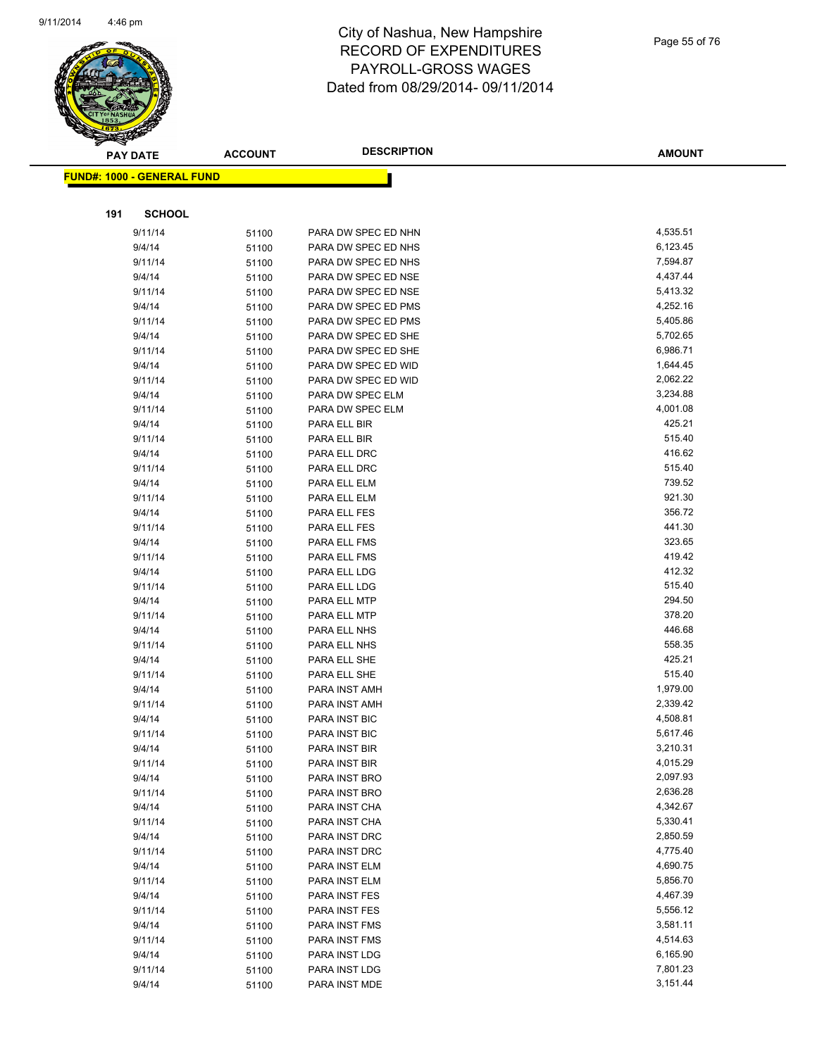

|     | <b>PAY DATE</b>                   | <b>ACCOUNT</b> | <b>DESCRIPTION</b>  | <b>AMOUNT</b> |
|-----|-----------------------------------|----------------|---------------------|---------------|
|     | <b>FUND#: 1000 - GENERAL FUND</b> |                |                     |               |
|     |                                   |                |                     |               |
| 191 | <b>SCHOOL</b>                     |                |                     |               |
|     | 9/11/14                           | 51100          | PARA DW SPEC ED NHN | 4,535.51      |
|     | 9/4/14                            | 51100          | PARA DW SPEC ED NHS | 6,123.45      |
|     | 9/11/14                           | 51100          | PARA DW SPEC ED NHS | 7,594.87      |
|     | 9/4/14                            | 51100          | PARA DW SPEC ED NSE | 4,437.44      |
|     | 9/11/14                           | 51100          | PARA DW SPEC ED NSE | 5,413.32      |
|     | 9/4/14                            | 51100          | PARA DW SPEC ED PMS | 4,252.16      |
|     | 9/11/14                           | 51100          | PARA DW SPEC ED PMS | 5,405.86      |
|     | 9/4/14                            | 51100          | PARA DW SPEC ED SHE | 5,702.65      |
|     | 9/11/14                           | 51100          | PARA DW SPEC ED SHE | 6,986.71      |
|     | 9/4/14                            | 51100          | PARA DW SPEC ED WID | 1,644.45      |
|     | 9/11/14                           | 51100          | PARA DW SPEC ED WID | 2,062.22      |
|     | 9/4/14                            | 51100          | PARA DW SPEC ELM    | 3,234.88      |
|     | 9/11/14                           | 51100          | PARA DW SPEC ELM    | 4,001.08      |
|     | 9/4/14                            | 51100          | PARA ELL BIR        | 425.21        |
|     | 9/11/14                           | 51100          | PARA ELL BIR        | 515.40        |
|     | 9/4/14                            | 51100          | PARA ELL DRC        | 416.62        |
|     | 9/11/14                           | 51100          | PARA ELL DRC        | 515.40        |
|     | 9/4/14                            | 51100          | PARA ELL ELM        | 739.52        |
|     | 9/11/14                           | 51100          | PARA ELL ELM        | 921.30        |
|     | 9/4/14                            | 51100          | PARA ELL FES        | 356.72        |
|     | 9/11/14                           | 51100          | PARA ELL FES        | 441.30        |
|     | 9/4/14                            | 51100          | PARA ELL FMS        | 323.65        |
|     | 9/11/14                           | 51100          | PARA ELL FMS        | 419.42        |
|     | 9/4/14                            | 51100          | PARA ELL LDG        | 412.32        |
|     | 9/11/14                           | 51100          | PARA ELL LDG        | 515.40        |
|     | 9/4/14                            | 51100          | PARA ELL MTP        | 294.50        |
|     | 9/11/14                           | 51100          | PARA ELL MTP        | 378.20        |
|     | 9/4/14                            | 51100          | PARA ELL NHS        | 446.68        |
|     | 9/11/14                           | 51100          | PARA ELL NHS        | 558.35        |
|     | 9/4/14                            | 51100          | PARA ELL SHE        | 425.21        |
|     | 9/11/14                           | 51100          | PARA ELL SHE        | 515.40        |
|     | 9/4/14                            | 51100          | PARA INST AMH       | 1,979.00      |
|     | 9/11/14                           | 51100          | PARA INST AMH       | 2,339.42      |
|     | 9/4/14                            | 51100          | PARA INST BIC       | 4,508.81      |
|     | 9/11/14                           | 51100          | PARA INST BIC       | 5,617.46      |
|     | 9/4/14                            | 51100          | PARA INST BIR       | 3,210.31      |
|     | 9/11/14                           | 51100          | PARA INST BIR       | 4,015.29      |
|     | 9/4/14                            | 51100          | PARA INST BRO       | 2,097.93      |
|     | 9/11/14                           | 51100          | PARA INST BRO       | 2,636.28      |
|     | 9/4/14                            | 51100          | PARA INST CHA       | 4,342.67      |
|     | 9/11/14                           | 51100          | PARA INST CHA       | 5,330.41      |
|     | 9/4/14                            | 51100          | PARA INST DRC       | 2,850.59      |
|     | 9/11/14                           | 51100          | PARA INST DRC       | 4,775.40      |
|     | 9/4/14                            | 51100          | PARA INST ELM       | 4,690.75      |
|     | 9/11/14                           | 51100          | PARA INST ELM       | 5,856.70      |
|     | 9/4/14                            | 51100          | PARA INST FES       | 4,467.39      |
|     | 9/11/14                           | 51100          | PARA INST FES       | 5,556.12      |
|     | 9/4/14                            | 51100          | PARA INST FMS       | 3,581.11      |
|     | 9/11/14                           | 51100          | PARA INST FMS       | 4,514.63      |
|     | 9/4/14                            | 51100          | PARA INST LDG       | 6,165.90      |
|     | 9/11/14                           | 51100          | PARA INST LDG       | 7,801.23      |
|     | 9/4/14                            | 51100          | PARA INST MDE       | 3,151.44      |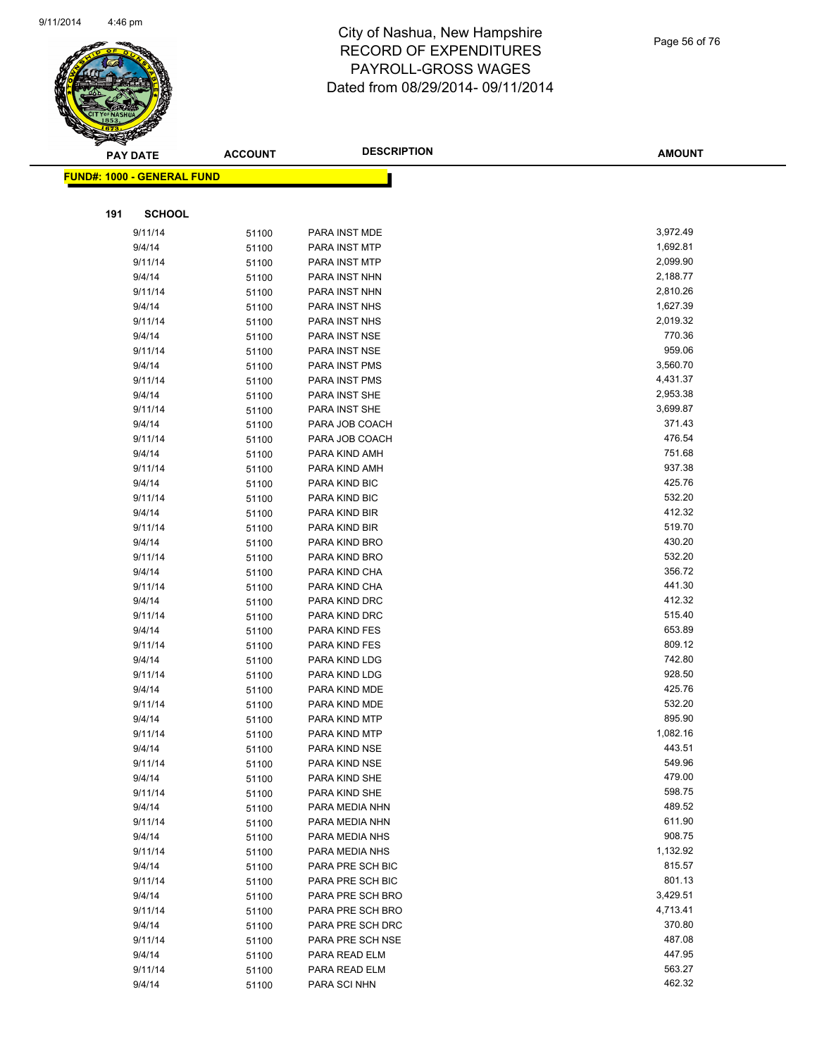

Page 56 of 76

| T<br>$\tilde{\phantom{a}}$ | <b>PAY DATE</b>                   | <b>ACCOUNT</b> | <b>DESCRIPTION</b>             | <b>AMOUNT</b>    |
|----------------------------|-----------------------------------|----------------|--------------------------------|------------------|
|                            |                                   |                |                                |                  |
|                            | <b>FUND#: 1000 - GENERAL FUND</b> |                |                                |                  |
|                            |                                   |                |                                |                  |
| 191                        | <b>SCHOOL</b>                     |                |                                |                  |
|                            | 9/11/14                           | 51100          | PARA INST MDE                  | 3,972.49         |
|                            | 9/4/14                            | 51100          | PARA INST MTP                  | 1,692.81         |
|                            | 9/11/14                           | 51100          | PARA INST MTP                  | 2,099.90         |
|                            | 9/4/14                            | 51100          | PARA INST NHN                  | 2,188.77         |
|                            | 9/11/14                           | 51100          | PARA INST NHN                  | 2,810.26         |
|                            | 9/4/14                            | 51100          | PARA INST NHS                  | 1,627.39         |
|                            | 9/11/14                           | 51100          | PARA INST NHS                  | 2,019.32         |
|                            | 9/4/14                            | 51100          | PARA INST NSE                  | 770.36           |
|                            | 9/11/14                           | 51100          | PARA INST NSE                  | 959.06           |
|                            | 9/4/14                            | 51100          | PARA INST PMS                  | 3,560.70         |
|                            | 9/11/14                           | 51100          | PARA INST PMS                  | 4,431.37         |
|                            | 9/4/14                            | 51100          | PARA INST SHE                  | 2,953.38         |
|                            | 9/11/14                           | 51100          | PARA INST SHE                  | 3,699.87         |
|                            | 9/4/14                            | 51100          | PARA JOB COACH                 | 371.43           |
|                            | 9/11/14                           | 51100          | PARA JOB COACH                 | 476.54           |
|                            | 9/4/14                            | 51100          | PARA KIND AMH                  | 751.68           |
|                            | 9/11/14                           | 51100          | PARA KIND AMH                  | 937.38           |
|                            | 9/4/14                            | 51100          | PARA KIND BIC                  | 425.76           |
|                            | 9/11/14                           | 51100          | PARA KIND BIC                  | 532.20           |
|                            | 9/4/14                            | 51100          | PARA KIND BIR                  | 412.32           |
|                            | 9/11/14                           | 51100          | PARA KIND BIR                  | 519.70           |
|                            | 9/4/14                            | 51100          | PARA KIND BRO                  | 430.20<br>532.20 |
|                            | 9/11/14                           | 51100          | PARA KIND BRO                  |                  |
|                            | 9/4/14                            | 51100          | PARA KIND CHA                  | 356.72<br>441.30 |
|                            | 9/11/14<br>9/4/14                 | 51100          | PARA KIND CHA                  | 412.32           |
|                            | 9/11/14                           | 51100          | PARA KIND DRC<br>PARA KIND DRC | 515.40           |
|                            | 9/4/14                            | 51100<br>51100 | PARA KIND FES                  | 653.89           |
|                            | 9/11/14                           | 51100          | PARA KIND FES                  | 809.12           |
|                            | 9/4/14                            | 51100          | PARA KIND LDG                  | 742.80           |
|                            | 9/11/14                           | 51100          | PARA KIND LDG                  | 928.50           |
|                            | 9/4/14                            | 51100          | PARA KIND MDE                  | 425.76           |
|                            | 9/11/14                           | 51100          | PARA KIND MDE                  | 532.20           |
|                            | 9/4/14                            | 51100          | PARA KIND MTP                  | 895.90           |
|                            | 9/11/14                           | 51100          | PARA KIND MTP                  | 1,082.16         |
|                            | 9/4/14                            | 51100          | PARA KIND NSE                  | 443.51           |
|                            | 9/11/14                           | 51100          | PARA KIND NSE                  | 549.96           |
|                            | 9/4/14                            | 51100          | PARA KIND SHE                  | 479.00           |
|                            | 9/11/14                           | 51100          | PARA KIND SHE                  | 598.75           |
|                            | 9/4/14                            | 51100          | PARA MEDIA NHN                 | 489.52           |
|                            | 9/11/14                           | 51100          | PARA MEDIA NHN                 | 611.90           |
|                            | 9/4/14                            | 51100          | PARA MEDIA NHS                 | 908.75           |
|                            | 9/11/14                           | 51100          | PARA MEDIA NHS                 | 1,132.92         |
|                            | 9/4/14                            | 51100          | PARA PRE SCH BIC               | 815.57           |
|                            | 9/11/14                           | 51100          | PARA PRE SCH BIC               | 801.13           |
|                            | 9/4/14                            | 51100          | PARA PRE SCH BRO               | 3,429.51         |
|                            | 9/11/14                           | 51100          | PARA PRE SCH BRO               | 4,713.41         |
|                            | 9/4/14                            | 51100          | PARA PRE SCH DRC               | 370.80           |
|                            | 9/11/14                           | 51100          | PARA PRE SCH NSE               | 487.08           |
|                            | 9/4/14                            | 51100          | PARA READ ELM                  | 447.95           |
|                            | 9/11/14                           | 51100          | PARA READ ELM                  | 563.27           |
|                            | 9/4/14                            | 51100          | PARA SCI NHN                   | 462.32           |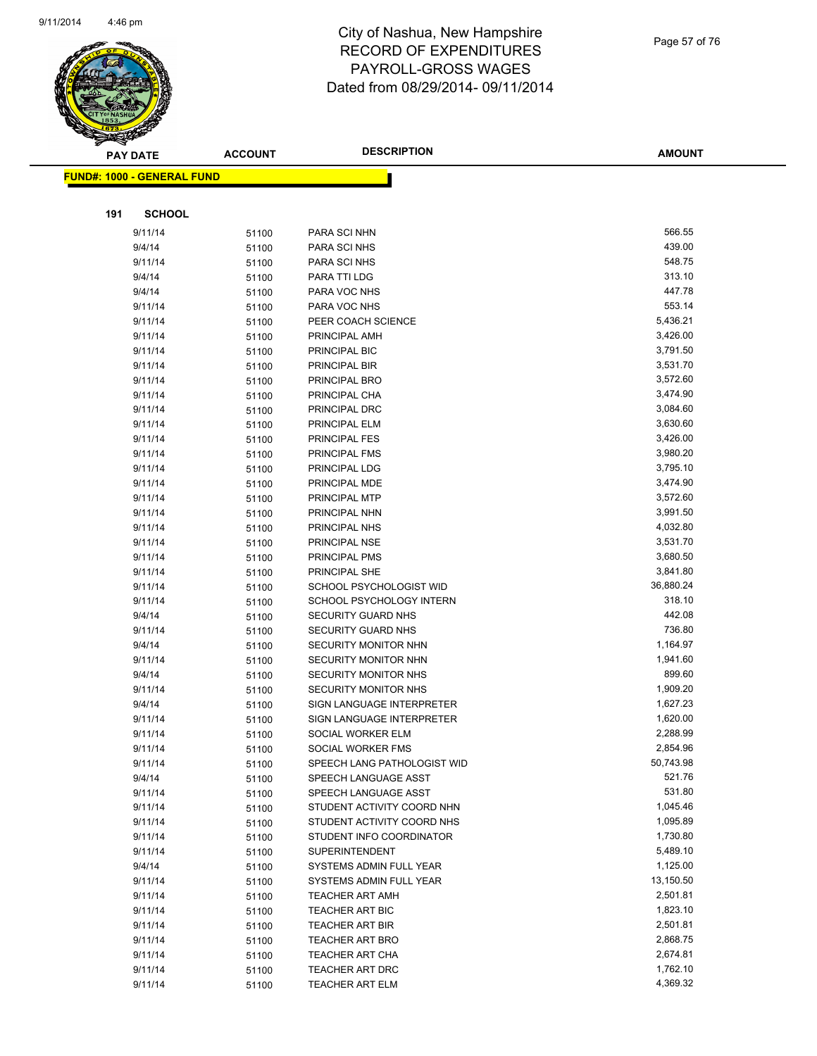

Page 57 of 76

|     | <b>PAY DATE</b>                   | <b>ACCOUNT</b> | <b>DESCRIPTION</b>                                 | <b>AMOUNT</b>         |
|-----|-----------------------------------|----------------|----------------------------------------------------|-----------------------|
|     | <b>FUND#: 1000 - GENERAL FUND</b> |                |                                                    |                       |
|     |                                   |                |                                                    |                       |
|     |                                   |                |                                                    |                       |
| 191 | <b>SCHOOL</b>                     |                |                                                    |                       |
|     | 9/11/14                           | 51100          | PARA SCI NHN                                       | 566.55                |
|     | 9/4/14                            | 51100          | PARA SCI NHS                                       | 439.00                |
|     | 9/11/14                           | 51100          | PARA SCI NHS                                       | 548.75                |
|     | 9/4/14                            | 51100          | PARA TTI LDG                                       | 313.10                |
|     | 9/4/14                            | 51100          | PARA VOC NHS                                       | 447.78                |
|     | 9/11/14                           | 51100          | PARA VOC NHS                                       | 553.14                |
|     | 9/11/14                           | 51100          | PEER COACH SCIENCE                                 | 5,436.21              |
|     | 9/11/14                           | 51100          | PRINCIPAL AMH                                      | 3,426.00              |
|     | 9/11/14                           | 51100          | PRINCIPAL BIC                                      | 3,791.50              |
|     | 9/11/14                           | 51100          | PRINCIPAL BIR                                      | 3,531.70              |
|     | 9/11/14                           | 51100          | PRINCIPAL BRO                                      | 3,572.60              |
|     | 9/11/14                           | 51100          | PRINCIPAL CHA                                      | 3,474.90              |
|     | 9/11/14                           | 51100          | PRINCIPAL DRC                                      | 3,084.60<br>3,630.60  |
|     | 9/11/14<br>9/11/14                | 51100          | PRINCIPAL ELM<br><b>PRINCIPAL FES</b>              | 3,426.00              |
|     | 9/11/14                           | 51100          | PRINCIPAL FMS                                      | 3,980.20              |
|     | 9/11/14                           | 51100<br>51100 | PRINCIPAL LDG                                      | 3,795.10              |
|     | 9/11/14                           | 51100          | PRINCIPAL MDE                                      | 3,474.90              |
|     | 9/11/14                           | 51100          | PRINCIPAL MTP                                      | 3,572.60              |
|     | 9/11/14                           | 51100          | PRINCIPAL NHN                                      | 3,991.50              |
|     | 9/11/14                           | 51100          | PRINCIPAL NHS                                      | 4,032.80              |
|     | 9/11/14                           | 51100          | PRINCIPAL NSE                                      | 3,531.70              |
|     | 9/11/14                           | 51100          | PRINCIPAL PMS                                      | 3,680.50              |
|     | 9/11/14                           | 51100          | PRINCIPAL SHE                                      | 3,841.80              |
|     | 9/11/14                           | 51100          | SCHOOL PSYCHOLOGIST WID                            | 36,880.24             |
|     | 9/11/14                           | 51100          | SCHOOL PSYCHOLOGY INTERN                           | 318.10                |
|     | 9/4/14                            | 51100          | <b>SECURITY GUARD NHS</b>                          | 442.08                |
|     | 9/11/14                           | 51100          | SECURITY GUARD NHS                                 | 736.80                |
|     | 9/4/14                            | 51100          | SECURITY MONITOR NHN                               | 1,164.97              |
|     | 9/11/14                           | 51100          | <b>SECURITY MONITOR NHN</b>                        | 1,941.60              |
|     | 9/4/14                            | 51100          | SECURITY MONITOR NHS                               | 899.60                |
|     | 9/11/14                           | 51100          | SECURITY MONITOR NHS                               | 1,909.20              |
|     | 9/4/14                            | 51100          | SIGN LANGUAGE INTERPRETER                          | 1,627.23              |
|     | 9/11/14                           | 51100          | SIGN LANGUAGE INTERPRETER                          | 1,620.00              |
|     | 9/11/14                           | 51100          | SOCIAL WORKER ELM                                  | 2,288.99              |
|     | 9/11/14                           | 51100          | SOCIAL WORKER FMS                                  | 2,854.96              |
|     | 9/11/14                           | 51100          | SPEECH LANG PATHOLOGIST WID                        | 50,743.98             |
|     | 9/4/14                            | 51100          | SPEECH LANGUAGE ASST                               | 521.76                |
|     | 9/11/14                           | 51100          | SPEECH LANGUAGE ASST                               | 531.80                |
|     | 9/11/14                           | 51100          | STUDENT ACTIVITY COORD NHN                         | 1,045.46              |
|     | 9/11/14                           | 51100          | STUDENT ACTIVITY COORD NHS                         | 1,095.89              |
|     | 9/11/14                           | 51100          | STUDENT INFO COORDINATOR                           | 1,730.80              |
|     | 9/11/14                           | 51100          | <b>SUPERINTENDENT</b>                              | 5,489.10              |
|     | 9/4/14                            | 51100          | SYSTEMS ADMIN FULL YEAR<br>SYSTEMS ADMIN FULL YEAR | 1,125.00              |
|     | 9/11/14<br>9/11/14                | 51100          | <b>TEACHER ART AMH</b>                             | 13,150.50<br>2,501.81 |
|     | 9/11/14                           | 51100          | TEACHER ART BIC                                    | 1,823.10              |
|     | 9/11/14                           | 51100          | TEACHER ART BIR                                    | 2,501.81              |
|     | 9/11/14                           | 51100<br>51100 | <b>TEACHER ART BRO</b>                             | 2,868.75              |
|     | 9/11/14                           | 51100          | TEACHER ART CHA                                    | 2,674.81              |
|     | 9/11/14                           | 51100          | <b>TEACHER ART DRC</b>                             | 1,762.10              |
|     | 9/11/14                           | 51100          | <b>TEACHER ART ELM</b>                             | 4,369.32              |
|     |                                   |                |                                                    |                       |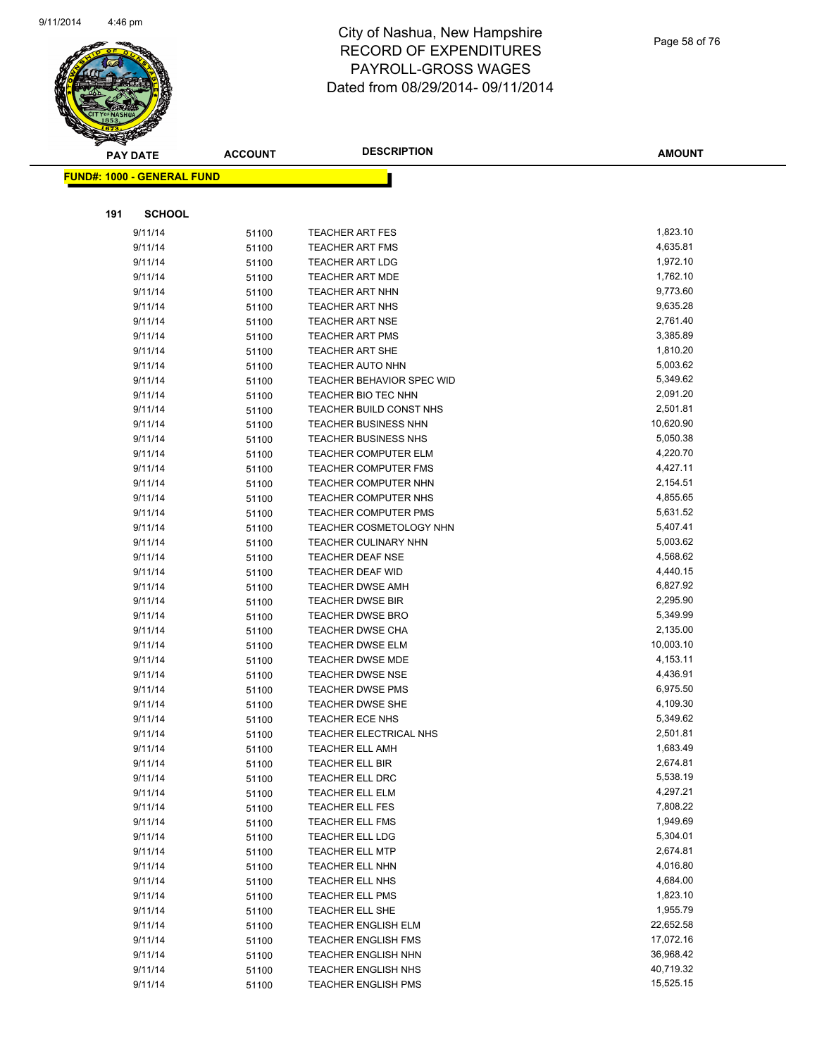

|     | <b>PAY DATE</b>                    | <b>ACCOUNT</b> | <b>DESCRIPTION</b>                                     | <b>AMOUNT</b>        |
|-----|------------------------------------|----------------|--------------------------------------------------------|----------------------|
|     | <u> FUND#: 1000 - GENERAL FUND</u> |                |                                                        |                      |
|     |                                    |                |                                                        |                      |
|     |                                    |                |                                                        |                      |
| 191 | <b>SCHOOL</b>                      |                |                                                        |                      |
|     | 9/11/14                            | 51100          | TEACHER ART FES                                        | 1,823.10             |
|     | 9/11/14                            | 51100          | <b>TEACHER ART FMS</b>                                 | 4,635.81             |
|     | 9/11/14                            | 51100          | <b>TEACHER ART LDG</b>                                 | 1,972.10             |
|     | 9/11/14                            | 51100          | <b>TEACHER ART MDE</b>                                 | 1,762.10             |
|     | 9/11/14                            | 51100          | <b>TEACHER ART NHN</b>                                 | 9,773.60             |
|     | 9/11/14                            | 51100          | <b>TEACHER ART NHS</b>                                 | 9,635.28             |
|     | 9/11/14                            | 51100          | <b>TEACHER ART NSE</b>                                 | 2,761.40             |
|     | 9/11/14                            | 51100          | <b>TEACHER ART PMS</b>                                 | 3,385.89             |
|     | 9/11/14                            | 51100          | <b>TEACHER ART SHE</b>                                 | 1,810.20             |
|     | 9/11/14                            | 51100          | <b>TEACHER AUTO NHN</b>                                | 5,003.62             |
|     | 9/11/14                            | 51100          | <b>TEACHER BEHAVIOR SPEC WID</b>                       | 5,349.62             |
|     | 9/11/14                            | 51100          | TEACHER BIO TEC NHN                                    | 2,091.20             |
|     | 9/11/14                            | 51100          | TEACHER BUILD CONST NHS                                | 2,501.81             |
|     | 9/11/14                            | 51100          | <b>TEACHER BUSINESS NHN</b>                            | 10,620.90            |
|     | 9/11/14                            | 51100          | <b>TEACHER BUSINESS NHS</b>                            | 5,050.38             |
|     | 9/11/14                            | 51100          | <b>TEACHER COMPUTER ELM</b>                            | 4,220.70             |
|     | 9/11/14                            | 51100          | TEACHER COMPUTER FMS                                   | 4,427.11             |
|     | 9/11/14                            | 51100          | TEACHER COMPUTER NHN                                   | 2,154.51             |
|     | 9/11/14                            | 51100          | TEACHER COMPUTER NHS                                   | 4,855.65             |
|     | 9/11/14<br>9/11/14                 | 51100          | TEACHER COMPUTER PMS                                   | 5,631.52             |
|     | 9/11/14                            | 51100          | <b>TEACHER COSMETOLOGY NHN</b>                         | 5,407.41<br>5,003.62 |
|     |                                    | 51100          | <b>TEACHER CULINARY NHN</b><br><b>TEACHER DEAF NSE</b> | 4,568.62             |
|     | 9/11/14<br>9/11/14                 | 51100          | TEACHER DEAF WID                                       | 4,440.15             |
|     | 9/11/14                            | 51100          | <b>TEACHER DWSE AMH</b>                                | 6,827.92             |
|     | 9/11/14                            | 51100          | <b>TEACHER DWSE BIR</b>                                | 2,295.90             |
|     | 9/11/14                            | 51100<br>51100 | <b>TEACHER DWSE BRO</b>                                | 5,349.99             |
|     | 9/11/14                            | 51100          | <b>TEACHER DWSE CHA</b>                                | 2,135.00             |
|     | 9/11/14                            | 51100          | <b>TEACHER DWSE ELM</b>                                | 10,003.10            |
|     | 9/11/14                            | 51100          | <b>TEACHER DWSE MDE</b>                                | 4,153.11             |
|     | 9/11/14                            | 51100          | <b>TEACHER DWSE NSE</b>                                | 4,436.91             |
|     | 9/11/14                            | 51100          | <b>TEACHER DWSE PMS</b>                                | 6,975.50             |
|     | 9/11/14                            | 51100          | <b>TEACHER DWSE SHE</b>                                | 4,109.30             |
|     | 9/11/14                            | 51100          | <b>TEACHER ECE NHS</b>                                 | 5,349.62             |
|     | 9/11/14                            | 51100          | <b>TEACHER ELECTRICAL NHS</b>                          | 2,501.81             |
|     | 9/11/14                            | 51100          | TEACHER ELL AMH                                        | 1,683.49             |
|     | 9/11/14                            | 51100          | <b>TEACHER ELL BIR</b>                                 | 2,674.81             |
|     | 9/11/14                            | 51100          | <b>TEACHER ELL DRC</b>                                 | 5,538.19             |
|     | 9/11/14                            | 51100          | <b>TEACHER ELL ELM</b>                                 | 4,297.21             |
|     | 9/11/14                            | 51100          | <b>TEACHER ELL FES</b>                                 | 7,808.22             |
|     | 9/11/14                            | 51100          | <b>TEACHER ELL FMS</b>                                 | 1,949.69             |
|     | 9/11/14                            | 51100          | <b>TEACHER ELL LDG</b>                                 | 5,304.01             |
|     | 9/11/14                            | 51100          | <b>TEACHER ELL MTP</b>                                 | 2,674.81             |
|     | 9/11/14                            | 51100          | TEACHER ELL NHN                                        | 4,016.80             |
|     | 9/11/14                            | 51100          | <b>TEACHER ELL NHS</b>                                 | 4,684.00             |
|     | 9/11/14                            | 51100          | <b>TEACHER ELL PMS</b>                                 | 1,823.10             |
|     | 9/11/14                            | 51100          | <b>TEACHER ELL SHE</b>                                 | 1,955.79             |
|     | 9/11/14                            | 51100          | <b>TEACHER ENGLISH ELM</b>                             | 22,652.58            |
|     | 9/11/14                            | 51100          | <b>TEACHER ENGLISH FMS</b>                             | 17,072.16            |
|     | 9/11/14                            | 51100          | <b>TEACHER ENGLISH NHN</b>                             | 36,968.42            |
|     | 9/11/14                            | 51100          | <b>TEACHER ENGLISH NHS</b>                             | 40,719.32            |
|     | 9/11/14                            | 51100          | <b>TEACHER ENGLISH PMS</b>                             | 15,525.15            |
|     |                                    |                |                                                        |                      |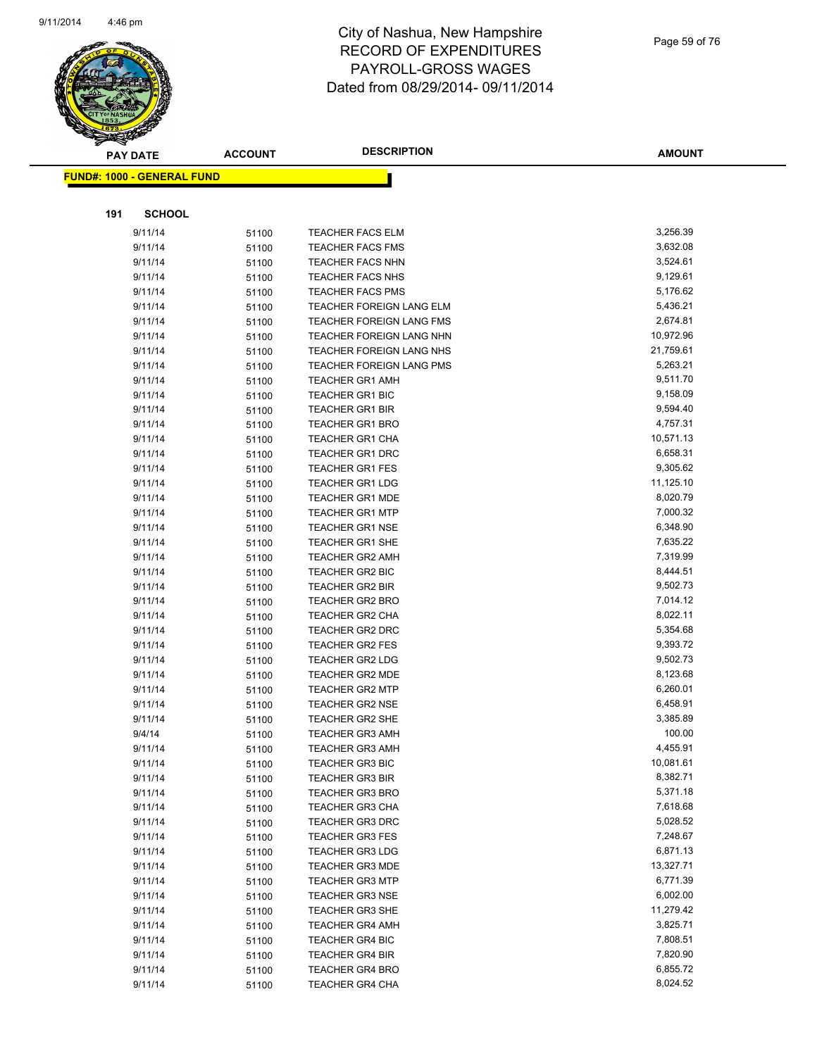

| <b>PAY DATE</b>                   |                    | <b>ACCOUNT</b> | <b>DESCRIPTION</b>                               | <b>AMOUNT</b>        |
|-----------------------------------|--------------------|----------------|--------------------------------------------------|----------------------|
| <b>FUND#: 1000 - GENERAL FUND</b> |                    |                |                                                  |                      |
|                                   |                    |                |                                                  |                      |
| 191                               | <b>SCHOOL</b>      |                |                                                  |                      |
|                                   | 9/11/14            | 51100          | <b>TEACHER FACS ELM</b>                          | 3,256.39             |
|                                   | 9/11/14            | 51100          | <b>TEACHER FACS FMS</b>                          | 3,632.08             |
|                                   | 9/11/14            | 51100          | TEACHER FACS NHN                                 | 3,524.61             |
|                                   | 9/11/14            | 51100          | <b>TEACHER FACS NHS</b>                          | 9,129.61             |
|                                   | 9/11/14            | 51100          | <b>TEACHER FACS PMS</b>                          | 5,176.62             |
|                                   | 9/11/14            | 51100          | <b>TEACHER FOREIGN LANG ELM</b>                  | 5,436.21             |
|                                   | 9/11/14            | 51100          | TEACHER FOREIGN LANG FMS                         | 2,674.81             |
|                                   | 9/11/14            | 51100          | TEACHER FOREIGN LANG NHN                         | 10,972.96            |
|                                   | 9/11/14            | 51100          | TEACHER FOREIGN LANG NHS                         | 21,759.61            |
|                                   | 9/11/14            | 51100          | TEACHER FOREIGN LANG PMS                         | 5,263.21             |
|                                   | 9/11/14            | 51100          | <b>TEACHER GR1 AMH</b>                           | 9,511.70             |
|                                   | 9/11/14            | 51100          | <b>TEACHER GR1 BIC</b>                           | 9,158.09             |
|                                   | 9/11/14            | 51100          | <b>TEACHER GR1 BIR</b>                           | 9,594.40             |
|                                   | 9/11/14            | 51100          | <b>TEACHER GR1 BRO</b>                           | 4,757.31             |
|                                   | 9/11/14            | 51100          | <b>TEACHER GR1 CHA</b>                           | 10,571.13            |
|                                   | 9/11/14            | 51100          | <b>TEACHER GR1 DRC</b>                           | 6,658.31             |
|                                   | 9/11/14            | 51100          | <b>TEACHER GR1 FES</b>                           | 9,305.62             |
|                                   | 9/11/14            | 51100          | <b>TEACHER GR1 LDG</b>                           | 11,125.10            |
|                                   | 9/11/14            | 51100          | <b>TEACHER GR1 MDE</b>                           | 8,020.79             |
|                                   | 9/11/14            | 51100          | <b>TEACHER GR1 MTP</b>                           | 7,000.32             |
|                                   | 9/11/14            | 51100          | <b>TEACHER GR1 NSE</b>                           | 6,348.90             |
|                                   | 9/11/14            | 51100          | <b>TEACHER GR1 SHE</b>                           | 7,635.22             |
|                                   | 9/11/14            | 51100          | <b>TEACHER GR2 AMH</b>                           | 7,319.99             |
|                                   | 9/11/14            | 51100          | TEACHER GR2 BIC                                  | 8,444.51             |
|                                   | 9/11/14            | 51100          | <b>TEACHER GR2 BIR</b>                           | 9,502.73             |
|                                   | 9/11/14            | 51100          | <b>TEACHER GR2 BRO</b>                           | 7,014.12             |
|                                   | 9/11/14            | 51100          | <b>TEACHER GR2 CHA</b>                           | 8,022.11             |
|                                   | 9/11/14            | 51100          | <b>TEACHER GR2 DRC</b>                           | 5,354.68             |
|                                   | 9/11/14            | 51100          | <b>TEACHER GR2 FES</b>                           | 9,393.72             |
|                                   | 9/11/14            | 51100          | <b>TEACHER GR2 LDG</b>                           | 9,502.73<br>8,123.68 |
|                                   | 9/11/14<br>9/11/14 | 51100          | <b>TEACHER GR2 MDE</b><br><b>TEACHER GR2 MTP</b> | 6,260.01             |
|                                   | 9/11/14            | 51100          |                                                  | 6,458.91             |
|                                   | 9/11/14            | 51100          | <b>TEACHER GR2 NSE</b><br><b>TEACHER GR2 SHE</b> | 3,385.89             |
|                                   | 9/4/14             | 51100          | <b>TEACHER GR3 AMH</b>                           | 100.00               |
|                                   | 9/11/14            | 51100<br>51100 | <b>TEACHER GR3 AMH</b>                           | 4,455.91             |
|                                   | 9/11/14            | 51100          | <b>TEACHER GR3 BIC</b>                           | 10,081.61            |
|                                   | 9/11/14            | 51100          | <b>TEACHER GR3 BIR</b>                           | 8,382.71             |
|                                   | 9/11/14            | 51100          | <b>TEACHER GR3 BRO</b>                           | 5,371.18             |
|                                   | 9/11/14            | 51100          | <b>TEACHER GR3 CHA</b>                           | 7,618.68             |
|                                   | 9/11/14            | 51100          | <b>TEACHER GR3 DRC</b>                           | 5,028.52             |
|                                   | 9/11/14            | 51100          | <b>TEACHER GR3 FES</b>                           | 7,248.67             |
|                                   | 9/11/14            | 51100          | <b>TEACHER GR3 LDG</b>                           | 6,871.13             |
|                                   | 9/11/14            | 51100          | <b>TEACHER GR3 MDE</b>                           | 13,327.71            |
|                                   | 9/11/14            | 51100          | <b>TEACHER GR3 MTP</b>                           | 6,771.39             |
|                                   | 9/11/14            | 51100          | <b>TEACHER GR3 NSE</b>                           | 6,002.00             |
|                                   | 9/11/14            | 51100          | <b>TEACHER GR3 SHE</b>                           | 11,279.42            |
|                                   | 9/11/14            | 51100          | <b>TEACHER GR4 AMH</b>                           | 3,825.71             |
|                                   | 9/11/14            | 51100          | <b>TEACHER GR4 BIC</b>                           | 7,808.51             |
|                                   | 9/11/14            | 51100          | <b>TEACHER GR4 BIR</b>                           | 7,820.90             |
|                                   | 9/11/14            | 51100          | <b>TEACHER GR4 BRO</b>                           | 6,855.72             |
|                                   | 9/11/14            | 51100          | <b>TEACHER GR4 CHA</b>                           | 8,024.52             |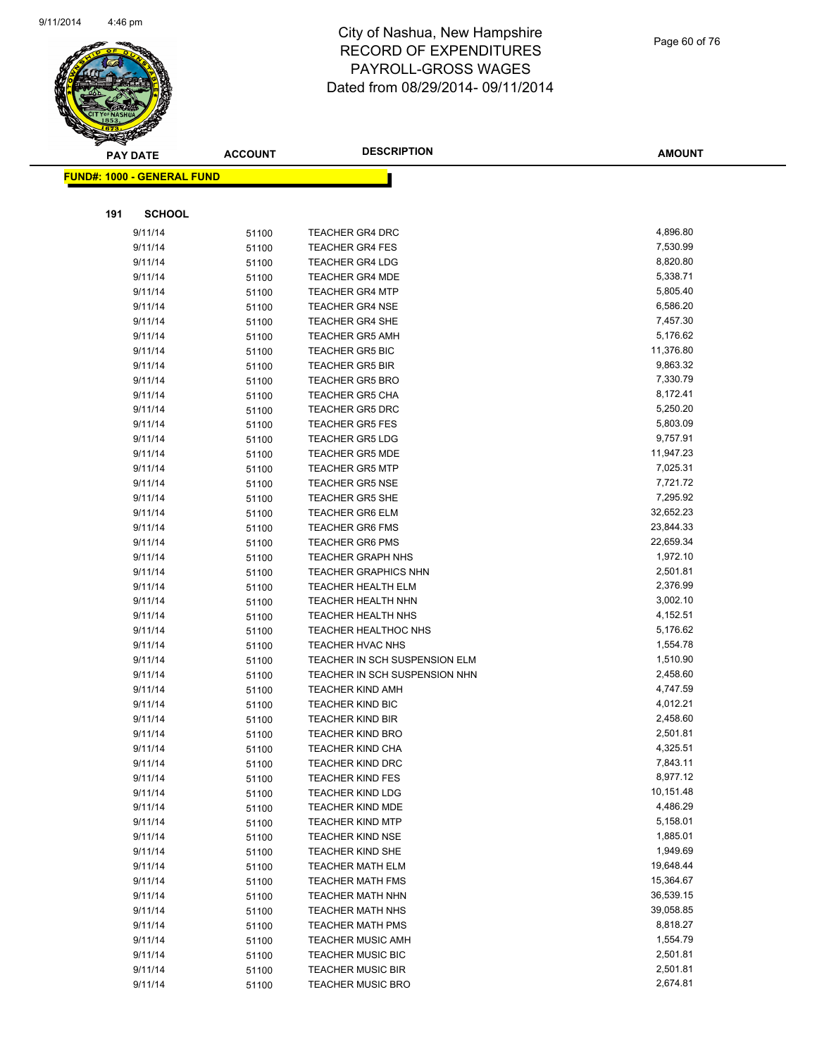

Page 60 of 76

|     | <b>PAY DATE</b>                   | <b>ACCOUNT</b> | <b>DESCRIPTION</b>                                 | <b>AMOUNT</b>        |
|-----|-----------------------------------|----------------|----------------------------------------------------|----------------------|
|     | <b>FUND#: 1000 - GENERAL FUND</b> |                |                                                    |                      |
|     |                                   |                |                                                    |                      |
| 191 | <b>SCHOOL</b>                     |                |                                                    |                      |
|     | 9/11/14                           |                | <b>TEACHER GR4 DRC</b>                             | 4,896.80             |
|     | 9/11/14                           | 51100          | <b>TEACHER GR4 FES</b>                             | 7,530.99             |
|     | 9/11/14                           | 51100          | <b>TEACHER GR4 LDG</b>                             | 8,820.80             |
|     | 9/11/14                           | 51100          | <b>TEACHER GR4 MDE</b>                             | 5,338.71             |
|     | 9/11/14                           | 51100          | <b>TEACHER GR4 MTP</b>                             | 5,805.40             |
|     | 9/11/14                           | 51100<br>51100 | <b>TEACHER GR4 NSE</b>                             | 6,586.20             |
|     | 9/11/14                           | 51100          | <b>TEACHER GR4 SHE</b>                             | 7,457.30             |
|     | 9/11/14                           | 51100          | <b>TEACHER GR5 AMH</b>                             | 5,176.62             |
|     | 9/11/14                           | 51100          | TEACHER GR5 BIC                                    | 11,376.80            |
|     | 9/11/14                           | 51100          | <b>TEACHER GR5 BIR</b>                             | 9,863.32             |
|     | 9/11/14                           | 51100          | <b>TEACHER GR5 BRO</b>                             | 7,330.79             |
|     | 9/11/14                           | 51100          | <b>TEACHER GR5 CHA</b>                             | 8,172.41             |
|     | 9/11/14                           | 51100          | <b>TEACHER GR5 DRC</b>                             | 5,250.20             |
|     | 9/11/14                           | 51100          | <b>TEACHER GR5 FES</b>                             | 5,803.09             |
|     | 9/11/14                           | 51100          | <b>TEACHER GR5 LDG</b>                             | 9,757.91             |
|     | 9/11/14                           | 51100          | <b>TEACHER GR5 MDE</b>                             | 11,947.23            |
|     | 9/11/14                           | 51100          | <b>TEACHER GR5 MTP</b>                             | 7,025.31             |
|     | 9/11/14                           | 51100          | <b>TEACHER GR5 NSE</b>                             | 7,721.72             |
|     | 9/11/14                           | 51100          | <b>TEACHER GR5 SHE</b>                             | 7,295.92             |
|     | 9/11/14                           | 51100          | <b>TEACHER GR6 ELM</b>                             | 32,652.23            |
|     | 9/11/14                           | 51100          | <b>TEACHER GR6 FMS</b>                             | 23,844.33            |
|     | 9/11/14                           | 51100          | <b>TEACHER GR6 PMS</b>                             | 22,659.34            |
|     | 9/11/14                           | 51100          | <b>TEACHER GRAPH NHS</b>                           | 1,972.10             |
|     | 9/11/14                           | 51100          | <b>TEACHER GRAPHICS NHN</b>                        | 2,501.81             |
|     | 9/11/14                           | 51100          | TEACHER HEALTH ELM                                 | 2,376.99             |
|     | 9/11/14                           | 51100          | <b>TEACHER HEALTH NHN</b>                          | 3,002.10             |
|     | 9/11/14                           | 51100          | <b>TEACHER HEALTH NHS</b>                          | 4,152.51             |
|     | 9/11/14                           | 51100          | <b>TEACHER HEALTHOC NHS</b>                        | 5,176.62             |
|     | 9/11/14                           | 51100          | <b>TEACHER HVAC NHS</b>                            | 1,554.78             |
|     | 9/11/14                           | 51100          | TEACHER IN SCH SUSPENSION ELM                      | 1,510.90             |
|     | 9/11/14                           | 51100          | TEACHER IN SCH SUSPENSION NHN                      | 2,458.60             |
|     | 9/11/14                           | 51100          | <b>TEACHER KIND AMH</b>                            | 4,747.59             |
|     | 9/11/14                           | 51100          | <b>TEACHER KIND BIC</b>                            | 4,012.21             |
|     | 9/11/14                           | 51100          | <b>TEACHER KIND BIR</b>                            | 2,458.60             |
|     | 9/11/14                           | 51100          | <b>TEACHER KIND BRO</b>                            | 2,501.81             |
|     | 9/11/14                           | 51100          | <b>TEACHER KIND CHA</b>                            | 4,325.51             |
|     | 9/11/14                           | 51100          | <b>TEACHER KIND DRC</b>                            | 7,843.11             |
|     | 9/11/14                           | 51100          | <b>TEACHER KIND FES</b>                            | 8,977.12             |
|     | 9/11/14                           | 51100          | <b>TEACHER KIND LDG</b>                            | 10,151.48            |
|     | 9/11/14                           | 51100          | <b>TEACHER KIND MDE</b>                            | 4,486.29             |
|     | 9/11/14                           | 51100          | <b>TEACHER KIND MTP</b>                            | 5,158.01             |
|     | 9/11/14                           | 51100          | <b>TEACHER KIND NSE</b>                            | 1,885.01<br>1,949.69 |
|     | 9/11/14                           | 51100          | <b>TEACHER KIND SHE</b>                            | 19,648.44            |
|     | 9/11/14<br>9/11/14                | 51100          | <b>TEACHER MATH ELM</b>                            | 15,364.67            |
|     | 9/11/14                           | 51100          | <b>TEACHER MATH FMS</b><br><b>TEACHER MATH NHN</b> | 36,539.15            |
|     | 9/11/14                           | 51100<br>51100 | <b>TEACHER MATH NHS</b>                            | 39,058.85            |
|     | 9/11/14                           | 51100          | <b>TEACHER MATH PMS</b>                            | 8,818.27             |
|     | 9/11/14                           | 51100          | <b>TEACHER MUSIC AMH</b>                           | 1,554.79             |
|     | 9/11/14                           | 51100          | TEACHER MUSIC BIC                                  | 2,501.81             |
|     | 9/11/14                           | 51100          | <b>TEACHER MUSIC BIR</b>                           | 2,501.81             |
|     | 9/11/14                           | 51100          | <b>TEACHER MUSIC BRO</b>                           | 2,674.81             |
|     |                                   |                |                                                    |                      |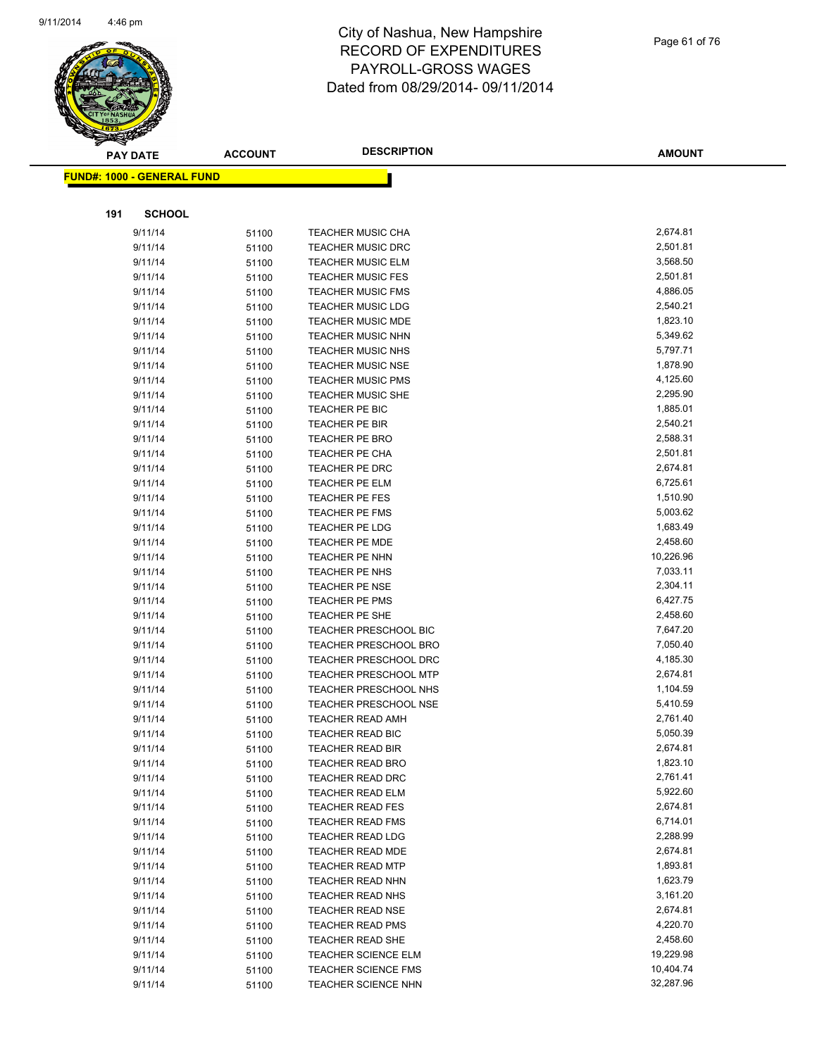

|     | <b>PAY DATE</b>                    | <b>ACCOUNT</b> | <b>DESCRIPTION</b>           | <b>AMOUNT</b> |
|-----|------------------------------------|----------------|------------------------------|---------------|
|     | <u> FUND#: 1000 - GENERAL FUND</u> |                |                              |               |
|     |                                    |                |                              |               |
| 191 | <b>SCHOOL</b>                      |                |                              |               |
|     | 9/11/14                            | 51100          | <b>TEACHER MUSIC CHA</b>     | 2,674.81      |
|     | 9/11/14                            | 51100          | <b>TEACHER MUSIC DRC</b>     | 2,501.81      |
|     | 9/11/14                            | 51100          | <b>TEACHER MUSIC ELM</b>     | 3,568.50      |
|     | 9/11/14                            | 51100          | <b>TEACHER MUSIC FES</b>     | 2,501.81      |
|     | 9/11/14                            | 51100          | <b>TEACHER MUSIC FMS</b>     | 4,886.05      |
|     | 9/11/14                            | 51100          | <b>TEACHER MUSIC LDG</b>     | 2,540.21      |
|     | 9/11/14                            | 51100          | <b>TEACHER MUSIC MDE</b>     | 1,823.10      |
|     | 9/11/14                            | 51100          | <b>TEACHER MUSIC NHN</b>     | 5,349.62      |
|     | 9/11/14                            | 51100          | <b>TEACHER MUSIC NHS</b>     | 5,797.71      |
|     | 9/11/14                            | 51100          | <b>TEACHER MUSIC NSE</b>     | 1,878.90      |
|     | 9/11/14                            | 51100          | <b>TEACHER MUSIC PMS</b>     | 4,125.60      |
|     | 9/11/14                            | 51100          | <b>TEACHER MUSIC SHE</b>     | 2,295.90      |
|     | 9/11/14                            | 51100          | TEACHER PE BIC               | 1,885.01      |
|     | 9/11/14                            | 51100          | <b>TEACHER PE BIR</b>        | 2,540.21      |
|     | 9/11/14                            | 51100          | <b>TEACHER PE BRO</b>        | 2,588.31      |
|     | 9/11/14                            | 51100          | <b>TEACHER PE CHA</b>        | 2,501.81      |
|     | 9/11/14                            | 51100          | TEACHER PE DRC               | 2,674.81      |
|     | 9/11/14                            | 51100          | TEACHER PE ELM               | 6,725.61      |
|     | 9/11/14                            | 51100          | TEACHER PE FES               | 1,510.90      |
|     | 9/11/14                            | 51100          | TEACHER PE FMS               | 5,003.62      |
|     | 9/11/14                            | 51100          | <b>TEACHER PE LDG</b>        | 1,683.49      |
|     | 9/11/14                            | 51100          | <b>TEACHER PE MDE</b>        | 2,458.60      |
|     | 9/11/14                            | 51100          | TEACHER PE NHN               | 10,226.96     |
|     | 9/11/14                            | 51100          | TEACHER PE NHS               | 7,033.11      |
|     | 9/11/14                            | 51100          | <b>TEACHER PE NSE</b>        | 2,304.11      |
|     | 9/11/14                            | 51100          | TEACHER PE PMS               | 6,427.75      |
|     | 9/11/14                            | 51100          | TEACHER PE SHE               | 2,458.60      |
|     | 9/11/14                            | 51100          | <b>TEACHER PRESCHOOL BIC</b> | 7,647.20      |
|     | 9/11/14                            | 51100          | TEACHER PRESCHOOL BRO        | 7,050.40      |
|     | 9/11/14                            | 51100          | TEACHER PRESCHOOL DRC        | 4,185.30      |
|     | 9/11/14                            | 51100          | <b>TEACHER PRESCHOOL MTP</b> | 2,674.81      |
|     | 9/11/14                            | 51100          | <b>TEACHER PRESCHOOL NHS</b> | 1,104.59      |
|     | 9/11/14                            | 51100          | <b>TEACHER PRESCHOOL NSE</b> | 5,410.59      |
|     | 9/11/14                            | 51100          | <b>TEACHER READ AMH</b>      | 2,761.40      |
|     | 9/11/14                            | 51100          | <b>TEACHER READ BIC</b>      | 5,050.39      |
|     | 9/11/14                            | 51100          | <b>TEACHER READ BIR</b>      | 2,674.81      |
|     | 9/11/14                            | 51100          | <b>TEACHER READ BRO</b>      | 1,823.10      |
|     | 9/11/14                            | 51100          | <b>TEACHER READ DRC</b>      | 2,761.41      |
|     | 9/11/14                            | 51100          | <b>TEACHER READ ELM</b>      | 5,922.60      |
|     | 9/11/14                            | 51100          | <b>TEACHER READ FES</b>      | 2,674.81      |
|     | 9/11/14                            | 51100          | <b>TEACHER READ FMS</b>      | 6,714.01      |
|     | 9/11/14                            | 51100          | <b>TEACHER READ LDG</b>      | 2,288.99      |
|     | 9/11/14                            | 51100          | <b>TEACHER READ MDE</b>      | 2,674.81      |
|     | 9/11/14                            | 51100          | <b>TEACHER READ MTP</b>      | 1,893.81      |
|     | 9/11/14                            | 51100          | <b>TEACHER READ NHN</b>      | 1,623.79      |
|     | 9/11/14                            | 51100          | TEACHER READ NHS             | 3,161.20      |
|     | 9/11/14                            | 51100          | <b>TEACHER READ NSE</b>      | 2,674.81      |
|     | 9/11/14                            | 51100          | <b>TEACHER READ PMS</b>      | 4,220.70      |
|     | 9/11/14                            | 51100          | TEACHER READ SHE             | 2,458.60      |
|     | 9/11/14                            | 51100          | TEACHER SCIENCE ELM          | 19,229.98     |
|     | 9/11/14                            | 51100          | <b>TEACHER SCIENCE FMS</b>   | 10,404.74     |
|     | 9/11/14                            | 51100          | TEACHER SCIENCE NHN          | 32,287.96     |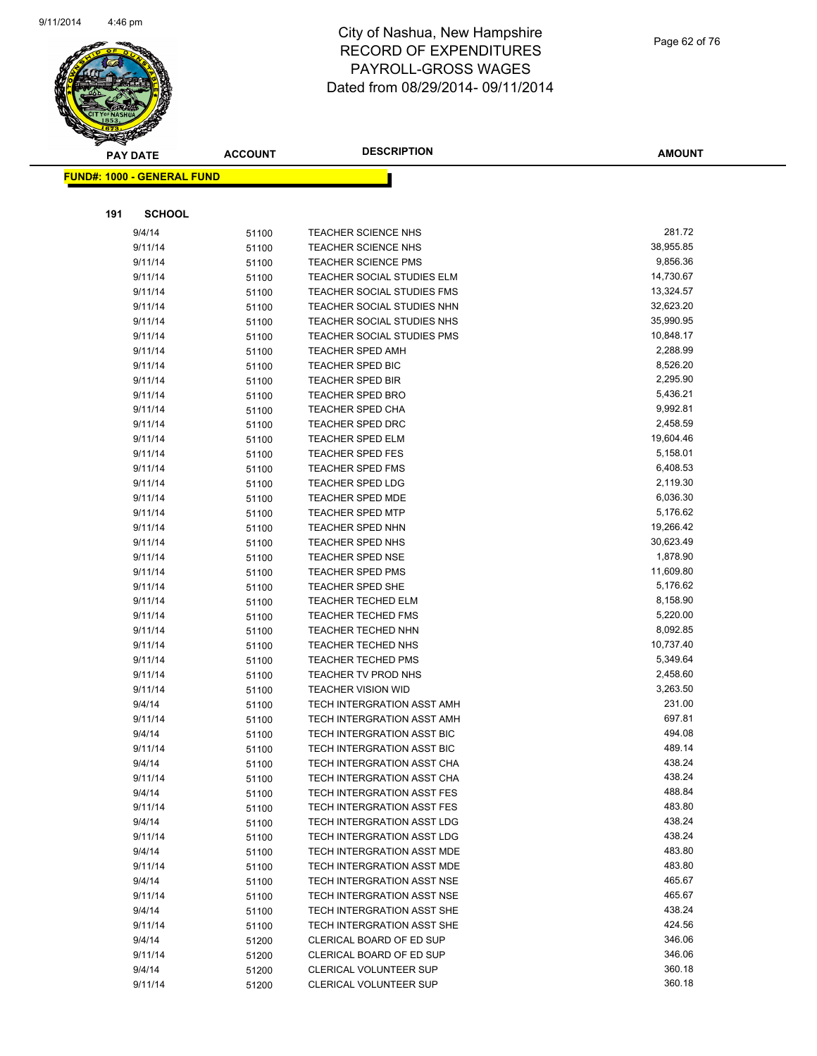

| $\tilde{\phantom{a}}$ | <b>PAY DATE</b>                   | <b>ACCOUNT</b> | <b>DESCRIPTION</b>                                       | <b>AMOUNT</b>    |
|-----------------------|-----------------------------------|----------------|----------------------------------------------------------|------------------|
|                       | <b>FUND#: 1000 - GENERAL FUND</b> |                |                                                          |                  |
|                       |                                   |                |                                                          |                  |
|                       |                                   |                |                                                          |                  |
| 191                   | <b>SCHOOL</b>                     |                |                                                          |                  |
|                       | 9/4/14                            | 51100          | <b>TEACHER SCIENCE NHS</b>                               | 281.72           |
|                       | 9/11/14                           | 51100          | <b>TEACHER SCIENCE NHS</b>                               | 38,955.85        |
|                       | 9/11/14                           | 51100          | <b>TEACHER SCIENCE PMS</b>                               | 9,856.36         |
|                       | 9/11/14                           | 51100          | TEACHER SOCIAL STUDIES ELM                               | 14,730.67        |
|                       | 9/11/14                           | 51100          | <b>TEACHER SOCIAL STUDIES FMS</b>                        | 13,324.57        |
|                       | 9/11/14                           | 51100          | TEACHER SOCIAL STUDIES NHN                               | 32,623.20        |
|                       | 9/11/14                           | 51100          | TEACHER SOCIAL STUDIES NHS                               | 35,990.95        |
|                       | 9/11/14                           | 51100          | <b>TEACHER SOCIAL STUDIES PMS</b>                        | 10,848.17        |
|                       | 9/11/14                           | 51100          | TEACHER SPED AMH                                         | 2,288.99         |
|                       | 9/11/14                           | 51100          | <b>TEACHER SPED BIC</b>                                  | 8,526.20         |
|                       | 9/11/14                           | 51100          | <b>TEACHER SPED BIR</b>                                  | 2,295.90         |
|                       | 9/11/14                           | 51100          | <b>TEACHER SPED BRO</b>                                  | 5,436.21         |
|                       | 9/11/14                           | 51100          | <b>TEACHER SPED CHA</b>                                  | 9,992.81         |
|                       | 9/11/14                           | 51100          | <b>TEACHER SPED DRC</b>                                  | 2,458.59         |
|                       | 9/11/14                           | 51100          | <b>TEACHER SPED ELM</b>                                  | 19,604.46        |
|                       | 9/11/14                           | 51100          | <b>TEACHER SPED FES</b>                                  | 5,158.01         |
|                       | 9/11/14                           | 51100          | <b>TEACHER SPED FMS</b>                                  | 6,408.53         |
|                       | 9/11/14                           | 51100          | <b>TEACHER SPED LDG</b>                                  | 2,119.30         |
|                       | 9/11/14                           | 51100          | TEACHER SPED MDE                                         | 6,036.30         |
|                       | 9/11/14                           | 51100          | <b>TEACHER SPED MTP</b>                                  | 5,176.62         |
|                       | 9/11/14                           | 51100          | <b>TEACHER SPED NHN</b>                                  | 19,266.42        |
|                       | 9/11/14                           | 51100          | <b>TEACHER SPED NHS</b>                                  | 30,623.49        |
|                       | 9/11/14                           | 51100          | <b>TEACHER SPED NSE</b>                                  | 1,878.90         |
|                       | 9/11/14                           | 51100          | <b>TEACHER SPED PMS</b>                                  | 11,609.80        |
|                       | 9/11/14                           | 51100          | <b>TEACHER SPED SHE</b>                                  | 5,176.62         |
|                       | 9/11/14                           | 51100          | <b>TEACHER TECHED ELM</b>                                | 8,158.90         |
|                       | 9/11/14                           | 51100          | <b>TEACHER TECHED FMS</b>                                | 5,220.00         |
|                       | 9/11/14                           | 51100          | <b>TEACHER TECHED NHN</b>                                | 8,092.85         |
|                       | 9/11/14                           | 51100          | <b>TEACHER TECHED NHS</b>                                | 10,737.40        |
|                       | 9/11/14                           | 51100          | <b>TEACHER TECHED PMS</b>                                | 5,349.64         |
|                       | 9/11/14                           | 51100          | TEACHER TV PROD NHS                                      | 2,458.60         |
|                       | 9/11/14                           | 51100          | <b>TEACHER VISION WID</b>                                | 3,263.50         |
|                       | 9/4/14                            | 51100          | TECH INTERGRATION ASST AMH                               | 231.00           |
|                       | 9/11/14                           | 51100          | TECH INTERGRATION ASST AMH                               | 697.81<br>494.08 |
|                       | 9/4/14                            | 51100          | TECH INTERGRATION ASST BIC                               | 489.14           |
|                       | 9/11/14                           | 51100          | TECH INTERGRATION ASST BIC                               | 438.24           |
|                       | 9/4/14<br>9/11/14                 | 51100          | TECH INTERGRATION ASST CHA<br>TECH INTERGRATION ASST CHA | 438.24           |
|                       | 9/4/14                            | 51100          | TECH INTERGRATION ASST FES                               | 488.84           |
|                       | 9/11/14                           | 51100          | TECH INTERGRATION ASST FES                               | 483.80           |
|                       | 9/4/14                            | 51100          | TECH INTERGRATION ASST LDG                               | 438.24           |
|                       | 9/11/14                           | 51100<br>51100 | TECH INTERGRATION ASST LDG                               | 438.24           |
|                       | 9/4/14                            | 51100          | TECH INTERGRATION ASST MDE                               | 483.80           |
|                       | 9/11/14                           | 51100          | TECH INTERGRATION ASST MDE                               | 483.80           |
|                       | 9/4/14                            | 51100          | TECH INTERGRATION ASST NSE                               | 465.67           |
|                       | 9/11/14                           | 51100          | TECH INTERGRATION ASST NSE                               | 465.67           |
|                       | 9/4/14                            | 51100          | TECH INTERGRATION ASST SHE                               | 438.24           |
|                       | 9/11/14                           | 51100          | TECH INTERGRATION ASST SHE                               | 424.56           |
|                       | 9/4/14                            | 51200          | CLERICAL BOARD OF ED SUP                                 | 346.06           |
|                       | 9/11/14                           | 51200          | CLERICAL BOARD OF ED SUP                                 | 346.06           |
|                       | 9/4/14                            | 51200          | CLERICAL VOLUNTEER SUP                                   | 360.18           |
|                       | 9/11/14                           | 51200          | CLERICAL VOLUNTEER SUP                                   | 360.18           |
|                       |                                   |                |                                                          |                  |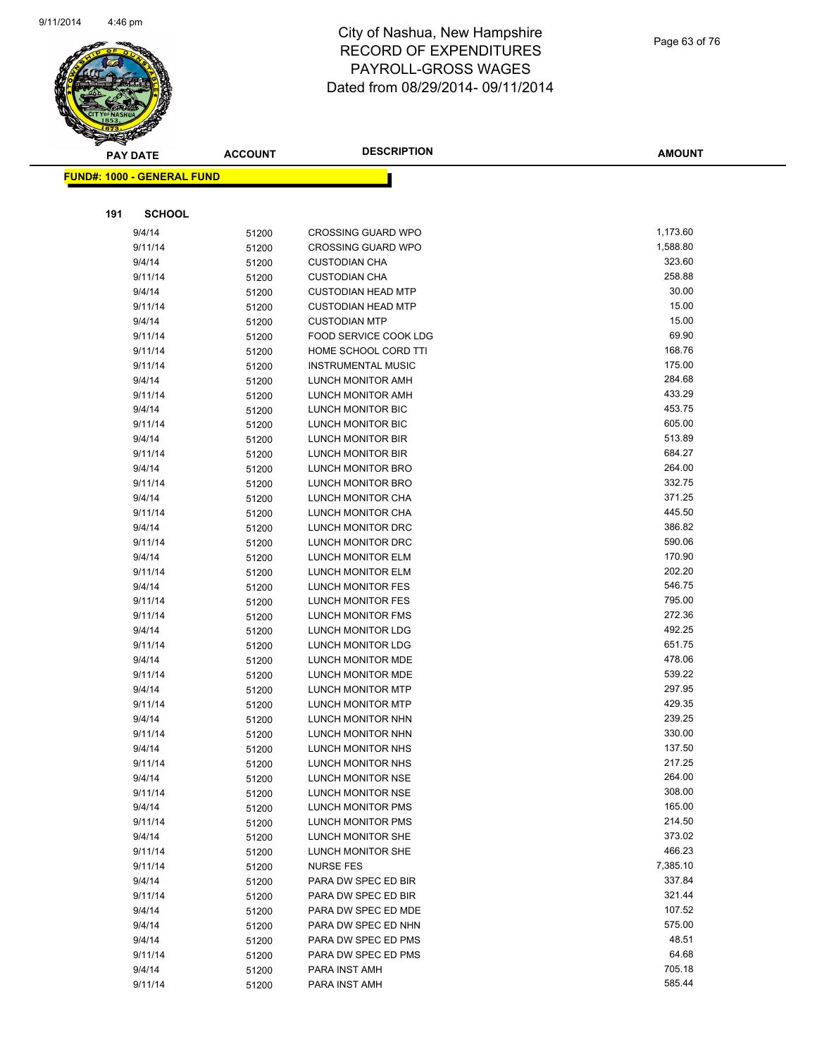

|     | <b>PAY DATE</b>                   | <b>ACCOUNT</b> | <b>DESCRIPTION</b>        | <b>AMOUNT</b> |
|-----|-----------------------------------|----------------|---------------------------|---------------|
|     | <b>FUND#: 1000 - GENERAL FUND</b> |                |                           |               |
|     |                                   |                |                           |               |
|     |                                   |                |                           |               |
| 191 | <b>SCHOOL</b>                     |                |                           |               |
|     | 9/4/14                            | 51200          | <b>CROSSING GUARD WPO</b> | 1,173.60      |
|     | 9/11/14                           | 51200          | <b>CROSSING GUARD WPO</b> | 1,588.80      |
|     | 9/4/14                            | 51200          | <b>CUSTODIAN CHA</b>      | 323.60        |
|     | 9/11/14                           | 51200          | <b>CUSTODIAN CHA</b>      | 258.88        |
|     | 9/4/14                            | 51200          | <b>CUSTODIAN HEAD MTP</b> | 30.00         |
|     | 9/11/14                           | 51200          | <b>CUSTODIAN HEAD MTP</b> | 15.00         |
|     | 9/4/14                            | 51200          | <b>CUSTODIAN MTP</b>      | 15.00         |
|     | 9/11/14                           | 51200          | FOOD SERVICE COOK LDG     | 69.90         |
|     | 9/11/14                           | 51200          | HOME SCHOOL CORD TTI      | 168.76        |
|     | 9/11/14                           | 51200          | <b>INSTRUMENTAL MUSIC</b> | 175.00        |
|     | 9/4/14                            | 51200          | LUNCH MONITOR AMH         | 284.68        |
|     | 9/11/14                           | 51200          | LUNCH MONITOR AMH         | 433.29        |
|     | 9/4/14                            | 51200          | LUNCH MONITOR BIC         | 453.75        |
|     | 9/11/14                           | 51200          | LUNCH MONITOR BIC         | 605.00        |
|     | 9/4/14                            | 51200          | LUNCH MONITOR BIR         | 513.89        |
|     | 9/11/14                           | 51200          | LUNCH MONITOR BIR         | 684.27        |
|     | 9/4/14                            | 51200          | LUNCH MONITOR BRO         | 264.00        |
|     | 9/11/14                           | 51200          | LUNCH MONITOR BRO         | 332.75        |
|     | 9/4/14                            | 51200          | LUNCH MONITOR CHA         | 371.25        |
|     | 9/11/14                           | 51200          | LUNCH MONITOR CHA         | 445.50        |
|     | 9/4/14                            | 51200          | LUNCH MONITOR DRC         | 386.82        |
|     | 9/11/14                           | 51200          | LUNCH MONITOR DRC         | 590.06        |
|     | 9/4/14                            | 51200          | LUNCH MONITOR ELM         | 170.90        |
|     | 9/11/14                           | 51200          | LUNCH MONITOR ELM         | 202.20        |
|     | 9/4/14                            | 51200          | LUNCH MONITOR FES         | 546.75        |
|     | 9/11/14                           | 51200          | LUNCH MONITOR FES         | 795.00        |
|     | 9/11/14                           | 51200          | LUNCH MONITOR FMS         | 272.36        |
|     | 9/4/14                            | 51200          | LUNCH MONITOR LDG         | 492.25        |
|     | 9/11/14                           | 51200          | LUNCH MONITOR LDG         | 651.75        |
|     | 9/4/14                            | 51200          | LUNCH MONITOR MDE         | 478.06        |
|     | 9/11/14                           | 51200          | LUNCH MONITOR MDE         | 539.22        |
|     | 9/4/14                            | 51200          | <b>LUNCH MONITOR MTP</b>  | 297.95        |
|     | 9/11/14                           | 51200          | LUNCH MONITOR MTP         | 429.35        |
|     | 9/4/14                            | 51200          | LUNCH MONITOR NHN         | 239.25        |
|     | 9/11/14                           | 51200          | LUNCH MONITOR NHN         | 330.00        |
|     | 9/4/14                            | 51200          | LUNCH MONITOR NHS         | 137.50        |
|     | 9/11/14                           | 51200          | LUNCH MONITOR NHS         | 217.25        |
|     | 9/4/14                            | 51200          | LUNCH MONITOR NSE         | 264.00        |
|     | 9/11/14                           | 51200          | LUNCH MONITOR NSE         | 308.00        |
|     | 9/4/14                            | 51200          | LUNCH MONITOR PMS         | 165.00        |
|     | 9/11/14                           | 51200          | LUNCH MONITOR PMS         | 214.50        |
|     | 9/4/14                            | 51200          | LUNCH MONITOR SHE         | 373.02        |
|     | 9/11/14                           | 51200          | LUNCH MONITOR SHE         | 466.23        |
|     | 9/11/14                           | 51200          | <b>NURSE FES</b>          | 7,385.10      |
|     | 9/4/14                            | 51200          | PARA DW SPEC ED BIR       | 337.84        |
|     | 9/11/14                           | 51200          | PARA DW SPEC ED BIR       | 321.44        |
|     | 9/4/14                            | 51200          | PARA DW SPEC ED MDE       | 107.52        |
|     | 9/4/14                            |                | PARA DW SPEC ED NHN       | 575.00        |
|     | 9/4/14                            | 51200          | PARA DW SPEC ED PMS       | 48.51         |
|     | 9/11/14                           | 51200          | PARA DW SPEC ED PMS       | 64.68         |
|     | 9/4/14                            | 51200          | PARA INST AMH             | 705.18        |
|     |                                   | 51200          | PARA INST AMH             | 585.44        |
|     | 9/11/14                           | 51200          |                           |               |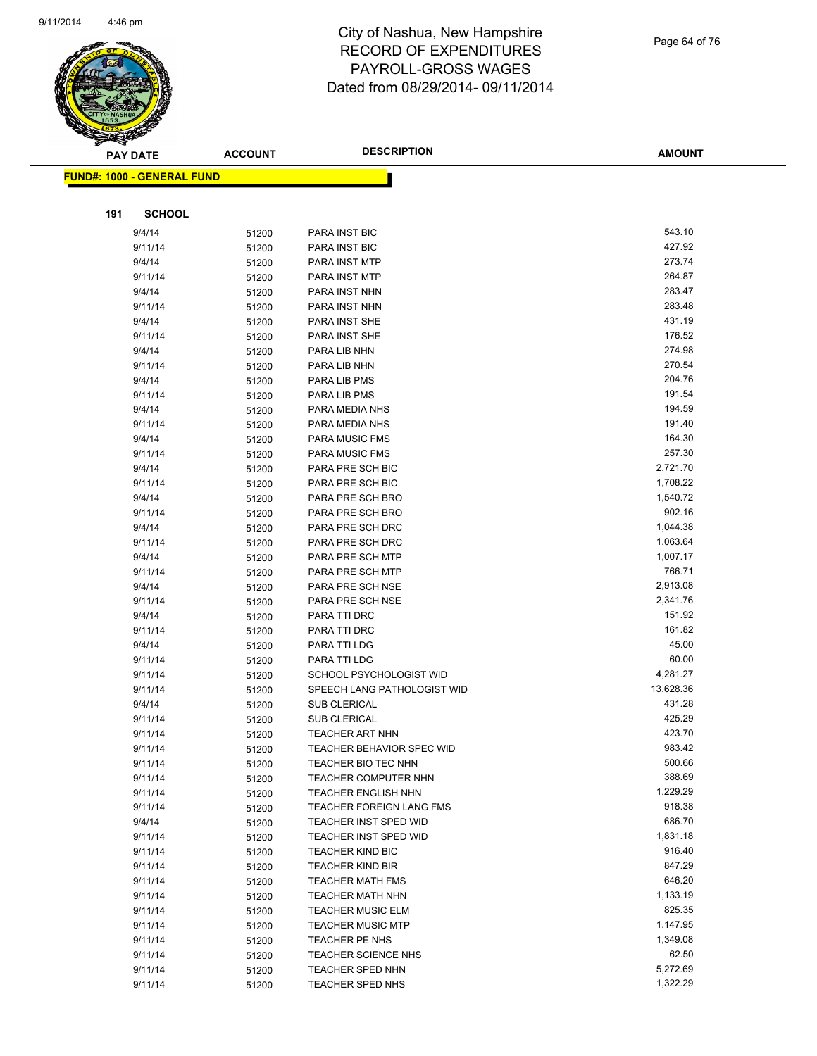

Page 64 of 76

|     | <b>PAY DATE</b>                   | <b>ACCOUNT</b> | <b>DESCRIPTION</b>           | <b>AMOUNT</b>    |
|-----|-----------------------------------|----------------|------------------------------|------------------|
|     | <b>FUND#: 1000 - GENERAL FUND</b> |                |                              |                  |
|     |                                   |                |                              |                  |
|     |                                   |                |                              |                  |
| 191 | <b>SCHOOL</b>                     |                |                              |                  |
|     | 9/4/14                            | 51200          | <b>PARA INST BIC</b>         | 543.10           |
|     | 9/11/14                           | 51200          | <b>PARA INST BIC</b>         | 427.92           |
|     | 9/4/14                            | 51200          | PARA INST MTP                | 273.74           |
|     | 9/11/14                           | 51200          | PARA INST MTP                | 264.87           |
|     | 9/4/14                            | 51200          | PARA INST NHN                | 283.47           |
|     | 9/11/14                           | 51200          | PARA INST NHN                | 283.48           |
|     | 9/4/14                            | 51200          | PARA INST SHE                | 431.19           |
|     | 9/11/14                           | 51200          | PARA INST SHE                | 176.52           |
|     | 9/4/14                            | 51200          | PARA LIB NHN                 | 274.98           |
|     | 9/11/14                           | 51200          | PARA LIB NHN                 | 270.54           |
|     | 9/4/14                            | 51200          | PARA LIB PMS                 | 204.76           |
|     | 9/11/14                           | 51200          | PARA LIB PMS                 | 191.54           |
|     | 9/4/14                            | 51200          | PARA MEDIA NHS               | 194.59           |
|     | 9/11/14                           | 51200          | PARA MEDIA NHS               | 191.40           |
|     | 9/4/14                            | 51200          | <b>PARA MUSIC FMS</b>        | 164.30           |
|     | 9/11/14                           | 51200          | <b>PARA MUSIC FMS</b>        | 257.30           |
|     | 9/4/14                            | 51200          | PARA PRE SCH BIC             | 2,721.70         |
|     | 9/11/14                           | 51200          | PARA PRE SCH BIC             | 1,708.22         |
|     | 9/4/14                            | 51200          | PARA PRE SCH BRO             | 1,540.72         |
|     | 9/11/14                           | 51200          | PARA PRE SCH BRO             | 902.16           |
|     | 9/4/14                            | 51200          | PARA PRE SCH DRC             | 1,044.38         |
|     | 9/11/14                           | 51200          | PARA PRE SCH DRC             | 1,063.64         |
|     | 9/4/14                            | 51200          | PARA PRE SCH MTP             | 1,007.17         |
|     | 9/11/14                           | 51200          | PARA PRE SCH MTP             | 766.71           |
|     | 9/4/14                            | 51200          | PARA PRE SCH NSE             | 2,913.08         |
|     | 9/11/14                           | 51200          | PARA PRE SCH NSE             | 2,341.76         |
|     | 9/4/14                            | 51200          | PARA TTI DRC                 | 151.92<br>161.82 |
|     | 9/11/14                           | 51200          | PARA TTI DRC                 | 45.00            |
|     | 9/4/14<br>9/11/14                 | 51200          | PARA TTI LDG<br>PARA TTI LDG | 60.00            |
|     | 9/11/14                           | 51200          | SCHOOL PSYCHOLOGIST WID      | 4,281.27         |
|     | 9/11/14                           | 51200          | SPEECH LANG PATHOLOGIST WID  | 13,628.36        |
|     | 9/4/14                            | 51200          | <b>SUB CLERICAL</b>          | 431.28           |
|     | 9/11/14                           | 51200          | <b>SUB CLERICAL</b>          | 425.29           |
|     | 9/11/14                           | 51200<br>51200 | <b>TEACHER ART NHN</b>       | 423.70           |
|     | 9/11/14                           |                | TEACHER BEHAVIOR SPEC WID    | 983.42           |
|     | 9/11/14                           | 51200<br>51200 | TEACHER BIO TEC NHN          | 500.66           |
|     | 9/11/14                           | 51200          | <b>TEACHER COMPUTER NHN</b>  | 388.69           |
|     | 9/11/14                           | 51200          | <b>TEACHER ENGLISH NHN</b>   | 1,229.29         |
|     | 9/11/14                           | 51200          | TEACHER FOREIGN LANG FMS     | 918.38           |
|     | 9/4/14                            | 51200          | TEACHER INST SPED WID        | 686.70           |
|     | 9/11/14                           | 51200          | <b>TEACHER INST SPED WID</b> | 1,831.18         |
|     | 9/11/14                           | 51200          | <b>TEACHER KIND BIC</b>      | 916.40           |
|     | 9/11/14                           | 51200          | <b>TEACHER KIND BIR</b>      | 847.29           |
|     | 9/11/14                           | 51200          | <b>TEACHER MATH FMS</b>      | 646.20           |
|     | 9/11/14                           | 51200          | TEACHER MATH NHN             | 1,133.19         |
|     | 9/11/14                           | 51200          | <b>TEACHER MUSIC ELM</b>     | 825.35           |
|     | 9/11/14                           | 51200          | <b>TEACHER MUSIC MTP</b>     | 1,147.95         |
|     | 9/11/14                           | 51200          | TEACHER PE NHS               | 1,349.08         |
|     | 9/11/14                           | 51200          | <b>TEACHER SCIENCE NHS</b>   | 62.50            |
|     | 9/11/14                           | 51200          | <b>TEACHER SPED NHN</b>      | 5,272.69         |
|     | 9/11/14                           | 51200          | TEACHER SPED NHS             | 1,322.29         |
|     |                                   |                |                              |                  |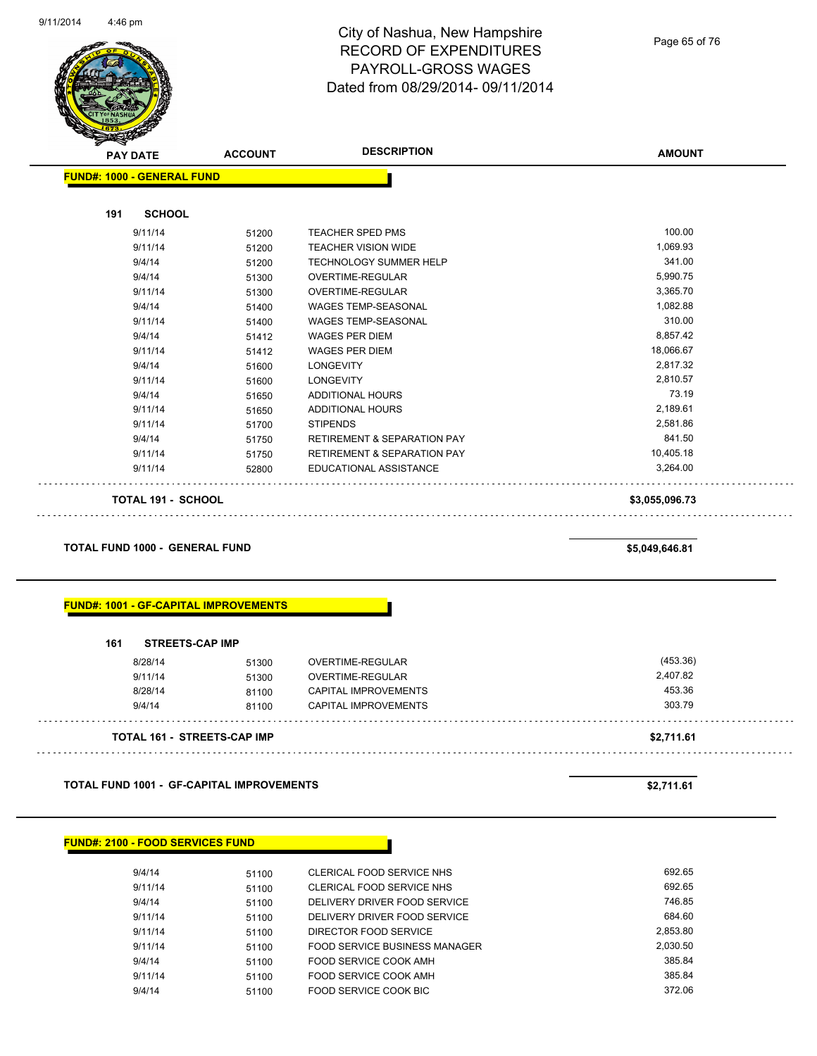

Page 65 of 76

| <b>PAY DATE</b> |                                   | <b>ACCOUNT</b> | <b>DESCRIPTION</b>                     | <b>AMOUNT</b>  |
|-----------------|-----------------------------------|----------------|----------------------------------------|----------------|
|                 | <b>FUND#: 1000 - GENERAL FUND</b> |                |                                        |                |
| 191             | <b>SCHOOL</b>                     |                |                                        |                |
|                 | 9/11/14                           | 51200          | <b>TEACHER SPED PMS</b>                | 100.00         |
|                 | 9/11/14                           | 51200          | <b>TEACHER VISION WIDE</b>             | 1,069.93       |
|                 | 9/4/14                            | 51200          | <b>TECHNOLOGY SUMMER HELP</b>          | 341.00         |
|                 | 9/4/14                            | 51300          | OVERTIME-REGULAR                       | 5,990.75       |
|                 | 9/11/14                           | 51300          | <b>OVERTIME-REGULAR</b>                | 3,365.70       |
|                 | 9/4/14                            | 51400          | WAGES TEMP-SEASONAL                    | 1,082.88       |
|                 | 9/11/14                           | 51400          | <b>WAGES TEMP-SEASONAL</b>             | 310.00         |
|                 | 9/4/14                            | 51412          | <b>WAGES PER DIEM</b>                  | 8,857.42       |
|                 | 9/11/14                           | 51412          | <b>WAGES PER DIEM</b>                  | 18,066.67      |
|                 | 9/4/14                            | 51600          | <b>LONGEVITY</b>                       | 2,817.32       |
|                 | 9/11/14                           | 51600          | <b>LONGEVITY</b>                       | 2,810.57       |
|                 | 9/4/14                            | 51650          | <b>ADDITIONAL HOURS</b>                | 73.19          |
|                 | 9/11/14                           | 51650          | <b>ADDITIONAL HOURS</b>                | 2,189.61       |
|                 | 9/11/14                           | 51700          | <b>STIPENDS</b>                        | 2,581.86       |
|                 | 9/4/14                            | 51750          | <b>RETIREMENT &amp; SEPARATION PAY</b> | 841.50         |
|                 | 9/11/14                           | 51750          | <b>RETIREMENT &amp; SEPARATION PAY</b> | 10,405.18      |
|                 | 9/11/14                           | 52800          | EDUCATIONAL ASSISTANCE                 | 3,264.00       |
|                 | <b>TOTAL 191 - SCHOOL</b>         |                |                                        | \$3,055,096.73 |

**TOTAL FUND 1000 - GENERAL FUND \$5,049,646.81** 

#### **FUND#: 1001 - GF-CAPITAL IMPROVEMENTS**

| <b>TOTAL 161 - STREETS-CAP IMP</b> |       |                             | \$2,711.61 |
|------------------------------------|-------|-----------------------------|------------|
| 9/4/14                             | 81100 | <b>CAPITAL IMPROVEMENTS</b> | 303.79     |
| 8/28/14                            | 81100 | <b>CAPITAL IMPROVEMENTS</b> | 453.36     |
| 9/11/14                            | 51300 | <b>OVERTIME-REGULAR</b>     | 2,407.82   |
| 8/28/14                            | 51300 | OVERTIME-REGULAR            | (453.36)   |

**TOTAL FUND 1001 - GF-CAPITAL IMPROVEMENTS \$2,711.61** 

#### **FUND#: 2100 - FOOD SERVICES FUND**

| 9/4/14  | 51100 | CLERICAL FOOD SERVICE NHS     | 692.65   |
|---------|-------|-------------------------------|----------|
| 9/11/14 | 51100 | CLERICAL FOOD SERVICE NHS     | 692.65   |
| 9/4/14  | 51100 | DELIVERY DRIVER FOOD SERVICE  | 746.85   |
| 9/11/14 | 51100 | DELIVERY DRIVER FOOD SERVICE  | 684.60   |
| 9/11/14 | 51100 | DIRECTOR FOOD SERVICE         | 2.853.80 |
| 9/11/14 | 51100 | FOOD SERVICE BUSINESS MANAGER | 2.030.50 |
| 9/4/14  | 51100 | FOOD SERVICE COOK AMH         | 385.84   |
| 9/11/14 | 51100 | FOOD SERVICE COOK AMH         | 385.84   |
| 9/4/14  | 51100 | FOOD SERVICE COOK BIC         | 372.06   |
|         |       |                               |          |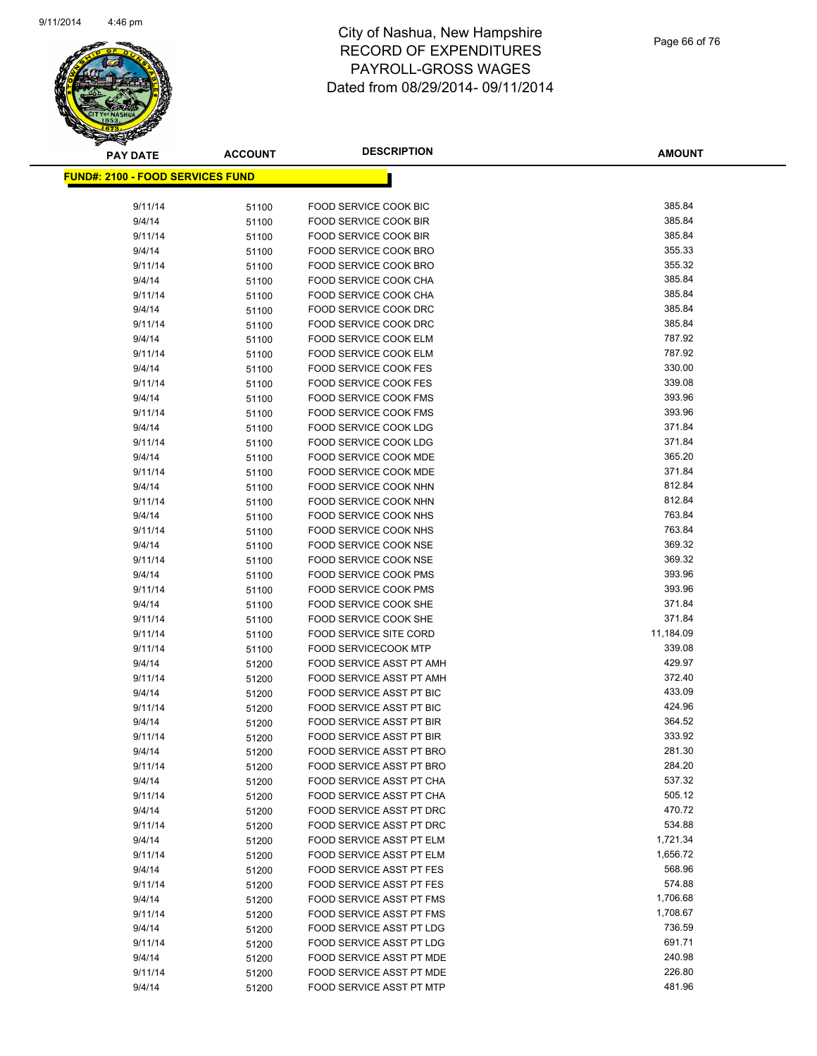

| <b>PAY DATE</b>                          | <b>ACCOUNT</b> | <b>DESCRIPTION</b>                                   | <b>AMOUNT</b>    |
|------------------------------------------|----------------|------------------------------------------------------|------------------|
| <u> FUND#: 2100 - FOOD SERVICES FUND</u> |                |                                                      |                  |
|                                          |                |                                                      |                  |
| 9/11/14                                  | 51100          | FOOD SERVICE COOK BIC                                | 385.84           |
| 9/4/14                                   | 51100          | FOOD SERVICE COOK BIR                                | 385.84           |
| 9/11/14                                  | 51100          | FOOD SERVICE COOK BIR                                | 385.84           |
| 9/4/14                                   | 51100          | FOOD SERVICE COOK BRO                                | 355.33           |
| 9/11/14                                  | 51100          | FOOD SERVICE COOK BRO                                | 355.32           |
| 9/4/14                                   | 51100          | FOOD SERVICE COOK CHA                                | 385.84           |
| 9/11/14                                  | 51100          | FOOD SERVICE COOK CHA                                | 385.84           |
| 9/4/14                                   | 51100          | FOOD SERVICE COOK DRC                                | 385.84           |
| 9/11/14                                  | 51100          | FOOD SERVICE COOK DRC                                | 385.84           |
| 9/4/14                                   | 51100          | FOOD SERVICE COOK ELM                                | 787.92           |
| 9/11/14                                  | 51100          | FOOD SERVICE COOK ELM                                | 787.92           |
| 9/4/14                                   | 51100          | FOOD SERVICE COOK FES                                | 330.00           |
| 9/11/14                                  | 51100          | FOOD SERVICE COOK FES                                | 339.08           |
| 9/4/14                                   | 51100          | FOOD SERVICE COOK FMS                                | 393.96           |
| 9/11/14                                  | 51100          | FOOD SERVICE COOK FMS                                | 393.96           |
| 9/4/14                                   | 51100          | <b>FOOD SERVICE COOK LDG</b>                         | 371.84           |
| 9/11/14                                  | 51100          | FOOD SERVICE COOK LDG                                | 371.84           |
| 9/4/14                                   | 51100          | <b>FOOD SERVICE COOK MDE</b>                         | 365.20           |
| 9/11/14                                  | 51100          | FOOD SERVICE COOK MDE                                | 371.84           |
| 9/4/14                                   | 51100          | <b>FOOD SERVICE COOK NHN</b>                         | 812.84           |
| 9/11/14                                  | 51100          | FOOD SERVICE COOK NHN                                | 812.84           |
| 9/4/14                                   | 51100          | FOOD SERVICE COOK NHS                                | 763.84           |
| 9/11/14                                  | 51100          | FOOD SERVICE COOK NHS                                | 763.84           |
| 9/4/14                                   | 51100          | FOOD SERVICE COOK NSE                                | 369.32           |
| 9/11/14                                  | 51100          | FOOD SERVICE COOK NSE                                | 369.32           |
| 9/4/14                                   | 51100          | FOOD SERVICE COOK PMS                                | 393.96           |
| 9/11/14                                  | 51100          | FOOD SERVICE COOK PMS                                | 393.96           |
| 9/4/14                                   | 51100          | FOOD SERVICE COOK SHE                                | 371.84           |
| 9/11/14                                  | 51100          | FOOD SERVICE COOK SHE                                | 371.84           |
| 9/11/14                                  | 51100          | <b>FOOD SERVICE SITE CORD</b>                        | 11,184.09        |
| 9/11/14                                  | 51100          | <b>FOOD SERVICECOOK MTP</b>                          | 339.08           |
| 9/4/14                                   | 51200          | FOOD SERVICE ASST PT AMH                             | 429.97<br>372.40 |
| 9/11/14                                  | 51200          | FOOD SERVICE ASST PT AMH<br>FOOD SERVICE ASST PT BIC | 433.09           |
| 9/4/14<br>9/11/14                        | 51200          | FOOD SERVICE ASST PT BIC                             | 424.96           |
| 9/4/14                                   | 51200<br>51200 | FOOD SERVICE ASST PT BIR                             | 364.52           |
| 9/11/14                                  | 51200          | <b>FOOD SERVICE ASST PT BIR</b>                      | 333.92           |
| 9/4/14                                   | 51200          | FOOD SERVICE ASST PT BRO                             | 281.30           |
| 9/11/14                                  | 51200          | FOOD SERVICE ASST PT BRO                             | 284.20           |
| 9/4/14                                   | 51200          | FOOD SERVICE ASST PT CHA                             | 537.32           |
| 9/11/14                                  | 51200          | FOOD SERVICE ASST PT CHA                             | 505.12           |
| 9/4/14                                   | 51200          | FOOD SERVICE ASST PT DRC                             | 470.72           |
| 9/11/14                                  | 51200          | FOOD SERVICE ASST PT DRC                             | 534.88           |
| 9/4/14                                   | 51200          | FOOD SERVICE ASST PT ELM                             | 1,721.34         |
| 9/11/14                                  | 51200          | FOOD SERVICE ASST PT ELM                             | 1,656.72         |
| 9/4/14                                   | 51200          | FOOD SERVICE ASST PT FES                             | 568.96           |
| 9/11/14                                  | 51200          | FOOD SERVICE ASST PT FES                             | 574.88           |
| 9/4/14                                   | 51200          | FOOD SERVICE ASST PT FMS                             | 1,706.68         |
| 9/11/14                                  | 51200          | FOOD SERVICE ASST PT FMS                             | 1,708.67         |
| 9/4/14                                   | 51200          | FOOD SERVICE ASST PT LDG                             | 736.59           |
| 9/11/14                                  | 51200          | FOOD SERVICE ASST PT LDG                             | 691.71           |
| 9/4/14                                   | 51200          | FOOD SERVICE ASST PT MDE                             | 240.98           |
| 9/11/14                                  | 51200          | FOOD SERVICE ASST PT MDE                             | 226.80           |
| 9/4/14                                   | 51200          | FOOD SERVICE ASST PT MTP                             | 481.96           |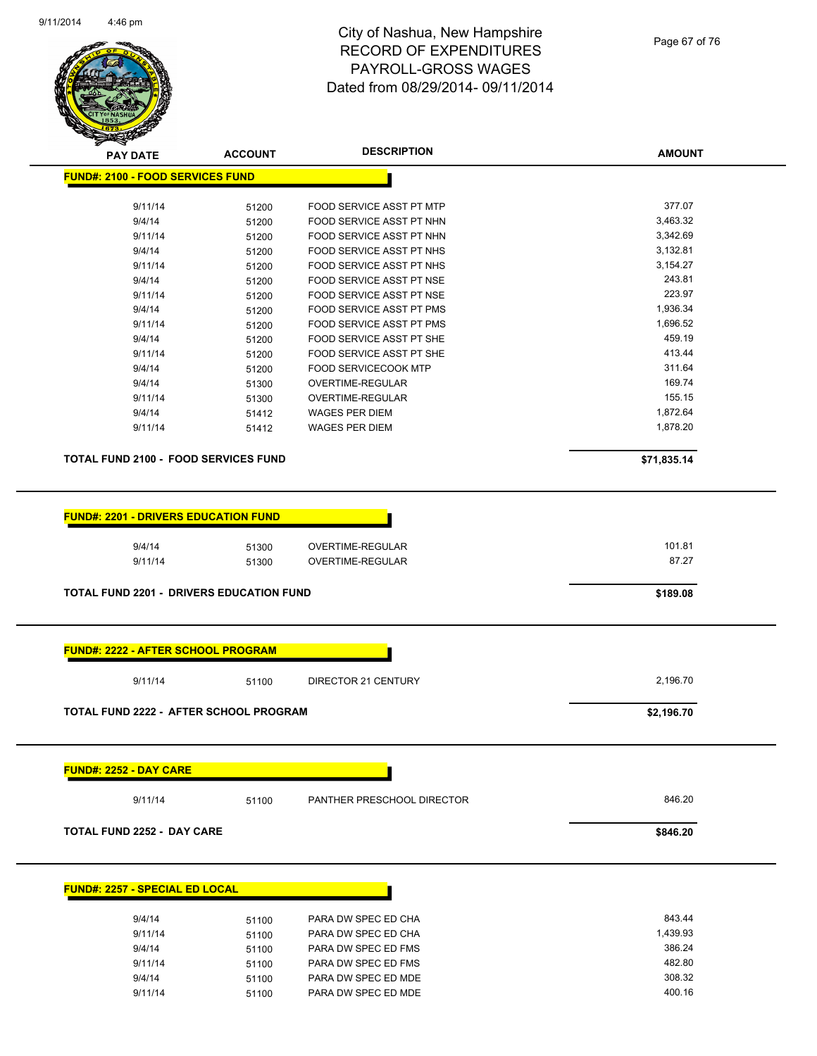

Page 67 of 76

| <b>FUND#: 2100 - FOOD SERVICES FUND</b><br>9/11/14                                                                              |                |                                      |                 |  |
|---------------------------------------------------------------------------------------------------------------------------------|----------------|--------------------------------------|-----------------|--|
|                                                                                                                                 |                |                                      |                 |  |
|                                                                                                                                 | 51200          | FOOD SERVICE ASST PT MTP             | 377.07          |  |
| 9/4/14                                                                                                                          | 51200          | FOOD SERVICE ASST PT NHN             | 3,463.32        |  |
| 9/11/14                                                                                                                         | 51200          | FOOD SERVICE ASST PT NHN             | 3,342.69        |  |
| 9/4/14                                                                                                                          | 51200          | FOOD SERVICE ASST PT NHS             | 3,132.81        |  |
| 9/11/14                                                                                                                         |                | FOOD SERVICE ASST PT NHS             | 3,154.27        |  |
|                                                                                                                                 | 51200          |                                      | 243.81          |  |
| 9/4/14                                                                                                                          | 51200          | FOOD SERVICE ASST PT NSE             | 223.97          |  |
| 9/11/14                                                                                                                         | 51200          | FOOD SERVICE ASST PT NSE             |                 |  |
| 9/4/14                                                                                                                          | 51200          | FOOD SERVICE ASST PT PMS             | 1,936.34        |  |
| 9/11/14                                                                                                                         | 51200          | <b>FOOD SERVICE ASST PT PMS</b>      | 1,696.52        |  |
| 9/4/14                                                                                                                          | 51200          | FOOD SERVICE ASST PT SHE             | 459.19          |  |
| 9/11/14                                                                                                                         | 51200          | FOOD SERVICE ASST PT SHE             | 413.44          |  |
| 9/4/14                                                                                                                          | 51200          | <b>FOOD SERVICECOOK MTP</b>          | 311.64          |  |
| 9/4/14                                                                                                                          | 51300          | OVERTIME-REGULAR                     | 169.74          |  |
| 9/11/14                                                                                                                         | 51300          | OVERTIME-REGULAR                     | 155.15          |  |
| 9/4/14                                                                                                                          | 51412          | <b>WAGES PER DIEM</b>                | 1,872.64        |  |
| 9/11/14                                                                                                                         | 51412          | <b>WAGES PER DIEM</b>                | 1,878.20        |  |
|                                                                                                                                 |                |                                      | \$71,835.14     |  |
|                                                                                                                                 |                |                                      |                 |  |
| <b>TOTAL FUND 2100 - FOOD SERVICES FUND</b><br><b>FUND#: 2201 - DRIVERS EDUCATION FUND</b>                                      |                |                                      |                 |  |
| 9/4/14<br>9/11/14                                                                                                               | 51300<br>51300 | OVERTIME-REGULAR<br>OVERTIME-REGULAR | 101.81<br>87.27 |  |
|                                                                                                                                 |                |                                      |                 |  |
| <b>TOTAL FUND 2201 - DRIVERS EDUCATION FUND</b>                                                                                 |                |                                      | \$189.08        |  |
|                                                                                                                                 |                |                                      |                 |  |
| 9/11/14                                                                                                                         | 51100          | DIRECTOR 21 CENTURY                  | 2,196.70        |  |
|                                                                                                                                 |                |                                      | \$2,196.70      |  |
|                                                                                                                                 |                |                                      |                 |  |
| <b>FUND#: 2222 - AFTER SCHOOL PROGRAM</b><br>TOTAL FUND 2222 - AFTER SCHOOL PROGRAM<br><b>FUND#: 2252 - DAY CARE</b><br>9/11/14 | 51100          | PANTHER PRESCHOOL DIRECTOR           | 846.20          |  |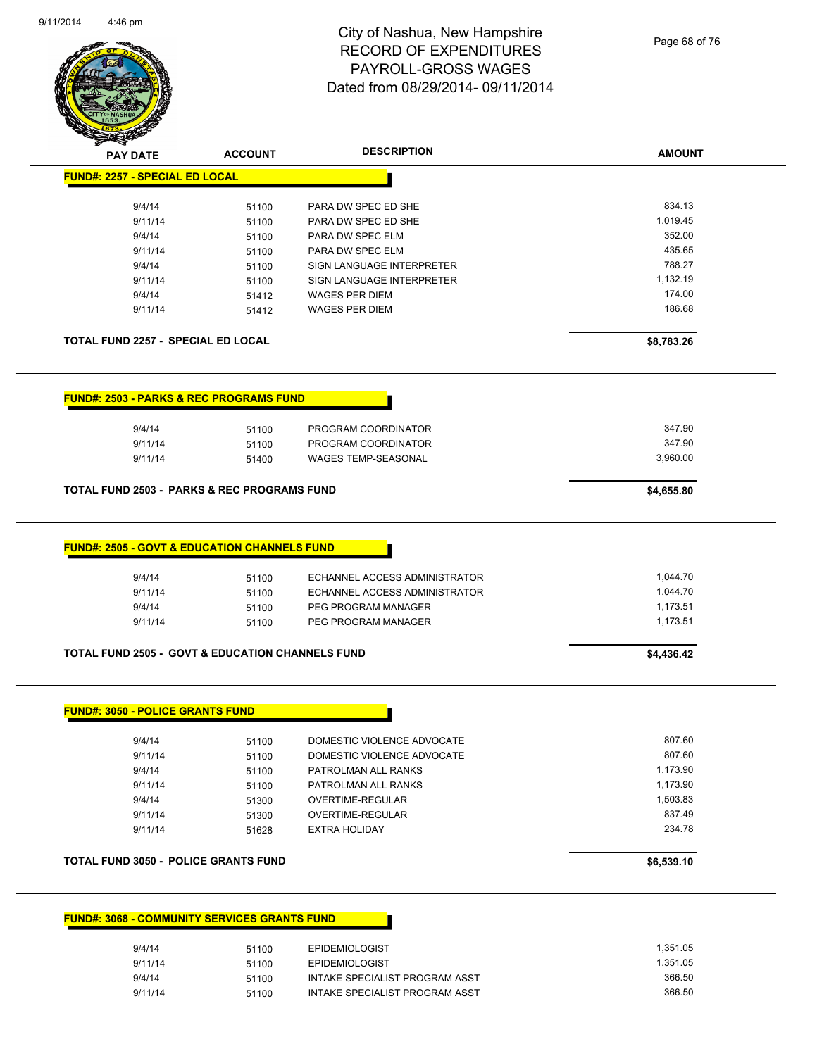

Page 68 of 76

| <b>Anton</b>                                                |                |                               |               |
|-------------------------------------------------------------|----------------|-------------------------------|---------------|
| <b>PAY DATE</b>                                             | <b>ACCOUNT</b> | <b>DESCRIPTION</b>            | <b>AMOUNT</b> |
| <b>FUND#: 2257 - SPECIAL ED LOCAL</b>                       |                |                               |               |
| 9/4/14                                                      | 51100          | PARA DW SPEC ED SHE           | 834.13        |
| 9/11/14                                                     | 51100          | PARA DW SPEC ED SHE           | 1,019.45      |
| 9/4/14                                                      | 51100          | PARA DW SPEC ELM              | 352.00        |
| 9/11/14                                                     | 51100          | PARA DW SPEC ELM              | 435.65        |
| 9/4/14                                                      |                | SIGN LANGUAGE INTERPRETER     | 788.27        |
| 9/11/14                                                     | 51100<br>51100 | SIGN LANGUAGE INTERPRETER     | 1,132.19      |
| 9/4/14                                                      |                | <b>WAGES PER DIEM</b>         | 174.00        |
| 9/11/14                                                     | 51412<br>51412 | <b>WAGES PER DIEM</b>         | 186.68        |
|                                                             |                |                               |               |
| <b>TOTAL FUND 2257 - SPECIAL ED LOCAL</b>                   |                |                               | \$8,783.26    |
| <b>FUND#: 2503 - PARKS &amp; REC PROGRAMS FUND</b>          |                |                               |               |
| 9/4/14                                                      | 51100          | PROGRAM COORDINATOR           | 347.90        |
| 9/11/14                                                     | 51100          | PROGRAM COORDINATOR           | 347.90        |
| 9/11/14                                                     | 51400          | <b>WAGES TEMP-SEASONAL</b>    | 3,960.00      |
| <b>TOTAL FUND 2503 - PARKS &amp; REC PROGRAMS FUND</b>      |                |                               | \$4,655.80    |
| <b>FUND#: 2505 - GOVT &amp; EDUCATION CHANNELS FUND</b>     |                |                               |               |
|                                                             |                |                               |               |
| 9/4/14                                                      | 51100          | ECHANNEL ACCESS ADMINISTRATOR | 1,044.70      |
| 9/11/14                                                     | 51100          | ECHANNEL ACCESS ADMINISTRATOR | 1,044.70      |
| 9/4/14                                                      | 51100          | PEG PROGRAM MANAGER           | 1,173.51      |
| 9/11/14                                                     | 51100          | PEG PROGRAM MANAGER           | 1,173.51      |
| <b>TOTAL FUND 2505 - GOVT &amp; EDUCATION CHANNELS FUND</b> |                |                               | \$4,436.42    |
|                                                             |                |                               |               |
| <b>FUND#: 3050 - POLICE GRANTS FUND</b>                     |                |                               |               |
| 9/4/14                                                      | 51100          | DOMESTIC VIOLENCE ADVOCATE    | 807.60        |
| 9/11/14                                                     | 51100          | DOMESTIC VIOLENCE ADVOCATE    | 807.60        |
| 9/4/14                                                      | 51100          | PATROLMAN ALL RANKS           | 1,173.90      |
| 9/11/14                                                     | 51100          | PATROLMAN ALL RANKS           | 1,173.90      |
| 9/4/14                                                      | 51300          | OVERTIME-REGULAR              | 1,503.83      |
| 9/11/14                                                     | 51300          | OVERTIME-REGULAR              | 837.49        |
| 9/11/14                                                     | 51628          | <b>EXTRA HOLIDAY</b>          | 234.78        |
| <b>TOTAL FUND 3050 - POLICE GRANTS FUND</b>                 |                |                               | \$6,539.10    |
|                                                             |                |                               |               |
| <b>FUND#: 3068 - COMMUNITY SERVICES GRANTS FUND</b>         |                |                               |               |
| 9/4/14                                                      | 51100          | <b>EPIDEMIOLOGIST</b>         | 1,351.05      |
| 9/11/14                                                     | 51100          | EPIDEMIOLOGIST                | 1,351.05      |

| 9/4/14  | 51100 | EPIDEMIOLOGIST                 | 1.351.05 |
|---------|-------|--------------------------------|----------|
| 9/11/14 | 51100 | <b>EPIDEMIOLOGIST</b>          | 1.351.05 |
| 9/4/14  | 51100 | INTAKE SPECIALIST PROGRAM ASST | 366.50   |
| 9/11/14 | 51100 | INTAKE SPECIALIST PROGRAM ASST | 366.50   |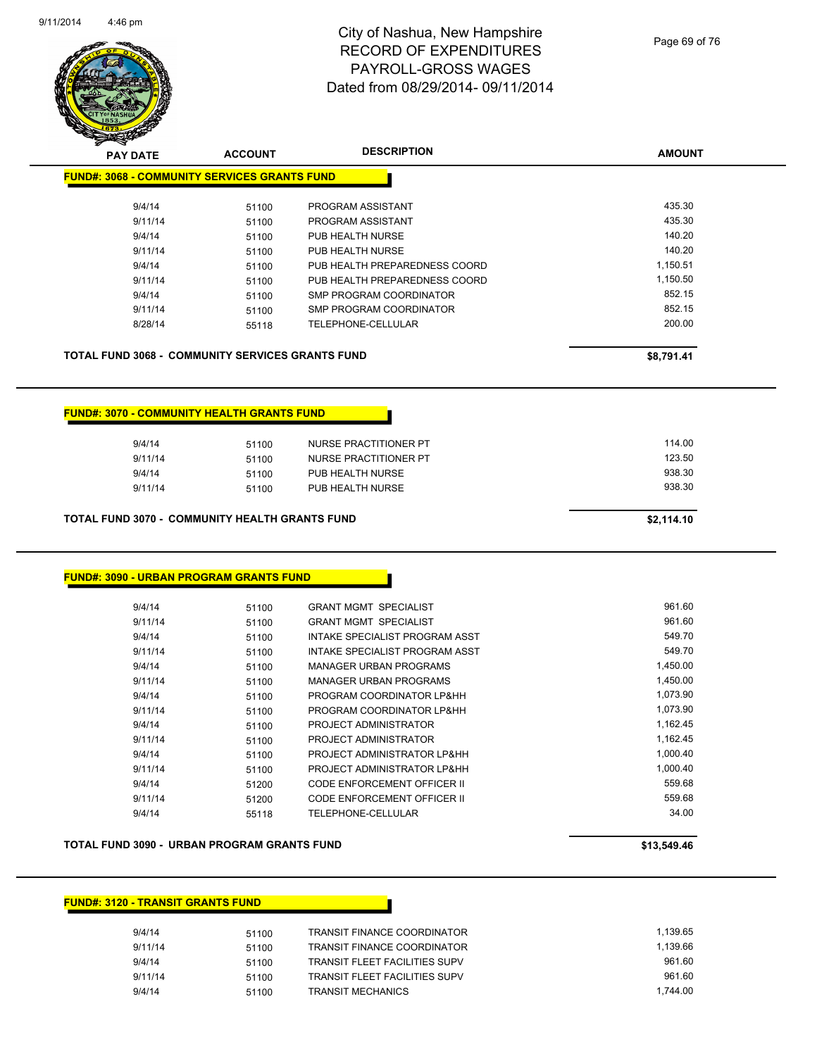

**AMOUNT**

| <b>FUND#: 3068 - COMMUNITY SERVICES GRANTS FUND</b>   |            |                               |          |  |
|-------------------------------------------------------|------------|-------------------------------|----------|--|
| 9/4/14                                                | 51100      | PROGRAM ASSISTANT             | 435.30   |  |
| 9/11/14                                               | 51100      | PROGRAM ASSISTANT             | 435.30   |  |
| 9/4/14                                                | 51100      | PUB HEALTH NURSE              | 140.20   |  |
| 9/11/14                                               | 51100      | PUB HEALTH NURSE              | 140.20   |  |
| 9/4/14                                                | 51100      | PUB HEALTH PREPAREDNESS COORD | 1,150.51 |  |
| 9/11/14                                               | 51100      | PUB HEALTH PREPAREDNESS COORD | 1,150.50 |  |
| 9/4/14                                                | 51100      | SMP PROGRAM COORDINATOR       | 852.15   |  |
| 9/11/14                                               | 51100      | SMP PROGRAM COORDINATOR       | 852.15   |  |
| 8/28/14                                               | 55118      | TELEPHONE-CELLULAR            | 200.00   |  |
| <b>FUND#: 3070 - COMMUNITY HEALTH GRANTS FUND</b>     |            |                               |          |  |
| 9/4/14                                                | 51100      | <b>NURSE PRACTITIONER PT</b>  | 114.00   |  |
| 9/11/14                                               | 51100      | <b>NURSE PRACTITIONER PT</b>  | 123.50   |  |
| 9/4/14                                                | 51100      | PUB HEALTH NURSE              | 938.30   |  |
| 9/11/14                                               | 51100      | PUB HEALTH NURSE              | 938.30   |  |
| <b>TOTAL FUND 3070 - COMMUNITY HEALTH GRANTS FUND</b> | \$2,114.10 |                               |          |  |

#### **FUND#: 3090 - URBAN PROGRAM GRANTS FUND**

| 9/4/14  | 51100 | <b>GRANT MGMT SPECIALIST</b>   | 961.60   |
|---------|-------|--------------------------------|----------|
| 9/11/14 | 51100 | <b>GRANT MGMT SPECIALIST</b>   | 961.60   |
| 9/4/14  | 51100 | INTAKE SPECIALIST PROGRAM ASST | 549.70   |
| 9/11/14 | 51100 | INTAKE SPECIALIST PROGRAM ASST | 549.70   |
| 9/4/14  | 51100 | MANAGER URBAN PROGRAMS         | 1.450.00 |
| 9/11/14 | 51100 | <b>MANAGER URBAN PROGRAMS</b>  | 1,450.00 |
| 9/4/14  | 51100 | PROGRAM COORDINATOR LP&HH      | 1.073.90 |
| 9/11/14 | 51100 | PROGRAM COORDINATOR LP&HH      | 1,073.90 |
| 9/4/14  | 51100 | PROJECT ADMINISTRATOR          | 1.162.45 |
| 9/11/14 | 51100 | PROJECT ADMINISTRATOR          | 1,162.45 |
| 9/4/14  | 51100 | PROJECT ADMINISTRATOR LP&HH    | 1.000.40 |
| 9/11/14 | 51100 | PROJECT ADMINISTRATOR LP&HH    | 1.000.40 |
| 9/4/14  | 51200 | CODE ENFORCEMENT OFFICER II    | 559.68   |
| 9/11/14 | 51200 | CODE ENFORCEMENT OFFICER II    | 559.68   |
| 9/4/14  | 55118 | TELEPHONE-CELLULAR             | 34.00    |
|         |       |                                |          |

#### **TOTAL FUND 3090 - URBAN PROGRAM GRANTS FUND \$13,549.46**

#### **FUND#: 3120 - TRANSIT GRANTS FUND**

| 9/4/14  | 51100 | TRANSIT FINANCE COORDINATOR          | 1.139.65 |
|---------|-------|--------------------------------------|----------|
| 9/11/14 | 51100 | TRANSIT FINANCE COORDINATOR          | 1.139.66 |
| 9/4/14  | 51100 | <b>TRANSIT FLEET FACILITIES SUPV</b> | 961.60   |
| 9/11/14 | 51100 | TRANSIT FLEET FACILITIES SUPV        | 961.60   |
| 9/4/14  | 51100 | <b>TRANSIT MECHANICS</b>             | 1.744.00 |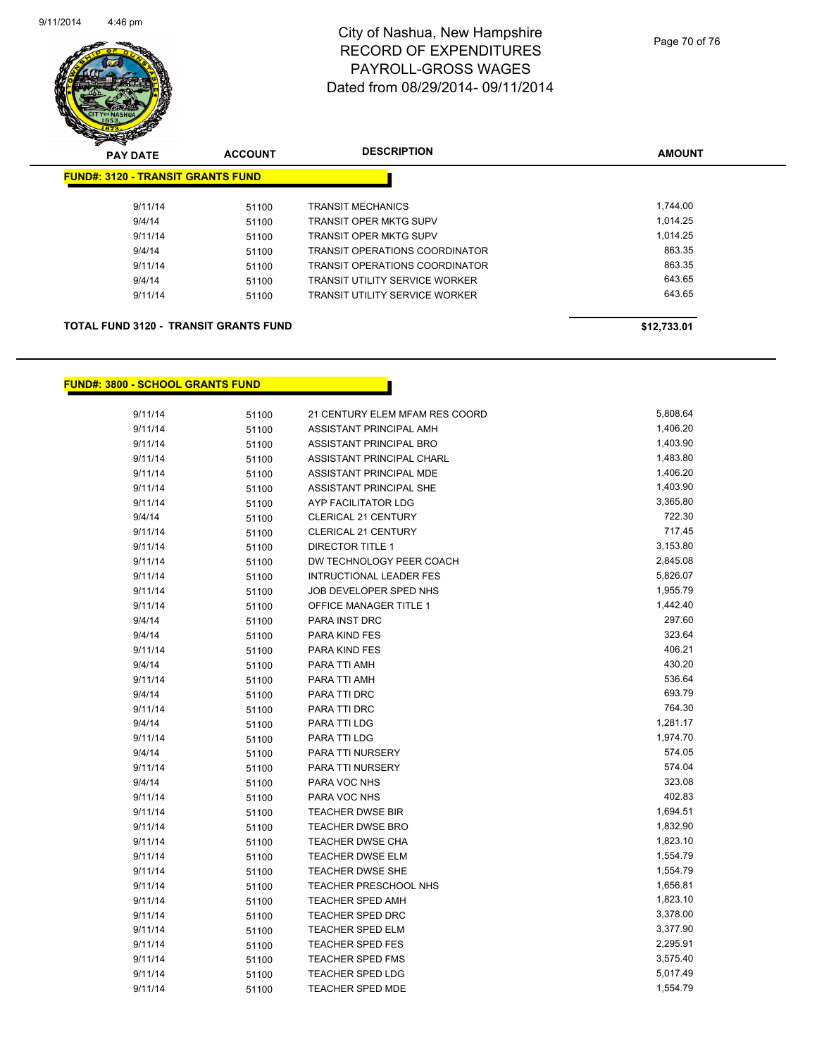

| <b>PAY DATE</b>                              | <b>ACCOUNT</b> | <b>DESCRIPTION</b>                    | <b>AMOUNT</b> |
|----------------------------------------------|----------------|---------------------------------------|---------------|
| <b>FUND#: 3120 - TRANSIT GRANTS FUND</b>     |                |                                       |               |
| 9/11/14                                      | 51100          | <b>TRANSIT MECHANICS</b>              | 1,744.00      |
| 9/4/14                                       | 51100          | <b>TRANSIT OPER MKTG SUPV</b>         | 1,014.25      |
| 9/11/14                                      | 51100          | TRANSIT OPER MKTG SUPV                | 1.014.25      |
| 9/4/14                                       | 51100          | <b>TRANSIT OPERATIONS COORDINATOR</b> | 863.35        |
| 9/11/14                                      | 51100          | <b>TRANSIT OPERATIONS COORDINATOR</b> | 863.35        |
| 9/4/14                                       | 51100          | <b>TRANSIT UTILITY SERVICE WORKER</b> | 643.65        |
| 9/11/14                                      | 51100          | <b>TRANSIT UTILITY SERVICE WORKER</b> | 643.65        |
| <b>TOTAL FUND 3120 - TRANSIT GRANTS FUND</b> |                |                                       | \$12.733.01   |

#### **FUND#: 3800 - SCHOOL GRANTS FUND**

| 9/11/14 | 51100 | 21 CENTURY ELEM MFAM RES COORD | 5,808.64 |
|---------|-------|--------------------------------|----------|
| 9/11/14 | 51100 | ASSISTANT PRINCIPAL AMH        | 1,406.20 |
| 9/11/14 | 51100 | ASSISTANT PRINCIPAL BRO        | 1,403.90 |
| 9/11/14 | 51100 | ASSISTANT PRINCIPAL CHARL      | 1,483.80 |
| 9/11/14 | 51100 | ASSISTANT PRINCIPAL MDE        | 1,406.20 |
| 9/11/14 | 51100 | ASSISTANT PRINCIPAL SHE        | 1,403.90 |
| 9/11/14 | 51100 | AYP FACILITATOR LDG            | 3,365.80 |
| 9/4/14  | 51100 | <b>CLERICAL 21 CENTURY</b>     | 722.30   |
| 9/11/14 | 51100 | CLERICAL 21 CENTURY            | 717.45   |
| 9/11/14 | 51100 | DIRECTOR TITLE 1               | 3,153.80 |
| 9/11/14 | 51100 | DW TECHNOLOGY PEER COACH       | 2,845.08 |
| 9/11/14 | 51100 | <b>INTRUCTIONAL LEADER FES</b> | 5,826.07 |
| 9/11/14 | 51100 | JOB DEVELOPER SPED NHS         | 1,955.79 |
| 9/11/14 | 51100 | OFFICE MANAGER TITLE 1         | 1,442.40 |
| 9/4/14  | 51100 | PARA INST DRC                  | 297.60   |
| 9/4/14  | 51100 | PARA KIND FES                  | 323.64   |
| 9/11/14 | 51100 | PARA KIND FES                  | 406.21   |
| 9/4/14  | 51100 | PARA TTI AMH                   | 430.20   |
| 9/11/14 | 51100 | PARA TTI AMH                   | 536.64   |
| 9/4/14  | 51100 | PARA TTI DRC                   | 693.79   |
| 9/11/14 | 51100 | PARA TTI DRC                   | 764.30   |
| 9/4/14  | 51100 | PARA TTI LDG                   | 1,281.17 |
| 9/11/14 | 51100 | PARA TTI LDG                   | 1,974.70 |
| 9/4/14  | 51100 | PARA TTI NURSERY               | 574.05   |
| 9/11/14 | 51100 | PARA TTI NURSERY               | 574.04   |
| 9/4/14  | 51100 | PARA VOC NHS                   | 323.08   |
| 9/11/14 | 51100 | PARA VOC NHS                   | 402.83   |
| 9/11/14 | 51100 | TEACHER DWSE BIR               | 1,694.51 |
| 9/11/14 | 51100 | TEACHER DWSE BRO               | 1,832.90 |
| 9/11/14 | 51100 | TEACHER DWSE CHA               | 1,823.10 |
| 9/11/14 | 51100 | <b>TEACHER DWSE ELM</b>        | 1,554.79 |
| 9/11/14 | 51100 | TEACHER DWSE SHE               | 1,554.79 |
| 9/11/14 | 51100 | <b>TEACHER PRESCHOOL NHS</b>   | 1,656.81 |
| 9/11/14 | 51100 | TEACHER SPED AMH               | 1,823.10 |
| 9/11/14 | 51100 | <b>TEACHER SPED DRC</b>        | 3,378.00 |
| 9/11/14 | 51100 | TEACHER SPED ELM               | 3,377.90 |
| 9/11/14 | 51100 | <b>TEACHER SPED FES</b>        | 2,295.91 |
| 9/11/14 | 51100 | TEACHER SPED FMS               | 3,575.40 |
| 9/11/14 | 51100 | <b>TEACHER SPED LDG</b>        | 5,017.49 |
| 9/11/14 | 51100 | <b>TEACHER SPED MDE</b>        | 1,554.79 |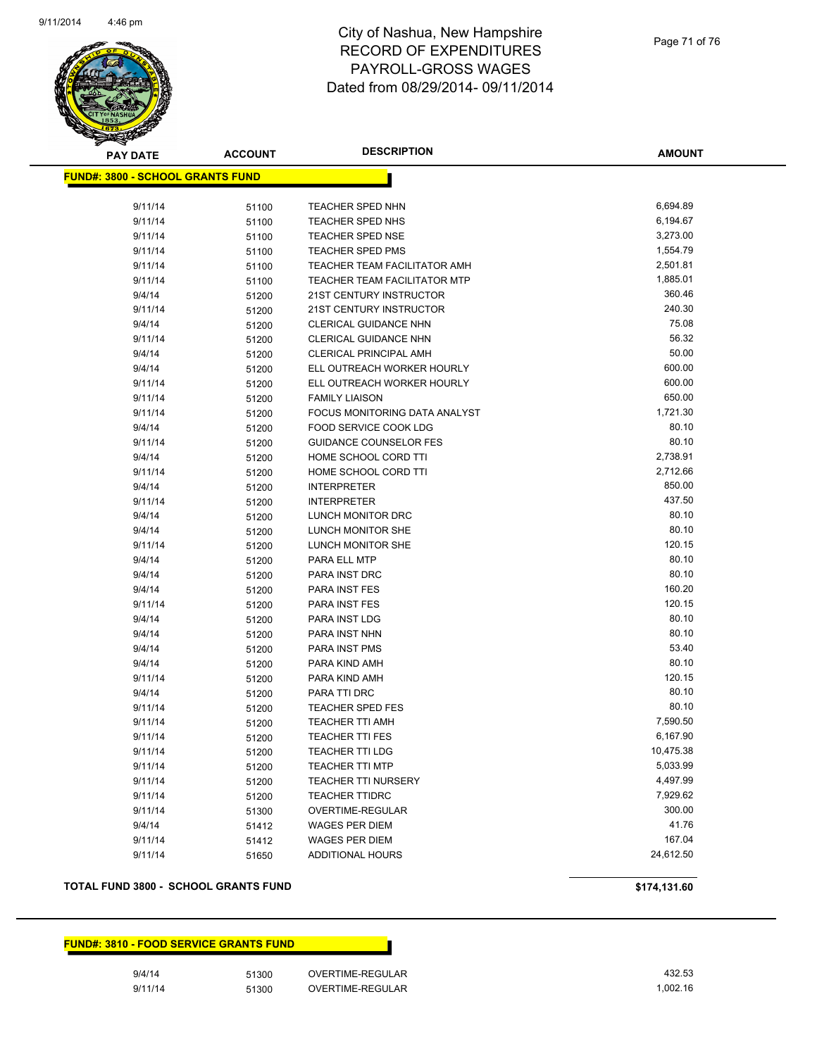

**AMOUNT**

| <u> FUND#: 3800 - SCHOOL GRANTS FUND</u> |       |                                      |                      |
|------------------------------------------|-------|--------------------------------------|----------------------|
| 9/11/14                                  |       |                                      | 6,694.89             |
|                                          | 51100 | <b>TEACHER SPED NHN</b>              | 6,194.67             |
| 9/11/14                                  | 51100 | TEACHER SPED NHS<br>TEACHER SPED NSE | 3,273.00             |
| 9/11/14                                  | 51100 |                                      | 1,554.79             |
| 9/11/14                                  | 51100 | TEACHER SPED PMS                     |                      |
| 9/11/14                                  | 51100 | TEACHER TEAM FACILITATOR AMH         | 2,501.81<br>1,885.01 |
| 9/11/14                                  | 51100 | TEACHER TEAM FACILITATOR MTP         | 360.46               |
| 9/4/14                                   | 51200 | 21ST CENTURY INSTRUCTOR              | 240.30               |
| 9/11/14                                  | 51200 | <b>21ST CENTURY INSTRUCTOR</b>       | 75.08                |
| 9/4/14                                   | 51200 | CLERICAL GUIDANCE NHN                | 56.32                |
| 9/11/14                                  | 51200 | CLERICAL GUIDANCE NHN                | 50.00                |
| 9/4/14                                   | 51200 | <b>CLERICAL PRINCIPAL AMH</b>        |                      |
| 9/4/14                                   | 51200 | ELL OUTREACH WORKER HOURLY           | 600.00               |
| 9/11/14                                  | 51200 | ELL OUTREACH WORKER HOURLY           | 600.00               |
| 9/11/14                                  | 51200 | <b>FAMILY LIAISON</b>                | 650.00               |
| 9/11/14                                  | 51200 | FOCUS MONITORING DATA ANALYST        | 1,721.30             |
| 9/4/14                                   | 51200 | FOOD SERVICE COOK LDG                | 80.10                |
| 9/11/14                                  | 51200 | <b>GUIDANCE COUNSELOR FES</b>        | 80.10                |
| 9/4/14                                   | 51200 | HOME SCHOOL CORD TTI                 | 2,738.91             |
| 9/11/14                                  | 51200 | HOME SCHOOL CORD TTI                 | 2,712.66             |
| 9/4/14                                   | 51200 | <b>INTERPRETER</b>                   | 850.00               |
| 9/11/14                                  | 51200 | <b>INTERPRETER</b>                   | 437.50               |
| 9/4/14                                   | 51200 | LUNCH MONITOR DRC                    | 80.10                |
| 9/4/14                                   | 51200 | LUNCH MONITOR SHE                    | 80.10                |
| 9/11/14                                  | 51200 | LUNCH MONITOR SHE                    | 120.15               |
| 9/4/14                                   | 51200 | PARA ELL MTP                         | 80.10                |
| 9/4/14                                   | 51200 | PARA INST DRC                        | 80.10                |
| 9/4/14                                   | 51200 | PARA INST FES                        | 160.20               |
| 9/11/14                                  | 51200 | PARA INST FES                        | 120.15               |
| 9/4/14                                   | 51200 | PARA INST LDG                        | 80.10                |
| 9/4/14                                   | 51200 | PARA INST NHN                        | 80.10                |
| 9/4/14                                   | 51200 | PARA INST PMS                        | 53.40                |
| 9/4/14                                   | 51200 | PARA KIND AMH                        | 80.10                |
| 9/11/14                                  | 51200 | PARA KIND AMH                        | 120.15               |
| 9/4/14                                   | 51200 | PARA TTI DRC                         | 80.10                |
| 9/11/14                                  | 51200 | TEACHER SPED FES                     | 80.10                |
| 9/11/14                                  | 51200 | <b>TEACHER TTI AMH</b>               | 7,590.50             |
| 9/11/14                                  | 51200 | <b>TEACHER TTI FES</b>               | 6,167.90             |
| 9/11/14                                  | 51200 | TEACHER TTI LDG                      | 10,475.38            |
| 9/11/14                                  | 51200 | <b>TEACHER TTI MTP</b>               | 5,033.99             |
| 9/11/14                                  | 51200 | <b>TEACHER TTI NURSERY</b>           | 4,497.99             |
| 9/11/14                                  | 51200 | <b>TEACHER TTIDRC</b>                | 7,929.62             |
| 9/11/14                                  | 51300 | OVERTIME-REGULAR                     | 300.00               |
| 9/4/14                                   | 51412 | <b>WAGES PER DIEM</b>                | 41.76                |
| 9/11/14                                  | 51412 | <b>WAGES PER DIEM</b>                | 167.04               |
| 9/11/14                                  | 51650 | <b>ADDITIONAL HOURS</b>              | 24,612.50            |

#### **TOTAL FUND 3800 - SCHOOL GRANTS FUND \$174,131.60**

**FUND#: 3810 - FOOD SERVICE GRANTS FUND**

9/4/14 51300 OVERTIME-REGULAR 432.53 9/11/14 51300 OVERTIME-REGULAR 1,002.16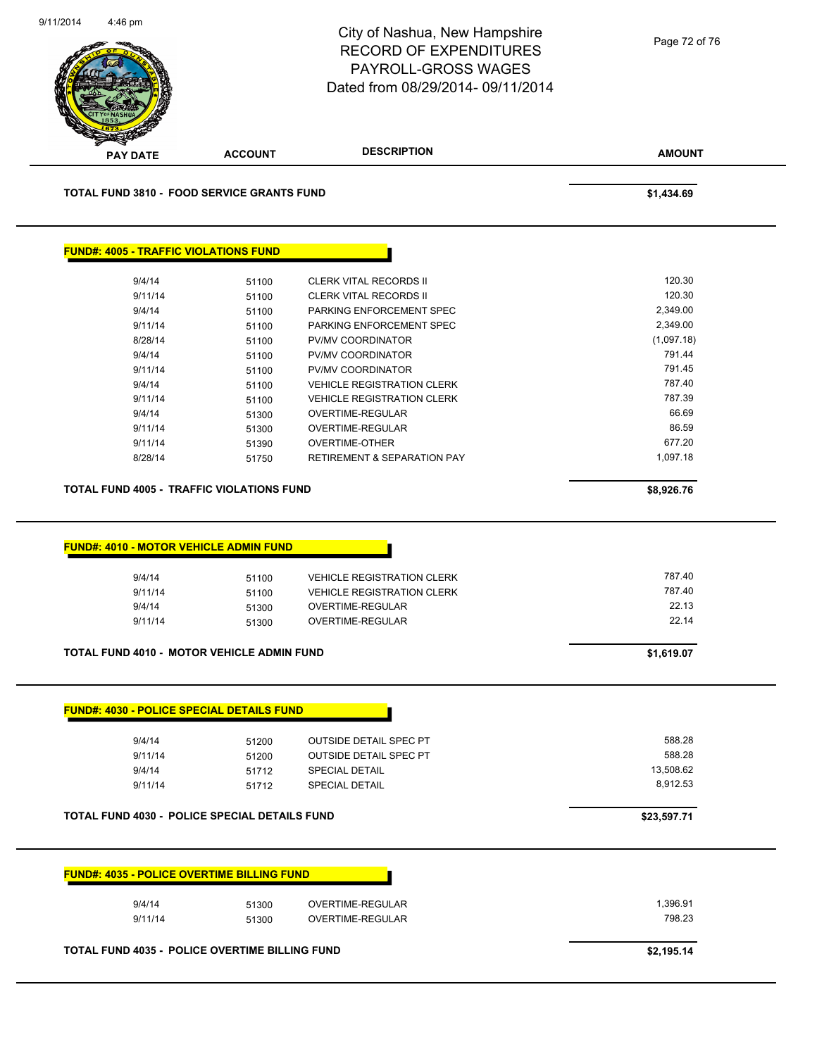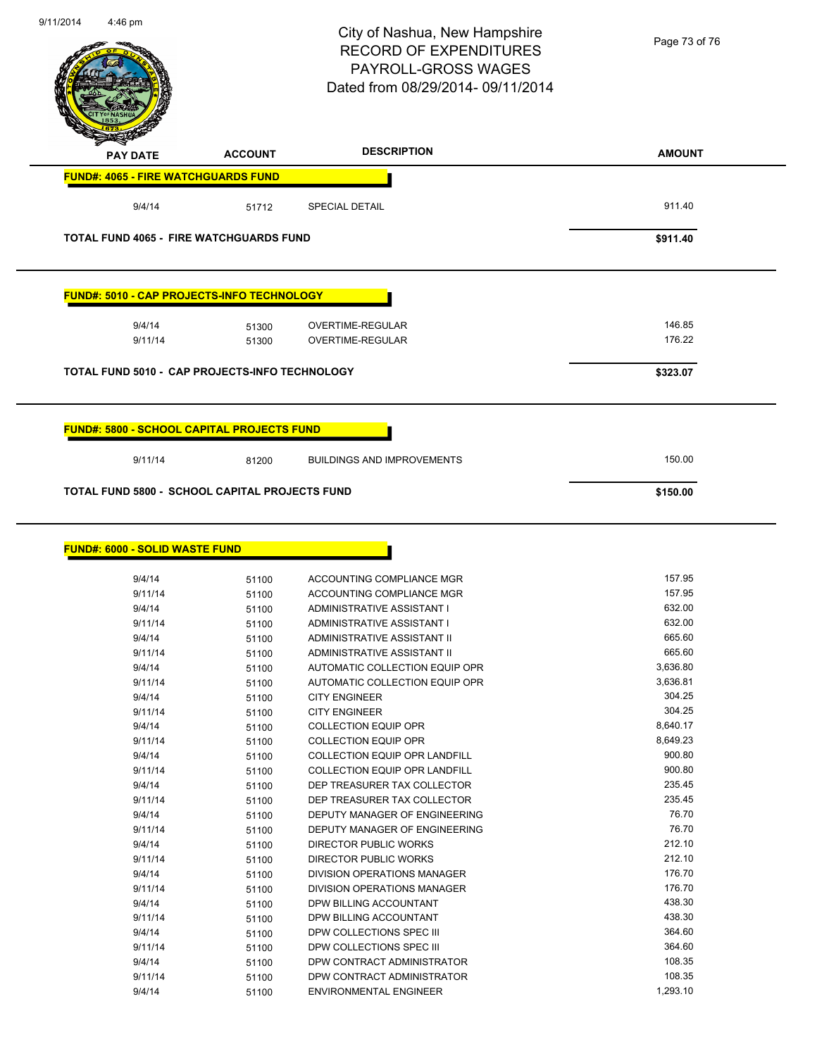|                                       |                                                         | City of Nashua, New Hampshire<br><b>RECORD OF EXPENDITURES</b><br>PAYROLL-GROSS WAGES<br>Dated from 08/29/2014-09/11/2014 | Page 73 of 76      |
|---------------------------------------|---------------------------------------------------------|---------------------------------------------------------------------------------------------------------------------------|--------------------|
| <b>PAY DATE</b>                       | <b>ACCOUNT</b>                                          | <b>DESCRIPTION</b>                                                                                                        | <b>AMOUNT</b>      |
|                                       | <b>FUND#: 4065 - FIRE WATCHGUARDS FUND</b>              |                                                                                                                           |                    |
| 9/4/14                                | 51712                                                   | <b>SPECIAL DETAIL</b>                                                                                                     | 911.40             |
|                                       | <b>TOTAL FUND 4065 - FIRE WATCHGUARDS FUND</b>          |                                                                                                                           | \$911.40           |
|                                       | <b>FUND#: 5010 - CAP PROJECTS-INFO TECHNOLOGY</b>       |                                                                                                                           |                    |
| 9/4/14                                | 51300                                                   | OVERTIME-REGULAR                                                                                                          | 146.85             |
| 9/11/14                               | 51300                                                   | <b>OVERTIME-REGULAR</b>                                                                                                   | 176.22             |
|                                       | TOTAL FUND 5010 - CAP PROJECTS-INFO TECHNOLOGY          |                                                                                                                           | \$323.07           |
| 9/11/14                               | 81200<br>TOTAL FUND 5800 - SCHOOL CAPITAL PROJECTS FUND | <b>BUILDINGS AND IMPROVEMENTS</b>                                                                                         | 150.00<br>\$150.00 |
| <b>FUND#: 6000 - SOLID WASTE FUND</b> |                                                         |                                                                                                                           |                    |
| 9/4/14                                | 51100                                                   | ACCOUNTING COMPLIANCE MGR                                                                                                 | 157.95             |
| 9/11/14                               | 51100                                                   | ACCOUNTING COMPLIANCE MGR                                                                                                 | 157.95             |
| 9/4/14                                | 51100                                                   | ADMINISTRATIVE ASSISTANT I                                                                                                | 632.00             |
| 9/11/14                               | 51100                                                   | ADMINISTRATIVE ASSISTANT I                                                                                                | 632.00             |
| 9/4/14                                | 51100                                                   | ADMINISTRATIVE ASSISTANT II                                                                                               | 665.60             |
| 9/11/14<br>9/4/14                     | 51100                                                   | ADMINISTRATIVE ASSISTANT II<br>AUTOMATIC COLLECTION EQUIP OPR                                                             | 665.60<br>3,636.80 |
| 9/11/14                               | 51100<br>51100                                          | AUTOMATIC COLLECTION EQUIP OPR                                                                                            | 3,636.81           |
| 9/4/14                                | 51100                                                   | <b>CITY ENGINEER</b>                                                                                                      | 304.25             |
| 9/11/14                               | 51100                                                   | <b>CITY ENGINEER</b>                                                                                                      | 304.25             |
| 9/4/14                                | 51100                                                   | <b>COLLECTION EQUIP OPR</b>                                                                                               | 8,640.17           |
| 9/11/14                               | 51100                                                   | <b>COLLECTION EQUIP OPR</b>                                                                                               | 8,649.23           |
| 9/4/14                                | 51100                                                   | <b>COLLECTION EQUIP OPR LANDFILL</b>                                                                                      | 900.80             |
| 9/11/14                               | 51100                                                   | COLLECTION EQUIP OPR LANDFILL                                                                                             | 900.80             |
| 9/4/14                                | 51100                                                   | DEP TREASURER TAX COLLECTOR                                                                                               | 235.45             |
| 9/11/14                               | 51100                                                   | DEP TREASURER TAX COLLECTOR                                                                                               | 235.45<br>76.70    |
| 9/4/14<br>9/11/14                     | 51100                                                   | DEPUTY MANAGER OF ENGINEERING<br>DEPUTY MANAGER OF ENGINEERING                                                            | 76.70              |
| 9/4/14                                | 51100<br>51100                                          | DIRECTOR PUBLIC WORKS                                                                                                     | 212.10             |
| 9/11/14                               | 51100                                                   | DIRECTOR PUBLIC WORKS                                                                                                     | 212.10             |
| 9/4/14                                | 51100                                                   | DIVISION OPERATIONS MANAGER                                                                                               | 176.70             |
| 9/11/14                               | 51100                                                   | DIVISION OPERATIONS MANAGER                                                                                               | 176.70             |
| 9/4/14                                | 51100                                                   | DPW BILLING ACCOUNTANT                                                                                                    | 438.30             |
| 9/11/14                               | 51100                                                   | DPW BILLING ACCOUNTANT                                                                                                    | 438.30             |
| 9/4/14                                | 51100                                                   | DPW COLLECTIONS SPEC III                                                                                                  | 364.60             |
| 9/11/14                               | 51100                                                   | DPW COLLECTIONS SPEC III                                                                                                  | 364.60             |
|                                       |                                                         |                                                                                                                           |                    |
| 9/4/14                                | 51100                                                   | DPW CONTRACT ADMINISTRATOR                                                                                                | 108.35             |
| 9/11/14<br>9/4/14                     | 51100                                                   | DPW CONTRACT ADMINISTRATOR<br>ENVIRONMENTAL ENGINEER                                                                      | 108.35<br>1,293.10 |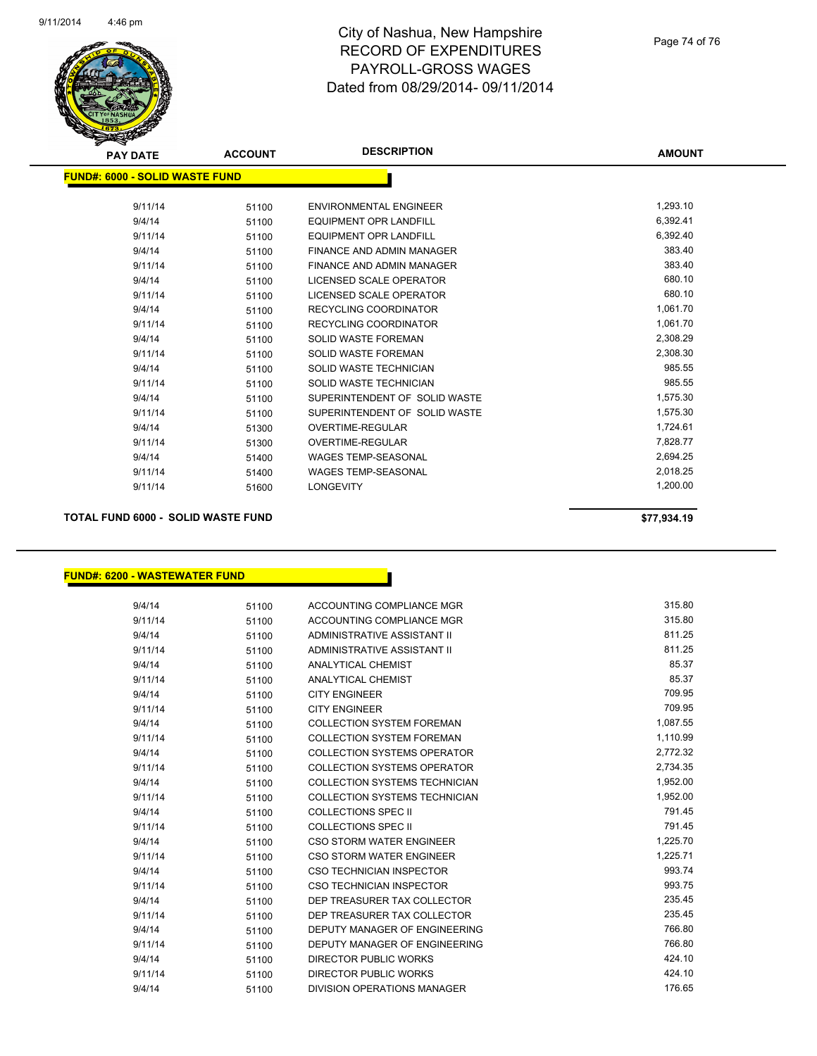

# City of Nashua, New Hampshire RECORD OF EXPENDITURES PAYROLL-GROSS WAGES Dated from 08/29/2014- 09/11/2014

| <b>PAY DATE</b>                | <b>ACCOUNT</b> | <b>DESCRIPTION</b>            | <b>AMOUNT</b> |
|--------------------------------|----------------|-------------------------------|---------------|
| FUND#: 6000 - SOLID WASTE FUND |                |                               |               |
| 9/11/14                        | 51100          | <b>ENVIRONMENTAL ENGINEER</b> | 1,293.10      |
| 9/4/14                         | 51100          | <b>EQUIPMENT OPR LANDFILL</b> | 6,392.41      |
| 9/11/14                        | 51100          | <b>EQUIPMENT OPR LANDFILL</b> | 6,392.40      |
| 9/4/14                         | 51100          | FINANCE AND ADMIN MANAGER     | 383.40        |
| 9/11/14                        | 51100          | FINANCE AND ADMIN MANAGER     | 383.40        |
| 9/4/14                         | 51100          | LICENSED SCALE OPERATOR       | 680.10        |
| 9/11/14                        | 51100          | LICENSED SCALE OPERATOR       | 680.10        |
| 9/4/14                         | 51100          | <b>RECYCLING COORDINATOR</b>  | 1,061.70      |
| 9/11/14                        | 51100          | <b>RECYCLING COORDINATOR</b>  | 1,061.70      |
| 9/4/14                         | 51100          | <b>SOLID WASTE FOREMAN</b>    | 2,308.29      |
| 9/11/14                        | 51100          | <b>SOLID WASTE FOREMAN</b>    | 2,308.30      |
| 9/4/14                         | 51100          | <b>SOLID WASTE TECHNICIAN</b> | 985.55        |
| 9/11/14                        | 51100          | SOLID WASTE TECHNICIAN        | 985.55        |
| 9/4/14                         | 51100          | SUPERINTENDENT OF SOLID WASTE | 1,575.30      |
| 9/11/14                        | 51100          | SUPERINTENDENT OF SOLID WASTE | 1,575.30      |
| 9/4/14                         | 51300          | <b>OVERTIME-REGULAR</b>       | 1,724.61      |
| 9/11/14                        | 51300          | <b>OVERTIME-REGULAR</b>       | 7,828.77      |
| 9/4/14                         | 51400          | <b>WAGES TEMP-SEASONAL</b>    | 2,694.25      |
| 9/11/14                        | 51400          | <b>WAGES TEMP-SEASONAL</b>    | 2,018.25      |
| 9/11/14                        | 51600          | <b>LONGEVITY</b>              | 1,200.00      |
|                                |                |                               |               |

### **TOTAL FUND 6000 - SOLID WASTE FUND \$77,934.19**

#### **FUND#: 6200 - WASTEWATER FUND**

| 9/4/14  | 51100 | ACCOUNTING COMPLIANCE MGR            | 315.80   |
|---------|-------|--------------------------------------|----------|
| 9/11/14 | 51100 | ACCOUNTING COMPLIANCE MGR            | 315.80   |
| 9/4/14  | 51100 | ADMINISTRATIVE ASSISTANT II          | 811.25   |
| 9/11/14 | 51100 | ADMINISTRATIVE ASSISTANT II          | 811.25   |
| 9/4/14  | 51100 | <b>ANALYTICAL CHEMIST</b>            | 85.37    |
| 9/11/14 | 51100 | ANALYTICAL CHEMIST                   | 85.37    |
| 9/4/14  | 51100 | <b>CITY ENGINEER</b>                 | 709.95   |
| 9/11/14 | 51100 | <b>CITY ENGINEER</b>                 | 709.95   |
| 9/4/14  | 51100 | <b>COLLECTION SYSTEM FOREMAN</b>     | 1,087.55 |
| 9/11/14 | 51100 | <b>COLLECTION SYSTEM FOREMAN</b>     | 1,110.99 |
| 9/4/14  | 51100 | <b>COLLECTION SYSTEMS OPERATOR</b>   | 2,772.32 |
| 9/11/14 | 51100 | <b>COLLECTION SYSTEMS OPERATOR</b>   | 2,734.35 |
| 9/4/14  | 51100 | COLLECTION SYSTEMS TECHNICIAN        | 1,952.00 |
| 9/11/14 | 51100 | <b>COLLECTION SYSTEMS TECHNICIAN</b> | 1,952.00 |
| 9/4/14  | 51100 | <b>COLLECTIONS SPEC II</b>           | 791.45   |
| 9/11/14 | 51100 | <b>COLLECTIONS SPEC II</b>           | 791.45   |
| 9/4/14  | 51100 | <b>CSO STORM WATER ENGINEER</b>      | 1,225.70 |
| 9/11/14 | 51100 | CSO STORM WATER ENGINEER             | 1,225.71 |
| 9/4/14  | 51100 | CSO TECHNICIAN INSPECTOR             | 993.74   |
| 9/11/14 | 51100 | CSO TECHNICIAN INSPECTOR             | 993.75   |
| 9/4/14  | 51100 | DEP TREASURER TAX COLLECTOR          | 235.45   |
| 9/11/14 | 51100 | DEP TREASURER TAX COLLECTOR          | 235.45   |
| 9/4/14  | 51100 | DEPUTY MANAGER OF ENGINEERING        | 766.80   |
| 9/11/14 | 51100 | DEPUTY MANAGER OF ENGINEERING        | 766.80   |
| 9/4/14  | 51100 | <b>DIRECTOR PUBLIC WORKS</b>         | 424.10   |
| 9/11/14 | 51100 | <b>DIRECTOR PUBLIC WORKS</b>         | 424.10   |
| 9/4/14  | 51100 | DIVISION OPERATIONS MANAGER          | 176.65   |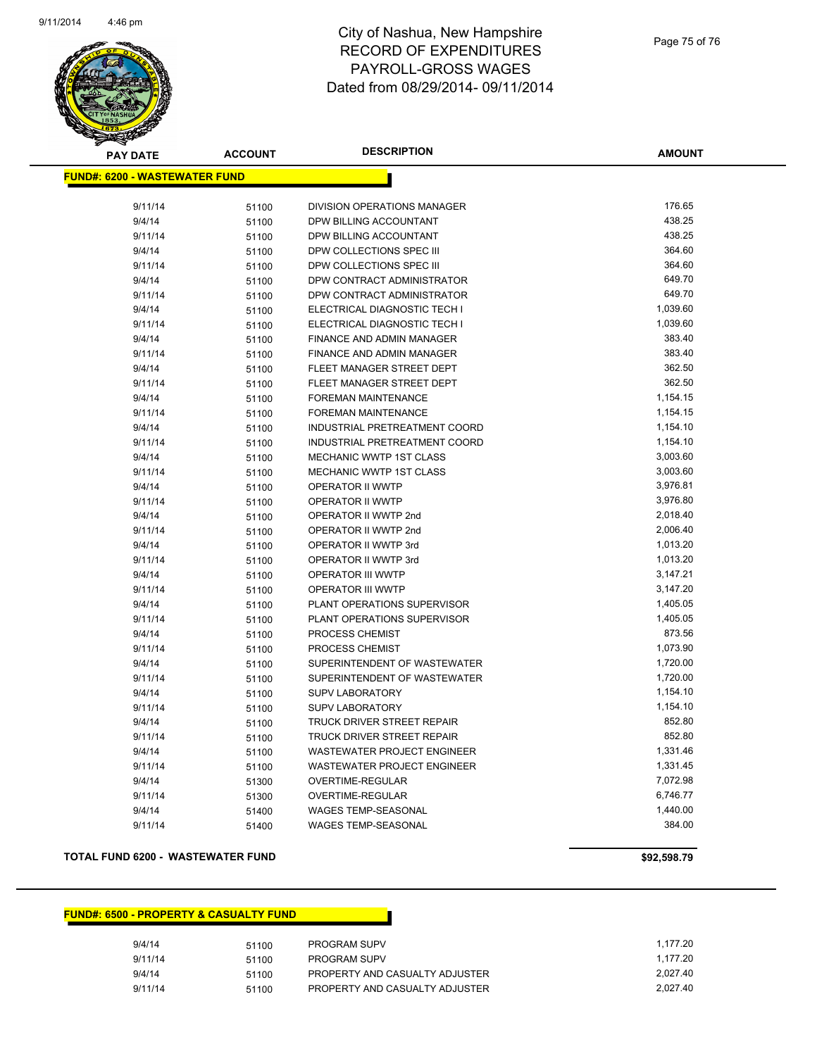

# City of Nashua, New Hampshire RECORD OF EXPENDITURES PAYROLL-GROSS WAGES Dated from 08/29/2014- 09/11/2014

| <b>PAY DATE</b>                      | <b>ACCOUNT</b> | <b>DESCRIPTION</b>            | <b>AMOUNT</b> |
|--------------------------------------|----------------|-------------------------------|---------------|
| <b>FUND#: 6200 - WASTEWATER FUND</b> |                |                               |               |
|                                      |                |                               |               |
| 9/11/14                              | 51100          | DIVISION OPERATIONS MANAGER   | 176.65        |
| 9/4/14                               | 51100          | DPW BILLING ACCOUNTANT        | 438.25        |
| 9/11/14                              | 51100          | DPW BILLING ACCOUNTANT        | 438.25        |
| 9/4/14                               | 51100          | DPW COLLECTIONS SPEC III      | 364.60        |
| 9/11/14                              | 51100          | DPW COLLECTIONS SPEC III      | 364.60        |
| 9/4/14                               | 51100          | DPW CONTRACT ADMINISTRATOR    | 649.70        |
| 9/11/14                              | 51100          | DPW CONTRACT ADMINISTRATOR    | 649.70        |
| 9/4/14                               | 51100          | ELECTRICAL DIAGNOSTIC TECH I  | 1,039.60      |
| 9/11/14                              | 51100          | ELECTRICAL DIAGNOSTIC TECH I  | 1,039.60      |
| 9/4/14                               | 51100          | FINANCE AND ADMIN MANAGER     | 383.40        |
| 9/11/14                              | 51100          | FINANCE AND ADMIN MANAGER     | 383.40        |
| 9/4/14                               | 51100          | FLEET MANAGER STREET DEPT     | 362.50        |
| 9/11/14                              | 51100          | FLEET MANAGER STREET DEPT     | 362.50        |
| 9/4/14                               | 51100          | FOREMAN MAINTENANCE           | 1,154.15      |
| 9/11/14                              | 51100          | FOREMAN MAINTENANCE           | 1,154.15      |
| 9/4/14                               | 51100          | INDUSTRIAL PRETREATMENT COORD | 1,154.10      |
| 9/11/14                              | 51100          | INDUSTRIAL PRETREATMENT COORD | 1,154.10      |
| 9/4/14                               | 51100          | MECHANIC WWTP 1ST CLASS       | 3,003.60      |
| 9/11/14                              | 51100          | MECHANIC WWTP 1ST CLASS       | 3,003.60      |
| 9/4/14                               | 51100          | OPERATOR II WWTP              | 3,976.81      |
| 9/11/14                              | 51100          | OPERATOR II WWTP              | 3,976.80      |
| 9/4/14                               | 51100          | OPERATOR II WWTP 2nd          | 2,018.40      |
| 9/11/14                              | 51100          | OPERATOR II WWTP 2nd          | 2,006.40      |
| 9/4/14                               | 51100          | OPERATOR II WWTP 3rd          | 1,013.20      |
| 9/11/14                              | 51100          | OPERATOR II WWTP 3rd          | 1,013.20      |
| 9/4/14                               | 51100          | OPERATOR III WWTP             | 3,147.21      |
| 9/11/14                              | 51100          | <b>OPERATOR III WWTP</b>      | 3,147.20      |
| 9/4/14                               | 51100          | PLANT OPERATIONS SUPERVISOR   | 1,405.05      |
| 9/11/14                              | 51100          | PLANT OPERATIONS SUPERVISOR   | 1,405.05      |
| 9/4/14                               | 51100          | PROCESS CHEMIST               | 873.56        |
| 9/11/14                              | 51100          | PROCESS CHEMIST               | 1,073.90      |
| 9/4/14                               | 51100          | SUPERINTENDENT OF WASTEWATER  | 1,720.00      |
| 9/11/14                              | 51100          | SUPERINTENDENT OF WASTEWATER  | 1,720.00      |
| 9/4/14                               | 51100          | <b>SUPV LABORATORY</b>        | 1,154.10      |
| 9/11/14                              | 51100          | <b>SUPV LABORATORY</b>        | 1,154.10      |
| 9/4/14                               | 51100          | TRUCK DRIVER STREET REPAIR    | 852.80        |
| 9/11/14                              | 51100          | TRUCK DRIVER STREET REPAIR    | 852.80        |
| 9/4/14                               | 51100          | WASTEWATER PROJECT ENGINEER   | 1,331.46      |
| 9/11/14                              | 51100          | WASTEWATER PROJECT ENGINEER   | 1,331.45      |
| 9/4/14                               | 51300          | OVERTIME-REGULAR              | 7,072.98      |
| 9/11/14                              | 51300          | <b>OVERTIME-REGULAR</b>       | 6,746.77      |
| 9/4/14                               | 51400          | WAGES TEMP-SEASONAL           | 1,440.00      |
| 9/11/14                              | 51400          | <b>WAGES TEMP-SEASONAL</b>    | 384.00        |

#### **TOTAL FUND 6200 - WASTEWATER FUND \$92,598.79**

## **FUND#: 6500 - PROPERTY & CASUALTY FUND**

| 9/4/14  | 51100 | <b>PROGRAM SUPV</b>            | 1.177.20 |
|---------|-------|--------------------------------|----------|
| 9/11/14 | 51100 | <b>PROGRAM SUPV</b>            | 1.177.20 |
| 9/4/14  | 51100 | PROPERTY AND CASUALTY ADJUSTER | 2.027.40 |
| 9/11/14 | 51100 | PROPERTY AND CASUALTY ADJUSTER | 2.027.40 |